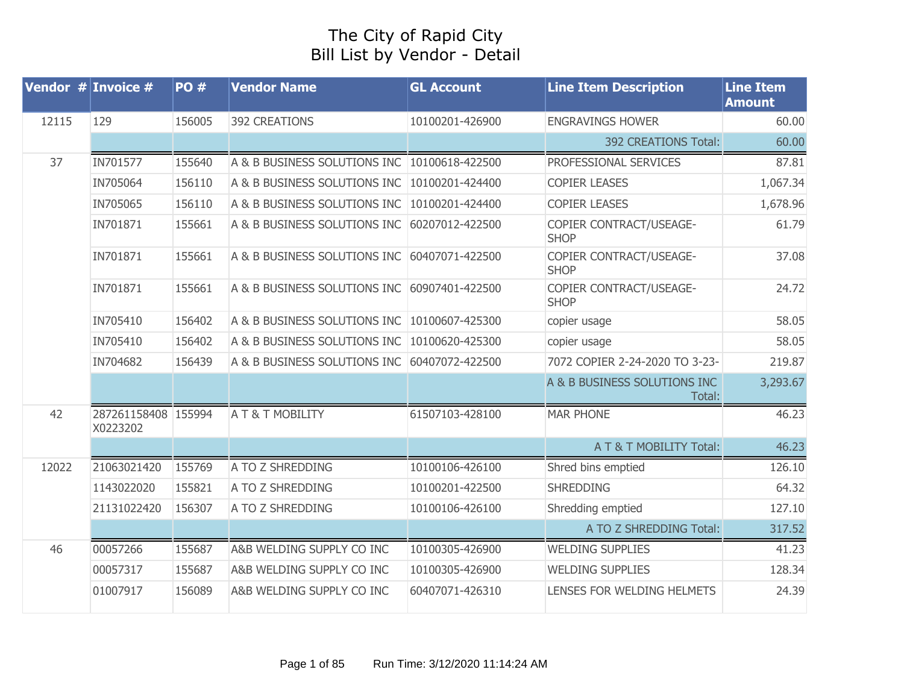## The City of Rapid City Bill List by Vendor - Detail

| Vendor $#$ Invoice $#$ |                                 | <b>PO#</b> | <b>Vendor Name</b>                                                       | <b>GL Account</b>                                         | <b>Line Item Description</b>           | <b>Line Item</b><br><b>Amount</b> |
|------------------------|---------------------------------|------------|--------------------------------------------------------------------------|-----------------------------------------------------------|----------------------------------------|-----------------------------------|
| 12115                  | 129                             | 156005     | <b>392 CREATIONS</b><br>10100201-426900<br><b>ENGRAVINGS HOWER</b>       |                                                           |                                        | 60.00                             |
|                        |                                 |            |                                                                          |                                                           | 392 CREATIONS Total:                   | 60.00                             |
| 37                     | IN701577                        | 155640     | A & B BUSINESS SOLUTIONS INC<br>10100618-422500<br>PROFESSIONAL SERVICES |                                                           |                                        | 87.81                             |
|                        | IN705064                        | 156110     | A & B BUSINESS SOLUTIONS INC                                             | 10100201-424400                                           | <b>COPIER LEASES</b>                   | 1,067.34                          |
|                        | IN705065                        | 156110     | A & B BUSINESS SOLUTIONS INC                                             | 10100201-424400                                           | <b>COPIER LEASES</b>                   | 1,678.96                          |
|                        | IN701871                        | 155661     | A & B BUSINESS SOLUTIONS INC                                             | 60207012-422500                                           | COPIER CONTRACT/USEAGE-<br><b>SHOP</b> | 61.79                             |
|                        | IN701871                        | 155661     | A & B BUSINESS SOLUTIONS INC                                             | COPIER CONTRACT/USEAGE-<br>60407071-422500<br><b>SHOP</b> |                                        | 37.08                             |
|                        | IN701871                        | 155661     | A & B BUSINESS SOLUTIONS INC                                             | 60907401-422500                                           | COPIER CONTRACT/USEAGE-<br><b>SHOP</b> | 24.72                             |
|                        | IN705410                        | 156402     | A & B BUSINESS SOLUTIONS INC                                             | 10100607-425300                                           | copier usage                           | 58.05                             |
|                        | IN705410                        | 156402     | A & B BUSINESS SOLUTIONS INC                                             | 10100620-425300                                           | copier usage                           | 58.05                             |
|                        | IN704682                        | 156439     | A & B BUSINESS SOLUTIONS INC                                             | 60407072-422500                                           | 7072 COPIER 2-24-2020 TO 3-23-         | 219.87                            |
|                        |                                 |            |                                                                          |                                                           | A & B BUSINESS SOLUTIONS INC<br>Total: | 3,293.67                          |
| 42                     | 287261158408 155994<br>X0223202 |            | A T & T MOBILITY                                                         | 61507103-428100                                           | <b>MAR PHONE</b>                       | 46.23                             |
|                        |                                 |            |                                                                          |                                                           | A T & T MOBILITY Total:                | 46.23                             |
| 12022                  | 21063021420                     | 155769     | A TO Z SHREDDING                                                         | 10100106-426100                                           | Shred bins emptied                     | 126.10                            |
|                        | 1143022020                      | 155821     | A TO Z SHREDDING                                                         | 10100201-422500                                           | <b>SHREDDING</b>                       | 64.32                             |
|                        | 21131022420                     | 156307     | A TO Z SHREDDING                                                         | 10100106-426100                                           | Shredding emptied                      | 127.10                            |
|                        |                                 |            |                                                                          |                                                           | A TO Z SHREDDING Total:                | 317.52                            |
| 46                     | 00057266                        | 155687     | A&B WELDING SUPPLY CO INC                                                | 10100305-426900                                           | <b>WELDING SUPPLIES</b>                | 41.23                             |
|                        | 00057317                        | 155687     | A&B WELDING SUPPLY CO INC                                                | 10100305-426900                                           | <b>WELDING SUPPLIES</b>                | 128.34                            |
|                        | 01007917                        | 156089     | A&B WELDING SUPPLY CO INC                                                | 60407071-426310<br>LENSES FOR WELDING HELMETS             |                                        | 24.39                             |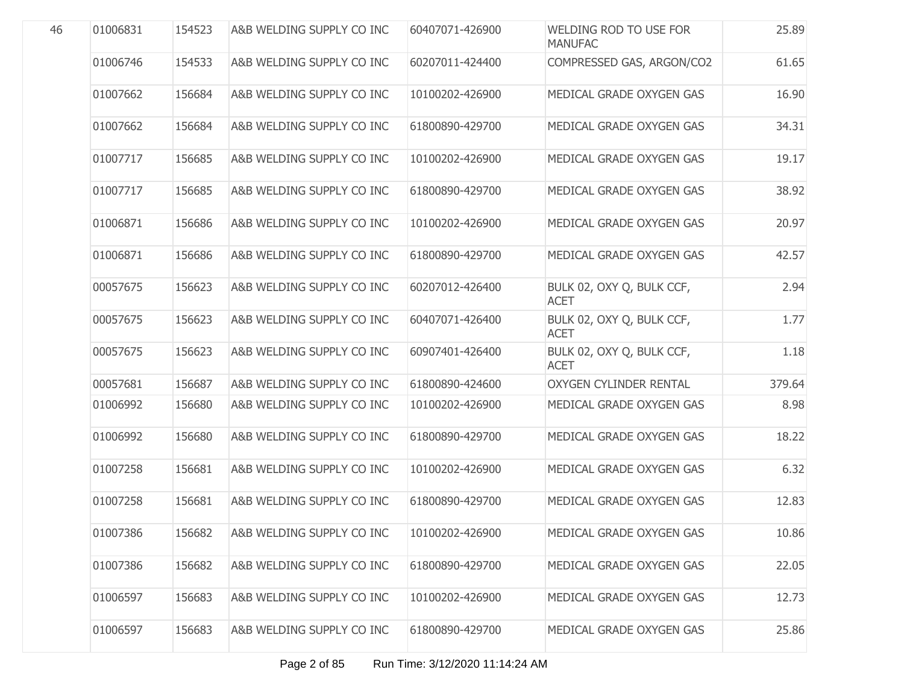| 46 | 01006831 | 154523 | A&B WELDING SUPPLY CO INC | 60407071-426900 | WELDING ROD TO USE FOR<br><b>MANUFAC</b> | 25.89  |
|----|----------|--------|---------------------------|-----------------|------------------------------------------|--------|
|    | 01006746 | 154533 | A&B WELDING SUPPLY CO INC | 60207011-424400 | COMPRESSED GAS, ARGON/CO2                | 61.65  |
|    | 01007662 | 156684 | A&B WELDING SUPPLY CO INC | 10100202-426900 | MEDICAL GRADE OXYGEN GAS                 | 16.90  |
|    | 01007662 | 156684 | A&B WELDING SUPPLY CO INC | 61800890-429700 | MEDICAL GRADE OXYGEN GAS                 | 34.31  |
|    | 01007717 | 156685 | A&B WELDING SUPPLY CO INC | 10100202-426900 | MEDICAL GRADE OXYGEN GAS                 | 19.17  |
|    | 01007717 | 156685 | A&B WELDING SUPPLY CO INC | 61800890-429700 | MEDICAL GRADE OXYGEN GAS                 | 38.92  |
|    | 01006871 | 156686 | A&B WELDING SUPPLY CO INC | 10100202-426900 | MEDICAL GRADE OXYGEN GAS                 | 20.97  |
|    | 01006871 | 156686 | A&B WELDING SUPPLY CO INC | 61800890-429700 | MEDICAL GRADE OXYGEN GAS                 | 42.57  |
|    | 00057675 | 156623 | A&B WELDING SUPPLY CO INC | 60207012-426400 | BULK 02, OXY Q, BULK CCF,<br><b>ACET</b> | 2.94   |
|    | 00057675 | 156623 | A&B WELDING SUPPLY CO INC | 60407071-426400 | BULK 02, OXY Q, BULK CCF,<br><b>ACET</b> | 1.77   |
|    | 00057675 | 156623 | A&B WELDING SUPPLY CO INC | 60907401-426400 | BULK 02, OXY Q, BULK CCF,<br><b>ACET</b> | 1.18   |
|    | 00057681 | 156687 | A&B WELDING SUPPLY CO INC | 61800890-424600 | <b>OXYGEN CYLINDER RENTAL</b>            | 379.64 |
|    | 01006992 | 156680 | A&B WELDING SUPPLY CO INC | 10100202-426900 | MEDICAL GRADE OXYGEN GAS                 | 8.98   |
|    | 01006992 | 156680 | A&B WELDING SUPPLY CO INC | 61800890-429700 | MEDICAL GRADE OXYGEN GAS                 | 18.22  |
|    | 01007258 | 156681 | A&B WELDING SUPPLY CO INC | 10100202-426900 | MEDICAL GRADE OXYGEN GAS                 | 6.32   |
|    | 01007258 | 156681 | A&B WELDING SUPPLY CO INC | 61800890-429700 | MEDICAL GRADE OXYGEN GAS                 | 12.83  |
|    | 01007386 | 156682 | A&B WELDING SUPPLY CO INC | 10100202-426900 | MEDICAL GRADE OXYGEN GAS                 | 10.86  |
|    | 01007386 | 156682 | A&B WELDING SUPPLY CO INC | 61800890-429700 | MEDICAL GRADE OXYGEN GAS                 | 22.05  |
|    | 01006597 | 156683 | A&B WELDING SUPPLY CO INC | 10100202-426900 | MEDICAL GRADE OXYGEN GAS                 | 12.73  |
|    | 01006597 | 156683 | A&B WELDING SUPPLY CO INC | 61800890-429700 | MEDICAL GRADE OXYGEN GAS                 | 25.86  |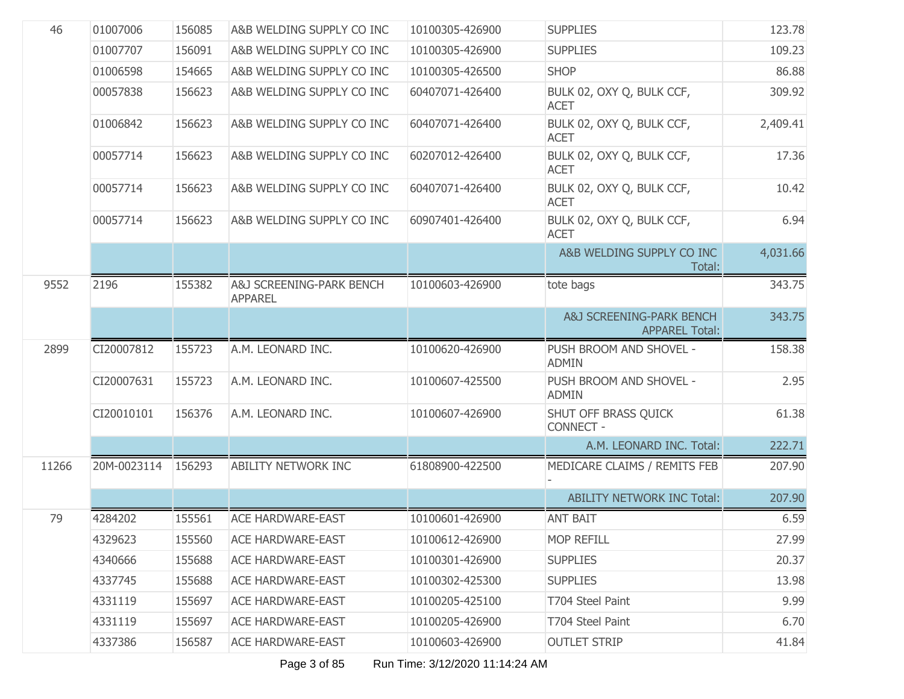| 46    | 01007006    | 156085 | A&B WELDING SUPPLY CO INC                  | 10100305-426900 | <b>SUPPLIES</b>                                              | 123.78   |
|-------|-------------|--------|--------------------------------------------|-----------------|--------------------------------------------------------------|----------|
|       | 01007707    | 156091 | A&B WELDING SUPPLY CO INC                  | 10100305-426900 | <b>SUPPLIES</b>                                              | 109.23   |
|       | 01006598    | 154665 | A&B WELDING SUPPLY CO INC                  | 10100305-426500 | <b>SHOP</b>                                                  | 86.88    |
|       | 00057838    | 156623 | A&B WELDING SUPPLY CO INC                  | 60407071-426400 | BULK 02, OXY Q, BULK CCF,<br><b>ACET</b>                     | 309.92   |
|       | 01006842    | 156623 | A&B WELDING SUPPLY CO INC                  | 60407071-426400 | BULK 02, OXY Q, BULK CCF,<br><b>ACET</b>                     | 2,409.41 |
|       | 00057714    | 156623 | A&B WELDING SUPPLY CO INC                  | 60207012-426400 | BULK 02, OXY Q, BULK CCF,<br><b>ACET</b>                     | 17.36    |
|       | 00057714    | 156623 | A&B WELDING SUPPLY CO INC                  | 60407071-426400 | BULK 02, OXY Q, BULK CCF,<br><b>ACET</b>                     | 10.42    |
|       | 00057714    | 156623 | A&B WELDING SUPPLY CO INC                  | 60907401-426400 | BULK 02, OXY Q, BULK CCF,<br><b>ACET</b>                     | 6.94     |
|       |             |        |                                            |                 | A&B WELDING SUPPLY CO INC<br>Total:                          | 4,031.66 |
| 9552  | 2196        | 155382 | A&J SCREENING-PARK BENCH<br><b>APPAREL</b> | 10100603-426900 | tote bags                                                    | 343.75   |
|       |             |        |                                            |                 | <b>A&amp;J SCREENING-PARK BENCH</b><br><b>APPAREL Total:</b> | 343.75   |
| 2899  | CI20007812  | 155723 | A.M. LEONARD INC.                          | 10100620-426900 | PUSH BROOM AND SHOVEL -<br><b>ADMIN</b>                      | 158.38   |
|       | CI20007631  | 155723 | A.M. LEONARD INC.                          | 10100607-425500 | PUSH BROOM AND SHOVEL -<br><b>ADMIN</b>                      | 2.95     |
|       | CI20010101  | 156376 | A.M. LEONARD INC.                          | 10100607-426900 | SHUT OFF BRASS QUICK<br>CONNECT -                            | 61.38    |
|       |             |        |                                            |                 | A.M. LEONARD INC. Total:                                     | 222.71   |
| 11266 | 20M-0023114 | 156293 | ABILITY NETWORK INC                        | 61808900-422500 | MEDICARE CLAIMS / REMITS FEB                                 | 207.90   |
|       |             |        |                                            |                 | <b>ABILITY NETWORK INC Total:</b>                            | 207.90   |
| 79    | 4284202     | 155561 | <b>ACE HARDWARE-EAST</b>                   | 10100601-426900 | <b>ANT BAIT</b>                                              | 6.59     |
|       | 4329623     | 155560 | <b>ACE HARDWARE-EAST</b>                   | 10100612-426900 | <b>MOP REFILL</b>                                            | 27.99    |
|       | 4340666     | 155688 | <b>ACE HARDWARE-EAST</b>                   | 10100301-426900 | <b>SUPPLIES</b>                                              | 20.37    |
|       | 4337745     | 155688 | <b>ACE HARDWARE-EAST</b>                   | 10100302-425300 | <b>SUPPLIES</b>                                              | 13.98    |
|       | 4331119     | 155697 | <b>ACE HARDWARE-EAST</b>                   | 10100205-425100 | T704 Steel Paint                                             | 9.99     |
|       | 4331119     | 155697 | <b>ACE HARDWARE-EAST</b>                   | 10100205-426900 | T704 Steel Paint                                             | 6.70     |
|       | 4337386     | 156587 | <b>ACE HARDWARE-EAST</b>                   | 10100603-426900 | <b>OUTLET STRIP</b>                                          | 41.84    |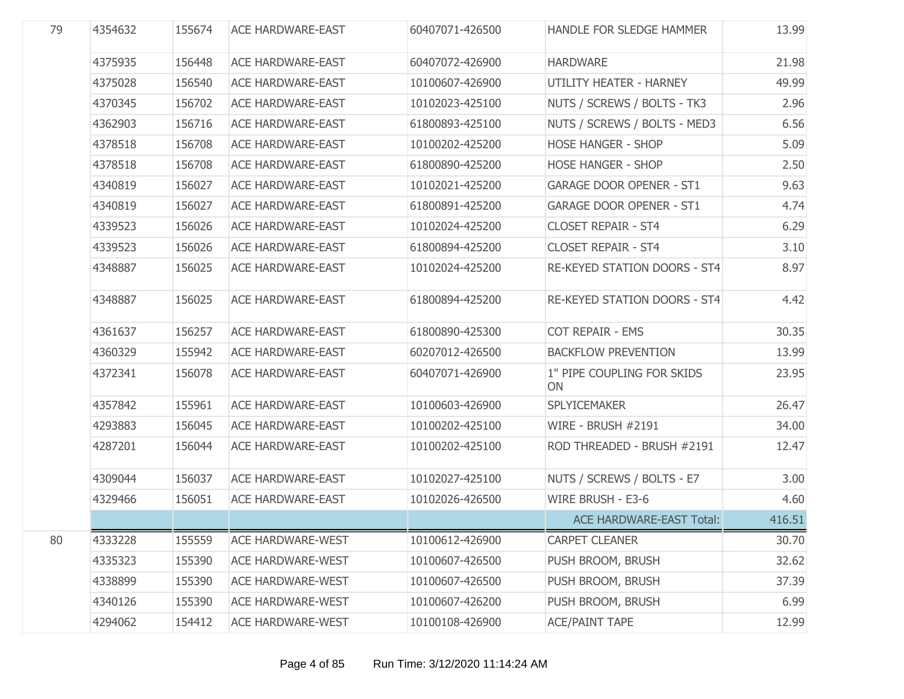| 79 | 4354632 | 155674 | <b>ACE HARDWARE-EAST</b> | 60407071-426500 | <b>HANDLE FOR SLEDGE HAMMER</b>  | 13.99  |
|----|---------|--------|--------------------------|-----------------|----------------------------------|--------|
|    | 4375935 | 156448 | <b>ACE HARDWARE-EAST</b> | 60407072-426900 | <b>HARDWARE</b>                  | 21.98  |
|    | 4375028 | 156540 | <b>ACE HARDWARE-EAST</b> | 10100607-426900 | UTILITY HEATER - HARNEY          | 49.99  |
|    | 4370345 | 156702 | <b>ACE HARDWARE-EAST</b> | 10102023-425100 | NUTS / SCREWS / BOLTS - TK3      | 2.96   |
|    | 4362903 | 156716 | <b>ACE HARDWARE-EAST</b> | 61800893-425100 | NUTS / SCREWS / BOLTS - MED3     | 6.56   |
|    | 4378518 | 156708 | <b>ACE HARDWARE-EAST</b> | 10100202-425200 | <b>HOSE HANGER - SHOP</b>        | 5.09   |
|    | 4378518 | 156708 | <b>ACE HARDWARE-EAST</b> | 61800890-425200 | <b>HOSE HANGER - SHOP</b>        | 2.50   |
|    | 4340819 | 156027 | <b>ACE HARDWARE-EAST</b> | 10102021-425200 | <b>GARAGE DOOR OPENER - ST1</b>  | 9.63   |
|    | 4340819 | 156027 | <b>ACE HARDWARE-EAST</b> | 61800891-425200 | <b>GARAGE DOOR OPENER - ST1</b>  | 4.74   |
|    | 4339523 | 156026 | <b>ACE HARDWARE-EAST</b> | 10102024-425200 | <b>CLOSET REPAIR - ST4</b>       | 6.29   |
|    | 4339523 | 156026 | <b>ACE HARDWARE-EAST</b> | 61800894-425200 | <b>CLOSET REPAIR - ST4</b>       | 3.10   |
|    | 4348887 | 156025 | <b>ACE HARDWARE-EAST</b> | 10102024-425200 | RE-KEYED STATION DOORS - ST4     | 8.97   |
|    | 4348887 | 156025 | <b>ACE HARDWARE-EAST</b> | 61800894-425200 | RE-KEYED STATION DOORS - ST4     | 4.42   |
|    | 4361637 | 156257 | <b>ACE HARDWARE-EAST</b> | 61800890-425300 | COT REPAIR - EMS                 | 30.35  |
|    | 4360329 | 155942 | <b>ACE HARDWARE-EAST</b> | 60207012-426500 | <b>BACKFLOW PREVENTION</b>       | 13.99  |
|    | 4372341 | 156078 | <b>ACE HARDWARE-EAST</b> | 60407071-426900 | 1" PIPE COUPLING FOR SKIDS<br>ON | 23.95  |
|    | 4357842 | 155961 | <b>ACE HARDWARE-EAST</b> | 10100603-426900 | <b>SPLYICEMAKER</b>              | 26.47  |
|    | 4293883 | 156045 | <b>ACE HARDWARE-EAST</b> | 10100202-425100 | <b>WIRE - BRUSH #2191</b>        | 34.00  |
|    | 4287201 | 156044 | <b>ACE HARDWARE-EAST</b> | 10100202-425100 | ROD THREADED - BRUSH #2191       | 12.47  |
|    | 4309044 | 156037 | <b>ACE HARDWARE-EAST</b> | 10102027-425100 | NUTS / SCREWS / BOLTS - E7       | 3.00   |
|    | 4329466 | 156051 | <b>ACE HARDWARE-EAST</b> | 10102026-426500 | WIRE BRUSH - E3-6                | 4.60   |
|    |         |        |                          |                 | <b>ACE HARDWARE-EAST Total:</b>  | 416.51 |
| 80 | 4333228 | 155559 | <b>ACE HARDWARE-WEST</b> | 10100612-426900 | <b>CARPET CLEANER</b>            | 30.70  |
|    | 4335323 | 155390 | <b>ACE HARDWARE-WEST</b> | 10100607-426500 | PUSH BROOM, BRUSH                | 32.62  |
|    | 4338899 | 155390 | <b>ACE HARDWARE-WEST</b> | 10100607-426500 | PUSH BROOM, BRUSH                | 37.39  |
|    | 4340126 | 155390 | <b>ACE HARDWARE-WEST</b> | 10100607-426200 | PUSH BROOM, BRUSH                | 6.99   |
|    | 4294062 | 154412 | <b>ACE HARDWARE-WEST</b> | 10100108-426900 | <b>ACE/PAINT TAPE</b>            | 12.99  |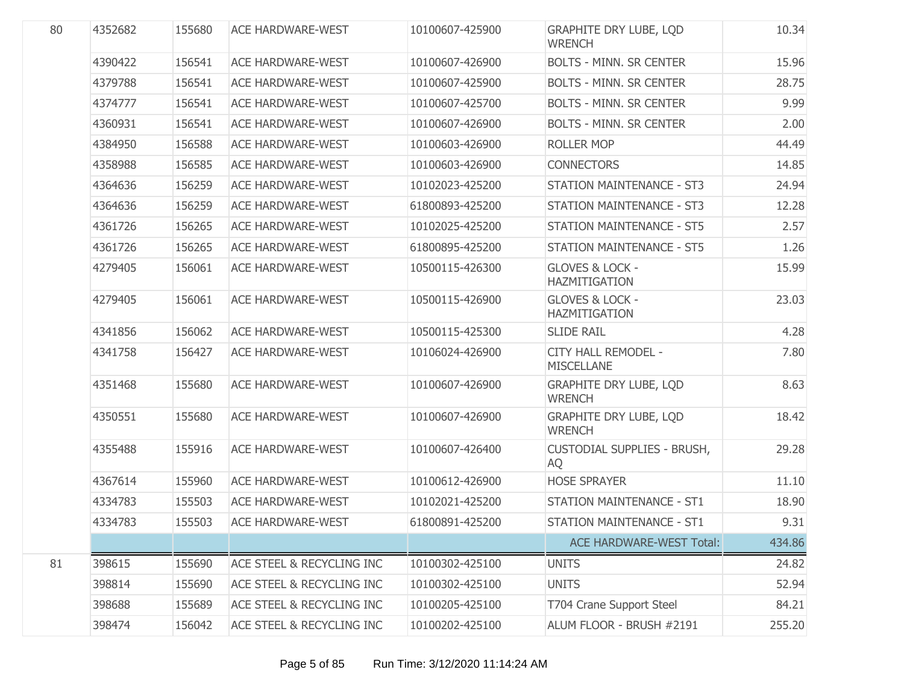| 80 | 4352682 | 155680 | <b>ACE HARDWARE-WEST</b>             | 10100607-425900 | <b>GRAPHITE DRY LUBE, LOD</b><br><b>WRENCH</b>     | 10.34  |
|----|---------|--------|--------------------------------------|-----------------|----------------------------------------------------|--------|
|    | 4390422 | 156541 | <b>ACE HARDWARE-WEST</b>             | 10100607-426900 | <b>BOLTS - MINN. SR CENTER</b>                     | 15.96  |
|    | 4379788 | 156541 | <b>ACE HARDWARE-WEST</b>             | 10100607-425900 | <b>BOLTS - MINN, SR CENTER</b>                     | 28.75  |
|    | 4374777 | 156541 | <b>ACE HARDWARE-WEST</b>             | 10100607-425700 | <b>BOLTS - MINN. SR CENTER</b>                     | 9.99   |
|    | 4360931 | 156541 | <b>ACE HARDWARE-WEST</b>             | 10100607-426900 | <b>BOLTS - MINN. SR CENTER</b>                     | 2.00   |
|    | 4384950 | 156588 | <b>ACE HARDWARE-WEST</b>             | 10100603-426900 | <b>ROLLER MOP</b>                                  | 44.49  |
|    | 4358988 | 156585 | <b>ACE HARDWARE-WEST</b>             | 10100603-426900 | <b>CONNECTORS</b>                                  | 14.85  |
|    | 4364636 | 156259 | <b>ACE HARDWARE-WEST</b>             | 10102023-425200 | <b>STATION MAINTENANCE - ST3</b>                   | 24.94  |
|    | 4364636 | 156259 | <b>ACE HARDWARE-WEST</b>             | 61800893-425200 | <b>STATION MAINTENANCE - ST3</b>                   | 12.28  |
|    | 4361726 | 156265 | <b>ACE HARDWARE-WEST</b>             | 10102025-425200 | <b>STATION MAINTENANCE - ST5</b>                   | 2.57   |
|    | 4361726 | 156265 | <b>ACE HARDWARE-WEST</b>             | 61800895-425200 | <b>STATION MAINTENANCE - ST5</b>                   | 1.26   |
|    | 4279405 | 156061 | <b>ACE HARDWARE-WEST</b>             | 10500115-426300 | <b>GLOVES &amp; LOCK -</b><br>HAZMITIGATION        | 15.99  |
|    | 4279405 | 156061 | <b>ACE HARDWARE-WEST</b>             | 10500115-426900 | <b>GLOVES &amp; LOCK -</b><br><b>HAZMITIGATION</b> | 23.03  |
|    | 4341856 | 156062 | <b>ACE HARDWARE-WEST</b>             | 10500115-425300 | <b>SLIDE RAIL</b>                                  | 4.28   |
|    | 4341758 | 156427 | <b>ACE HARDWARE-WEST</b>             | 10106024-426900 | CITY HALL REMODEL -<br><b>MISCELLANE</b>           | 7.80   |
|    | 4351468 | 155680 | <b>ACE HARDWARE-WEST</b>             | 10100607-426900 | <b>GRAPHITE DRY LUBE, LQD</b><br><b>WRENCH</b>     | 8.63   |
|    | 4350551 | 155680 | <b>ACE HARDWARE-WEST</b>             | 10100607-426900 | <b>GRAPHITE DRY LUBE, LOD</b><br><b>WRENCH</b>     | 18.42  |
|    | 4355488 | 155916 | <b>ACE HARDWARE-WEST</b>             | 10100607-426400 | <b>CUSTODIAL SUPPLIES - BRUSH,</b><br>AQ           | 29.28  |
|    | 4367614 | 155960 | <b>ACE HARDWARE-WEST</b>             | 10100612-426900 | <b>HOSE SPRAYER</b>                                | 11.10  |
|    | 4334783 | 155503 | <b>ACE HARDWARE-WEST</b>             | 10102021-425200 | <b>STATION MAINTENANCE - ST1</b>                   | 18.90  |
|    | 4334783 | 155503 | <b>ACE HARDWARE-WEST</b>             | 61800891-425200 | <b>STATION MAINTENANCE - ST1</b>                   | 9.31   |
|    |         |        |                                      |                 | <b>ACE HARDWARE-WEST Total:</b>                    | 434.86 |
| 81 | 398615  | 155690 | <b>ACE STEEL &amp; RECYCLING INC</b> | 10100302-425100 | <b>UNITS</b>                                       | 24.82  |
|    | 398814  | 155690 | ACE STEEL & RECYCLING INC            | 10100302-425100 | <b>UNITS</b>                                       | 52.94  |
|    | 398688  | 155689 | ACE STEEL & RECYCLING INC            | 10100205-425100 | T704 Crane Support Steel                           | 84.21  |
|    | 398474  | 156042 | ACE STEEL & RECYCLING INC            | 10100202-425100 | ALUM FLOOR - BRUSH #2191                           | 255.20 |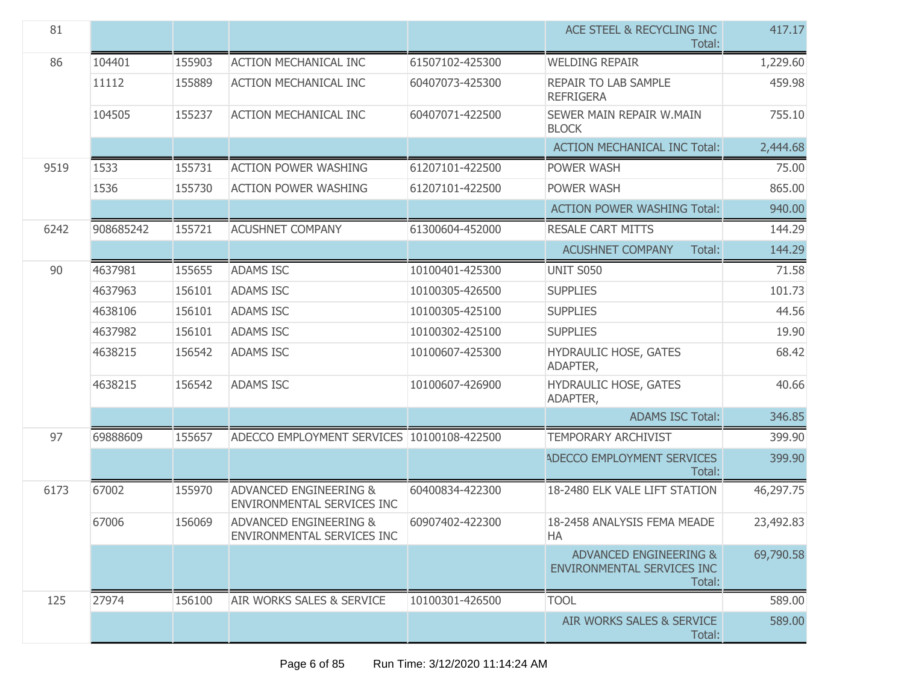| 81   |           |        |                                                                        |                 | ACE STEEL & RECYCLING INC<br>Total:                                       | 417.17    |
|------|-----------|--------|------------------------------------------------------------------------|-----------------|---------------------------------------------------------------------------|-----------|
| 86   | 104401    | 155903 | <b>ACTION MECHANICAL INC</b>                                           | 61507102-425300 | <b>WELDING REPAIR</b>                                                     | 1,229.60  |
|      | 11112     | 155889 | <b>ACTION MECHANICAL INC</b>                                           | 60407073-425300 | REPAIR TO LAB SAMPLE<br><b>REFRIGERA</b>                                  | 459.98    |
|      | 104505    | 155237 | <b>ACTION MECHANICAL INC</b>                                           | 60407071-422500 | SEWER MAIN REPAIR W.MAIN<br><b>BLOCK</b>                                  | 755.10    |
|      |           |        |                                                                        |                 | <b>ACTION MECHANICAL INC Total:</b>                                       | 2,444.68  |
| 9519 | 1533      | 155731 | <b>ACTION POWER WASHING</b>                                            | 61207101-422500 | POWER WASH                                                                | 75.00     |
|      | 1536      | 155730 | <b>ACTION POWER WASHING</b>                                            | 61207101-422500 | POWER WASH                                                                | 865.00    |
|      |           |        |                                                                        |                 | <b>ACTION POWER WASHING Total:</b>                                        | 940.00    |
| 6242 | 908685242 | 155721 | <b>ACUSHNET COMPANY</b>                                                | 61300604-452000 | <b>RESALE CART MITTS</b>                                                  | 144.29    |
|      |           |        |                                                                        |                 | <b>ACUSHNET COMPANY</b><br>Total:                                         | 144.29    |
| 90   | 4637981   | 155655 | <b>ADAMS ISC</b>                                                       | 10100401-425300 | <b>UNIT S050</b>                                                          | 71.58     |
|      | 4637963   | 156101 | <b>ADAMS ISC</b>                                                       | 10100305-426500 | <b>SUPPLIES</b>                                                           | 101.73    |
|      | 4638106   | 156101 | <b>ADAMS ISC</b>                                                       | 10100305-425100 | <b>SUPPLIES</b>                                                           | 44.56     |
|      | 4637982   | 156101 | <b>ADAMS ISC</b>                                                       | 10100302-425100 | <b>SUPPLIES</b>                                                           | 19.90     |
|      | 4638215   | 156542 | <b>ADAMS ISC</b>                                                       | 10100607-425300 | HYDRAULIC HOSE, GATES<br>ADAPTER,                                         | 68.42     |
|      | 4638215   | 156542 | <b>ADAMS ISC</b>                                                       | 10100607-426900 | HYDRAULIC HOSE, GATES<br>ADAPTER,                                         | 40.66     |
|      |           |        |                                                                        |                 | <b>ADAMS ISC Total:</b>                                                   | 346.85    |
| 97   | 69888609  | 155657 | ADECCO EMPLOYMENT SERVICES 10100108-422500                             |                 | <b>TEMPORARY ARCHIVIST</b>                                                | 399.90    |
|      |           |        |                                                                        |                 | <b>ADECCO EMPLOYMENT SERVICES</b><br>Total:                               | 399.90    |
| 6173 | 67002     | 155970 | <b>ADVANCED ENGINEERING &amp;</b><br>ENVIRONMENTAL SERVICES INC        | 60400834-422300 | 18-2480 ELK VALE LIFT STATION                                             | 46,297.75 |
|      | 67006     | 156069 | <b>ADVANCED ENGINEERING &amp;</b><br><b>ENVIRONMENTAL SERVICES INC</b> | 60907402-422300 | 18-2458 ANALYSIS FEMA MEADE<br>HA                                         | 23,492.83 |
|      |           |        |                                                                        |                 | <b>ADVANCED ENGINEERING &amp;</b><br>ENVIRONMENTAL SERVICES INC<br>Total: | 69,790.58 |
| 125  | 27974     | 156100 | AIR WORKS SALES & SERVICE                                              | 10100301-426500 | <b>TOOL</b>                                                               | 589.00    |
|      |           |        |                                                                        |                 | AIR WORKS SALES & SERVICE<br>Total:                                       | 589.00    |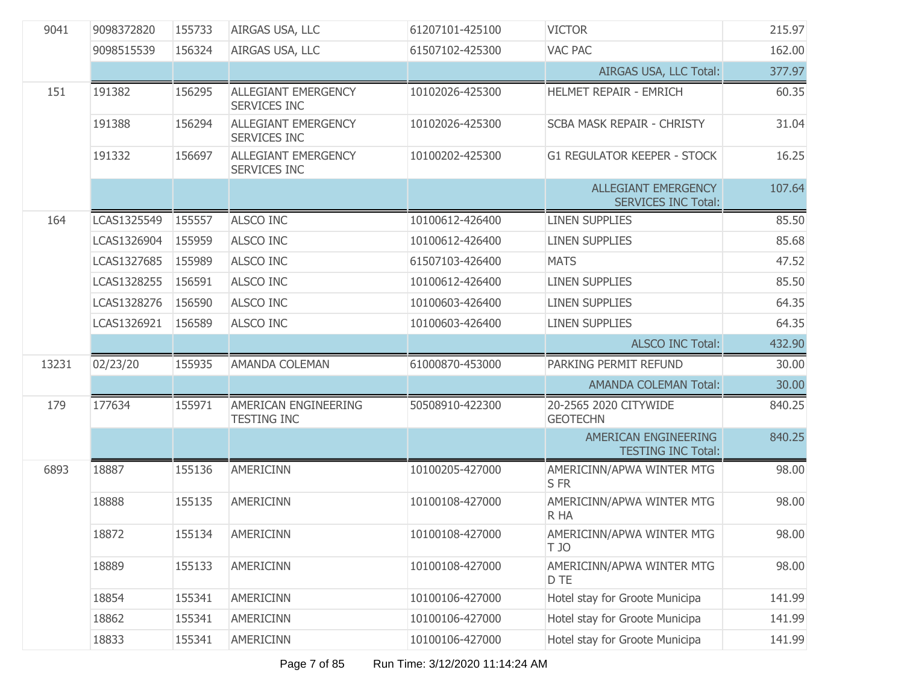|       | 9098372820  | 155733 | AIRGAS USA, LLC                            | 61207101-425100 | <b>VICTOR</b>                                            | 215.97 |
|-------|-------------|--------|--------------------------------------------|-----------------|----------------------------------------------------------|--------|
|       | 9098515539  | 156324 | AIRGAS USA, LLC                            | 61507102-425300 | <b>VAC PAC</b>                                           | 162.00 |
|       |             |        |                                            |                 | AIRGAS USA, LLC Total:                                   | 377.97 |
| 151   | 191382      | 156295 | <b>ALLEGIANT EMERGENCY</b><br>SERVICES INC | 10102026-425300 | <b>HELMET REPAIR - EMRICH</b>                            | 60.35  |
|       | 191388      | 156294 | <b>ALLEGIANT EMERGENCY</b><br>SERVICES INC | 10102026-425300 | SCBA MASK REPAIR - CHRISTY                               | 31.04  |
|       | 191332      | 156697 | <b>ALLEGIANT EMERGENCY</b><br>SERVICES INC | 10100202-425300 | <b>G1 REGULATOR KEEPER - STOCK</b>                       | 16.25  |
|       |             |        |                                            |                 | <b>ALLEGIANT EMERGENCY</b><br><b>SERVICES INC Total:</b> | 107.64 |
| 164   | LCAS1325549 | 155557 | <b>ALSCO INC</b>                           | 10100612-426400 | <b>LINEN SUPPLIES</b>                                    | 85.50  |
|       | LCAS1326904 | 155959 | <b>ALSCO INC</b>                           | 10100612-426400 | <b>LINEN SUPPLIES</b>                                    | 85.68  |
|       | LCAS1327685 | 155989 | <b>ALSCO INC</b>                           | 61507103-426400 | <b>MATS</b>                                              | 47.52  |
|       | LCAS1328255 | 156591 | <b>ALSCO INC</b>                           | 10100612-426400 | <b>LINEN SUPPLIES</b>                                    | 85.50  |
|       | LCAS1328276 | 156590 | <b>ALSCO INC</b>                           | 10100603-426400 | <b>LINEN SUPPLIES</b>                                    | 64.35  |
|       | LCAS1326921 | 156589 | <b>ALSCO INC</b>                           | 10100603-426400 | <b>LINEN SUPPLIES</b>                                    | 64.35  |
|       |             |        |                                            |                 | <b>ALSCO INC Total:</b>                                  | 432.90 |
| 13231 | 02/23/20    | 155935 | AMANDA COLEMAN                             | 61000870-453000 | PARKING PERMIT REFUND                                    | 30.00  |
|       |             |        |                                            |                 | <b>AMANDA COLEMAN Total:</b>                             | 30.00  |
| 179   |             |        |                                            |                 |                                                          |        |
|       | 177634      | 155971 | AMERICAN ENGINEERING<br><b>TESTING INC</b> | 50508910-422300 | 20-2565 2020 CITYWIDE<br><b>GEOTECHN</b>                 | 840.25 |
|       |             |        |                                            |                 | AMERICAN ENGINEERING<br><b>TESTING INC Total:</b>        | 840.25 |
| 6893  | 18887       | 155136 | <b>AMERICINN</b>                           | 10100205-427000 | AMERICINN/APWA WINTER MTG<br>S FR                        | 98.00  |
|       | 18888       | 155135 | <b>AMERICINN</b>                           | 10100108-427000 | AMERICINN/APWA WINTER MTG<br>R HA                        | 98.00  |
|       | 18872       | 155134 | AMERICINN                                  | 10100108-427000 | AMERICINN/APWA WINTER MTG<br>T JO                        | 98.00  |
|       | 18889       | 155133 | AMERICINN                                  | 10100108-427000 | AMERICINN/APWA WINTER MTG<br>D TE                        | 98.00  |
|       | 18854       | 155341 | <b>AMERICINN</b>                           | 10100106-427000 | Hotel stay for Groote Municipa                           | 141.99 |
|       | 18862       | 155341 | <b>AMERICINN</b>                           | 10100106-427000 | Hotel stay for Groote Municipa                           | 141.99 |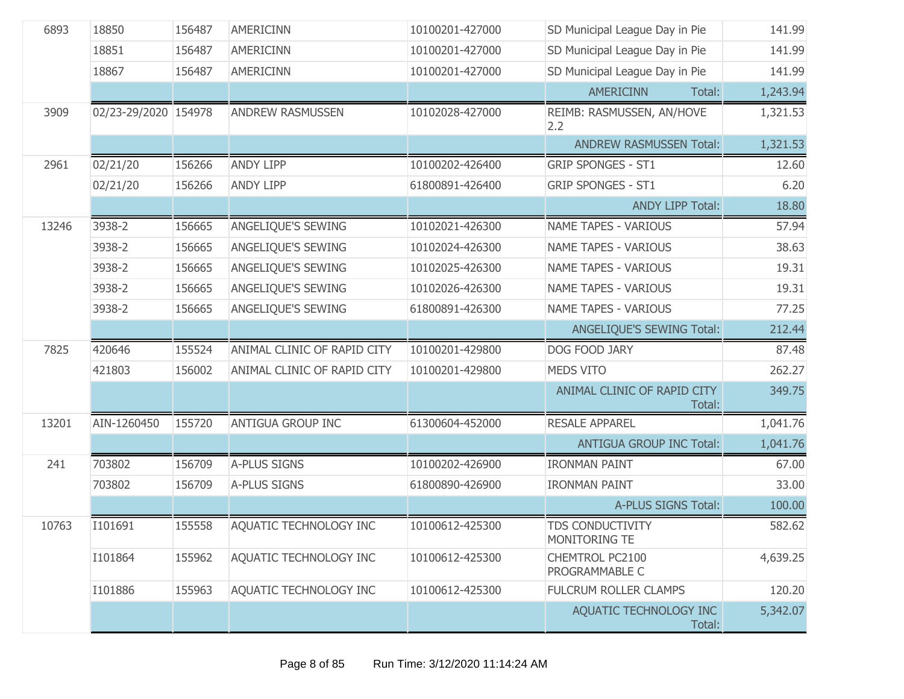| 6893  | 18850                | 156487 | <b>AMERICINN</b>            | 10100201-427000 | SD Municipal League Day in Pie           | 141.99   |
|-------|----------------------|--------|-----------------------------|-----------------|------------------------------------------|----------|
|       | 18851                | 156487 | <b>AMERICINN</b>            | 10100201-427000 | SD Municipal League Day in Pie           | 141.99   |
|       | 18867                | 156487 | <b>AMERICINN</b>            | 10100201-427000 | SD Municipal League Day in Pie           | 141.99   |
|       |                      |        |                             |                 | <b>AMERICINN</b><br>Total:               | 1,243.94 |
| 3909  | 02/23-29/2020 154978 |        | <b>ANDREW RASMUSSEN</b>     | 10102028-427000 | REIMB: RASMUSSEN, AN/HOVE<br>2.2         | 1,321.53 |
|       |                      |        |                             |                 | <b>ANDREW RASMUSSEN Total:</b>           | 1,321.53 |
| 2961  | 02/21/20             | 156266 | <b>ANDY LIPP</b>            | 10100202-426400 | <b>GRIP SPONGES - ST1</b>                | 12.60    |
|       | 02/21/20             | 156266 | <b>ANDY LIPP</b>            | 61800891-426400 | <b>GRIP SPONGES - ST1</b>                | 6.20     |
|       |                      |        |                             |                 | <b>ANDY LIPP Total:</b>                  | 18.80    |
| 13246 | 3938-2               | 156665 | ANGELIQUE'S SEWING          | 10102021-426300 | <b>NAME TAPES - VARIOUS</b>              | 57.94    |
|       | 3938-2               | 156665 | ANGELIQUE'S SEWING          | 10102024-426300 | <b>NAME TAPES - VARIOUS</b>              | 38.63    |
|       | 3938-2               | 156665 | <b>ANGELIOUE'S SEWING</b>   | 10102025-426300 | <b>NAME TAPES - VARIOUS</b>              | 19.31    |
|       | 3938-2               | 156665 | ANGELIQUE'S SEWING          | 10102026-426300 | <b>NAME TAPES - VARIOUS</b>              | 19.31    |
|       | 3938-2               | 156665 | ANGELIQUE'S SEWING          | 61800891-426300 | <b>NAME TAPES - VARIOUS</b>              | 77.25    |
|       |                      |        |                             |                 | ANGELIQUE'S SEWING Total:                | 212.44   |
| 7825  | 420646               | 155524 | ANIMAL CLINIC OF RAPID CITY | 10100201-429800 | DOG FOOD JARY                            | 87.48    |
|       | 421803               | 156002 | ANIMAL CLINIC OF RAPID CITY | 10100201-429800 | <b>MEDS VITO</b>                         | 262.27   |
|       |                      |        |                             |                 | ANIMAL CLINIC OF RAPID CITY<br>Total:    | 349.75   |
| 13201 | AIN-1260450          | 155720 | <b>ANTIGUA GROUP INC</b>    | 61300604-452000 | <b>RESALE APPAREL</b>                    | 1,041.76 |
|       |                      |        |                             |                 | <b>ANTIGUA GROUP INC Total:</b>          | 1,041.76 |
| 241   | 703802               | 156709 | A-PLUS SIGNS                | 10100202-426900 | <b>IRONMAN PAINT</b>                     | 67.00    |
|       | 703802               | 156709 | A-PLUS SIGNS                | 61800890-426900 | <b>IRONMAN PAINT</b>                     | 33.00    |
|       |                      |        |                             |                 | A-PLUS SIGNS Total:                      | 100.00   |
| 10763 | I101691              | 155558 | AQUATIC TECHNOLOGY INC      | 10100612-425300 | <b>TDS CONDUCTIVITY</b><br>MONITORING TE | 582.62   |
|       | I101864              | 155962 | AQUATIC TECHNOLOGY INC      | 10100612-425300 | CHEMTROL PC2100<br>PROGRAMMABLE C        | 4,639.25 |
|       | I101886              | 155963 | AQUATIC TECHNOLOGY INC      | 10100612-425300 | <b>FULCRUM ROLLER CLAMPS</b>             | 120.20   |
|       |                      |        |                             |                 | AQUATIC TECHNOLOGY INC<br>Total:         | 5,342.07 |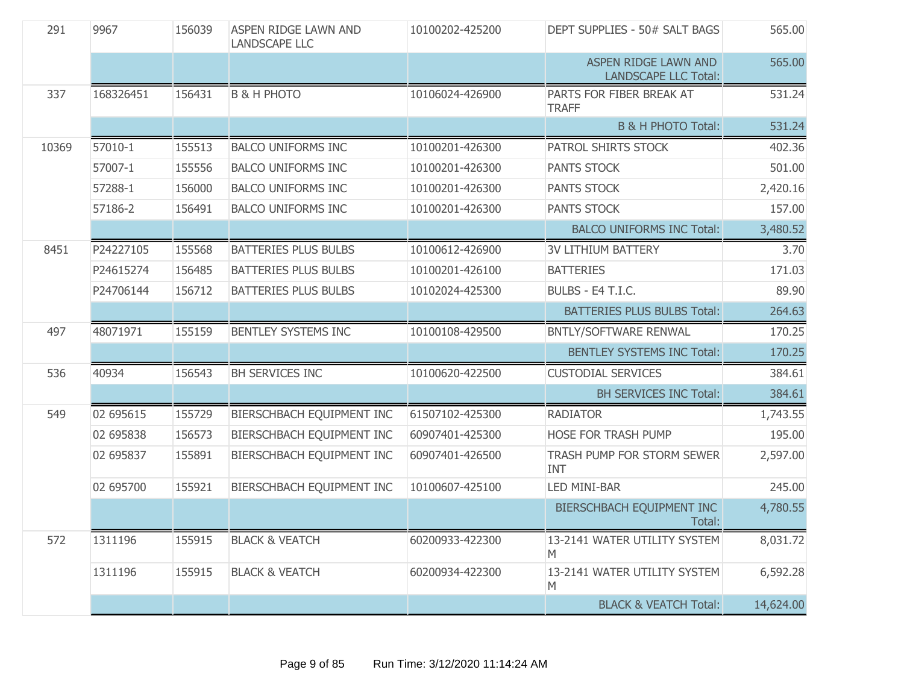| 291   | 9967      | 156039 | ASPEN RIDGE LAWN AND<br><b>LANDSCAPE LLC</b> | 10100202-425200 | DEPT SUPPLIES - 50# SALT BAGS                       | 565.00    |
|-------|-----------|--------|----------------------------------------------|-----------------|-----------------------------------------------------|-----------|
|       |           |        |                                              |                 | ASPEN RIDGE LAWN AND<br><b>LANDSCAPE LLC Total:</b> | 565.00    |
| 337   | 168326451 | 156431 | <b>B &amp; H PHOTO</b>                       | 10106024-426900 | PARTS FOR FIBER BREAK AT<br><b>TRAFF</b>            | 531.24    |
|       |           |        |                                              |                 | <b>B &amp; H PHOTO Total:</b>                       | 531.24    |
| 10369 | 57010-1   | 155513 | <b>BALCO UNIFORMS INC</b>                    | 10100201-426300 | PATROL SHIRTS STOCK                                 | 402.36    |
|       | 57007-1   | 155556 | <b>BALCO UNIFORMS INC</b>                    | 10100201-426300 | PANTS STOCK                                         | 501.00    |
|       | 57288-1   | 156000 | <b>BALCO UNIFORMS INC</b>                    | 10100201-426300 | <b>PANTS STOCK</b>                                  | 2,420.16  |
|       | 57186-2   | 156491 | <b>BALCO UNIFORMS INC</b>                    | 10100201-426300 | <b>PANTS STOCK</b>                                  | 157.00    |
|       |           |        |                                              |                 | <b>BALCO UNIFORMS INC Total:</b>                    | 3,480.52  |
| 8451  | P24227105 | 155568 | <b>BATTERIES PLUS BULBS</b>                  | 10100612-426900 | <b>3V LITHIUM BATTERY</b>                           | 3.70      |
|       | P24615274 | 156485 | <b>BATTERIES PLUS BULBS</b>                  | 10100201-426100 | <b>BATTERIES</b>                                    | 171.03    |
|       | P24706144 | 156712 | <b>BATTERIES PLUS BULBS</b>                  | 10102024-425300 | BULBS - E4 T.I.C.                                   | 89.90     |
|       |           |        |                                              |                 | <b>BATTERIES PLUS BULBS Total:</b>                  | 264.63    |
| 497   | 48071971  | 155159 | <b>BENTLEY SYSTEMS INC</b>                   | 10100108-429500 | BNTLY/SOFTWARE RENWAL                               | 170.25    |
|       |           |        |                                              |                 | <b>BENTLEY SYSTEMS INC Total:</b>                   | 170.25    |
| 536   | 40934     | 156543 | BH SERVICES INC                              | 10100620-422500 | <b>CUSTODIAL SERVICES</b>                           | 384.61    |
|       |           |        |                                              |                 | BH SERVICES INC Total:                              | 384.61    |
| 549   | 02 695615 | 155729 | BIERSCHBACH EQUIPMENT INC                    | 61507102-425300 | <b>RADIATOR</b>                                     | 1,743.55  |
|       | 02 695838 | 156573 | BIERSCHBACH EQUIPMENT INC                    | 60907401-425300 | HOSE FOR TRASH PUMP                                 | 195.00    |
|       | 02 695837 | 155891 | BIERSCHBACH EQUIPMENT INC                    | 60907401-426500 | TRASH PUMP FOR STORM SEWER<br><b>INT</b>            | 2,597.00  |
|       | 02 695700 | 155921 | BIERSCHBACH EQUIPMENT INC                    | 10100607-425100 | <b>LED MINI-BAR</b>                                 | 245.00    |
|       |           |        |                                              |                 | BIERSCHBACH EQUIPMENT INC<br>Total:                 | 4,780.55  |
| 572   | 1311196   | 155915 | <b>BLACK &amp; VEATCH</b>                    | 60200933-422300 | 13-2141 WATER UTILITY SYSTEM<br>M                   | 8,031.72  |
|       | 1311196   | 155915 | <b>BLACK &amp; VEATCH</b>                    | 60200934-422300 | 13-2141 WATER UTILITY SYSTEM<br>M                   | 6,592.28  |
|       |           |        |                                              |                 | <b>BLACK &amp; VEATCH Total:</b>                    | 14,624.00 |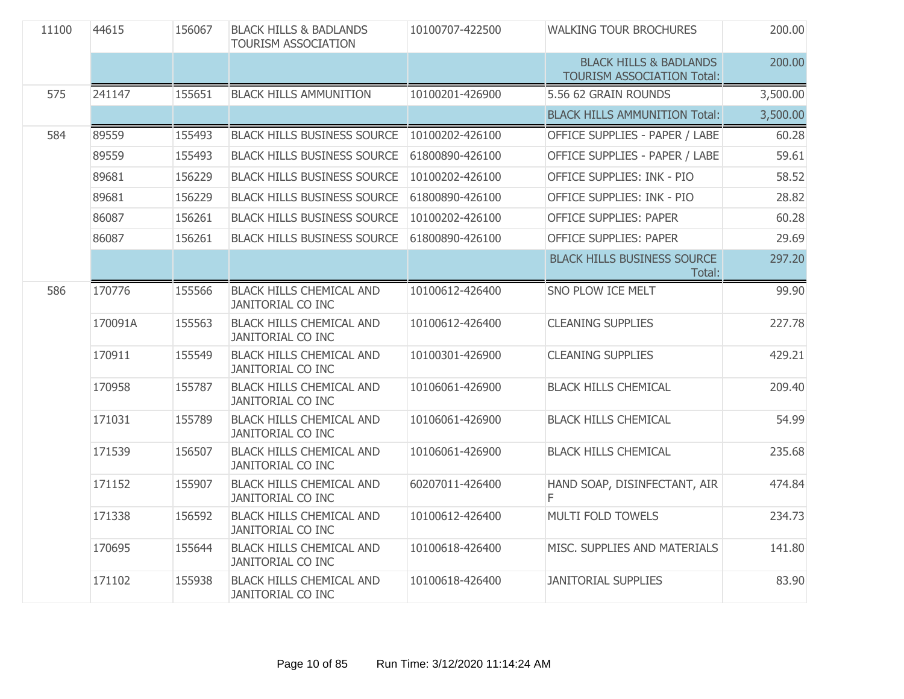| 11100 | 44615   | 156067 | <b>BLACK HILLS &amp; BADLANDS</b><br>TOURISM ASSOCIATION    | 10100707-422500 | <b>WALKING TOUR BROCHURES</b>                                          | 200.00   |
|-------|---------|--------|-------------------------------------------------------------|-----------------|------------------------------------------------------------------------|----------|
|       |         |        |                                                             |                 | <b>BLACK HILLS &amp; BADLANDS</b><br><b>TOURISM ASSOCIATION Total:</b> | 200.00   |
| 575   | 241147  | 155651 | <b>BLACK HILLS AMMUNITION</b>                               | 10100201-426900 | 5.56 62 GRAIN ROUNDS                                                   | 3,500.00 |
|       |         |        |                                                             |                 | <b>BLACK HILLS AMMUNITION Total:</b>                                   | 3,500.00 |
| 584   | 89559   | 155493 | <b>BLACK HILLS BUSINESS SOURCE</b>                          | 10100202-426100 | OFFICE SUPPLIES - PAPER / LABE                                         | 60.28    |
|       | 89559   | 155493 | <b>BLACK HILLS BUSINESS SOURCE</b>                          | 61800890-426100 | OFFICE SUPPLIES - PAPER / LABE                                         | 59.61    |
|       | 89681   | 156229 | <b>BLACK HILLS BUSINESS SOURCE</b>                          | 10100202-426100 | OFFICE SUPPLIES: INK - PIO                                             | 58.52    |
|       | 89681   | 156229 | <b>BLACK HILLS BUSINESS SOURCE</b>                          | 61800890-426100 | OFFICE SUPPLIES: INK - PIO                                             | 28.82    |
|       | 86087   | 156261 | <b>BLACK HILLS BUSINESS SOURCE</b>                          | 10100202-426100 | <b>OFFICE SUPPLIES: PAPER</b>                                          | 60.28    |
|       | 86087   | 156261 | <b>BLACK HILLS BUSINESS SOURCE</b>                          | 61800890-426100 | <b>OFFICE SUPPLIES: PAPER</b>                                          | 29.69    |
|       |         |        |                                                             |                 | <b>BLACK HILLS BUSINESS SOURCE</b><br>Total:                           | 297.20   |
| 586   | 170776  | 155566 | <b>BLACK HILLS CHEMICAL AND</b><br><b>JANITORIAL CO INC</b> | 10100612-426400 | SNO PLOW ICE MELT                                                      | 99.90    |
|       | 170091A | 155563 | <b>BLACK HILLS CHEMICAL AND</b><br>JANITORIAL CO INC        | 10100612-426400 | <b>CLEANING SUPPLIES</b>                                               | 227.78   |
|       | 170911  | 155549 | <b>BLACK HILLS CHEMICAL AND</b><br><b>JANITORIAL CO INC</b> | 10100301-426900 | <b>CLEANING SUPPLIES</b>                                               | 429.21   |
|       | 170958  | 155787 | <b>BLACK HILLS CHEMICAL AND</b><br><b>JANITORIAL CO INC</b> | 10106061-426900 | <b>BLACK HILLS CHEMICAL</b>                                            | 209.40   |
|       | 171031  | 155789 | <b>BLACK HILLS CHEMICAL AND</b><br><b>JANITORIAL CO INC</b> | 10106061-426900 | <b>BLACK HILLS CHEMICAL</b>                                            | 54.99    |
|       | 171539  | 156507 | <b>BLACK HILLS CHEMICAL AND</b><br><b>JANITORIAL CO INC</b> | 10106061-426900 | <b>BLACK HILLS CHEMICAL</b>                                            | 235.68   |
|       | 171152  | 155907 | <b>BLACK HILLS CHEMICAL AND</b><br><b>JANITORIAL CO INC</b> | 60207011-426400 | HAND SOAP, DISINFECTANT, AIR<br>F                                      | 474.84   |
|       | 171338  | 156592 | <b>BLACK HILLS CHEMICAL AND</b><br><b>JANITORIAL CO INC</b> | 10100612-426400 | MULTI FOLD TOWELS                                                      | 234.73   |
|       | 170695  | 155644 | <b>BLACK HILLS CHEMICAL AND</b><br>JANITORIAL CO INC        | 10100618-426400 | MISC. SUPPLIES AND MATERIALS                                           | 141.80   |
|       | 171102  | 155938 | <b>BLACK HILLS CHEMICAL AND</b><br><b>JANITORIAL CO INC</b> | 10100618-426400 | <b>JANITORIAL SUPPLIES</b>                                             | 83.90    |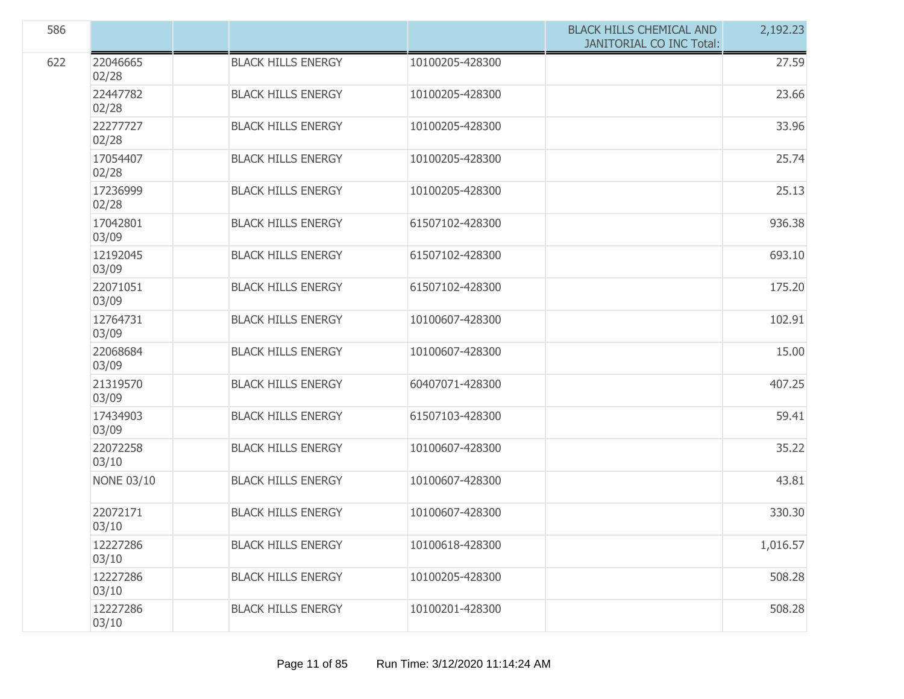| 586 |                   |                           |                 | <b>BLACK HILLS CHEMICAL AND</b><br><b>JANITORIAL CO INC Total:</b> | 2,192.23 |
|-----|-------------------|---------------------------|-----------------|--------------------------------------------------------------------|----------|
| 622 | 22046665<br>02/28 | <b>BLACK HILLS ENERGY</b> | 10100205-428300 |                                                                    | 27.59    |
|     | 22447782<br>02/28 | <b>BLACK HILLS ENERGY</b> | 10100205-428300 |                                                                    | 23.66    |
|     | 22277727<br>02/28 | <b>BLACK HILLS ENERGY</b> | 10100205-428300 |                                                                    | 33.96    |
|     | 17054407<br>02/28 | <b>BLACK HILLS ENERGY</b> | 10100205-428300 |                                                                    | 25.74    |
|     | 17236999<br>02/28 | <b>BLACK HILLS ENERGY</b> | 10100205-428300 |                                                                    | 25.13    |
|     | 17042801<br>03/09 | <b>BLACK HILLS ENERGY</b> | 61507102-428300 |                                                                    | 936.38   |
|     | 12192045<br>03/09 | <b>BLACK HILLS ENERGY</b> | 61507102-428300 |                                                                    | 693.10   |
|     | 22071051<br>03/09 | <b>BLACK HILLS ENERGY</b> | 61507102-428300 |                                                                    | 175.20   |
|     | 12764731<br>03/09 | <b>BLACK HILLS ENERGY</b> | 10100607-428300 |                                                                    | 102.91   |
|     | 22068684<br>03/09 | <b>BLACK HILLS ENERGY</b> | 10100607-428300 |                                                                    | 15.00    |
|     | 21319570<br>03/09 | <b>BLACK HILLS ENERGY</b> | 60407071-428300 |                                                                    | 407.25   |
|     | 17434903<br>03/09 | <b>BLACK HILLS ENERGY</b> | 61507103-428300 |                                                                    | 59.41    |
|     | 22072258<br>03/10 | <b>BLACK HILLS ENERGY</b> | 10100607-428300 |                                                                    | 35.22    |
|     | <b>NONE 03/10</b> | <b>BLACK HILLS ENERGY</b> | 10100607-428300 |                                                                    | 43.81    |
|     | 22072171<br>03/10 | <b>BLACK HILLS ENERGY</b> | 10100607-428300 |                                                                    | 330.30   |
|     | 12227286<br>03/10 | <b>BLACK HILLS ENERGY</b> | 10100618-428300 |                                                                    | 1,016.57 |
|     | 12227286<br>03/10 | <b>BLACK HILLS ENERGY</b> | 10100205-428300 |                                                                    | 508.28   |
|     | 12227286<br>03/10 | <b>BLACK HILLS ENERGY</b> | 10100201-428300 |                                                                    | 508.28   |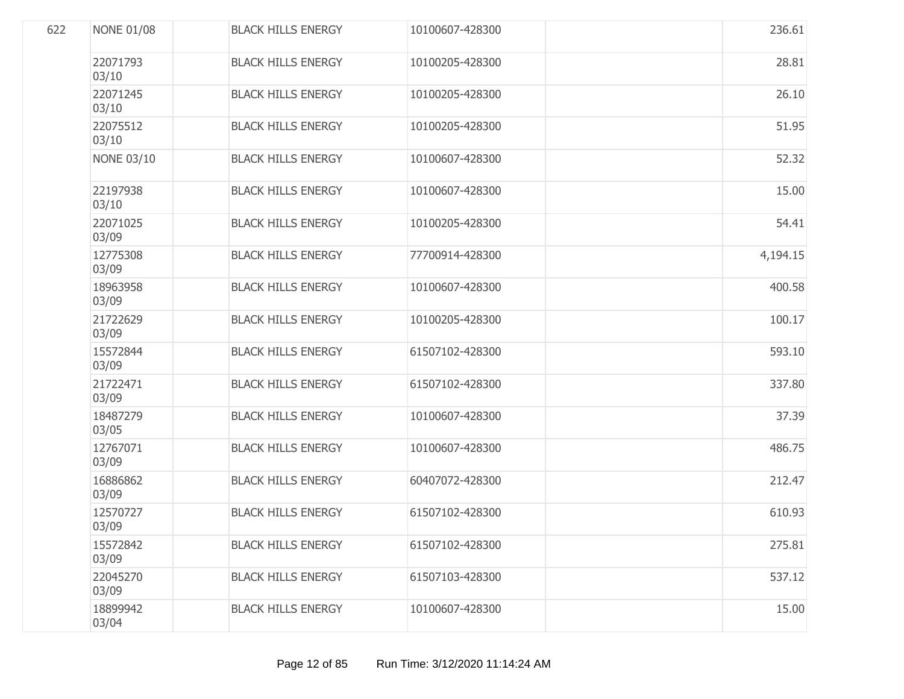| 622 | <b>NONE 01/08</b> | <b>BLACK HILLS ENERGY</b> | 10100607-428300 | 236.61   |
|-----|-------------------|---------------------------|-----------------|----------|
|     | 22071793<br>03/10 | <b>BLACK HILLS ENERGY</b> | 10100205-428300 | 28.81    |
|     | 22071245<br>03/10 | <b>BLACK HILLS ENERGY</b> | 10100205-428300 | 26.10    |
|     | 22075512<br>03/10 | <b>BLACK HILLS ENERGY</b> | 10100205-428300 | 51.95    |
|     | <b>NONE 03/10</b> | <b>BLACK HILLS ENERGY</b> | 10100607-428300 | 52.32    |
|     | 22197938<br>03/10 | <b>BLACK HILLS ENERGY</b> | 10100607-428300 | 15.00    |
|     | 22071025<br>03/09 | <b>BLACK HILLS ENERGY</b> | 10100205-428300 | 54.41    |
|     | 12775308<br>03/09 | <b>BLACK HILLS ENERGY</b> | 77700914-428300 | 4,194.15 |
|     | 18963958<br>03/09 | <b>BLACK HILLS ENERGY</b> | 10100607-428300 | 400.58   |
|     | 21722629<br>03/09 | <b>BLACK HILLS ENERGY</b> | 10100205-428300 | 100.17   |
|     | 15572844<br>03/09 | <b>BLACK HILLS ENERGY</b> | 61507102-428300 | 593.10   |
|     | 21722471<br>03/09 | <b>BLACK HILLS ENERGY</b> | 61507102-428300 | 337.80   |
|     | 18487279<br>03/05 | <b>BLACK HILLS ENERGY</b> | 10100607-428300 | 37.39    |
|     | 12767071<br>03/09 | <b>BLACK HILLS ENERGY</b> | 10100607-428300 | 486.75   |
|     | 16886862<br>03/09 | <b>BLACK HILLS ENERGY</b> | 60407072-428300 | 212.47   |
|     | 12570727<br>03/09 | <b>BLACK HILLS ENERGY</b> | 61507102-428300 | 610.93   |
|     | 15572842<br>03/09 | <b>BLACK HILLS ENERGY</b> | 61507102-428300 | 275.81   |
|     | 22045270<br>03/09 | <b>BLACK HILLS ENERGY</b> | 61507103-428300 | 537.12   |
|     | 18899942<br>03/04 | <b>BLACK HILLS ENERGY</b> | 10100607-428300 | 15.00    |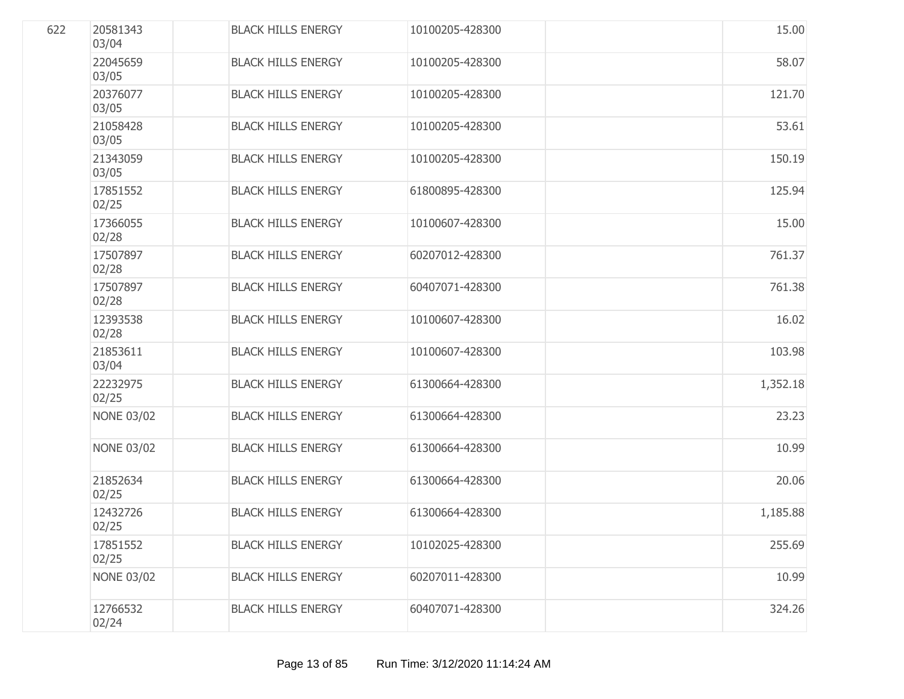| 622 | 20581343<br>03/04 | <b>BLACK HILLS ENERGY</b> | 10100205-428300 | 15.00    |
|-----|-------------------|---------------------------|-----------------|----------|
|     | 22045659<br>03/05 | <b>BLACK HILLS ENERGY</b> | 10100205-428300 | 58.07    |
|     | 20376077<br>03/05 | <b>BLACK HILLS ENERGY</b> | 10100205-428300 | 121.70   |
|     | 21058428<br>03/05 | <b>BLACK HILLS ENERGY</b> | 10100205-428300 | 53.61    |
|     | 21343059<br>03/05 | <b>BLACK HILLS ENERGY</b> | 10100205-428300 | 150.19   |
|     | 17851552<br>02/25 | <b>BLACK HILLS ENERGY</b> | 61800895-428300 | 125.94   |
|     | 17366055<br>02/28 | <b>BLACK HILLS ENERGY</b> | 10100607-428300 | 15.00    |
|     | 17507897<br>02/28 | <b>BLACK HILLS ENERGY</b> | 60207012-428300 | 761.37   |
|     | 17507897<br>02/28 | <b>BLACK HILLS ENERGY</b> | 60407071-428300 | 761.38   |
|     | 12393538<br>02/28 | <b>BLACK HILLS ENERGY</b> | 10100607-428300 | 16.02    |
|     | 21853611<br>03/04 | <b>BLACK HILLS ENERGY</b> | 10100607-428300 | 103.98   |
|     | 22232975<br>02/25 | <b>BLACK HILLS ENERGY</b> | 61300664-428300 | 1,352.18 |
|     | <b>NONE 03/02</b> | <b>BLACK HILLS ENERGY</b> | 61300664-428300 | 23.23    |
|     | <b>NONE 03/02</b> | <b>BLACK HILLS ENERGY</b> | 61300664-428300 | 10.99    |
|     | 21852634<br>02/25 | <b>BLACK HILLS ENERGY</b> | 61300664-428300 | 20.06    |
|     | 12432726<br>02/25 | <b>BLACK HILLS ENERGY</b> | 61300664-428300 | 1,185.88 |
|     | 17851552<br>02/25 | <b>BLACK HILLS ENERGY</b> | 10102025-428300 | 255.69   |
|     | <b>NONE 03/02</b> | <b>BLACK HILLS ENERGY</b> | 60207011-428300 | 10.99    |
|     | 12766532<br>02/24 | <b>BLACK HILLS ENERGY</b> | 60407071-428300 | 324.26   |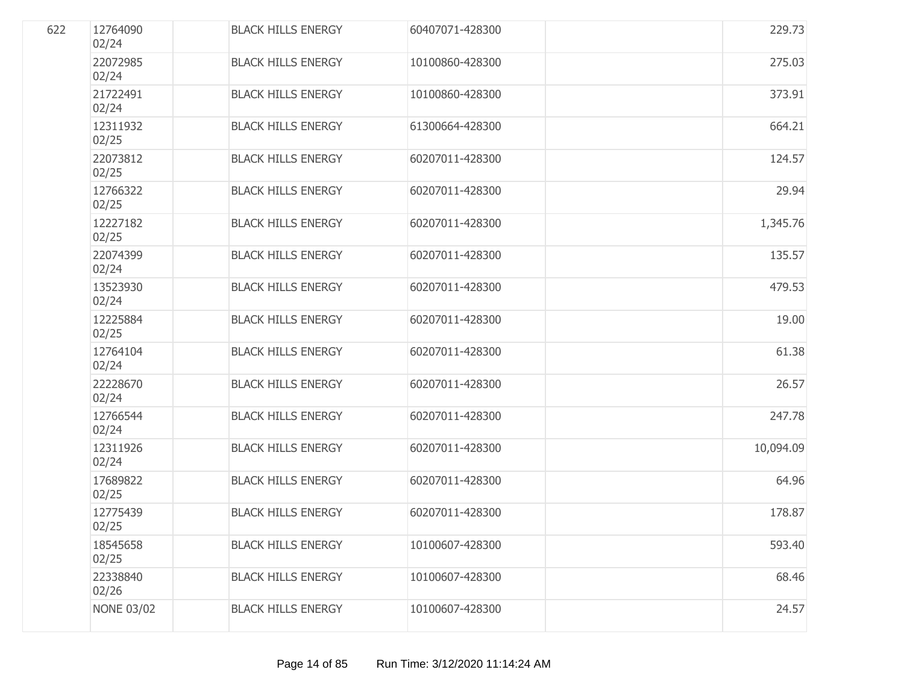| 622 | 12764090<br>02/24 | <b>BLACK HILLS ENERGY</b> | 60407071-428300 | 229.73    |
|-----|-------------------|---------------------------|-----------------|-----------|
|     | 22072985<br>02/24 | <b>BLACK HILLS ENERGY</b> | 10100860-428300 | 275.03    |
|     | 21722491<br>02/24 | <b>BLACK HILLS ENERGY</b> | 10100860-428300 | 373.91    |
|     | 12311932<br>02/25 | <b>BLACK HILLS ENERGY</b> | 61300664-428300 | 664.21    |
|     | 22073812<br>02/25 | <b>BLACK HILLS ENERGY</b> | 60207011-428300 | 124.57    |
|     | 12766322<br>02/25 | <b>BLACK HILLS ENERGY</b> | 60207011-428300 | 29.94     |
|     | 12227182<br>02/25 | <b>BLACK HILLS ENERGY</b> | 60207011-428300 | 1,345.76  |
|     | 22074399<br>02/24 | <b>BLACK HILLS ENERGY</b> | 60207011-428300 | 135.57    |
|     | 13523930<br>02/24 | <b>BLACK HILLS ENERGY</b> | 60207011-428300 | 479.53    |
|     | 12225884<br>02/25 | <b>BLACK HILLS ENERGY</b> | 60207011-428300 | 19.00     |
|     | 12764104<br>02/24 | <b>BLACK HILLS ENERGY</b> | 60207011-428300 | 61.38     |
|     | 22228670<br>02/24 | <b>BLACK HILLS ENERGY</b> | 60207011-428300 | 26.57     |
|     | 12766544<br>02/24 | <b>BLACK HILLS ENERGY</b> | 60207011-428300 | 247.78    |
|     | 12311926<br>02/24 | <b>BLACK HILLS ENERGY</b> | 60207011-428300 | 10,094.09 |
|     | 17689822<br>02/25 | <b>BLACK HILLS ENERGY</b> | 60207011-428300 | 64.96     |
|     | 12775439<br>02/25 | <b>BLACK HILLS ENERGY</b> | 60207011-428300 | 178.87    |
|     | 18545658<br>02/25 | <b>BLACK HILLS ENERGY</b> | 10100607-428300 | 593.40    |
|     | 22338840<br>02/26 | <b>BLACK HILLS ENERGY</b> | 10100607-428300 | 68.46     |
|     | <b>NONE 03/02</b> | <b>BLACK HILLS ENERGY</b> | 10100607-428300 | 24.57     |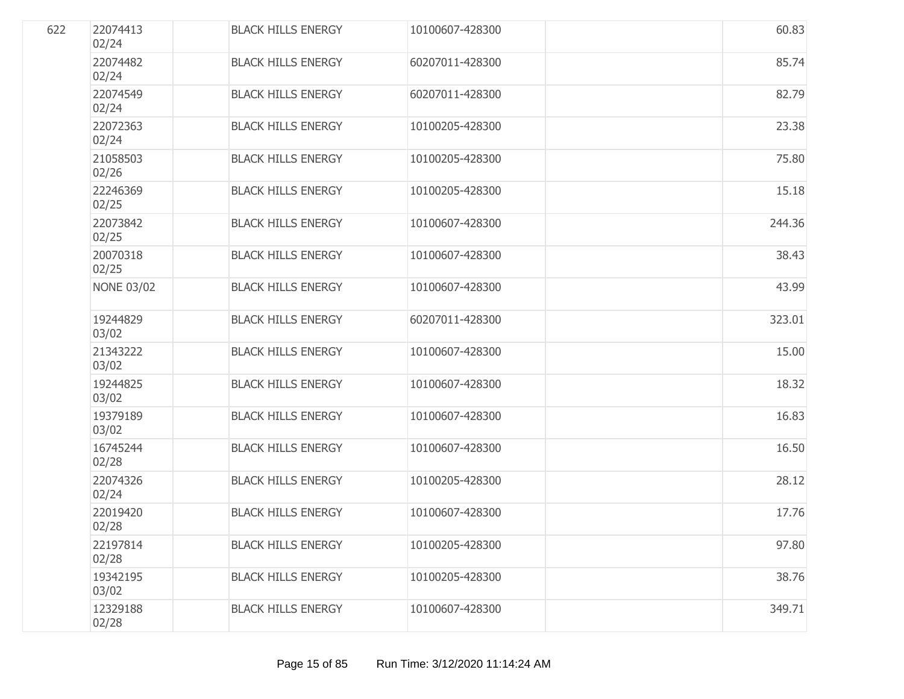| 622 | 22074413<br>02/24 | <b>BLACK HILLS ENERGY</b> | 10100607-428300 | 60.83  |
|-----|-------------------|---------------------------|-----------------|--------|
|     | 22074482<br>02/24 | <b>BLACK HILLS ENERGY</b> | 60207011-428300 | 85.74  |
|     | 22074549<br>02/24 | <b>BLACK HILLS ENERGY</b> | 60207011-428300 | 82.79  |
|     | 22072363<br>02/24 | <b>BLACK HILLS ENERGY</b> | 10100205-428300 | 23.38  |
|     | 21058503<br>02/26 | <b>BLACK HILLS ENERGY</b> | 10100205-428300 | 75.80  |
|     | 22246369<br>02/25 | <b>BLACK HILLS ENERGY</b> | 10100205-428300 | 15.18  |
|     | 22073842<br>02/25 | <b>BLACK HILLS ENERGY</b> | 10100607-428300 | 244.36 |
|     | 20070318<br>02/25 | <b>BLACK HILLS ENERGY</b> | 10100607-428300 | 38.43  |
|     | <b>NONE 03/02</b> | <b>BLACK HILLS ENERGY</b> | 10100607-428300 | 43.99  |
|     | 19244829<br>03/02 | <b>BLACK HILLS ENERGY</b> | 60207011-428300 | 323.01 |
|     | 21343222<br>03/02 | <b>BLACK HILLS ENERGY</b> | 10100607-428300 | 15.00  |
|     | 19244825<br>03/02 | <b>BLACK HILLS ENERGY</b> | 10100607-428300 | 18.32  |
|     | 19379189<br>03/02 | <b>BLACK HILLS ENERGY</b> | 10100607-428300 | 16.83  |
|     | 16745244<br>02/28 | <b>BLACK HILLS ENERGY</b> | 10100607-428300 | 16.50  |
|     | 22074326<br>02/24 | <b>BLACK HILLS ENERGY</b> | 10100205-428300 | 28.12  |
|     | 22019420<br>02/28 | <b>BLACK HILLS ENERGY</b> | 10100607-428300 | 17.76  |
|     | 22197814<br>02/28 | <b>BLACK HILLS ENERGY</b> | 10100205-428300 | 97.80  |
|     | 19342195<br>03/02 | <b>BLACK HILLS ENERGY</b> | 10100205-428300 | 38.76  |
|     | 12329188<br>02/28 | <b>BLACK HILLS ENERGY</b> | 10100607-428300 | 349.71 |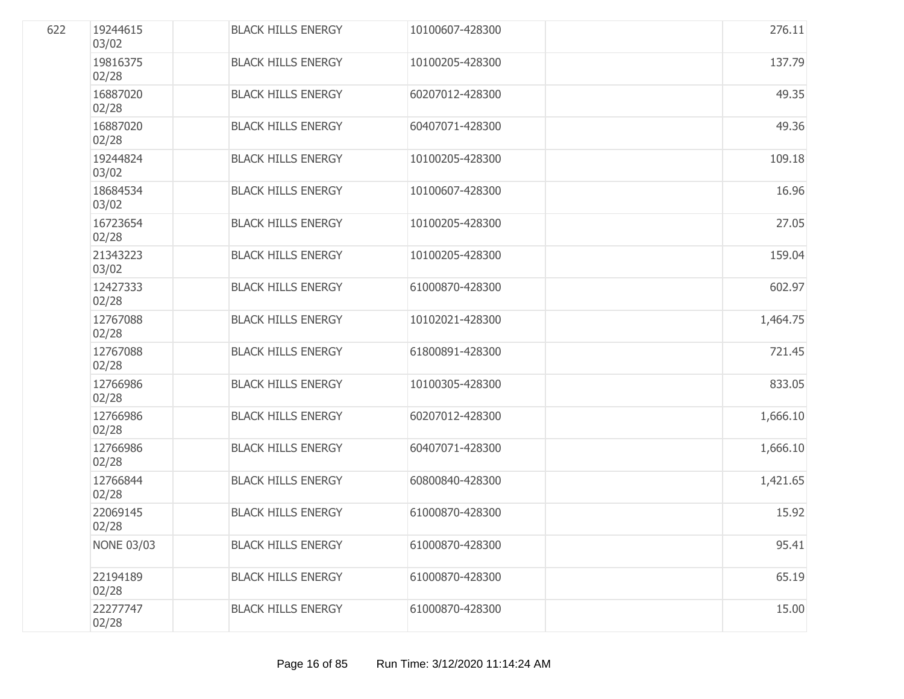| 622 | 19244615<br>03/02 | <b>BLACK HILLS ENERGY</b> | 10100607-428300 | 276.11   |
|-----|-------------------|---------------------------|-----------------|----------|
|     | 19816375<br>02/28 | <b>BLACK HILLS ENERGY</b> | 10100205-428300 | 137.79   |
|     | 16887020<br>02/28 | <b>BLACK HILLS ENERGY</b> | 60207012-428300 | 49.35    |
|     | 16887020<br>02/28 | <b>BLACK HILLS ENERGY</b> | 60407071-428300 | 49.36    |
|     | 19244824<br>03/02 | <b>BLACK HILLS ENERGY</b> | 10100205-428300 | 109.18   |
|     | 18684534<br>03/02 | <b>BLACK HILLS ENERGY</b> | 10100607-428300 | 16.96    |
|     | 16723654<br>02/28 | <b>BLACK HILLS ENERGY</b> | 10100205-428300 | 27.05    |
|     | 21343223<br>03/02 | <b>BLACK HILLS ENERGY</b> | 10100205-428300 | 159.04   |
|     | 12427333<br>02/28 | <b>BLACK HILLS ENERGY</b> | 61000870-428300 | 602.97   |
|     | 12767088<br>02/28 | <b>BLACK HILLS ENERGY</b> | 10102021-428300 | 1,464.75 |
|     | 12767088<br>02/28 | <b>BLACK HILLS ENERGY</b> | 61800891-428300 | 721.45   |
|     | 12766986<br>02/28 | <b>BLACK HILLS ENERGY</b> | 10100305-428300 | 833.05   |
|     | 12766986<br>02/28 | <b>BLACK HILLS ENERGY</b> | 60207012-428300 | 1,666.10 |
|     | 12766986<br>02/28 | <b>BLACK HILLS ENERGY</b> | 60407071-428300 | 1,666.10 |
|     | 12766844<br>02/28 | <b>BLACK HILLS ENERGY</b> | 60800840-428300 | 1,421.65 |
|     | 22069145<br>02/28 | <b>BLACK HILLS ENERGY</b> | 61000870-428300 | 15.92    |
|     | <b>NONE 03/03</b> | <b>BLACK HILLS ENERGY</b> | 61000870-428300 | 95.41    |
|     | 22194189<br>02/28 | <b>BLACK HILLS ENERGY</b> | 61000870-428300 | 65.19    |
|     | 22277747<br>02/28 | <b>BLACK HILLS ENERGY</b> | 61000870-428300 | 15.00    |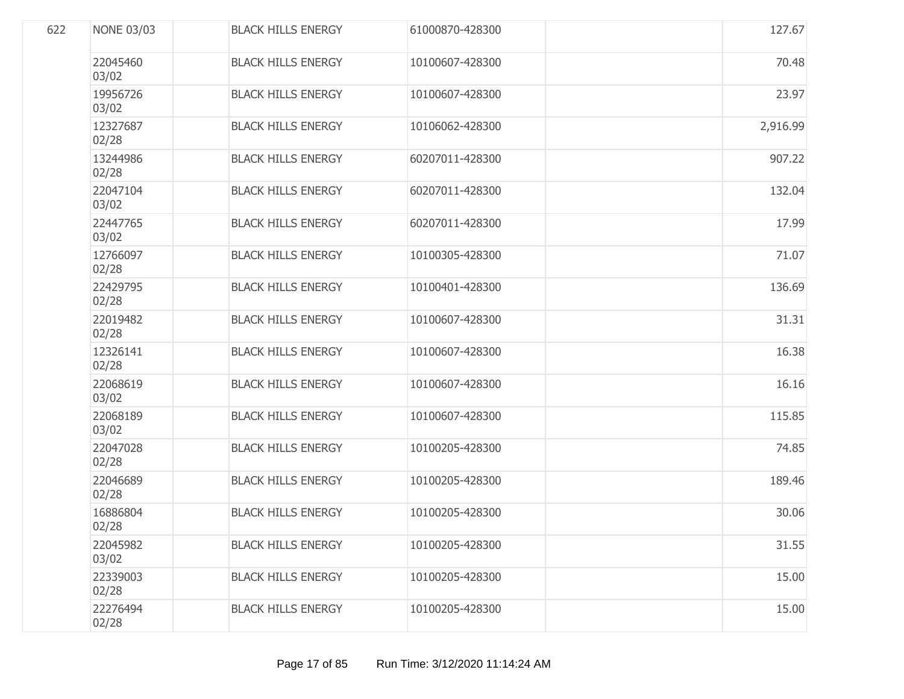| 622 | <b>NONE 03/03</b> | <b>BLACK HILLS ENERGY</b> | 61000870-428300 | 127.67   |
|-----|-------------------|---------------------------|-----------------|----------|
|     | 22045460<br>03/02 | <b>BLACK HILLS ENERGY</b> | 10100607-428300 | 70.48    |
|     | 19956726<br>03/02 | <b>BLACK HILLS ENERGY</b> | 10100607-428300 | 23.97    |
|     | 12327687<br>02/28 | <b>BLACK HILLS ENERGY</b> | 10106062-428300 | 2,916.99 |
|     | 13244986<br>02/28 | <b>BLACK HILLS ENERGY</b> | 60207011-428300 | 907.22   |
|     | 22047104<br>03/02 | <b>BLACK HILLS ENERGY</b> | 60207011-428300 | 132.04   |
|     | 22447765<br>03/02 | <b>BLACK HILLS ENERGY</b> | 60207011-428300 | 17.99    |
|     | 12766097<br>02/28 | <b>BLACK HILLS ENERGY</b> | 10100305-428300 | 71.07    |
|     | 22429795<br>02/28 | <b>BLACK HILLS ENERGY</b> | 10100401-428300 | 136.69   |
|     | 22019482<br>02/28 | <b>BLACK HILLS ENERGY</b> | 10100607-428300 | 31.31    |
|     | 12326141<br>02/28 | <b>BLACK HILLS ENERGY</b> | 10100607-428300 | 16.38    |
|     | 22068619<br>03/02 | <b>BLACK HILLS ENERGY</b> | 10100607-428300 | 16.16    |
|     | 22068189<br>03/02 | <b>BLACK HILLS ENERGY</b> | 10100607-428300 | 115.85   |
|     | 22047028<br>02/28 | <b>BLACK HILLS ENERGY</b> | 10100205-428300 | 74.85    |
|     | 22046689<br>02/28 | <b>BLACK HILLS ENERGY</b> | 10100205-428300 | 189.46   |
|     | 16886804<br>02/28 | <b>BLACK HILLS ENERGY</b> | 10100205-428300 | 30.06    |
|     | 22045982<br>03/02 | <b>BLACK HILLS ENERGY</b> | 10100205-428300 | 31.55    |
|     | 22339003<br>02/28 | <b>BLACK HILLS ENERGY</b> | 10100205-428300 | 15.00    |
|     | 22276494<br>02/28 | <b>BLACK HILLS ENERGY</b> | 10100205-428300 | 15.00    |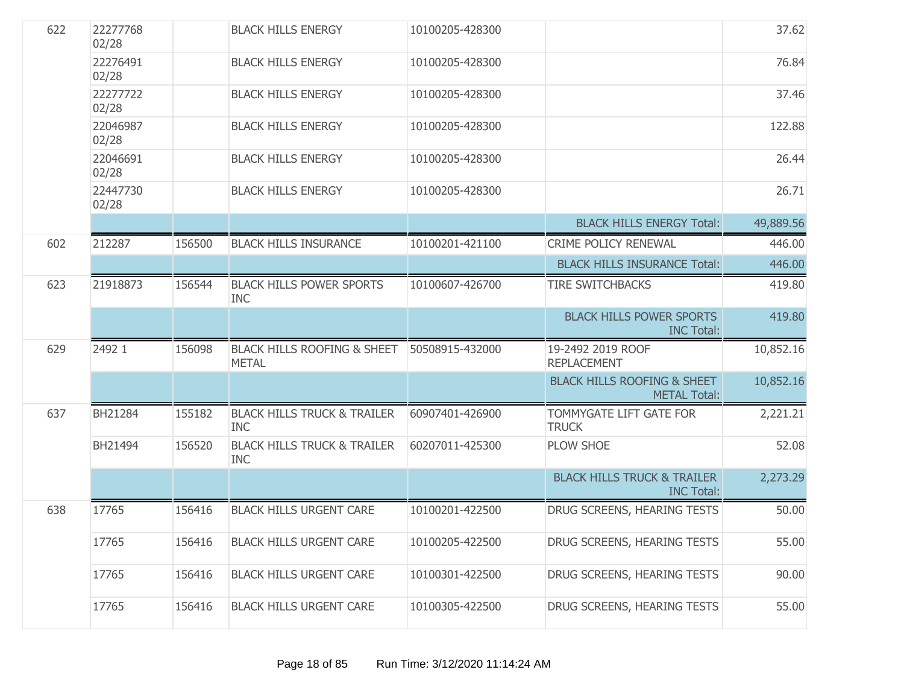| 622 | 22277768<br>02/28 |        | <b>BLACK HILLS ENERGY</b>                              | 10100205-428300 |                                                               | 37.62     |
|-----|-------------------|--------|--------------------------------------------------------|-----------------|---------------------------------------------------------------|-----------|
|     | 22276491<br>02/28 |        | <b>BLACK HILLS ENERGY</b>                              | 10100205-428300 |                                                               | 76.84     |
|     | 22277722<br>02/28 |        | <b>BLACK HILLS ENERGY</b>                              | 10100205-428300 |                                                               | 37.46     |
|     | 22046987<br>02/28 |        | <b>BLACK HILLS ENERGY</b>                              | 10100205-428300 |                                                               | 122.88    |
|     | 22046691<br>02/28 |        | <b>BLACK HILLS ENERGY</b>                              | 10100205-428300 |                                                               | 26.44     |
|     | 22447730<br>02/28 |        | <b>BLACK HILLS ENERGY</b>                              | 10100205-428300 |                                                               | 26.71     |
|     |                   |        |                                                        |                 | <b>BLACK HILLS ENERGY Total:</b>                              | 49,889.56 |
| 602 | 212287            | 156500 | <b>BLACK HILLS INSURANCE</b>                           | 10100201-421100 | CRIME POLICY RENEWAL                                          | 446.00    |
|     |                   |        |                                                        |                 | <b>BLACK HILLS INSURANCE Total:</b>                           | 446.00    |
| 623 | 21918873          | 156544 | <b>BLACK HILLS POWER SPORTS</b><br><b>INC</b>          | 10100607-426700 | <b>TIRE SWITCHBACKS</b>                                       | 419.80    |
|     |                   |        |                                                        |                 | <b>BLACK HILLS POWER SPORTS</b><br><b>INC Total:</b>          | 419.80    |
| 629 | 2492 1            | 156098 | <b>BLACK HILLS ROOFING &amp; SHEET</b><br><b>METAL</b> | 50508915-432000 | 19-2492 2019 ROOF<br><b>REPLACEMENT</b>                       | 10,852.16 |
|     |                   |        |                                                        |                 | <b>BLACK HILLS ROOFING &amp; SHEET</b><br><b>METAL Total:</b> | 10,852.16 |
| 637 | BH21284           | 155182 | <b>BLACK HILLS TRUCK &amp; TRAILER</b><br><b>INC</b>   | 60907401-426900 | TOMMYGATE LIFT GATE FOR<br><b>TRUCK</b>                       | 2,221.21  |
|     | BH21494           | 156520 | <b>BLACK HILLS TRUCK &amp; TRAILER</b><br><b>INC</b>   | 60207011-425300 | <b>PLOW SHOE</b>                                              | 52.08     |
|     |                   |        |                                                        |                 | <b>BLACK HILLS TRUCK &amp; TRAILER</b><br><b>INC Total:</b>   | 2,273.29  |
| 638 | 17765             | 156416 | <b>BLACK HILLS URGENT CARE</b>                         | 10100201-422500 | DRUG SCREENS, HEARING TESTS                                   | 50.00     |
|     | 17765             | 156416 | <b>BLACK HILLS URGENT CARE</b>                         | 10100205-422500 | DRUG SCREENS, HEARING TESTS                                   | 55.00     |
|     | 17765             | 156416 | <b>BLACK HILLS URGENT CARE</b>                         | 10100301-422500 | DRUG SCREENS, HEARING TESTS                                   | 90.00     |
|     | 17765             | 156416 | <b>BLACK HILLS URGENT CARE</b>                         | 10100305-422500 | DRUG SCREENS, HEARING TESTS                                   | 55.00     |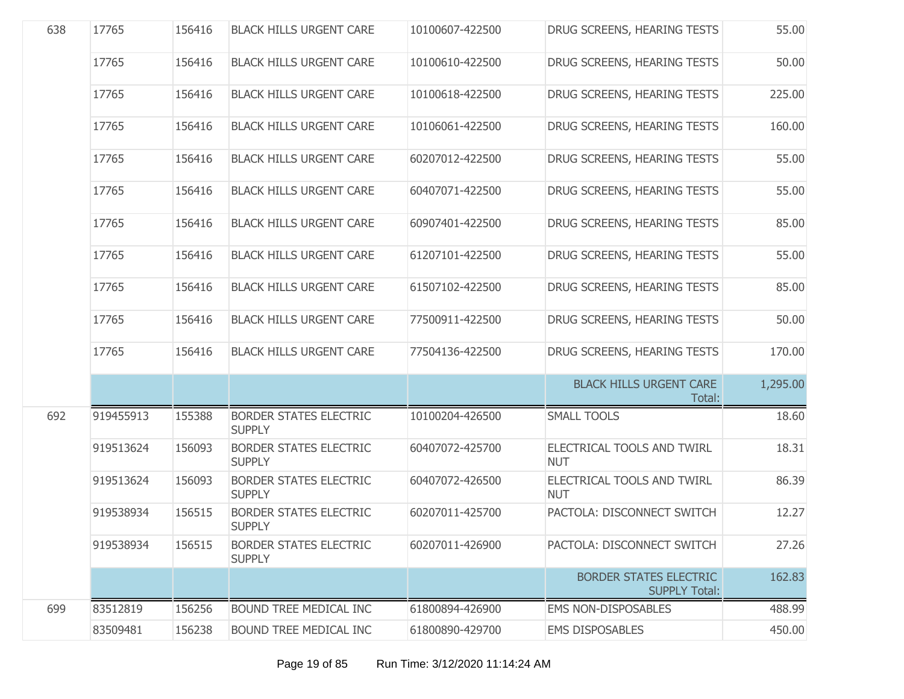| 638 | 17765     | 156416 | <b>BLACK HILLS URGENT CARE</b>                 | 10100607-422500 | DRUG SCREENS, HEARING TESTS                           | 55.00    |
|-----|-----------|--------|------------------------------------------------|-----------------|-------------------------------------------------------|----------|
|     | 17765     | 156416 | <b>BLACK HILLS URGENT CARE</b>                 | 10100610-422500 | DRUG SCREENS, HEARING TESTS                           | 50.00    |
|     | 17765     | 156416 | <b>BLACK HILLS URGENT CARE</b>                 | 10100618-422500 | DRUG SCREENS, HEARING TESTS                           | 225.00   |
|     | 17765     | 156416 | <b>BLACK HILLS URGENT CARE</b>                 | 10106061-422500 | DRUG SCREENS, HEARING TESTS                           | 160.00   |
|     | 17765     | 156416 | <b>BLACK HILLS URGENT CARE</b>                 | 60207012-422500 | DRUG SCREENS, HEARING TESTS                           | 55.00    |
|     | 17765     | 156416 | <b>BLACK HILLS URGENT CARE</b>                 | 60407071-422500 | DRUG SCREENS, HEARING TESTS                           | 55.00    |
|     | 17765     | 156416 | <b>BLACK HILLS URGENT CARE</b>                 | 60907401-422500 | DRUG SCREENS, HEARING TESTS                           | 85.00    |
|     | 17765     | 156416 | <b>BLACK HILLS URGENT CARE</b>                 | 61207101-422500 | DRUG SCREENS, HEARING TESTS                           | 55.00    |
|     | 17765     | 156416 | <b>BLACK HILLS URGENT CARE</b>                 | 61507102-422500 | DRUG SCREENS, HEARING TESTS                           | 85.00    |
|     | 17765     | 156416 | <b>BLACK HILLS URGENT CARE</b>                 | 77500911-422500 | DRUG SCREENS, HEARING TESTS                           | 50.00    |
|     | 17765     | 156416 | <b>BLACK HILLS URGENT CARE</b>                 | 77504136-422500 | DRUG SCREENS, HEARING TESTS                           | 170.00   |
|     |           |        |                                                |                 | <b>BLACK HILLS URGENT CARE</b><br>Total:              | 1,295.00 |
| 692 | 919455913 | 155388 | <b>BORDER STATES ELECTRIC</b><br><b>SUPPLY</b> | 10100204-426500 | <b>SMALL TOOLS</b>                                    | 18.60    |
|     | 919513624 | 156093 | <b>BORDER STATES ELECTRIC</b><br><b>SUPPLY</b> | 60407072-425700 | ELECTRICAL TOOLS AND TWIRL<br><b>NUT</b>              | 18.31    |
|     | 919513624 | 156093 | <b>BORDER STATES ELECTRIC</b><br><b>SUPPLY</b> | 60407072-426500 | ELECTRICAL TOOLS AND TWIRL<br><b>NUT</b>              | 86.39    |
|     | 919538934 | 156515 | <b>BORDER STATES ELECTRIC</b><br><b>SUPPLY</b> | 60207011-425700 | PACTOLA: DISCONNECT SWITCH                            | 12.27    |
|     | 919538934 | 156515 | <b>BORDER STATES ELECTRIC</b><br><b>SUPPLY</b> | 60207011-426900 | PACTOLA: DISCONNECT SWITCH                            | 27.26    |
|     |           |        |                                                |                 | <b>BORDER STATES ELECTRIC</b><br><b>SUPPLY Total:</b> | 162.83   |
| 699 | 83512819  | 156256 | <b>BOUND TREE MEDICAL INC</b>                  | 61800894-426900 | <b>EMS NON-DISPOSABLES</b>                            | 488.99   |
|     | 83509481  | 156238 | <b>BOUND TREE MEDICAL INC</b>                  | 61800890-429700 | <b>EMS DISPOSABLES</b>                                | 450.00   |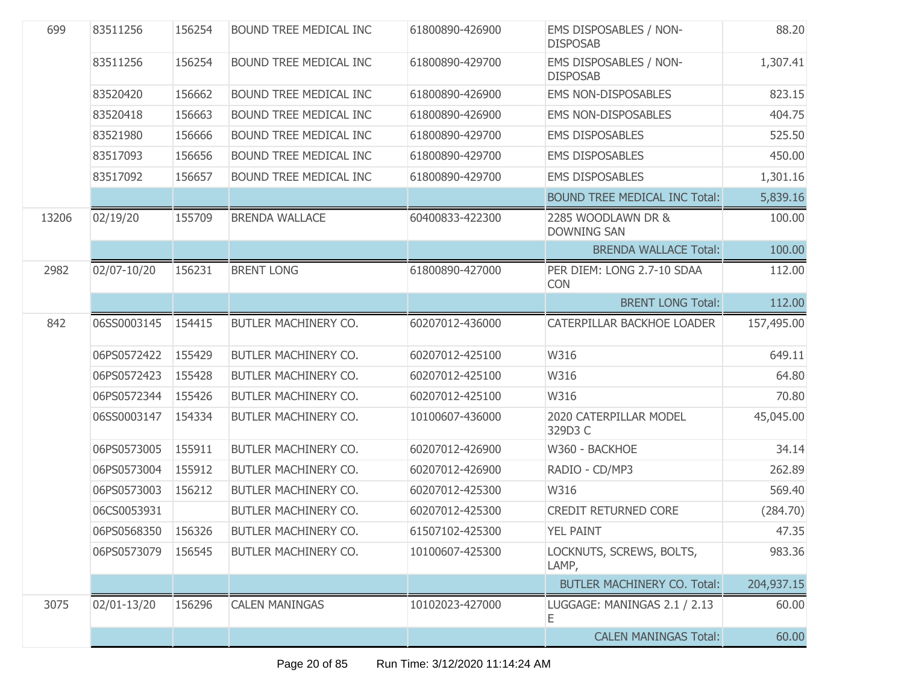| 699   | 83511256           | 156254 | BOUND TREE MEDICAL INC      | 61800890-426900 | EMS DISPOSABLES / NON-<br><b>DISPOSAB</b> | 88.20      |
|-------|--------------------|--------|-----------------------------|-----------------|-------------------------------------------|------------|
|       | 83511256           | 156254 | BOUND TREE MEDICAL INC      | 61800890-429700 | EMS DISPOSABLES / NON-<br><b>DISPOSAB</b> | 1,307.41   |
|       | 83520420           | 156662 | BOUND TREE MEDICAL INC      | 61800890-426900 | <b>EMS NON-DISPOSABLES</b>                | 823.15     |
|       | 83520418           | 156663 | BOUND TREE MEDICAL INC      | 61800890-426900 | <b>EMS NON-DISPOSABLES</b>                | 404.75     |
|       | 83521980           | 156666 | BOUND TREE MEDICAL INC      | 61800890-429700 | <b>EMS DISPOSABLES</b>                    | 525.50     |
|       | 83517093           | 156656 | BOUND TREE MEDICAL INC      | 61800890-429700 | <b>EMS DISPOSABLES</b>                    | 450.00     |
|       | 83517092           | 156657 | BOUND TREE MEDICAL INC      | 61800890-429700 | <b>EMS DISPOSABLES</b>                    | 1,301.16   |
|       |                    |        |                             |                 | <b>BOUND TREE MEDICAL INC Total:</b>      | 5,839.16   |
| 13206 | 02/19/20           | 155709 | <b>BRENDA WALLACE</b>       | 60400833-422300 | 2285 WOODLAWN DR &<br><b>DOWNING SAN</b>  | 100.00     |
|       |                    |        |                             |                 | <b>BRENDA WALLACE Total:</b>              | 100.00     |
| 2982  | 02/07-10/20        | 156231 | <b>BRENT LONG</b>           | 61800890-427000 | PER DIEM: LONG 2.7-10 SDAA<br><b>CON</b>  | 112.00     |
|       |                    |        |                             |                 | <b>BRENT LONG Total:</b>                  | 112.00     |
| 842   | 06SS0003145        | 154415 | BUTLER MACHINERY CO.        | 60207012-436000 | CATERPILLAR BACKHOE LOADER                | 157,495.00 |
|       | 06PS0572422        | 155429 | BUTLER MACHINERY CO.        | 60207012-425100 | W316                                      | 649.11     |
|       | 06PS0572423        | 155428 | BUTLER MACHINERY CO.        | 60207012-425100 | W316                                      | 64.80      |
|       | 06PS0572344        | 155426 | BUTLER MACHINERY CO.        | 60207012-425100 | W316                                      | 70.80      |
|       | 06SS0003147        | 154334 | BUTLER MACHINERY CO.        | 10100607-436000 | 2020 CATERPILLAR MODEL<br>329D3 C         | 45,045.00  |
|       | 06PS0573005        | 155911 | BUTLER MACHINERY CO.        | 60207012-426900 | W360 - BACKHOE                            | 34.14      |
|       | 06PS0573004        | 155912 | BUTLER MACHINERY CO.        | 60207012-426900 | RADIO - CD/MP3                            | 262.89     |
|       | 06PS0573003        | 156212 | BUTLER MACHINERY CO.        | 60207012-425300 | W316                                      | 569.40     |
|       | 06CS0053931        |        | BUTLER MACHINERY CO.        | 60207012-425300 | <b>CREDIT RETURNED CORE</b>               | (284.70)   |
|       | 06PS0568350 156326 |        | <b>BUTLER MACHINERY CO.</b> | 61507102-425300 | YEL PAINT                                 | 47.35      |
|       | 06PS0573079        | 156545 | BUTLER MACHINERY CO.        | 10100607-425300 | LOCKNUTS, SCREWS, BOLTS,<br>LAMP,         | 983.36     |
|       |                    |        |                             |                 | <b>BUTLER MACHINERY CO. Total:</b>        | 204,937.15 |
| 3075  | 02/01-13/20        | 156296 | <b>CALEN MANINGAS</b>       | 10102023-427000 | LUGGAGE: MANINGAS 2.1 / 2.13<br>Ε         | 60.00      |
|       |                    |        |                             |                 | <b>CALEN MANINGAS Total:</b>              | 60.00      |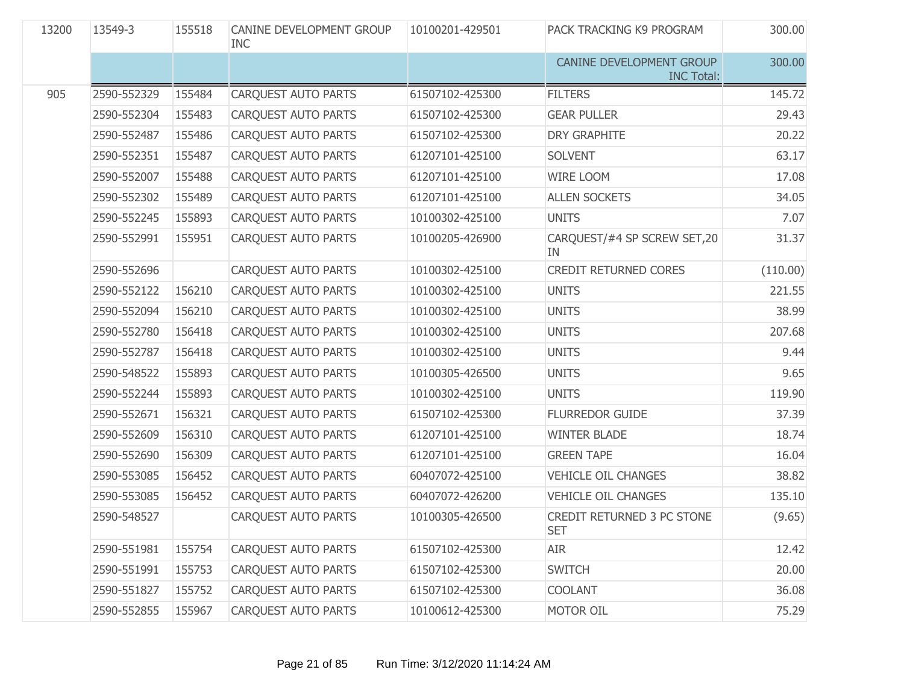| 13200 | 13549-3     | 155518 | CANINE DEVELOPMENT GROUP<br><b>INC</b> | 10100201-429501 | PACK TRACKING K9 PROGRAM                      | 300.00   |
|-------|-------------|--------|----------------------------------------|-----------------|-----------------------------------------------|----------|
|       |             |        |                                        |                 | CANINE DEVELOPMENT GROUP<br><b>INC Total:</b> | 300.00   |
| 905   | 2590-552329 | 155484 | CARQUEST AUTO PARTS                    | 61507102-425300 | <b>FILTERS</b>                                | 145.72   |
|       | 2590-552304 | 155483 | CARQUEST AUTO PARTS                    | 61507102-425300 | <b>GEAR PULLER</b>                            | 29.43    |
|       | 2590-552487 | 155486 | CARQUEST AUTO PARTS                    | 61507102-425300 | <b>DRY GRAPHITE</b>                           | 20.22    |
|       | 2590-552351 | 155487 | CARQUEST AUTO PARTS                    | 61207101-425100 | <b>SOLVENT</b>                                | 63.17    |
|       | 2590-552007 | 155488 | CARQUEST AUTO PARTS                    | 61207101-425100 | <b>WIRE LOOM</b>                              | 17.08    |
|       | 2590-552302 | 155489 | CARQUEST AUTO PARTS                    | 61207101-425100 | <b>ALLEN SOCKETS</b>                          | 34.05    |
|       | 2590-552245 | 155893 | CARQUEST AUTO PARTS                    | 10100302-425100 | <b>UNITS</b>                                  | 7.07     |
|       | 2590-552991 | 155951 | <b>CARQUEST AUTO PARTS</b>             | 10100205-426900 | CARQUEST/#4 SP SCREW SET, 20<br>IN            | 31.37    |
|       | 2590-552696 |        | CARQUEST AUTO PARTS                    | 10100302-425100 | <b>CREDIT RETURNED CORES</b>                  | (110.00) |
|       | 2590-552122 | 156210 | <b>CARQUEST AUTO PARTS</b>             | 10100302-425100 | <b>UNITS</b>                                  | 221.55   |
|       | 2590-552094 | 156210 | <b>CARQUEST AUTO PARTS</b>             | 10100302-425100 | <b>UNITS</b>                                  | 38.99    |
|       | 2590-552780 | 156418 | CARQUEST AUTO PARTS                    | 10100302-425100 | <b>UNITS</b>                                  | 207.68   |
|       | 2590-552787 | 156418 | <b>CARQUEST AUTO PARTS</b>             | 10100302-425100 | <b>UNITS</b>                                  | 9.44     |
|       | 2590-548522 | 155893 | CARQUEST AUTO PARTS                    | 10100305-426500 | <b>UNITS</b>                                  | 9.65     |
|       | 2590-552244 | 155893 | CARQUEST AUTO PARTS                    | 10100302-425100 | <b>UNITS</b>                                  | 119.90   |
|       | 2590-552671 | 156321 | CARQUEST AUTO PARTS                    | 61507102-425300 | <b>FLURREDOR GUIDE</b>                        | 37.39    |
|       | 2590-552609 | 156310 | CARQUEST AUTO PARTS                    | 61207101-425100 | <b>WINTER BLADE</b>                           | 18.74    |
|       | 2590-552690 | 156309 | CARQUEST AUTO PARTS                    | 61207101-425100 | <b>GREEN TAPE</b>                             | 16.04    |
|       | 2590-553085 | 156452 | CARQUEST AUTO PARTS                    | 60407072-425100 | <b>VEHICLE OIL CHANGES</b>                    | 38.82    |
|       | 2590-553085 | 156452 | CARQUEST AUTO PARTS                    | 60407072-426200 | <b>VEHICLE OIL CHANGES</b>                    | 135.10   |
|       | 2590-548527 |        | CARQUEST AUTO PARTS                    | 10100305-426500 | CREDIT RETURNED 3 PC STONE<br><b>SET</b>      | (9.65)   |
|       | 2590-551981 | 155754 | <b>CARQUEST AUTO PARTS</b>             | 61507102-425300 | <b>AIR</b>                                    | 12.42    |
|       | 2590-551991 | 155753 | CARQUEST AUTO PARTS                    | 61507102-425300 | <b>SWITCH</b>                                 | 20.00    |
|       | 2590-551827 | 155752 | <b>CARQUEST AUTO PARTS</b>             | 61507102-425300 | <b>COOLANT</b>                                | 36.08    |
|       | 2590-552855 | 155967 | CARQUEST AUTO PARTS                    | 10100612-425300 | MOTOR OIL                                     | 75.29    |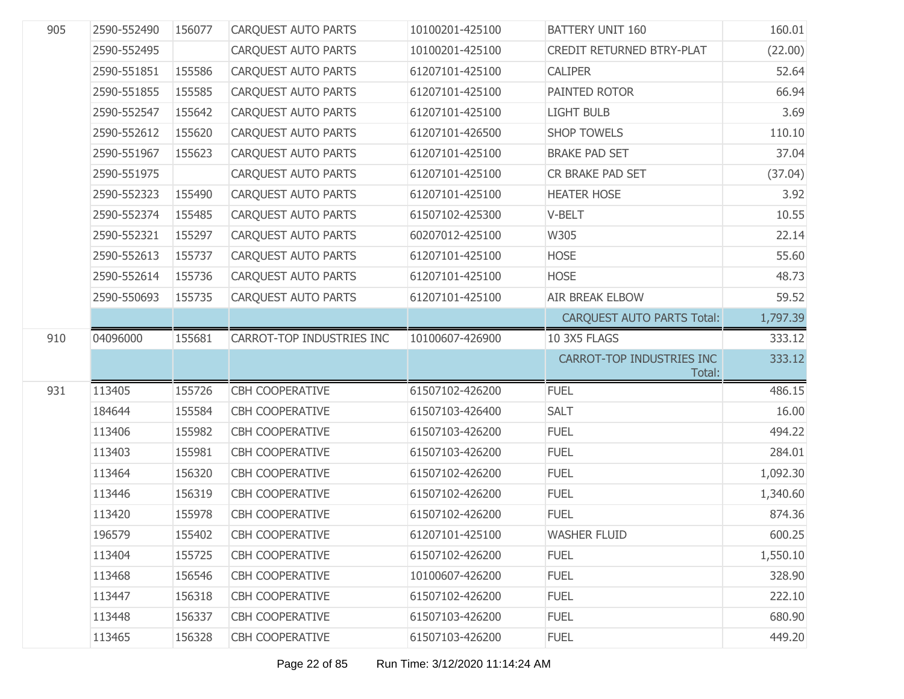| 905 | 2590-552490 | 156077 | <b>CARQUEST AUTO PARTS</b> | 10100201-425100 | <b>BATTERY UNIT 160</b>             | 160.01   |
|-----|-------------|--------|----------------------------|-----------------|-------------------------------------|----------|
|     | 2590-552495 |        | <b>CARQUEST AUTO PARTS</b> | 10100201-425100 | CREDIT RETURNED BTRY-PLAT           | (22.00)  |
|     | 2590-551851 | 155586 | <b>CARQUEST AUTO PARTS</b> | 61207101-425100 | <b>CALIPER</b>                      | 52.64    |
|     | 2590-551855 | 155585 | <b>CAROUEST AUTO PARTS</b> | 61207101-425100 | PAINTED ROTOR                       | 66.94    |
|     | 2590-552547 | 155642 | <b>CARQUEST AUTO PARTS</b> | 61207101-425100 | <b>LIGHT BULB</b>                   | 3.69     |
|     | 2590-552612 | 155620 | <b>CARQUEST AUTO PARTS</b> | 61207101-426500 | <b>SHOP TOWELS</b>                  | 110.10   |
|     | 2590-551967 | 155623 | CARQUEST AUTO PARTS        | 61207101-425100 | <b>BRAKE PAD SET</b>                | 37.04    |
|     | 2590-551975 |        | <b>CAROUEST AUTO PARTS</b> | 61207101-425100 | CR BRAKE PAD SET                    | (37.04)  |
|     | 2590-552323 | 155490 | CARQUEST AUTO PARTS        | 61207101-425100 | <b>HEATER HOSE</b>                  | 3.92     |
|     | 2590-552374 | 155485 | <b>CARQUEST AUTO PARTS</b> | 61507102-425300 | V-BELT                              | 10.55    |
|     | 2590-552321 | 155297 | <b>CARQUEST AUTO PARTS</b> | 60207012-425100 | W305                                | 22.14    |
|     | 2590-552613 | 155737 | <b>CARQUEST AUTO PARTS</b> | 61207101-425100 | <b>HOSE</b>                         | 55.60    |
|     | 2590-552614 | 155736 | <b>CARQUEST AUTO PARTS</b> | 61207101-425100 | <b>HOSE</b>                         | 48.73    |
|     | 2590-550693 | 155735 | <b>CARQUEST AUTO PARTS</b> | 61207101-425100 | <b>AIR BREAK ELBOW</b>              | 59.52    |
|     |             |        |                            |                 | <b>CARQUEST AUTO PARTS Total:</b>   | 1,797.39 |
|     |             |        |                            |                 |                                     |          |
| 910 | 04096000    | 155681 | CARROT-TOP INDUSTRIES INC  | 10100607-426900 | 10 3X5 FLAGS                        | 333.12   |
|     |             |        |                            |                 | CARROT-TOP INDUSTRIES INC<br>Total: | 333.12   |
| 931 | 113405      | 155726 | <b>CBH COOPERATIVE</b>     | 61507102-426200 | <b>FUEL</b>                         | 486.15   |
|     | 184644      | 155584 | <b>CBH COOPERATIVE</b>     | 61507103-426400 | <b>SALT</b>                         | 16.00    |
|     | 113406      | 155982 | <b>CBH COOPERATIVE</b>     | 61507103-426200 | <b>FUEL</b>                         | 494.22   |
|     | 113403      | 155981 | <b>CBH COOPERATIVE</b>     | 61507103-426200 | <b>FUEL</b>                         | 284.01   |
|     | 113464      | 156320 | <b>CBH COOPERATIVE</b>     | 61507102-426200 | <b>FUEL</b>                         | 1,092.30 |
|     | 113446      | 156319 | <b>CBH COOPERATIVE</b>     | 61507102-426200 | <b>FUEL</b>                         | 1,340.60 |
|     | 113420      | 155978 | <b>CBH COOPERATIVE</b>     | 61507102-426200 | <b>FUEL</b>                         | 874.36   |
|     | 196579      | 155402 | <b>CBH COOPERATIVE</b>     | 61207101-425100 | <b>WASHER FLUID</b>                 | 600.25   |
|     | 113404      | 155725 | <b>CBH COOPERATIVE</b>     | 61507102-426200 | <b>FUEL</b>                         | 1,550.10 |
|     | 113468      | 156546 | <b>CBH COOPERATIVE</b>     | 10100607-426200 | <b>FUEL</b>                         | 328.90   |
|     | 113447      | 156318 | <b>CBH COOPERATIVE</b>     | 61507102-426200 | <b>FUEL</b>                         | 222.10   |
|     | 113448      | 156337 | <b>CBH COOPERATIVE</b>     | 61507103-426200 | <b>FUEL</b>                         | 680.90   |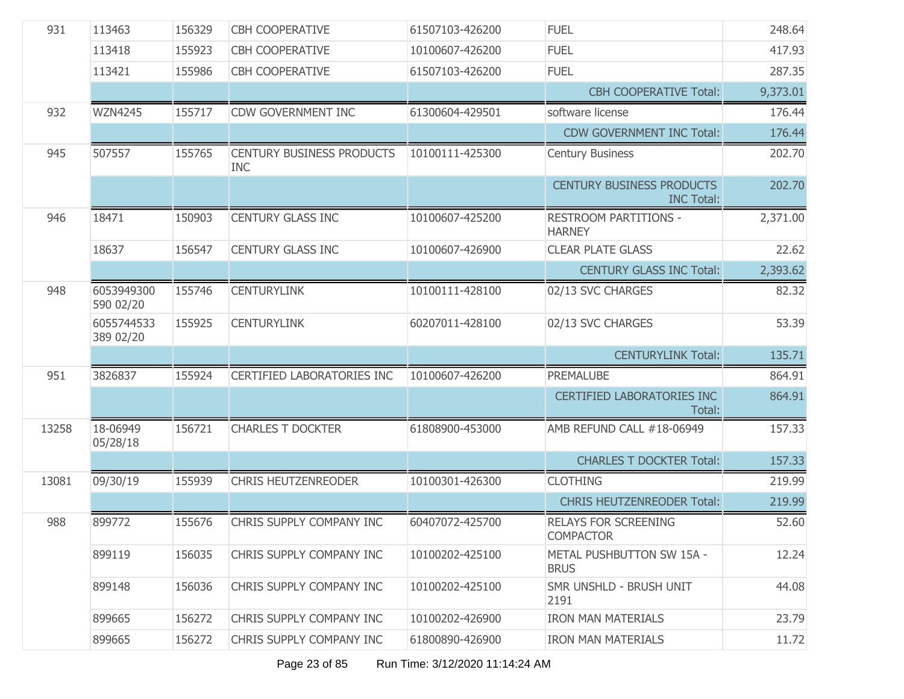| 931   | 113463                  | 156329 | <b>CBH COOPERATIVE</b>                         | 61507103-426200 | <b>FUEL</b>                                           | 248.64   |
|-------|-------------------------|--------|------------------------------------------------|-----------------|-------------------------------------------------------|----------|
|       | 113418                  | 155923 | <b>CBH COOPERATIVE</b>                         | 10100607-426200 | <b>FUEL</b>                                           | 417.93   |
|       | 113421                  | 155986 | <b>CBH COOPERATIVE</b>                         | 61507103-426200 | <b>FUEL</b>                                           | 287.35   |
|       |                         |        |                                                |                 | <b>CBH COOPERATIVE Total:</b>                         | 9,373.01 |
| 932   | <b>WZN4245</b>          | 155717 | <b>CDW GOVERNMENT INC</b>                      | 61300604-429501 | software license                                      | 176.44   |
|       |                         |        |                                                |                 | <b>CDW GOVERNMENT INC Total:</b>                      | 176.44   |
| 945   | 507557                  | 155765 | <b>CENTURY BUSINESS PRODUCTS</b><br><b>INC</b> | 10100111-425300 | <b>Century Business</b>                               | 202.70   |
|       |                         |        |                                                |                 | <b>CENTURY BUSINESS PRODUCTS</b><br><b>INC Total:</b> | 202.70   |
| 946   | 18471                   | 150903 | <b>CENTURY GLASS INC</b>                       | 10100607-425200 | RESTROOM PARTITIONS -<br><b>HARNEY</b>                | 2,371.00 |
|       | 18637                   | 156547 | <b>CENTURY GLASS INC</b>                       | 10100607-426900 | <b>CLEAR PLATE GLASS</b>                              | 22.62    |
|       |                         |        |                                                |                 | <b>CENTURY GLASS INC Total:</b>                       | 2,393.62 |
| 948   | 6053949300<br>590 02/20 | 155746 | <b>CENTURYLINK</b>                             | 10100111-428100 | 02/13 SVC CHARGES                                     | 82.32    |
|       | 6055744533<br>389 02/20 | 155925 | <b>CENTURYLINK</b>                             | 60207011-428100 | 02/13 SVC CHARGES                                     | 53.39    |
|       |                         |        |                                                |                 | <b>CENTURYLINK Total:</b>                             | 135.71   |
| 951   | 3826837                 | 155924 | CERTIFIED LABORATORIES INC                     | 10100607-426200 | PREMALUBE                                             | 864.91   |
|       |                         |        |                                                |                 | <b>CERTIFIED LABORATORIES INC</b><br>Total:           | 864.91   |
| 13258 | 18-06949<br>05/28/18    | 156721 | <b>CHARLES T DOCKTER</b>                       | 61808900-453000 | AMB REFUND CALL #18-06949                             | 157.33   |
|       |                         |        |                                                |                 | <b>CHARLES T DOCKTER Total:</b>                       | 157.33   |
| 13081 | 09/30/19                | 155939 | <b>CHRIS HEUTZENREODER</b>                     | 10100301-426300 | <b>CLOTHING</b>                                       | 219.99   |
|       |                         |        |                                                |                 | <b>CHRIS HEUTZENREODER Total:</b>                     | 219.99   |
| 988   | 899772                  | 155676 | CHRIS SUPPLY COMPANY INC                       | 60407072-425700 | <b>RELAYS FOR SCREENING</b><br><b>COMPACTOR</b>       | 52.60    |
|       | 899119                  | 156035 | CHRIS SUPPLY COMPANY INC                       | 10100202-425100 | METAL PUSHBUTTON SW 15A -<br><b>BRUS</b>              | 12.24    |
|       | 899148                  | 156036 | CHRIS SUPPLY COMPANY INC                       | 10100202-425100 | SMR UNSHLD - BRUSH UNIT<br>2191                       | 44.08    |
|       | 899665                  | 156272 | CHRIS SUPPLY COMPANY INC                       | 10100202-426900 | <b>IRON MAN MATERIALS</b>                             | 23.79    |
|       | 899665                  | 156272 | CHRIS SUPPLY COMPANY INC                       | 61800890-426900 | <b>IRON MAN MATERIALS</b>                             | 11.72    |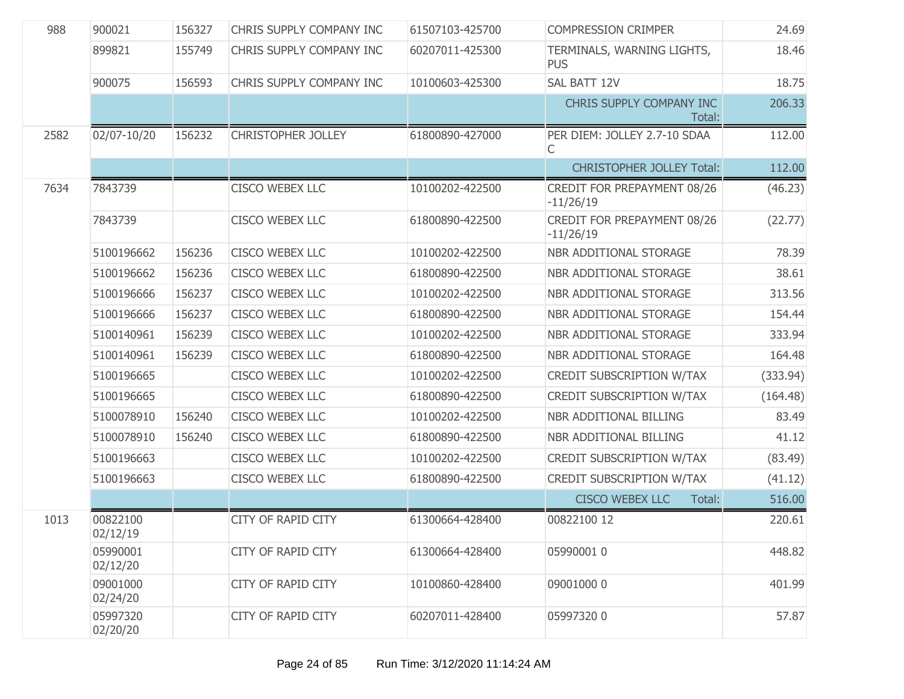| 988  | 900021               | 156327 | CHRIS SUPPLY COMPANY INC  | 61507103-425700 | <b>COMPRESSION CRIMPER</b>                 | 24.69    |
|------|----------------------|--------|---------------------------|-----------------|--------------------------------------------|----------|
|      | 899821               | 155749 | CHRIS SUPPLY COMPANY INC  | 60207011-425300 | TERMINALS, WARNING LIGHTS,<br><b>PUS</b>   | 18.46    |
|      | 900075               | 156593 | CHRIS SUPPLY COMPANY INC  | 10100603-425300 | SAL BATT 12V                               | 18.75    |
|      |                      |        |                           |                 | CHRIS SUPPLY COMPANY INC<br>Total:         | 206.33   |
| 2582 | 02/07-10/20          | 156232 | <b>CHRISTOPHER JOLLEY</b> | 61800890-427000 | PER DIEM: JOLLEY 2.7-10 SDAA<br>С          | 112.00   |
|      |                      |        |                           |                 | <b>CHRISTOPHER JOLLEY Total:</b>           | 112.00   |
| 7634 | 7843739              |        | <b>CISCO WEBEX LLC</b>    | 10100202-422500 | CREDIT FOR PREPAYMENT 08/26<br>$-11/26/19$ | (46.23)  |
|      | 7843739              |        | <b>CISCO WEBEX LLC</b>    | 61800890-422500 | CREDIT FOR PREPAYMENT 08/26<br>$-11/26/19$ | (22.77)  |
|      | 5100196662           | 156236 | <b>CISCO WEBEX LLC</b>    | 10100202-422500 | NBR ADDITIONAL STORAGE                     | 78.39    |
|      | 5100196662           | 156236 | CISCO WEBEX LLC           | 61800890-422500 | NBR ADDITIONAL STORAGE                     | 38.61    |
|      | 5100196666           | 156237 | CISCO WEBEX LLC           | 10100202-422500 | NBR ADDITIONAL STORAGE                     | 313.56   |
|      | 5100196666           | 156237 | CISCO WEBEX LLC           | 61800890-422500 | NBR ADDITIONAL STORAGE                     | 154.44   |
|      | 5100140961           | 156239 | CISCO WEBEX LLC           | 10100202-422500 | NBR ADDITIONAL STORAGE                     | 333.94   |
|      | 5100140961           | 156239 | <b>CISCO WEBEX LLC</b>    | 61800890-422500 | NBR ADDITIONAL STORAGE                     | 164.48   |
|      | 5100196665           |        | CISCO WEBEX LLC           | 10100202-422500 | <b>CREDIT SUBSCRIPTION W/TAX</b>           | (333.94) |
|      | 5100196665           |        | CISCO WEBEX LLC           | 61800890-422500 | <b>CREDIT SUBSCRIPTION W/TAX</b>           | (164.48) |
|      | 5100078910           | 156240 | CISCO WEBEX LLC           | 10100202-422500 | NBR ADDITIONAL BILLING                     | 83.49    |
|      | 5100078910           | 156240 | CISCO WEBEX LLC           | 61800890-422500 | NBR ADDITIONAL BILLING                     | 41.12    |
|      | 5100196663           |        | CISCO WEBEX LLC           | 10100202-422500 | <b>CREDIT SUBSCRIPTION W/TAX</b>           | (83.49)  |
|      | 5100196663           |        | CISCO WEBEX LLC           | 61800890-422500 | <b>CREDIT SUBSCRIPTION W/TAX</b>           | (41.12)  |
|      |                      |        |                           |                 | <b>CISCO WEBEX LLC</b><br>Total:           | 516.00   |
| 1013 | 00822100<br>02/12/19 |        | CITY OF RAPID CITY        | 61300664-428400 | 00822100 12                                | 220.61   |
|      | 05990001<br>02/12/20 |        | <b>CITY OF RAPID CITY</b> | 61300664-428400 | 05990001 0                                 | 448.82   |
|      | 09001000<br>02/24/20 |        | <b>CITY OF RAPID CITY</b> | 10100860-428400 | 09001000 0                                 | 401.99   |
|      | 05997320<br>02/20/20 |        | <b>CITY OF RAPID CITY</b> | 60207011-428400 | 05997320 0                                 | 57.87    |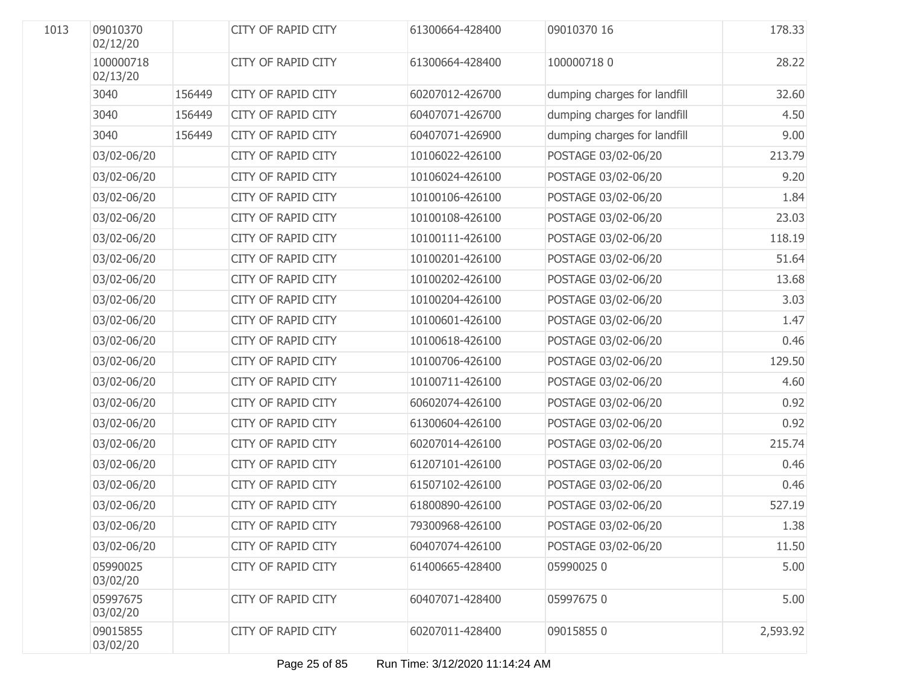| 1013 | 09010370<br>02/12/20  |        | <b>CITY OF RAPID CITY</b> | 61300664-428400 | 09010370 16                  | 178.33   |
|------|-----------------------|--------|---------------------------|-----------------|------------------------------|----------|
|      | 100000718<br>02/13/20 |        | <b>CITY OF RAPID CITY</b> | 61300664-428400 | 1000007180                   | 28.22    |
|      | 3040                  | 156449 | <b>CITY OF RAPID CITY</b> | 60207012-426700 | dumping charges for landfill | 32.60    |
|      | 3040                  | 156449 | <b>CITY OF RAPID CITY</b> | 60407071-426700 | dumping charges for landfill | 4.50     |
|      | 3040                  | 156449 | <b>CITY OF RAPID CITY</b> | 60407071-426900 | dumping charges for landfill | 9.00     |
|      | 03/02-06/20           |        | <b>CITY OF RAPID CITY</b> | 10106022-426100 | POSTAGE 03/02-06/20          | 213.79   |
|      | 03/02-06/20           |        | CITY OF RAPID CITY        | 10106024-426100 | POSTAGE 03/02-06/20          | 9.20     |
|      | 03/02-06/20           |        | CITY OF RAPID CITY        | 10100106-426100 | POSTAGE 03/02-06/20          | 1.84     |
|      | 03/02-06/20           |        | CITY OF RAPID CITY        | 10100108-426100 | POSTAGE 03/02-06/20          | 23.03    |
|      | 03/02-06/20           |        | CITY OF RAPID CITY        | 10100111-426100 | POSTAGE 03/02-06/20          | 118.19   |
|      | 03/02-06/20           |        | CITY OF RAPID CITY        | 10100201-426100 | POSTAGE 03/02-06/20          | 51.64    |
|      | 03/02-06/20           |        | CITY OF RAPID CITY        | 10100202-426100 | POSTAGE 03/02-06/20          | 13.68    |
|      | 03/02-06/20           |        | CITY OF RAPID CITY        | 10100204-426100 | POSTAGE 03/02-06/20          | 3.03     |
|      | 03/02-06/20           |        | CITY OF RAPID CITY        | 10100601-426100 | POSTAGE 03/02-06/20          | 1.47     |
|      | 03/02-06/20           |        | CITY OF RAPID CITY        | 10100618-426100 | POSTAGE 03/02-06/20          | 0.46     |
|      | 03/02-06/20           |        | <b>CITY OF RAPID CITY</b> | 10100706-426100 | POSTAGE 03/02-06/20          | 129.50   |
|      | 03/02-06/20           |        | CITY OF RAPID CITY        | 10100711-426100 | POSTAGE 03/02-06/20          | 4.60     |
|      | 03/02-06/20           |        | <b>CITY OF RAPID CITY</b> | 60602074-426100 | POSTAGE 03/02-06/20          | 0.92     |
|      | 03/02-06/20           |        | CITY OF RAPID CITY        | 61300604-426100 | POSTAGE 03/02-06/20          | 0.92     |
|      | 03/02-06/20           |        | <b>CITY OF RAPID CITY</b> | 60207014-426100 | POSTAGE 03/02-06/20          | 215.74   |
|      | 03/02-06/20           |        | CITY OF RAPID CITY        | 61207101-426100 | POSTAGE 03/02-06/20          | 0.46     |
|      | 03/02-06/20           |        | CITY OF RAPID CITY        | 61507102-426100 | POSTAGE 03/02-06/20          | 0.46     |
|      | 03/02-06/20           |        | CITY OF RAPID CITY        | 61800890-426100 | POSTAGE 03/02-06/20          | 527.19   |
|      | 03/02-06/20           |        | CITY OF RAPID CITY        | 79300968-426100 | POSTAGE 03/02-06/20          | 1.38     |
|      | 03/02-06/20           |        | <b>CITY OF RAPID CITY</b> | 60407074-426100 | POSTAGE 03/02-06/20          | 11.50    |
|      | 05990025<br>03/02/20  |        | <b>CITY OF RAPID CITY</b> | 61400665-428400 | 059900250                    | 5.00     |
|      | 05997675<br>03/02/20  |        | CITY OF RAPID CITY        | 60407071-428400 | 059976750                    | 5.00     |
|      | 09015855<br>03/02/20  |        | <b>CITY OF RAPID CITY</b> | 60207011-428400 | 090158550                    | 2,593.92 |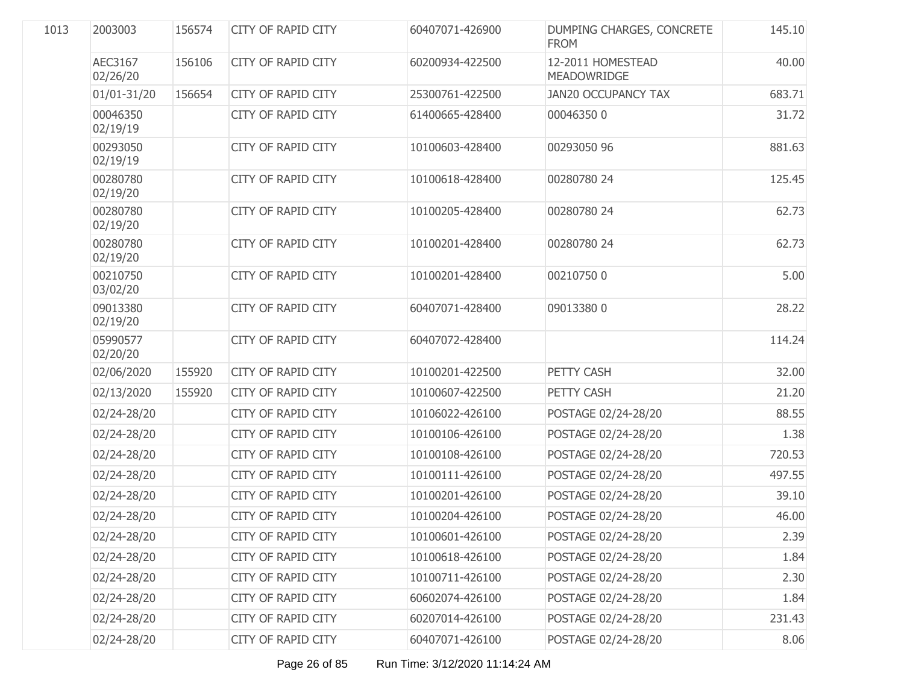| 2003003              | 156574 | <b>CITY OF RAPID CITY</b> | 60407071-426900 | DUMPING CHARGES, CONCRETE<br><b>FROM</b> | 145.10 |
|----------------------|--------|---------------------------|-----------------|------------------------------------------|--------|
| AEC3167<br>02/26/20  | 156106 | <b>CITY OF RAPID CITY</b> | 60200934-422500 | 12-2011 HOMESTEAD<br><b>MEADOWRIDGE</b>  | 40.00  |
| 01/01-31/20          | 156654 | <b>CITY OF RAPID CITY</b> | 25300761-422500 | <b>JAN20 OCCUPANCY TAX</b>               | 683.71 |
| 00046350<br>02/19/19 |        | <b>CITY OF RAPID CITY</b> | 61400665-428400 | 000463500                                | 31.72  |
| 00293050<br>02/19/19 |        | <b>CITY OF RAPID CITY</b> | 10100603-428400 | 00293050 96                              | 881.63 |
| 00280780<br>02/19/20 |        | CITY OF RAPID CITY        | 10100618-428400 | 00280780 24                              | 125.45 |
| 00280780<br>02/19/20 |        | <b>CITY OF RAPID CITY</b> | 10100205-428400 | 00280780 24                              | 62.73  |
| 00280780<br>02/19/20 |        | <b>CITY OF RAPID CITY</b> | 10100201-428400 | 00280780 24                              | 62.73  |
| 00210750<br>03/02/20 |        | CITY OF RAPID CITY        | 10100201-428400 | 002107500                                | 5.00   |
| 09013380<br>02/19/20 |        | <b>CITY OF RAPID CITY</b> | 60407071-428400 | 090133800                                | 28.22  |
| 05990577<br>02/20/20 |        | CITY OF RAPID CITY        | 60407072-428400 |                                          | 114.24 |
| 02/06/2020           | 155920 | <b>CITY OF RAPID CITY</b> | 10100201-422500 | PETTY CASH                               | 32.00  |
| 02/13/2020           | 155920 | <b>CITY OF RAPID CITY</b> | 10100607-422500 | PETTY CASH                               | 21.20  |
| 02/24-28/20          |        | CITY OF RAPID CITY        | 10106022-426100 | POSTAGE 02/24-28/20                      | 88.55  |
| 02/24-28/20          |        | <b>CITY OF RAPID CITY</b> | 10100106-426100 | POSTAGE 02/24-28/20                      | 1.38   |
| 02/24-28/20          |        | CITY OF RAPID CITY        | 10100108-426100 | POSTAGE 02/24-28/20                      | 720.53 |
| 02/24-28/20          |        | <b>CITY OF RAPID CITY</b> | 10100111-426100 | POSTAGE 02/24-28/20                      | 497.55 |
| 02/24-28/20          |        | <b>CITY OF RAPID CITY</b> | 10100201-426100 | POSTAGE 02/24-28/20                      | 39.10  |
| 02/24-28/20          |        | CITY OF RAPID CITY        | 10100204-426100 | POSTAGE 02/24-28/20                      | 46.00  |
| 02/24-28/20          |        | CITY OF RAPID CITY        | 10100601-426100 | POSTAGE 02/24-28/20                      | 2.39   |
| 02/24-28/20          |        | CITY OF RAPID CITY        | 10100618-426100 | POSTAGE 02/24-28/20                      | 1.84   |
| 02/24-28/20          |        | <b>CITY OF RAPID CITY</b> | 10100711-426100 | POSTAGE 02/24-28/20                      | 2.30   |
| 02/24-28/20          |        | CITY OF RAPID CITY        | 60602074-426100 | POSTAGE 02/24-28/20                      | 1.84   |
| 02/24-28/20          |        | <b>CITY OF RAPID CITY</b> | 60207014-426100 | POSTAGE 02/24-28/20                      | 231.43 |
| 02/24-28/20          |        | CITY OF RAPID CITY        | 60407071-426100 | POSTAGE 02/24-28/20                      | 8.06   |
|                      |        |                           |                 |                                          |        |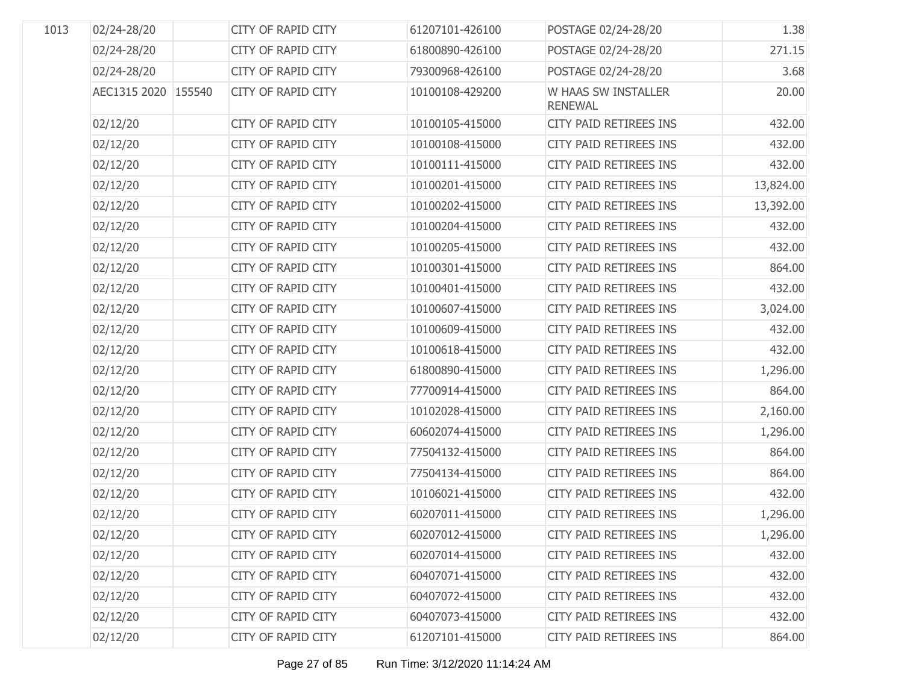| 1013 | 02/24-28/20         | <b>CITY OF RAPID CITY</b> | 61207101-426100 | POSTAGE 02/24-28/20                   | 1.38      |
|------|---------------------|---------------------------|-----------------|---------------------------------------|-----------|
|      | 02/24-28/20         | <b>CITY OF RAPID CITY</b> | 61800890-426100 | POSTAGE 02/24-28/20                   | 271.15    |
|      | 02/24-28/20         | <b>CITY OF RAPID CITY</b> | 79300968-426100 | POSTAGE 02/24-28/20                   | 3.68      |
|      | AEC1315 2020 155540 | <b>CITY OF RAPID CITY</b> | 10100108-429200 | W HAAS SW INSTALLER<br><b>RENEWAL</b> | 20.00     |
|      | 02/12/20            | CITY OF RAPID CITY        | 10100105-415000 | CITY PAID RETIREES INS                | 432.00    |
|      | 02/12/20            | CITY OF RAPID CITY        | 10100108-415000 | CITY PAID RETIREES INS                | 432.00    |
|      | 02/12/20            | CITY OF RAPID CITY        | 10100111-415000 | CITY PAID RETIREES INS                | 432.00    |
|      | 02/12/20            | CITY OF RAPID CITY        | 10100201-415000 | <b>CITY PAID RETIREES INS</b>         | 13,824.00 |
|      | 02/12/20            | CITY OF RAPID CITY        | 10100202-415000 | CITY PAID RETIREES INS                | 13,392.00 |
|      | 02/12/20            | CITY OF RAPID CITY        | 10100204-415000 | CITY PAID RETIREES INS                | 432.00    |
|      | 02/12/20            | CITY OF RAPID CITY        | 10100205-415000 | CITY PAID RETIREES INS                | 432.00    |
|      | 02/12/20            | CITY OF RAPID CITY        | 10100301-415000 | CITY PAID RETIREES INS                | 864.00    |
|      | 02/12/20            | CITY OF RAPID CITY        | 10100401-415000 | CITY PAID RETIREES INS                | 432.00    |
|      | 02/12/20            | CITY OF RAPID CITY        | 10100607-415000 | CITY PAID RETIREES INS                | 3,024.00  |
|      | 02/12/20            | CITY OF RAPID CITY        | 10100609-415000 | CITY PAID RETIREES INS                | 432.00    |
|      | 02/12/20            | CITY OF RAPID CITY        | 10100618-415000 | CITY PAID RETIREES INS                | 432.00    |
|      | 02/12/20            | <b>CITY OF RAPID CITY</b> | 61800890-415000 | CITY PAID RETIREES INS                | 1,296.00  |
|      | 02/12/20            | <b>CITY OF RAPID CITY</b> | 77700914-415000 | CITY PAID RETIREES INS                | 864.00    |
|      | 02/12/20            | <b>CITY OF RAPID CITY</b> | 10102028-415000 | CITY PAID RETIREES INS                | 2,160.00  |
|      | 02/12/20            | <b>CITY OF RAPID CITY</b> | 60602074-415000 | CITY PAID RETIREES INS                | 1,296.00  |
|      | 02/12/20            | <b>CITY OF RAPID CITY</b> | 77504132-415000 | CITY PAID RETIREES INS                | 864.00    |
|      | 02/12/20            | <b>CITY OF RAPID CITY</b> | 77504134-415000 | CITY PAID RETIREES INS                | 864.00    |
|      | 02/12/20            | <b>CITY OF RAPID CITY</b> | 10106021-415000 | CITY PAID RETIREES INS                | 432.00    |
|      | 02/12/20            | CITY OF RAPID CITY        | 60207011-415000 | CITY PAID RETIREES INS                | 1,296.00  |
|      | 02/12/20            | CITY OF RAPID CITY        | 60207012-415000 | CITY PAID RETIREES INS                | 1,296.00  |
|      | 02/12/20            | <b>CITY OF RAPID CITY</b> | 60207014-415000 | CITY PAID RETIREES INS                | 432.00    |
|      | 02/12/20            | <b>CITY OF RAPID CITY</b> | 60407071-415000 | <b>CITY PAID RETIREES INS</b>         | 432.00    |
|      | 02/12/20            | <b>CITY OF RAPID CITY</b> | 60407072-415000 | CITY PAID RETIREES INS                | 432.00    |
|      | 02/12/20            | <b>CITY OF RAPID CITY</b> | 60407073-415000 | CITY PAID RETIREES INS                | 432.00    |
|      | 02/12/20            | <b>CITY OF RAPID CITY</b> | 61207101-415000 | CITY PAID RETIREES INS                | 864.00    |
|      |                     |                           |                 |                                       |           |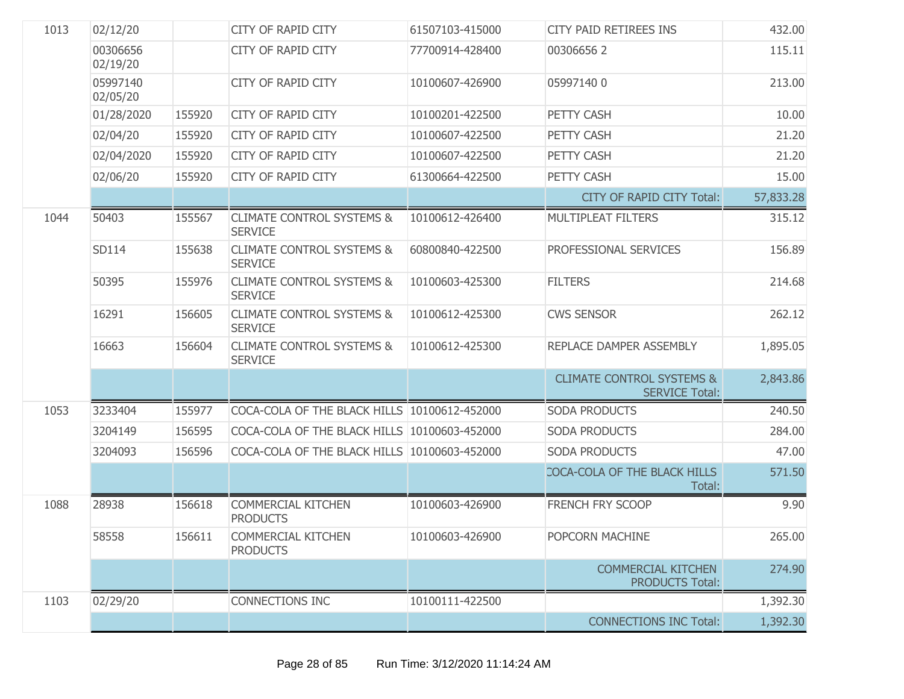| 1013 | 02/12/20             |        | <b>CITY OF RAPID CITY</b>                              | 61507103-415000 | CITY PAID RETIREES INS                                        | 432.00    |
|------|----------------------|--------|--------------------------------------------------------|-----------------|---------------------------------------------------------------|-----------|
|      | 00306656<br>02/19/20 |        | <b>CITY OF RAPID CITY</b>                              | 77700914-428400 | 003066562                                                     | 115.11    |
|      | 05997140<br>02/05/20 |        | <b>CITY OF RAPID CITY</b>                              | 10100607-426900 | 059971400                                                     | 213.00    |
|      | 01/28/2020           | 155920 | <b>CITY OF RAPID CITY</b>                              | 10100201-422500 | PETTY CASH                                                    | 10.00     |
|      | 02/04/20             | 155920 | <b>CITY OF RAPID CITY</b>                              | 10100607-422500 | PETTY CASH                                                    | 21.20     |
|      | 02/04/2020           | 155920 | <b>CITY OF RAPID CITY</b>                              | 10100607-422500 | PETTY CASH                                                    | 21.20     |
|      | 02/06/20             | 155920 | <b>CITY OF RAPID CITY</b>                              | 61300664-422500 | PETTY CASH                                                    | 15.00     |
|      |                      |        |                                                        |                 | CITY OF RAPID CITY Total:                                     | 57,833.28 |
| 1044 | 50403                | 155567 | <b>CLIMATE CONTROL SYSTEMS &amp;</b><br><b>SERVICE</b> | 10100612-426400 | <b>MULTIPLEAT FILTERS</b>                                     | 315.12    |
|      | SD114                | 155638 | <b>CLIMATE CONTROL SYSTEMS &amp;</b><br><b>SERVICE</b> | 60800840-422500 | PROFESSIONAL SERVICES                                         | 156.89    |
|      | 50395                | 155976 | <b>CLIMATE CONTROL SYSTEMS &amp;</b><br><b>SERVICE</b> | 10100603-425300 | <b>FILTERS</b>                                                | 214.68    |
|      | 16291                | 156605 | <b>CLIMATE CONTROL SYSTEMS &amp;</b><br><b>SERVICE</b> | 10100612-425300 | <b>CWS SENSOR</b>                                             | 262.12    |
|      | 16663                | 156604 | <b>CLIMATE CONTROL SYSTEMS &amp;</b><br><b>SERVICE</b> | 10100612-425300 | REPLACE DAMPER ASSEMBLY                                       | 1,895.05  |
|      |                      |        |                                                        |                 | <b>CLIMATE CONTROL SYSTEMS &amp;</b><br><b>SERVICE Total:</b> | 2,843.86  |
| 1053 | 3233404              | 155977 | COCA-COLA OF THE BLACK HILLS 10100612-452000           |                 | <b>SODA PRODUCTS</b>                                          | 240.50    |
|      | 3204149              | 156595 | COCA-COLA OF THE BLACK HILLS 10100603-452000           |                 | <b>SODA PRODUCTS</b>                                          | 284.00    |
|      | 3204093              | 156596 | COCA-COLA OF THE BLACK HILLS 10100603-452000           |                 | <b>SODA PRODUCTS</b>                                          | 47.00     |
|      |                      |        |                                                        |                 | COCA-COLA OF THE BLACK HILLS<br>Total:                        | 571.50    |
| 1088 | 28938                | 156618 | <b>COMMERCIAL KITCHEN</b><br><b>PRODUCTS</b>           | 10100603-426900 | <b>FRENCH FRY SCOOP</b>                                       | 9.90      |
|      | 58558                | 156611 | <b>COMMERCIAL KITCHEN</b><br><b>PRODUCTS</b>           | 10100603-426900 | POPCORN MACHINE                                               | 265.00    |
|      |                      |        |                                                        |                 | <b>COMMERCIAL KITCHEN</b><br><b>PRODUCTS Total:</b>           | 274.90    |
| 1103 | 02/29/20             |        | CONNECTIONS INC                                        | 10100111-422500 |                                                               | 1,392.30  |
|      |                      |        |                                                        |                 | <b>CONNECTIONS INC Total:</b>                                 | 1,392.30  |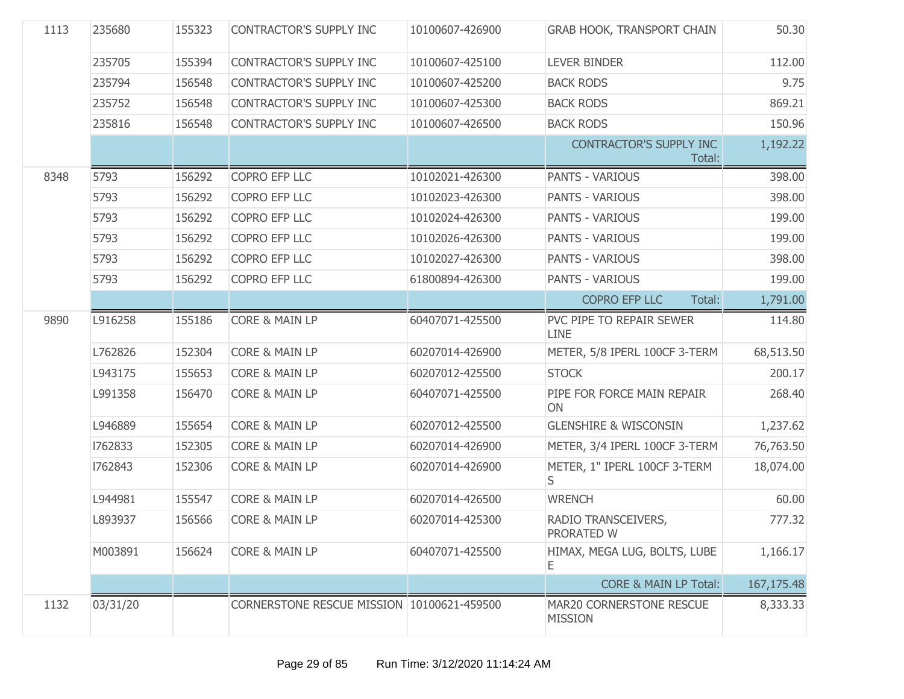| 1113 | 235680   | 155323 | CONTRACTOR'S SUPPLY INC                    | 10100607-426900 | <b>GRAB HOOK, TRANSPORT CHAIN</b>                 | 50.30        |
|------|----------|--------|--------------------------------------------|-----------------|---------------------------------------------------|--------------|
|      | 235705   | 155394 | CONTRACTOR'S SUPPLY INC                    | 10100607-425100 | <b>LEVER BINDER</b>                               | 112.00       |
|      | 235794   | 156548 | CONTRACTOR'S SUPPLY INC                    | 10100607-425200 | <b>BACK RODS</b>                                  | 9.75         |
|      | 235752   | 156548 | CONTRACTOR'S SUPPLY INC                    | 10100607-425300 | <b>BACK RODS</b>                                  | 869.21       |
|      | 235816   | 156548 | CONTRACTOR'S SUPPLY INC                    | 10100607-426500 | <b>BACK RODS</b>                                  | 150.96       |
|      |          |        |                                            |                 | <b>CONTRACTOR'S SUPPLY INC</b><br>Total:          | 1,192.22     |
| 8348 | 5793     | 156292 | COPRO EFP LLC                              | 10102021-426300 | <b>PANTS - VARIOUS</b>                            | 398.00       |
|      | 5793     | 156292 | COPRO EFP LLC                              | 10102023-426300 | PANTS - VARIOUS                                   | 398.00       |
|      | 5793     | 156292 | COPRO EFP LLC                              | 10102024-426300 | <b>PANTS - VARIOUS</b>                            | 199.00       |
|      | 5793     | 156292 | COPRO EFP LLC                              | 10102026-426300 | <b>PANTS - VARIOUS</b>                            | 199.00       |
|      | 5793     | 156292 | COPRO EFP LLC                              | 10102027-426300 | <b>PANTS - VARIOUS</b>                            | 398.00       |
|      | 5793     | 156292 | COPRO EFP LLC                              | 61800894-426300 | <b>PANTS - VARIOUS</b>                            | 199.00       |
|      |          |        |                                            |                 | <b>COPRO EFP LLC</b><br>Total:                    | 1,791.00     |
| 9890 | L916258  | 155186 | CORE & MAIN LP                             | 60407071-425500 | PVC PIPE TO REPAIR SEWER<br><b>LINE</b>           | 114.80       |
|      | L762826  | 152304 | <b>CORE &amp; MAIN LP</b>                  | 60207014-426900 | METER, 5/8 IPERL 100CF 3-TERM                     | 68,513.50    |
|      | L943175  | 155653 | <b>CORE &amp; MAIN LP</b>                  | 60207012-425500 | <b>STOCK</b>                                      | 200.17       |
|      | L991358  | 156470 | <b>CORE &amp; MAIN LP</b>                  | 60407071-425500 | PIPE FOR FORCE MAIN REPAIR<br>ON                  | 268.40       |
|      | L946889  | 155654 | <b>CORE &amp; MAIN LP</b>                  | 60207012-425500 | <b>GLENSHIRE &amp; WISCONSIN</b>                  | 1,237.62     |
|      | 1762833  | 152305 | <b>CORE &amp; MAIN LP</b>                  | 60207014-426900 | METER, 3/4 IPERL 100CF 3-TERM                     | 76,763.50    |
|      | 1762843  | 152306 | <b>CORE &amp; MAIN LP</b>                  | 60207014-426900 | METER, 1" IPERL 100CF 3-TERM<br>S.                | 18,074.00    |
|      | L944981  | 155547 | <b>CORE &amp; MAIN LP</b>                  | 60207014-426500 | <b>WRENCH</b>                                     | 60.00        |
|      | L893937  | 156566 | <b>CORE &amp; MAIN LP</b>                  | 60207014-425300 | RADIO TRANSCEIVERS,<br>PRORATED W                 | 777.32       |
|      | M003891  | 156624 | <b>CORE &amp; MAIN LP</b>                  | 60407071-425500 | HIMAX, MEGA LUG, BOLTS, LUBE<br>Ε                 | 1,166.17     |
|      |          |        |                                            |                 | <b>CORE &amp; MAIN LP Total:</b>                  | 167, 175. 48 |
| 1132 | 03/31/20 |        | CORNERSTONE RESCUE MISSION 10100621-459500 |                 | <b>MAR20 CORNERSTONE RESCUE</b><br><b>MISSION</b> | 8,333.33     |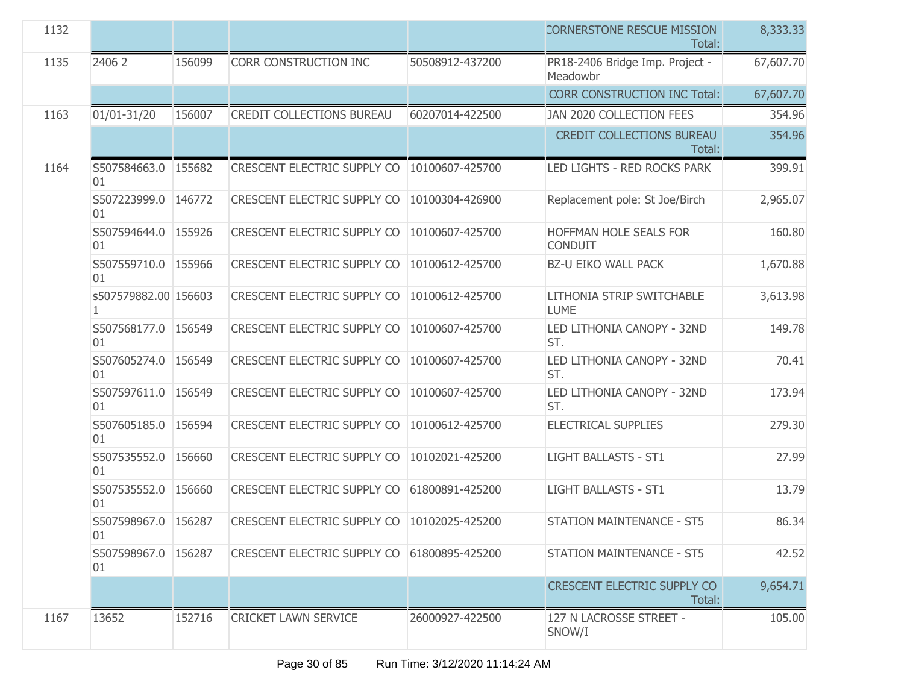| 1132 |                                      |        |                                               |                 | <b>CORNERSTONE RESCUE MISSION</b><br>Total:  | 8,333.33  |
|------|--------------------------------------|--------|-----------------------------------------------|-----------------|----------------------------------------------|-----------|
| 1135 | 2406 2                               | 156099 | <b>CORR CONSTRUCTION INC</b>                  | 50508912-437200 | PR18-2406 Bridge Imp. Project -<br>Meadowbr  | 67,607.70 |
|      |                                      |        |                                               |                 | <b>CORR CONSTRUCTION INC Total:</b>          | 67,607.70 |
| 1163 | 01/01-31/20                          | 156007 | <b>CREDIT COLLECTIONS BUREAU</b>              | 60207014-422500 | JAN 2020 COLLECTION FEES                     | 354.96    |
|      |                                      |        |                                               |                 | <b>CREDIT COLLECTIONS BUREAU</b><br>Total:   | 354.96    |
| 1164 | S507584663.0 155682<br>01            |        | CRESCENT ELECTRIC SUPPLY CO   10100607-425700 |                 | LED LIGHTS - RED ROCKS PARK                  | 399.91    |
|      | S507223999.0 146772<br>01            |        | <b>CRESCENT ELECTRIC SUPPLY CO</b>            | 10100304-426900 | Replacement pole: St Joe/Birch               | 2,965.07  |
|      | S507594644.0 155926<br>01            |        | <b>CRESCENT ELECTRIC SUPPLY CO</b>            | 10100607-425700 | HOFFMAN HOLE SEALS FOR<br>CONDUIT            | 160.80    |
|      | S507559710.0 155966<br>01            |        | CRESCENT ELECTRIC SUPPLY CO                   | 10100612-425700 | <b>BZ-U EIKO WALL PACK</b>                   | 1,670.88  |
|      | s507579882.00 156603<br>$\mathbf{1}$ |        | <b>CRESCENT ELECTRIC SUPPLY CO</b>            | 10100612-425700 | LITHONIA STRIP SWITCHABLE<br><b>LUME</b>     | 3,613.98  |
|      | S507568177.0 156549<br>01            |        | CRESCENT ELECTRIC SUPPLY CO                   | 10100607-425700 | LED LITHONIA CANOPY - 32ND<br>ST.            | 149.78    |
|      | S507605274.0 156549<br>01            |        | <b>CRESCENT ELECTRIC SUPPLY CO</b>            | 10100607-425700 | LED LITHONIA CANOPY - 32ND<br>ST.            | 70.41     |
|      | S507597611.0 156549<br>01            |        | <b>CRESCENT ELECTRIC SUPPLY CO</b>            | 10100607-425700 | LED LITHONIA CANOPY - 32ND<br>ST.            | 173.94    |
|      | S507605185.0 156594<br>01            |        | CRESCENT ELECTRIC SUPPLY CO                   | 10100612-425700 | ELECTRICAL SUPPLIES                          | 279.30    |
|      | S507535552.0<br>01                   | 156660 | <b>CRESCENT ELECTRIC SUPPLY CO</b>            | 10102021-425200 | <b>LIGHT BALLASTS - ST1</b>                  | 27.99     |
|      | S507535552.0 156660<br>01            |        | <b>CRESCENT ELECTRIC SUPPLY CO</b>            | 61800891-425200 | <b>LIGHT BALLASTS - ST1</b>                  | 13.79     |
|      | S507598967.0 156287<br>01            |        | <b>CRESCENT ELECTRIC SUPPLY CO</b>            | 10102025-425200 | <b>STATION MAINTENANCE - ST5</b>             | 86.34     |
|      | S507598967.0<br>01                   | 156287 | CRESCENT ELECTRIC SUPPLY CO                   | 61800895-425200 | <b>STATION MAINTENANCE - ST5</b>             | 42.52     |
|      |                                      |        |                                               |                 | <b>CRESCENT ELECTRIC SUPPLY CO</b><br>Total: | 9,654.71  |
| 1167 | 13652                                | 152716 | <b>CRICKET LAWN SERVICE</b>                   | 26000927-422500 | 127 N LACROSSE STREET -<br>SNOW/I            | 105.00    |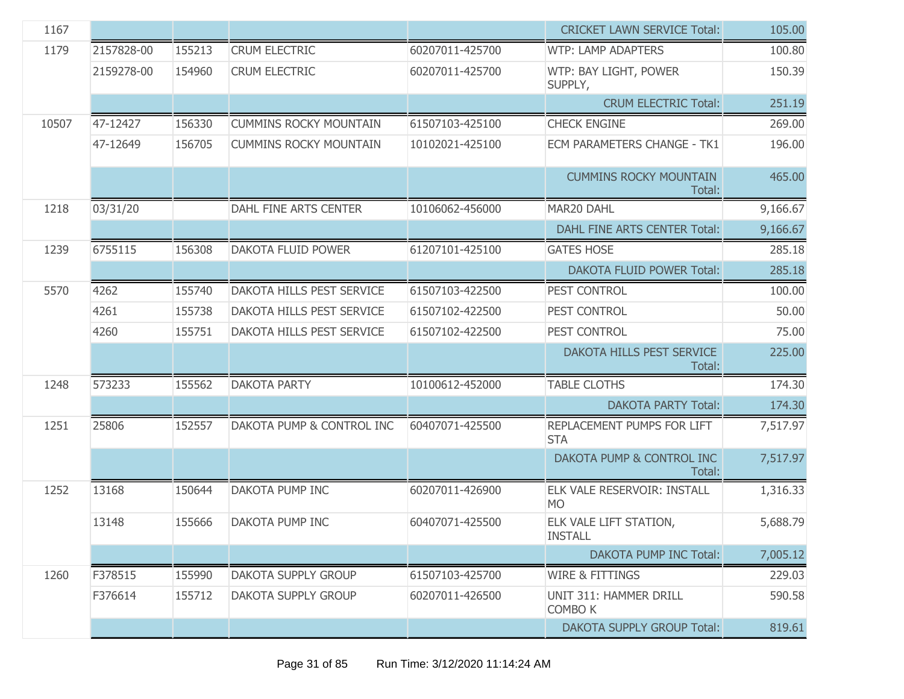| 1167  |            |        |                               |                 | <b>CRICKET LAWN SERVICE Total:</b>       | 105.00   |
|-------|------------|--------|-------------------------------|-----------------|------------------------------------------|----------|
| 1179  | 2157828-00 | 155213 | <b>CRUM ELECTRIC</b>          | 60207011-425700 | <b>WTP: LAMP ADAPTERS</b>                | 100.80   |
|       | 2159278-00 | 154960 | <b>CRUM ELECTRIC</b>          | 60207011-425700 | WTP: BAY LIGHT, POWER<br>SUPPLY,         | 150.39   |
|       |            |        |                               |                 | <b>CRUM ELECTRIC Total:</b>              | 251.19   |
| 10507 | 47-12427   | 156330 | <b>CUMMINS ROCKY MOUNTAIN</b> | 61507103-425100 | <b>CHECK ENGINE</b>                      | 269.00   |
|       | 47-12649   | 156705 | <b>CUMMINS ROCKY MOUNTAIN</b> | 10102021-425100 | <b>ECM PARAMETERS CHANGE - TK1</b>       | 196.00   |
|       |            |        |                               |                 | <b>CUMMINS ROCKY MOUNTAIN</b><br>Total:  | 465.00   |
| 1218  | 03/31/20   |        | DAHL FINE ARTS CENTER         | 10106062-456000 | MAR20 DAHL                               | 9,166.67 |
|       |            |        |                               |                 | DAHL FINE ARTS CENTER Total:             | 9,166.67 |
| 1239  | 6755115    | 156308 | DAKOTA FLUID POWER            | 61207101-425100 | <b>GATES HOSE</b>                        | 285.18   |
|       |            |        |                               |                 | <b>DAKOTA FLUID POWER Total:</b>         | 285.18   |
| 5570  | 4262       | 155740 | DAKOTA HILLS PEST SERVICE     | 61507103-422500 | PEST CONTROL                             | 100.00   |
|       | 4261       | 155738 | DAKOTA HILLS PEST SERVICE     | 61507102-422500 | PEST CONTROL                             | 50.00    |
|       | 4260       | 155751 | DAKOTA HILLS PEST SERVICE     | 61507102-422500 | PEST CONTROL                             | 75.00    |
|       |            |        |                               |                 | DAKOTA HILLS PEST SERVICE<br>Total:      | 225.00   |
| 1248  | 573233     | 155562 | <b>DAKOTA PARTY</b>           | 10100612-452000 | <b>TABLE CLOTHS</b>                      | 174.30   |
|       |            |        |                               |                 | <b>DAKOTA PARTY Total:</b>               | 174.30   |
| 1251  | 25806      | 152557 | DAKOTA PUMP & CONTROL INC     | 60407071-425500 | REPLACEMENT PUMPS FOR LIFT<br><b>STA</b> | 7,517.97 |
|       |            |        |                               |                 | DAKOTA PUMP & CONTROL INC<br>Total:      | 7,517.97 |
| 1252  | 13168      | 150644 | DAKOTA PUMP INC               | 60207011-426900 | ELK VALE RESERVOIR: INSTALL<br><b>MO</b> | 1,316.33 |
|       | 13148      | 155666 | DAKOTA PUMP INC               | 60407071-425500 | ELK VALE LIFT STATION,<br><b>INSTALL</b> | 5,688.79 |
|       |            |        |                               |                 | DAKOTA PUMP INC Total:                   | 7,005.12 |
| 1260  | F378515    | 155990 | DAKOTA SUPPLY GROUP           | 61507103-425700 | <b>WIRE &amp; FITTINGS</b>               | 229.03   |
|       | F376614    | 155712 | DAKOTA SUPPLY GROUP           | 60207011-426500 | UNIT 311: HAMMER DRILL<br><b>COMBO K</b> | 590.58   |
|       |            |        |                               |                 | <b>DAKOTA SUPPLY GROUP Total:</b>        | 819.61   |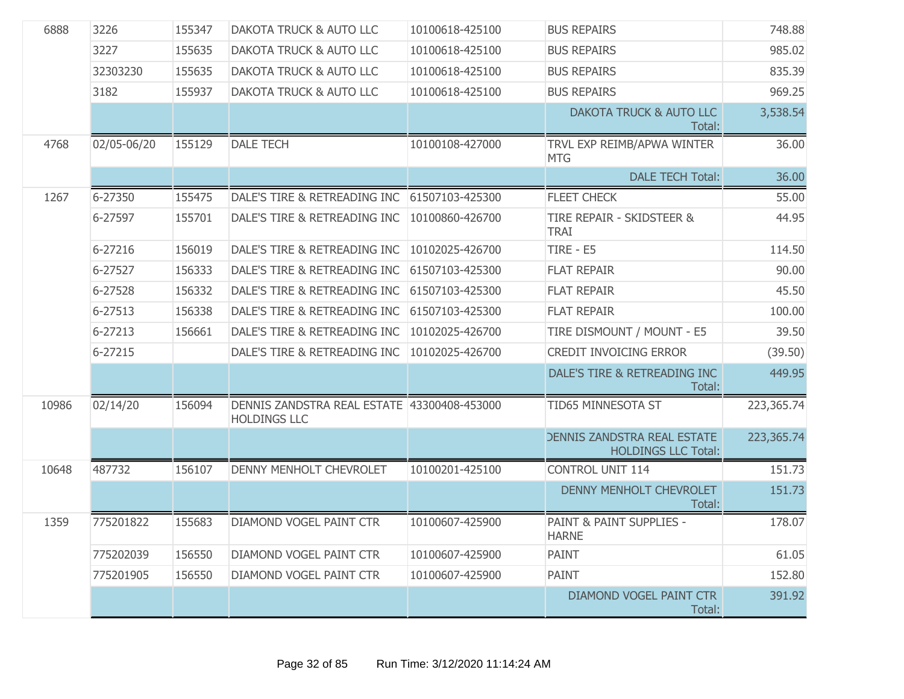| 6888  | 3226        | 155347 | <b>DAKOTA TRUCK &amp; AUTO LLC</b>                                 | 10100618-425100 | <b>BUS REPAIRS</b>                                               | 748.88     |
|-------|-------------|--------|--------------------------------------------------------------------|-----------------|------------------------------------------------------------------|------------|
|       | 3227        | 155635 | DAKOTA TRUCK & AUTO LLC                                            | 10100618-425100 | <b>BUS REPAIRS</b>                                               | 985.02     |
|       | 32303230    | 155635 | DAKOTA TRUCK & AUTO LLC                                            | 10100618-425100 | <b>BUS REPAIRS</b>                                               | 835.39     |
|       | 3182        | 155937 | <b>DAKOTA TRUCK &amp; AUTO LLC</b>                                 | 10100618-425100 | <b>BUS REPAIRS</b>                                               | 969.25     |
|       |             |        |                                                                    |                 | <b>DAKOTA TRUCK &amp; AUTO LLC</b><br>Total:                     | 3,538.54   |
| 4768  | 02/05-06/20 | 155129 | <b>DALE TECH</b>                                                   | 10100108-427000 | TRVL EXP REIMB/APWA WINTER<br><b>MTG</b>                         | 36.00      |
|       |             |        |                                                                    |                 | <b>DALE TECH Total:</b>                                          | 36.00      |
| 1267  | 6-27350     | 155475 | DALE'S TIRE & RETREADING INC 61507103-425300                       |                 | <b>FLEET CHECK</b>                                               | 55.00      |
|       | 6-27597     | 155701 | DALE'S TIRE & RETREADING INC                                       | 10100860-426700 | TIRE REPAIR - SKIDSTEER &<br><b>TRAI</b>                         | 44.95      |
|       | 6-27216     | 156019 | DALE'S TIRE & RETREADING INC                                       | 10102025-426700 | TIRE - E5                                                        | 114.50     |
|       | 6-27527     | 156333 | DALE'S TIRE & RETREADING INC                                       | 61507103-425300 | <b>FLAT REPAIR</b>                                               | 90.00      |
|       | 6-27528     | 156332 | DALE'S TIRE & RETREADING INC                                       | 61507103-425300 | <b>FLAT REPAIR</b>                                               | 45.50      |
|       | 6-27513     | 156338 | DALE'S TIRE & RETREADING INC                                       | 61507103-425300 | <b>FLAT REPAIR</b>                                               | 100.00     |
|       | 6-27213     | 156661 | DALE'S TIRE & RETREADING INC                                       | 10102025-426700 | TIRE DISMOUNT / MOUNT - E5                                       | 39.50      |
|       | 6-27215     |        | DALE'S TIRE & RETREADING INC                                       | 10102025-426700 | <b>CREDIT INVOICING ERROR</b>                                    | (39.50)    |
|       |             |        |                                                                    |                 | DALE'S TIRE & RETREADING INC<br>Total:                           | 449.95     |
| 10986 | 02/14/20    | 156094 | DENNIS ZANDSTRA REAL ESTATE 43300408-453000<br><b>HOLDINGS LLC</b> |                 | TID65 MINNESOTA ST                                               | 223,365.74 |
|       |             |        |                                                                    |                 | <b>DENNIS ZANDSTRA REAL ESTATE</b><br><b>HOLDINGS LLC Total:</b> | 223,365.74 |
| 10648 | 487732      | 156107 | DENNY MENHOLT CHEVROLET                                            | 10100201-425100 | <b>CONTROL UNIT 114</b>                                          | 151.73     |
|       |             |        |                                                                    |                 | DENNY MENHOLT CHEVROLET<br>Total:                                | 151.73     |
| 1359  | 775201822   | 155683 | DIAMOND VOGEL PAINT CTR                                            | 10100607-425900 | PAINT & PAINT SUPPLIES -<br><b>HARNE</b>                         | 178.07     |
|       | 775202039   | 156550 | DIAMOND VOGEL PAINT CTR                                            | 10100607-425900 | PAINT                                                            | 61.05      |
|       | 775201905   | 156550 | DIAMOND VOGEL PAINT CTR                                            | 10100607-425900 | PAINT                                                            | 152.80     |
|       |             |        |                                                                    |                 | <b>DIAMOND VOGEL PAINT CTR</b><br>Total:                         | 391.92     |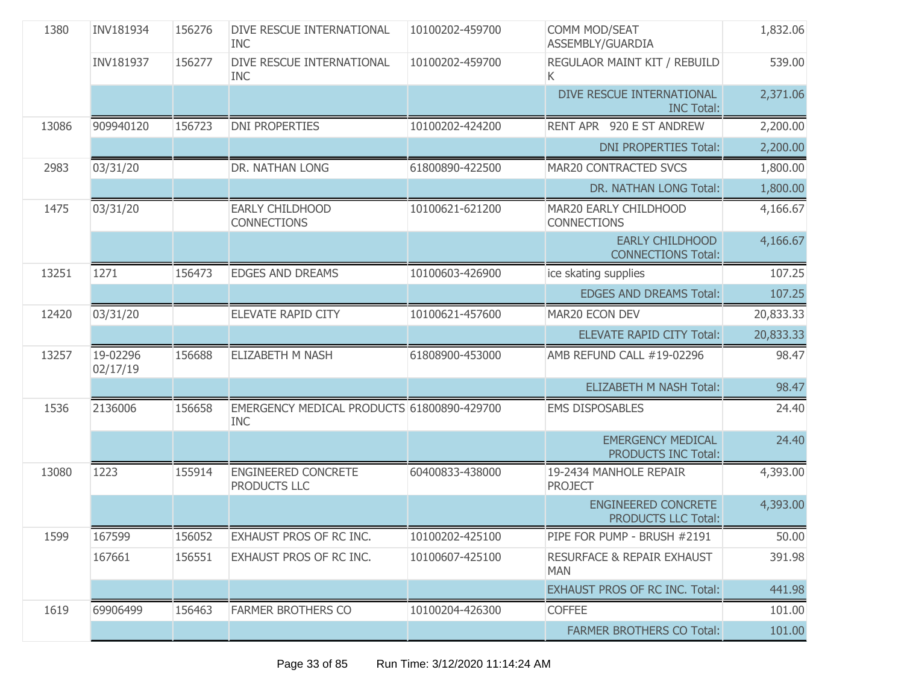| 1380  | INV181934            | 156276 | DIVE RESCUE INTERNATIONAL<br><b>INC</b>                  | 10100202-459700 | COMM MOD/SEAT<br>ASSEMBLY/GUARDIA                   | 1,832.06  |
|-------|----------------------|--------|----------------------------------------------------------|-----------------|-----------------------------------------------------|-----------|
|       | INV181937            | 156277 | DIVE RESCUE INTERNATIONAL<br><b>INC</b>                  | 10100202-459700 | REGULAOR MAINT KIT / REBUILD<br>K.                  | 539.00    |
|       |                      |        |                                                          |                 | DIVE RESCUE INTERNATIONAL<br><b>INC Total:</b>      | 2,371.06  |
| 13086 | 909940120            | 156723 | <b>DNI PROPERTIES</b>                                    | 10100202-424200 | RENT APR 920 E ST ANDREW                            | 2,200.00  |
|       |                      |        |                                                          |                 | <b>DNI PROPERTIES Total:</b>                        | 2,200.00  |
| 2983  | 03/31/20             |        | DR. NATHAN LONG                                          | 61800890-422500 | MAR20 CONTRACTED SVCS                               | 1,800.00  |
|       |                      |        |                                                          |                 | DR. NATHAN LONG Total:                              | 1,800.00  |
| 1475  | 03/31/20             |        | EARLY CHILDHOOD<br><b>CONNECTIONS</b>                    | 10100621-621200 | MAR20 EARLY CHILDHOOD<br><b>CONNECTIONS</b>         | 4,166.67  |
|       |                      |        |                                                          |                 | <b>EARLY CHILDHOOD</b><br><b>CONNECTIONS Total:</b> | 4,166.67  |
| 13251 | 1271                 | 156473 | <b>EDGES AND DREAMS</b>                                  | 10100603-426900 | ice skating supplies                                | 107.25    |
|       |                      |        |                                                          |                 | <b>EDGES AND DREAMS Total:</b>                      | 107.25    |
| 12420 | 03/31/20             |        | ELEVATE RAPID CITY                                       | 10100621-457600 | MAR20 ECON DEV                                      | 20,833.33 |
|       |                      |        |                                                          |                 | <b>ELEVATE RAPID CITY Total:</b>                    | 20,833.33 |
| 13257 | 19-02296<br>02/17/19 | 156688 | ELIZABETH M NASH                                         | 61808900-453000 | AMB REFUND CALL #19-02296                           | 98.47     |
|       |                      |        |                                                          |                 | <b>ELIZABETH M NASH Total:</b>                      | 98.47     |
| 1536  | 2136006              | 156658 | EMERGENCY MEDICAL PRODUCTS 61800890-429700<br><b>INC</b> |                 | <b>EMS DISPOSABLES</b>                              | 24.40     |
|       |                      |        |                                                          |                 | <b>EMERGENCY MEDICAL</b><br>PRODUCTS INC Total:     | 24.40     |
| 13080 | 1223                 | 155914 | <b>ENGINEERED CONCRETE</b><br>PRODUCTS LLC               | 60400833-438000 | 19-2434 MANHOLE REPAIR<br><b>PROJECT</b>            | 4,393.00  |
|       |                      |        |                                                          |                 | <b>ENGINEERED CONCRETE</b><br>PRODUCTS LLC Total:   | 4,393.00  |
| 1599  | 167599               | 156052 | EXHAUST PROS OF RC INC.                                  | 10100202-425100 | PIPE FOR PUMP - BRUSH #2191                         | 50.00     |
|       | 167661               | 156551 | EXHAUST PROS OF RC INC.                                  | 10100607-425100 | <b>RESURFACE &amp; REPAIR EXHAUST</b><br><b>MAN</b> | 391.98    |
|       |                      |        |                                                          |                 | <b>EXHAUST PROS OF RC INC. Total:</b>               | 441.98    |
| 1619  | 69906499             | 156463 | <b>FARMER BROTHERS CO</b>                                | 10100204-426300 | <b>COFFEE</b>                                       | 101.00    |
|       |                      |        |                                                          |                 | <b>FARMER BROTHERS CO Total:</b>                    | 101.00    |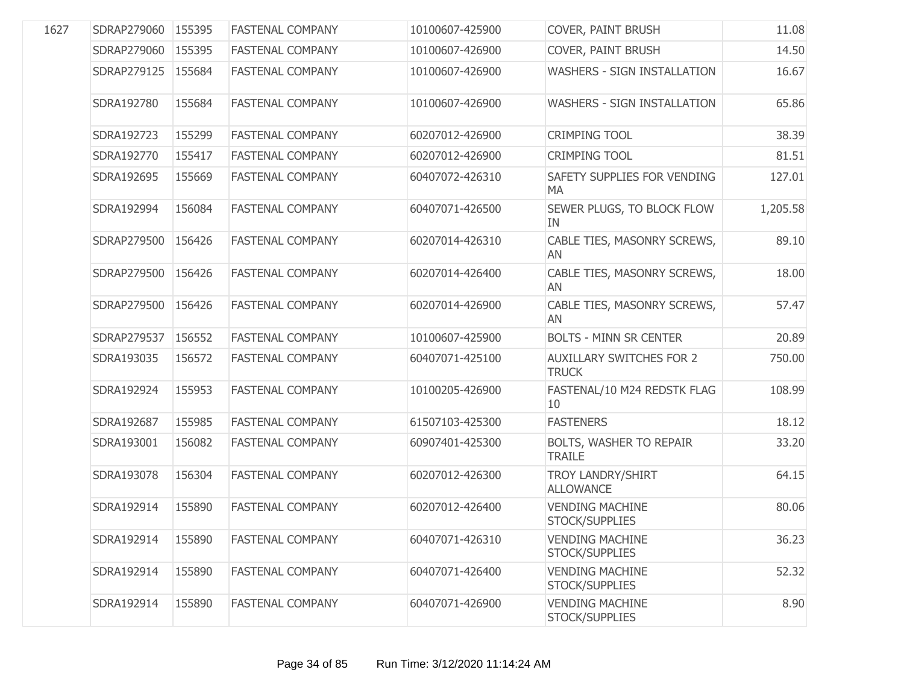| 1627 | SDRAP279060        | 155395 | <b>FASTENAL COMPANY</b> | 10100607-425900 | COVER, PAINT BRUSH                              | 11.08    |
|------|--------------------|--------|-------------------------|-----------------|-------------------------------------------------|----------|
|      | SDRAP279060        | 155395 | <b>FASTENAL COMPANY</b> | 10100607-426900 | COVER, PAINT BRUSH                              | 14.50    |
|      | SDRAP279125 155684 |        | <b>FASTENAL COMPANY</b> | 10100607-426900 | <b>WASHERS - SIGN INSTALLATION</b>              | 16.67    |
|      | SDRA192780         | 155684 | <b>FASTENAL COMPANY</b> | 10100607-426900 | WASHERS - SIGN INSTALLATION                     | 65.86    |
|      | SDRA192723         | 155299 | <b>FASTENAL COMPANY</b> | 60207012-426900 | <b>CRIMPING TOOL</b>                            | 38.39    |
|      | SDRA192770         | 155417 | <b>FASTENAL COMPANY</b> | 60207012-426900 | <b>CRIMPING TOOL</b>                            | 81.51    |
|      | SDRA192695         | 155669 | <b>FASTENAL COMPANY</b> | 60407072-426310 | SAFETY SUPPLIES FOR VENDING<br><b>MA</b>        | 127.01   |
|      | SDRA192994         | 156084 | <b>FASTENAL COMPANY</b> | 60407071-426500 | SEWER PLUGS, TO BLOCK FLOW<br>IN                | 1,205.58 |
|      | SDRAP279500        | 156426 | <b>FASTENAL COMPANY</b> | 60207014-426310 | CABLE TIES, MASONRY SCREWS,<br>AN               | 89.10    |
|      | SDRAP279500        | 156426 | <b>FASTENAL COMPANY</b> | 60207014-426400 | CABLE TIES, MASONRY SCREWS,<br>AN               | 18.00    |
|      | SDRAP279500        | 156426 | <b>FASTENAL COMPANY</b> | 60207014-426900 | CABLE TIES, MASONRY SCREWS,<br>AN               | 57.47    |
|      | SDRAP279537        | 156552 | <b>FASTENAL COMPANY</b> | 10100607-425900 | <b>BOLTS - MINN SR CENTER</b>                   | 20.89    |
|      | SDRA193035         | 156572 | <b>FASTENAL COMPANY</b> | 60407071-425100 | <b>AUXILLARY SWITCHES FOR 2</b><br><b>TRUCK</b> | 750.00   |
|      | SDRA192924         | 155953 | <b>FASTENAL COMPANY</b> | 10100205-426900 | FASTENAL/10 M24 REDSTK FLAG<br>10               | 108.99   |
|      | SDRA192687         | 155985 | <b>FASTENAL COMPANY</b> | 61507103-425300 | <b>FASTENERS</b>                                | 18.12    |
|      | SDRA193001         | 156082 | <b>FASTENAL COMPANY</b> | 60907401-425300 | BOLTS, WASHER TO REPAIR<br><b>TRAILE</b>        | 33.20    |
|      | SDRA193078         | 156304 | <b>FASTENAL COMPANY</b> | 60207012-426300 | TROY LANDRY/SHIRT<br><b>ALLOWANCE</b>           | 64.15    |
|      | SDRA192914         | 155890 | <b>FASTENAL COMPANY</b> | 60207012-426400 | <b>VENDING MACHINE</b><br>STOCK/SUPPLIES        | 80.06    |
|      | SDRA192914         | 155890 | <b>FASTENAL COMPANY</b> | 60407071-426310 | <b>VENDING MACHINE</b><br>STOCK/SUPPLIES        | 36.23    |
|      | SDRA192914         | 155890 | <b>FASTENAL COMPANY</b> | 60407071-426400 | <b>VENDING MACHINE</b><br>STOCK/SUPPLIES        | 52.32    |
|      | SDRA192914         | 155890 | <b>FASTENAL COMPANY</b> | 60407071-426900 | <b>VENDING MACHINE</b><br>STOCK/SUPPLIES        | 8.90     |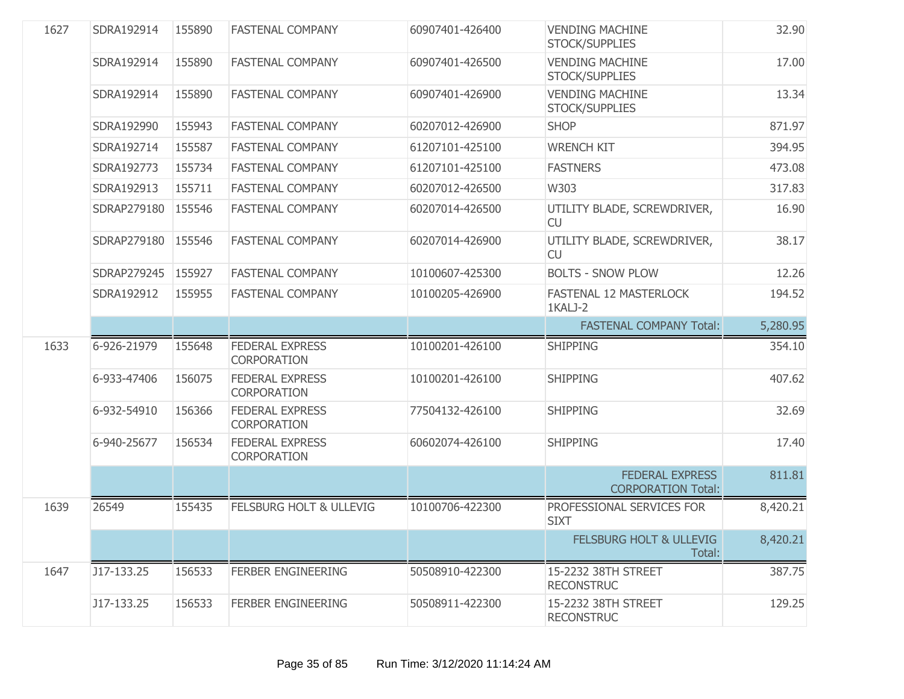| 1627 | SDRA192914  | 155890 | <b>FASTENAL COMPANY</b>                      | 60907401-426400 | <b>VENDING MACHINE</b><br>STOCK/SUPPLIES            | 32.90    |
|------|-------------|--------|----------------------------------------------|-----------------|-----------------------------------------------------|----------|
|      | SDRA192914  | 155890 | <b>FASTENAL COMPANY</b>                      | 60907401-426500 | <b>VENDING MACHINE</b><br>STOCK/SUPPLIES            | 17.00    |
|      | SDRA192914  | 155890 | <b>FASTENAL COMPANY</b>                      | 60907401-426900 | <b>VENDING MACHINE</b><br>STOCK/SUPPLIES            | 13.34    |
|      | SDRA192990  | 155943 | <b>FASTENAL COMPANY</b>                      | 60207012-426900 | <b>SHOP</b>                                         | 871.97   |
|      | SDRA192714  | 155587 | <b>FASTENAL COMPANY</b>                      | 61207101-425100 | <b>WRENCH KIT</b>                                   | 394.95   |
|      | SDRA192773  | 155734 | <b>FASTENAL COMPANY</b>                      | 61207101-425100 | <b>FASTNERS</b>                                     | 473.08   |
|      | SDRA192913  | 155711 | <b>FASTENAL COMPANY</b>                      | 60207012-426500 | W303                                                | 317.83   |
|      | SDRAP279180 | 155546 | <b>FASTENAL COMPANY</b>                      | 60207014-426500 | UTILITY BLADE, SCREWDRIVER,<br><b>CU</b>            | 16.90    |
|      | SDRAP279180 | 155546 | <b>FASTENAL COMPANY</b>                      | 60207014-426900 | UTILITY BLADE, SCREWDRIVER,<br><b>CU</b>            | 38.17    |
|      | SDRAP279245 | 155927 | <b>FASTENAL COMPANY</b>                      | 10100607-425300 | <b>BOLTS - SNOW PLOW</b>                            | 12.26    |
|      | SDRA192912  | 155955 | <b>FASTENAL COMPANY</b>                      | 10100205-426900 | FASTENAL 12 MASTERLOCK<br>1KALJ-2                   | 194.52   |
|      |             |        |                                              |                 | <b>FASTENAL COMPANY Total:</b>                      | 5,280.95 |
| 1633 | 6-926-21979 | 155648 | <b>FEDERAL EXPRESS</b>                       | 10100201-426100 | <b>SHIPPING</b>                                     | 354.10   |
|      |             |        | <b>CORPORATION</b>                           |                 |                                                     |          |
|      | 6-933-47406 | 156075 | <b>FEDERAL EXPRESS</b><br><b>CORPORATION</b> | 10100201-426100 | <b>SHIPPING</b>                                     | 407.62   |
|      | 6-932-54910 | 156366 | <b>FEDERAL EXPRESS</b><br><b>CORPORATION</b> | 77504132-426100 | <b>SHIPPING</b>                                     | 32.69    |
|      | 6-940-25677 | 156534 | <b>FEDERAL EXPRESS</b><br><b>CORPORATION</b> | 60602074-426100 | <b>SHIPPING</b>                                     | 17.40    |
|      |             |        |                                              |                 | <b>FEDERAL EXPRESS</b><br><b>CORPORATION Total:</b> | 811.81   |
| 1639 | 26549       | 155435 | <b>FELSBURG HOLT &amp; ULLEVIG</b>           | 10100706-422300 | PROFESSIONAL SERVICES FOR<br><b>SIXT</b>            | 8,420.21 |
|      |             |        |                                              |                 | <b>FELSBURG HOLT &amp; ULLEVIG</b><br>Total:        | 8,420.21 |
| 1647 | J17-133.25  | 156533 | <b>FERBER ENGINEERING</b>                    | 50508910-422300 | 15-2232 38TH STREET<br><b>RECONSTRUC</b>            | 387.75   |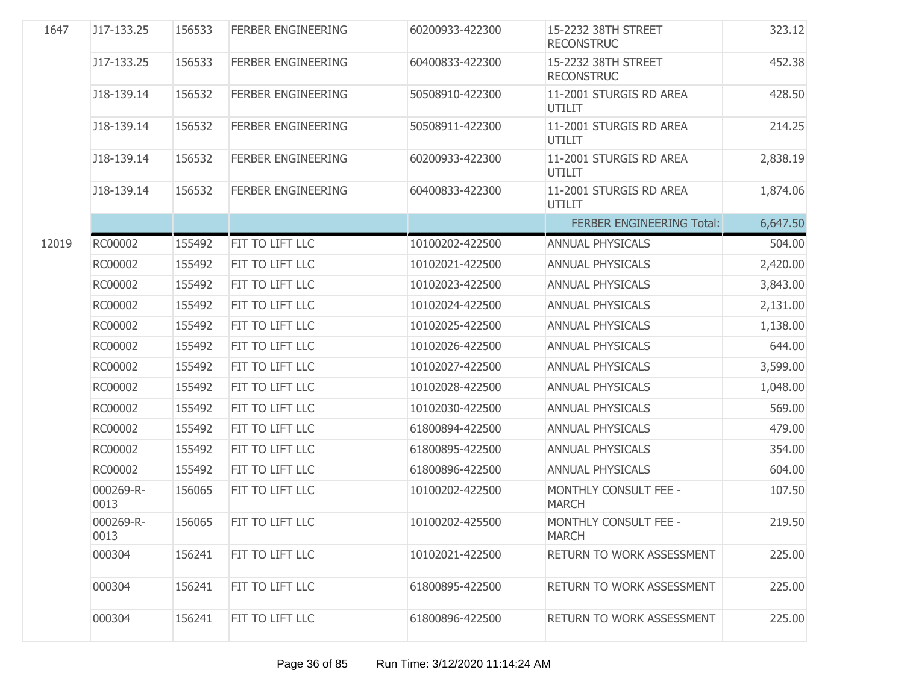| 1647  | J17-133.25        | 156533 | <b>FERBER ENGINEERING</b> | 60200933-422300 | 15-2232 38TH STREET<br><b>RECONSTRUC</b> | 323.12   |
|-------|-------------------|--------|---------------------------|-----------------|------------------------------------------|----------|
|       | J17-133.25        | 156533 | <b>FERBER ENGINEERING</b> | 60400833-422300 | 15-2232 38TH STREET<br><b>RECONSTRUC</b> | 452.38   |
|       | J18-139.14        | 156532 | <b>FERBER ENGINEERING</b> | 50508910-422300 | 11-2001 STURGIS RD AREA<br><b>UTILIT</b> | 428.50   |
|       | J18-139.14        | 156532 | <b>FERBER ENGINEERING</b> | 50508911-422300 | 11-2001 STURGIS RD AREA<br><b>UTILIT</b> | 214.25   |
|       | J18-139.14        | 156532 | <b>FERBER ENGINEERING</b> | 60200933-422300 | 11-2001 STURGIS RD AREA<br>UTILIT        | 2,838.19 |
|       | J18-139.14        | 156532 | <b>FERBER ENGINEERING</b> | 60400833-422300 | 11-2001 STURGIS RD AREA<br><b>UTILIT</b> | 1,874.06 |
|       |                   |        |                           |                 | FERBER ENGINEERING Total:                | 6,647.50 |
| 12019 | RC00002           | 155492 | FIT TO LIFT LLC           | 10100202-422500 | <b>ANNUAL PHYSICALS</b>                  | 504.00   |
|       | RC00002           | 155492 | FIT TO LIFT LLC           | 10102021-422500 | <b>ANNUAL PHYSICALS</b>                  | 2,420.00 |
|       | RC00002           | 155492 | FIT TO LIFT LLC           | 10102023-422500 | <b>ANNUAL PHYSICALS</b>                  | 3,843.00 |
|       | RC00002           | 155492 | FIT TO LIFT LLC           | 10102024-422500 | <b>ANNUAL PHYSICALS</b>                  | 2,131.00 |
|       | RC00002           | 155492 | FIT TO LIFT LLC           | 10102025-422500 | <b>ANNUAL PHYSICALS</b>                  | 1,138.00 |
|       | RC00002           | 155492 | FIT TO LIFT LLC           | 10102026-422500 | <b>ANNUAL PHYSICALS</b>                  | 644.00   |
|       | RC00002           | 155492 | FIT TO LIFT LLC           | 10102027-422500 | <b>ANNUAL PHYSICALS</b>                  | 3,599.00 |
|       | RC00002           | 155492 | FIT TO LIFT LLC           | 10102028-422500 | <b>ANNUAL PHYSICALS</b>                  | 1,048.00 |
|       | RC00002           | 155492 | FIT TO LIFT LLC           | 10102030-422500 | <b>ANNUAL PHYSICALS</b>                  | 569.00   |
|       | RC00002           | 155492 | FIT TO LIFT LLC           | 61800894-422500 | <b>ANNUAL PHYSICALS</b>                  | 479.00   |
|       | RC00002           | 155492 | FIT TO LIFT LLC           | 61800895-422500 | <b>ANNUAL PHYSICALS</b>                  | 354.00   |
|       | RC00002           | 155492 | FIT TO LIFT LLC           | 61800896-422500 | <b>ANNUAL PHYSICALS</b>                  | 604.00   |
|       | 000269-R-<br>0013 | 156065 | FIT TO LIFT LLC           | 10100202-422500 | MONTHLY CONSULT FEE -<br><b>MARCH</b>    | 107.50   |
|       | 000269-R-<br>0013 | 156065 | FIT TO LIFT LLC           | 10100202-425500 | MONTHLY CONSULT FEE -<br><b>MARCH</b>    | 219.50   |
|       | 000304            | 156241 | FIT TO LIFT LLC           | 10102021-422500 | RETURN TO WORK ASSESSMENT                | 225.00   |
|       | 000304            | 156241 | FIT TO LIFT LLC           | 61800895-422500 | RETURN TO WORK ASSESSMENT                | 225.00   |
|       | 000304            | 156241 | FIT TO LIFT LLC           | 61800896-422500 | RETURN TO WORK ASSESSMENT                | 225.00   |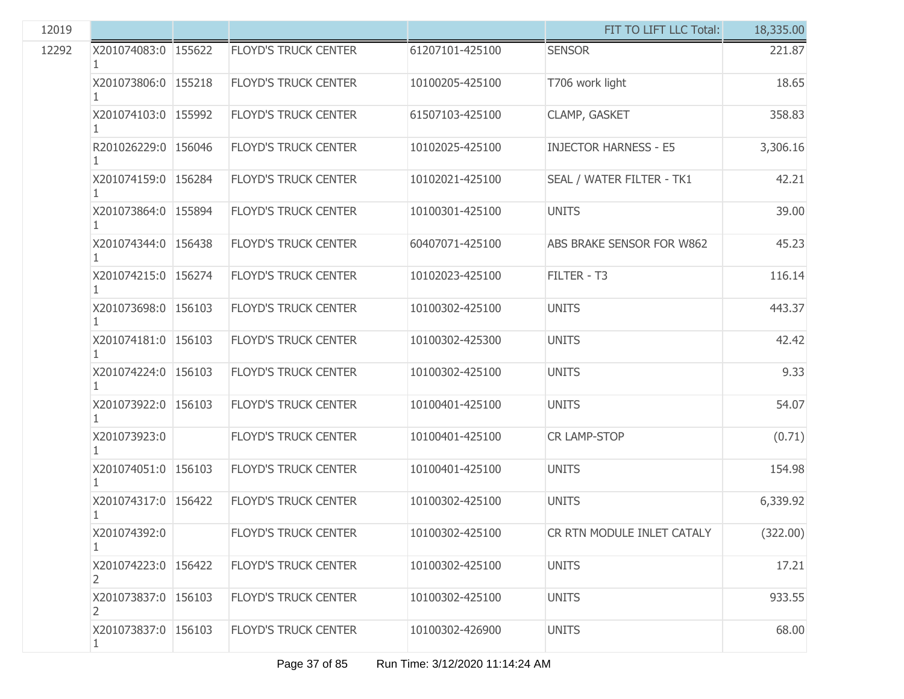| 12019 |                           |                             |                 | FIT TO LIFT LLC Total:       | 18,335.00 |
|-------|---------------------------|-----------------------------|-----------------|------------------------------|-----------|
| 12292 | X201074083:0 155622<br>1. | <b>FLOYD'S TRUCK CENTER</b> | 61207101-425100 | <b>SENSOR</b>                | 221.87    |
|       | X201073806:0 155218       | <b>FLOYD'S TRUCK CENTER</b> | 10100205-425100 | T706 work light              | 18.65     |
|       | X201074103:0 155992       | <b>FLOYD'S TRUCK CENTER</b> | 61507103-425100 | CLAMP, GASKET                | 358.83    |
|       | R201026229:0 156046       | <b>FLOYD'S TRUCK CENTER</b> | 10102025-425100 | <b>INJECTOR HARNESS - E5</b> | 3,306.16  |
|       | X201074159:0 156284       | <b>FLOYD'S TRUCK CENTER</b> | 10102021-425100 | SEAL / WATER FILTER - TK1    | 42.21     |
|       | X201073864:0 155894       | <b>FLOYD'S TRUCK CENTER</b> | 10100301-425100 | <b>UNITS</b>                 | 39.00     |
|       | X201074344:0 156438       | <b>FLOYD'S TRUCK CENTER</b> | 60407071-425100 | ABS BRAKE SENSOR FOR W862    | 45.23     |
|       | X201074215:0 156274       | <b>FLOYD'S TRUCK CENTER</b> | 10102023-425100 | FILTER - T3                  | 116.14    |
|       | X201073698:0 156103       | <b>FLOYD'S TRUCK CENTER</b> | 10100302-425100 | <b>UNITS</b>                 | 443.37    |
|       | X201074181:0 156103       | <b>FLOYD'S TRUCK CENTER</b> | 10100302-425300 | <b>UNITS</b>                 | 42.42     |
|       | X201074224:0 156103       | <b>FLOYD'S TRUCK CENTER</b> | 10100302-425100 | <b>UNITS</b>                 | 9.33      |
|       | X201073922:0 156103       | <b>FLOYD'S TRUCK CENTER</b> | 10100401-425100 | <b>UNITS</b>                 | 54.07     |
|       | X201073923:0              | <b>FLOYD'S TRUCK CENTER</b> | 10100401-425100 | <b>CR LAMP-STOP</b>          | (0.71)    |
|       | X201074051:0   156103     | <b>FLOYD'S TRUCK CENTER</b> | 10100401-425100 | <b>UNITS</b>                 | 154.98    |
|       | X201074317:0 156422       | <b>FLOYD'S TRUCK CENTER</b> | 10100302-425100 | <b>UNITS</b>                 | 6,339.92  |
|       | X201074392:0              | FLOYD'S TRUCK CENTER        | 10100302-425100 | CR RTN MODULE INLET CATALY   | (322.00)  |
|       | X201074223:0 156422<br>2  | <b>FLOYD'S TRUCK CENTER</b> | 10100302-425100 | <b>UNITS</b>                 | 17.21     |
|       | X201073837:0 156103<br>2  | <b>FLOYD'S TRUCK CENTER</b> | 10100302-425100 | <b>UNITS</b>                 | 933.55    |
|       | X201073837:0 156103<br>1  | <b>FLOYD'S TRUCK CENTER</b> | 10100302-426900 | <b>UNITS</b>                 | 68.00     |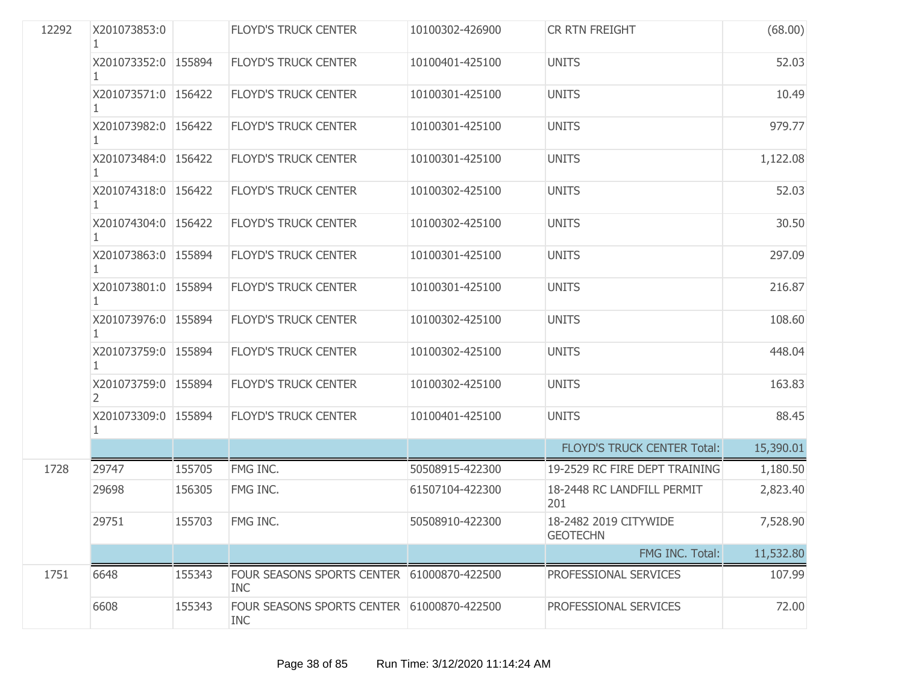| 12292 | X201073853:0              |        | <b>FLOYD'S TRUCK CENTER</b>                              | 10100302-426900 | CR RTN FREIGHT                           | (68.00)   |
|-------|---------------------------|--------|----------------------------------------------------------|-----------------|------------------------------------------|-----------|
|       | X201073352:0 155894       |        | <b>FLOYD'S TRUCK CENTER</b>                              | 10100401-425100 | <b>UNITS</b>                             | 52.03     |
|       | X201073571:0 156422<br>1  |        | <b>FLOYD'S TRUCK CENTER</b>                              | 10100301-425100 | <b>UNITS</b>                             | 10.49     |
|       | X201073982:0 156422       |        | <b>FLOYD'S TRUCK CENTER</b>                              | 10100301-425100 | <b>UNITS</b>                             | 979.77    |
|       | X201073484:0 156422<br>1. |        | <b>FLOYD'S TRUCK CENTER</b>                              | 10100301-425100 | <b>UNITS</b>                             | 1,122.08  |
|       | X201074318:0 156422       |        | <b>FLOYD'S TRUCK CENTER</b>                              | 10100302-425100 | <b>UNITS</b>                             | 52.03     |
|       | X201074304:0 156422       |        | <b>FLOYD'S TRUCK CENTER</b>                              | 10100302-425100 | <b>UNITS</b>                             | 30.50     |
|       | X201073863:0 155894       |        | <b>FLOYD'S TRUCK CENTER</b>                              | 10100301-425100 | <b>UNITS</b>                             | 297.09    |
|       | X201073801:0 155894       |        | <b>FLOYD'S TRUCK CENTER</b>                              | 10100301-425100 | <b>UNITS</b>                             | 216.87    |
|       | X201073976:0 155894<br>1  |        | <b>FLOYD'S TRUCK CENTER</b>                              | 10100302-425100 | <b>UNITS</b>                             | 108.60    |
|       | X201073759:0 155894       |        | <b>FLOYD'S TRUCK CENTER</b>                              | 10100302-425100 | <b>UNITS</b>                             | 448.04    |
|       | X201073759:0 155894<br>2  |        | <b>FLOYD'S TRUCK CENTER</b>                              | 10100302-425100 | <b>UNITS</b>                             | 163.83    |
|       | X201073309:0 155894<br>1  |        | <b>FLOYD'S TRUCK CENTER</b>                              | 10100401-425100 | <b>UNITS</b>                             | 88.45     |
|       |                           |        |                                                          |                 | <b>FLOYD'S TRUCK CENTER Total:</b>       | 15,390.01 |
| 1728  | 29747                     | 155705 | FMG INC.                                                 | 50508915-422300 | 19-2529 RC FIRE DEPT TRAINING            | 1,180.50  |
|       | 29698                     | 156305 | FMG INC.                                                 | 61507104-422300 | 18-2448 RC LANDFILL PERMIT<br>201        | 2,823.40  |
|       | 29751                     | 155703 | FMG INC.                                                 | 50508910-422300 | 18-2482 2019 CITYWIDE<br><b>GEOTECHN</b> | 7,528.90  |
|       |                           |        |                                                          |                 | FMG INC. Total:                          | 11,532.80 |
| 1751  | 6648                      | 155343 | FOUR SEASONS SPORTS CENTER 61000870-422500<br><b>INC</b> |                 | PROFESSIONAL SERVICES                    | 107.99    |
|       | 6608                      | 155343 | FOUR SEASONS SPORTS CENTER 61000870-422500<br><b>INC</b> |                 | PROFESSIONAL SERVICES                    | 72.00     |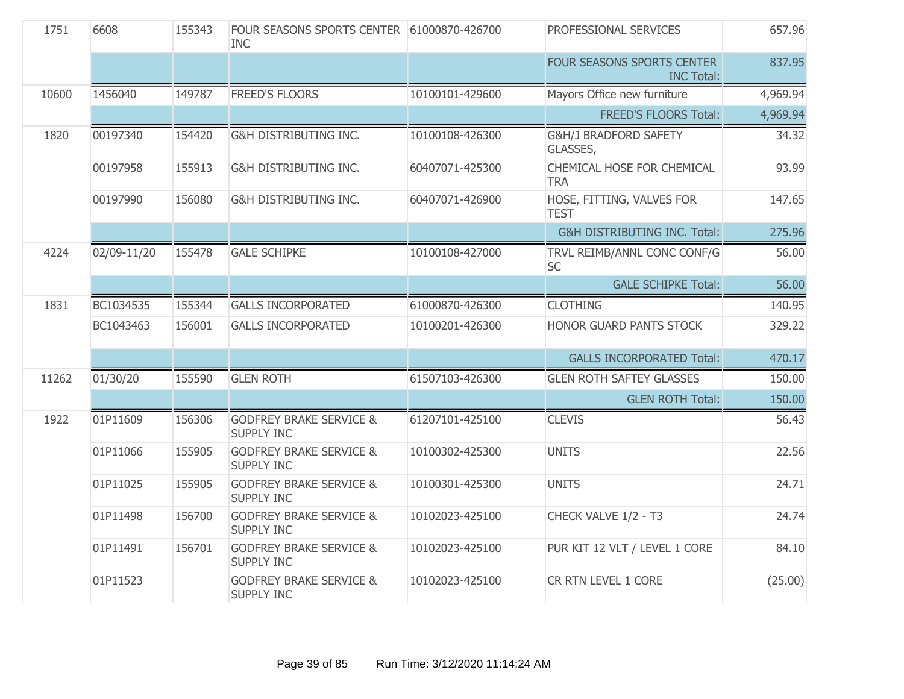| 1751  | 6608        | 155343 | FOUR SEASONS SPORTS CENTER 61000870-426700<br><b>INC</b> |                 | PROFESSIONAL SERVICES                           | 657.96   |
|-------|-------------|--------|----------------------------------------------------------|-----------------|-------------------------------------------------|----------|
|       |             |        |                                                          |                 | FOUR SEASONS SPORTS CENTER<br><b>INC Total:</b> | 837.95   |
| 10600 | 1456040     | 149787 | <b>FREED'S FLOORS</b>                                    | 10100101-429600 | Mayors Office new furniture                     | 4,969.94 |
|       |             |        |                                                          |                 | <b>FREED'S FLOORS Total:</b>                    | 4,969.94 |
| 1820  | 00197340    | 154420 | <b>G&amp;H DISTRIBUTING INC.</b>                         | 10100108-426300 | G&H/J BRADFORD SAFETY<br>GLASSES,               | 34.32    |
|       | 00197958    | 155913 | G&H DISTRIBUTING INC.                                    | 60407071-425300 | CHEMICAL HOSE FOR CHEMICAL<br><b>TRA</b>        | 93.99    |
|       | 00197990    | 156080 | G&H DISTRIBUTING INC.                                    | 60407071-426900 | HOSE, FITTING, VALVES FOR<br><b>TEST</b>        | 147.65   |
|       |             |        |                                                          |                 | <b>G&amp;H DISTRIBUTING INC. Total:</b>         | 275.96   |
| 4224  | 02/09-11/20 | 155478 | <b>GALE SCHIPKE</b>                                      | 10100108-427000 | TRVL REIMB/ANNL CONC CONF/G<br><b>SC</b>        | 56.00    |
|       |             |        |                                                          |                 | <b>GALE SCHIPKE Total:</b>                      | 56.00    |
| 1831  | BC1034535   | 155344 | <b>GALLS INCORPORATED</b>                                | 61000870-426300 | <b>CLOTHING</b>                                 | 140.95   |
|       | BC1043463   | 156001 | <b>GALLS INCORPORATED</b>                                | 10100201-426300 | HONOR GUARD PANTS STOCK                         | 329.22   |
|       |             |        |                                                          |                 | <b>GALLS INCORPORATED Total:</b>                | 470.17   |
| 11262 | 01/30/20    | 155590 | <b>GLEN ROTH</b>                                         | 61507103-426300 | <b>GLEN ROTH SAFTEY GLASSES</b>                 | 150.00   |
|       |             |        |                                                          |                 | <b>GLEN ROTH Total:</b>                         | 150.00   |
| 1922  | 01P11609    | 156306 | <b>GODFREY BRAKE SERVICE &amp;</b><br><b>SUPPLY INC</b>  | 61207101-425100 | <b>CLEVIS</b>                                   | 56.43    |
|       | 01P11066    | 155905 | <b>GODFREY BRAKE SERVICE &amp;</b><br><b>SUPPLY INC</b>  | 10100302-425300 | <b>UNITS</b>                                    | 22.56    |
|       | 01P11025    | 155905 | <b>GODFREY BRAKE SERVICE &amp;</b><br><b>SUPPLY INC</b>  | 10100301-425300 | <b>UNITS</b>                                    | 24.71    |
|       | 01P11498    | 156700 | <b>GODFREY BRAKE SERVICE &amp;</b><br><b>SUPPLY INC</b>  | 10102023-425100 | CHECK VALVE 1/2 - T3                            | 24.74    |
|       | 01P11491    | 156701 | <b>GODFREY BRAKE SERVICE &amp;</b><br><b>SUPPLY INC</b>  | 10102023-425100 | PUR KIT 12 VLT / LEVEL 1 CORE                   | 84.10    |
|       | 01P11523    |        | <b>GODFREY BRAKE SERVICE &amp;</b><br><b>SUPPLY INC</b>  | 10102023-425100 | CR RTN LEVEL 1 CORE                             | (25.00)  |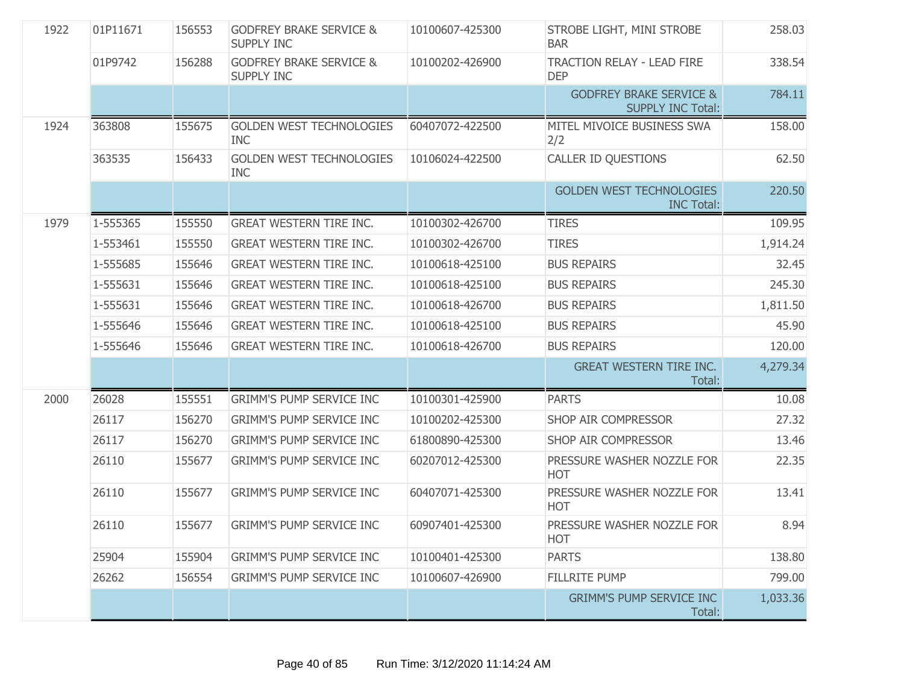| 1922 | 01P11671 | 156553 | <b>GODFREY BRAKE SERVICE &amp;</b><br><b>SUPPLY INC</b> | 10100607-425300 | STROBE LIGHT, MINI STROBE<br><b>BAR</b>                        | 258.03   |
|------|----------|--------|---------------------------------------------------------|-----------------|----------------------------------------------------------------|----------|
|      | 01P9742  | 156288 | <b>GODFREY BRAKE SERVICE &amp;</b><br><b>SUPPLY INC</b> | 10100202-426900 | <b>TRACTION RELAY - LEAD FIRE</b><br><b>DEP</b>                | 338.54   |
|      |          |        |                                                         |                 | <b>GODFREY BRAKE SERVICE &amp;</b><br><b>SUPPLY INC Total:</b> | 784.11   |
| 1924 | 363808   | 155675 | <b>GOLDEN WEST TECHNOLOGIES</b><br><b>INC</b>           | 60407072-422500 | MITEL MIVOICE BUSINESS SWA<br>2/2                              | 158.00   |
|      | 363535   | 156433 | <b>GOLDEN WEST TECHNOLOGIES</b><br><b>INC</b>           | 10106024-422500 | <b>CALLER ID QUESTIONS</b>                                     | 62.50    |
|      |          |        |                                                         |                 | <b>GOLDEN WEST TECHNOLOGIES</b><br><b>INC Total:</b>           | 220.50   |
| 1979 | 1-555365 | 155550 | <b>GREAT WESTERN TIRE INC.</b>                          | 10100302-426700 | <b>TIRES</b>                                                   | 109.95   |
|      | 1-553461 | 155550 | <b>GREAT WESTERN TIRE INC.</b>                          | 10100302-426700 | <b>TIRES</b>                                                   | 1,914.24 |
|      | 1-555685 | 155646 | <b>GREAT WESTERN TIRE INC.</b>                          | 10100618-425100 | <b>BUS REPAIRS</b>                                             | 32.45    |
|      | 1-555631 | 155646 | <b>GREAT WESTERN TIRE INC.</b>                          | 10100618-425100 | <b>BUS REPAIRS</b>                                             | 245.30   |
|      | 1-555631 | 155646 | <b>GREAT WESTERN TIRE INC.</b>                          | 10100618-426700 | <b>BUS REPAIRS</b>                                             | 1,811.50 |
|      | 1-555646 | 155646 | <b>GREAT WESTERN TIRE INC.</b>                          | 10100618-425100 | <b>BUS REPAIRS</b>                                             | 45.90    |
|      | 1-555646 | 155646 | <b>GREAT WESTERN TIRE INC.</b>                          | 10100618-426700 | <b>BUS REPAIRS</b>                                             | 120.00   |
|      |          |        |                                                         |                 | <b>GREAT WESTERN TIRE INC.</b><br>Total:                       | 4,279.34 |
| 2000 | 26028    | 155551 | <b>GRIMM'S PUMP SERVICE INC</b>                         | 10100301-425900 | <b>PARTS</b>                                                   | 10.08    |
|      | 26117    | 156270 | <b>GRIMM'S PUMP SERVICE INC</b>                         | 10100202-425300 | SHOP AIR COMPRESSOR                                            | 27.32    |
|      | 26117    | 156270 | <b>GRIMM'S PUMP SERVICE INC</b>                         | 61800890-425300 | SHOP AIR COMPRESSOR                                            | 13.46    |
|      | 26110    | 155677 | <b>GRIMM'S PUMP SERVICE INC</b>                         | 60207012-425300 | PRESSURE WASHER NOZZLE FOR<br><b>HOT</b>                       | 22.35    |
|      | 26110    | 155677 | <b>GRIMM'S PUMP SERVICE INC</b>                         | 60407071-425300 | PRESSURE WASHER NOZZLE FOR<br><b>HOT</b>                       | 13.41    |
|      | 26110    | 155677 | <b>GRIMM'S PUMP SERVICE INC</b>                         | 60907401-425300 | PRESSURE WASHER NOZZLE FOR<br><b>HOT</b>                       | 8.94     |
|      | 25904    | 155904 | <b>GRIMM'S PUMP SERVICE INC</b>                         | 10100401-425300 | <b>PARTS</b>                                                   | 138.80   |
|      | 26262    | 156554 | <b>GRIMM'S PUMP SERVICE INC</b>                         | 10100607-426900 | <b>FILLRITE PUMP</b>                                           | 799.00   |
|      |          |        |                                                         |                 | <b>GRIMM'S PUMP SERVICE INC</b><br>Total:                      | 1,033.36 |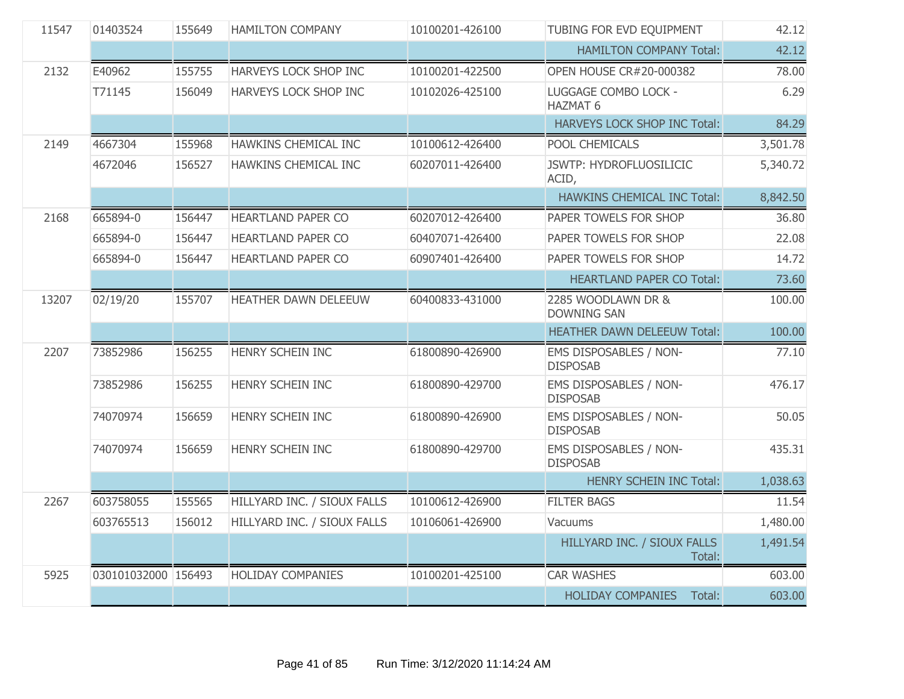| 11547 | 01403524            | 155649 | <b>HAMILTON COMPANY</b>      | 10100201-426100 | TUBING FOR EVD EQUIPMENT                  | 42.12    |
|-------|---------------------|--------|------------------------------|-----------------|-------------------------------------------|----------|
|       |                     |        |                              |                 | <b>HAMILTON COMPANY Total:</b>            | 42.12    |
| 2132  | E40962              | 155755 | <b>HARVEYS LOCK SHOP INC</b> | 10100201-422500 | <b>OPEN HOUSE CR#20-000382</b>            | 78.00    |
|       | T71145              | 156049 | HARVEYS LOCK SHOP INC        | 10102026-425100 | LUGGAGE COMBO LOCK -<br><b>HAZMAT 6</b>   | 6.29     |
|       |                     |        |                              |                 | HARVEYS LOCK SHOP INC Total:              | 84.29    |
| 2149  | 4667304             | 155968 | HAWKINS CHEMICAL INC         | 10100612-426400 | POOL CHEMICALS                            | 3,501.78 |
|       | 4672046             | 156527 | HAWKINS CHEMICAL INC         | 60207011-426400 | <b>JSWTP: HYDROFLUOSILICIC</b><br>ACID,   | 5,340.72 |
|       |                     |        |                              |                 | HAWKINS CHEMICAL INC Total:               | 8,842.50 |
| 2168  | 665894-0            | 156447 | HEARTLAND PAPER CO           | 60207012-426400 | PAPER TOWELS FOR SHOP                     | 36.80    |
|       | 665894-0            | 156447 | <b>HEARTLAND PAPER CO</b>    | 60407071-426400 | PAPER TOWELS FOR SHOP                     | 22.08    |
|       | 665894-0            | 156447 | <b>HEARTLAND PAPER CO</b>    | 60907401-426400 | PAPER TOWELS FOR SHOP                     | 14.72    |
|       |                     |        |                              |                 | <b>HEARTLAND PAPER CO Total:</b>          | 73.60    |
| 13207 | 02/19/20            | 155707 | HEATHER DAWN DELEEUW         | 60400833-431000 | 2285 WOODLAWN DR &<br><b>DOWNING SAN</b>  | 100.00   |
|       |                     |        |                              |                 | <b>HEATHER DAWN DELEEUW Total:</b>        | 100.00   |
| 2207  | 73852986            | 156255 | HENRY SCHEIN INC             | 61800890-426900 | EMS DISPOSABLES / NON-<br><b>DISPOSAB</b> | 77.10    |
|       | 73852986            | 156255 | HENRY SCHEIN INC             | 61800890-429700 | EMS DISPOSABLES / NON-<br><b>DISPOSAB</b> | 476.17   |
|       | 74070974            | 156659 | HENRY SCHEIN INC             | 61800890-426900 | EMS DISPOSABLES / NON-<br><b>DISPOSAB</b> | 50.05    |
|       | 74070974            | 156659 | HENRY SCHEIN INC             | 61800890-429700 | EMS DISPOSABLES / NON-<br><b>DISPOSAB</b> | 435.31   |
|       |                     |        |                              |                 | <b>HENRY SCHEIN INC Total:</b>            | 1,038.63 |
| 2267  | 603758055           | 155565 | HILLYARD INC. / SIOUX FALLS  | 10100612-426900 | <b>FILTER BAGS</b>                        | 11.54    |
|       | 603765513           | 156012 | HILLYARD INC. / SIOUX FALLS  | 10106061-426900 | Vacuums                                   | 1,480.00 |
|       |                     |        |                              |                 | HILLYARD INC. / SIOUX FALLS<br>Total:     | 1,491.54 |
| 5925  | 030101032000 156493 |        | <b>HOLIDAY COMPANIES</b>     | 10100201-425100 | <b>CAR WASHES</b>                         | 603.00   |
|       |                     |        |                              |                 | <b>HOLIDAY COMPANIES</b><br>Total:        | 603.00   |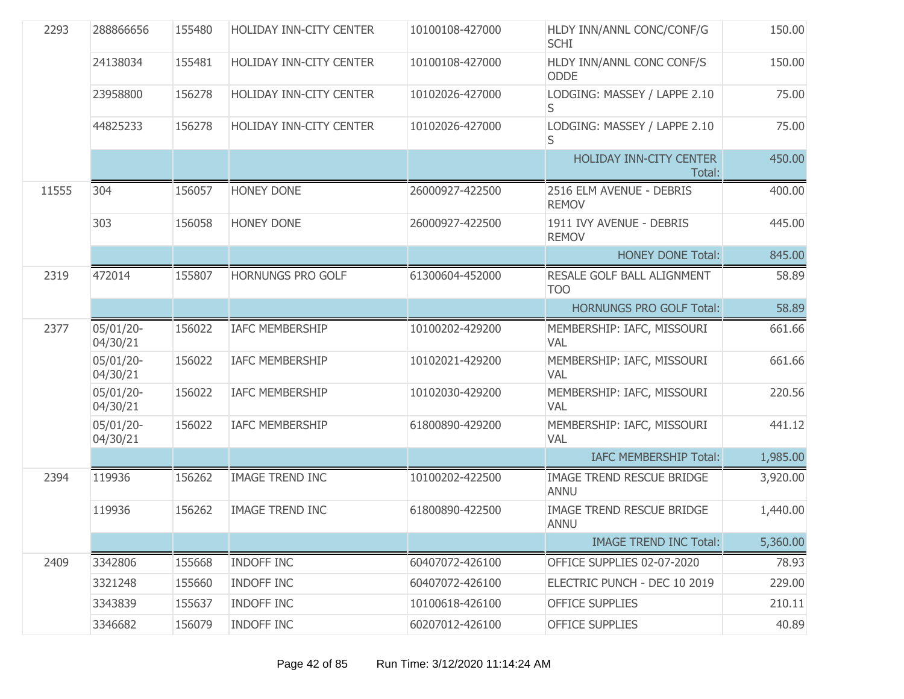| 2293  | 288866656             | 155480 | HOLIDAY INN-CITY CENTER  | 10100108-427000 | HLDY INN/ANNL CONC/CONF/G<br><b>SCHI</b>        | 150.00   |
|-------|-----------------------|--------|--------------------------|-----------------|-------------------------------------------------|----------|
|       | 24138034              | 155481 | HOLIDAY INN-CITY CENTER  | 10100108-427000 | HLDY INN/ANNL CONC CONF/S<br>ODDE               | 150.00   |
|       | 23958800              | 156278 | HOLIDAY INN-CITY CENTER  | 10102026-427000 | LODGING: MASSEY / LAPPE 2.10<br>S               | 75.00    |
|       | 44825233              | 156278 | HOLIDAY INN-CITY CENTER  | 10102026-427000 | LODGING: MASSEY / LAPPE 2.10<br>S               | 75.00    |
|       |                       |        |                          |                 | HOLIDAY INN-CITY CENTER<br>Total:               | 450.00   |
| 11555 | 304                   | 156057 | HONEY DONE               | 26000927-422500 | 2516 ELM AVENUE - DEBRIS<br><b>REMOV</b>        | 400.00   |
|       | 303                   | 156058 | <b>HONEY DONE</b>        | 26000927-422500 | 1911 IVY AVENUE - DEBRIS<br><b>REMOV</b>        | 445.00   |
|       |                       |        |                          |                 | <b>HONEY DONE Total:</b>                        | 845.00   |
| 2319  | 472014                | 155807 | <b>HORNUNGS PRO GOLF</b> | 61300604-452000 | RESALE GOLF BALL ALIGNMENT<br><b>TOO</b>        | 58.89    |
|       |                       |        |                          |                 | <b>HORNUNGS PRO GOLF Total:</b>                 | 58.89    |
| 2377  | 05/01/20-<br>04/30/21 | 156022 | <b>IAFC MEMBERSHIP</b>   | 10100202-429200 | MEMBERSHIP: IAFC, MISSOURI<br>VAL               | 661.66   |
|       | 05/01/20-<br>04/30/21 | 156022 | <b>IAFC MEMBERSHIP</b>   | 10102021-429200 | MEMBERSHIP: IAFC, MISSOURI<br>VAL               | 661.66   |
|       | 05/01/20-<br>04/30/21 | 156022 | <b>IAFC MEMBERSHIP</b>   | 10102030-429200 | MEMBERSHIP: IAFC, MISSOURI<br>VAL               | 220.56   |
|       | 05/01/20-<br>04/30/21 | 156022 | <b>IAFC MEMBERSHIP</b>   | 61800890-429200 | MEMBERSHIP: IAFC, MISSOURI<br>VAL               | 441.12   |
|       |                       |        |                          |                 | IAFC MEMBERSHIP Total:                          | 1,985.00 |
| 2394  | 119936                | 156262 | <b>IMAGE TREND INC</b>   | 10100202-422500 | <b>IMAGE TREND RESCUE BRIDGE</b><br><b>ANNU</b> | 3,920.00 |
|       | 119936                | 156262 | <b>IMAGE TREND INC</b>   | 61800890-422500 | <b>IMAGE TREND RESCUE BRIDGE</b><br>ANNU        | 1,440.00 |
|       |                       |        |                          |                 | <b>IMAGE TREND INC Total:</b>                   | 5,360.00 |
| 2409  | 3342806               | 155668 | <b>INDOFF INC</b>        | 60407072-426100 | OFFICE SUPPLIES 02-07-2020                      | 78.93    |
|       | 3321248               | 155660 | <b>INDOFF INC</b>        | 60407072-426100 | ELECTRIC PUNCH - DEC 10 2019                    | 229.00   |
|       | 3343839               | 155637 | <b>INDOFF INC</b>        | 10100618-426100 | <b>OFFICE SUPPLIES</b>                          | 210.11   |
|       | 3346682               | 156079 | INDOFF INC               | 60207012-426100 | <b>OFFICE SUPPLIES</b>                          | 40.89    |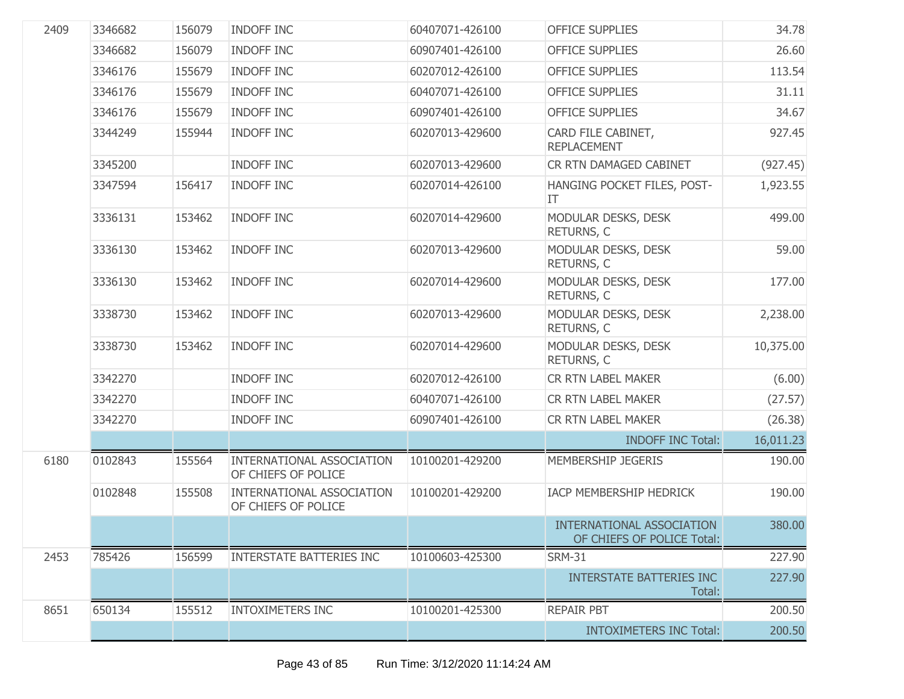| 2409 | 3346682 | 156079 | <b>INDOFF INC</b>                                | 60407071-426100 | <b>OFFICE SUPPLIES</b>                                  | 34.78     |
|------|---------|--------|--------------------------------------------------|-----------------|---------------------------------------------------------|-----------|
|      | 3346682 | 156079 | <b>INDOFF INC</b>                                | 60907401-426100 | <b>OFFICE SUPPLIES</b>                                  | 26.60     |
|      | 3346176 | 155679 | <b>INDOFF INC</b>                                | 60207012-426100 | <b>OFFICE SUPPLIES</b>                                  | 113.54    |
|      | 3346176 | 155679 | <b>INDOFF INC</b>                                | 60407071-426100 | <b>OFFICE SUPPLIES</b>                                  | 31.11     |
|      | 3346176 | 155679 | <b>INDOFF INC</b>                                | 60907401-426100 | <b>OFFICE SUPPLIES</b>                                  | 34.67     |
|      | 3344249 | 155944 | <b>INDOFF INC</b>                                | 60207013-429600 | CARD FILE CABINET,<br><b>REPLACEMENT</b>                | 927.45    |
|      | 3345200 |        | <b>INDOFF INC</b>                                | 60207013-429600 | CR RTN DAMAGED CABINET                                  | (927.45)  |
|      | 3347594 | 156417 | <b>INDOFF INC</b>                                | 60207014-426100 | HANGING POCKET FILES, POST-<br>IT                       | 1,923.55  |
|      | 3336131 | 153462 | <b>INDOFF INC</b>                                | 60207014-429600 | MODULAR DESKS, DESK<br>RETURNS, C                       | 499.00    |
|      | 3336130 | 153462 | <b>INDOFF INC</b>                                | 60207013-429600 | MODULAR DESKS, DESK<br>RETURNS, C                       | 59.00     |
|      | 3336130 | 153462 | <b>INDOFF INC</b>                                | 60207014-429600 | MODULAR DESKS, DESK<br>RETURNS, C                       | 177.00    |
|      | 3338730 | 153462 | <b>INDOFF INC</b>                                | 60207013-429600 | MODULAR DESKS, DESK<br>RETURNS, C                       | 2,238.00  |
|      | 3338730 | 153462 | <b>INDOFF INC</b>                                | 60207014-429600 | MODULAR DESKS, DESK<br>RETURNS, C                       | 10,375.00 |
|      | 3342270 |        | <b>INDOFF INC</b>                                | 60207012-426100 | CR RTN LABEL MAKER                                      | (6.00)    |
|      | 3342270 |        | <b>INDOFF INC</b>                                | 60407071-426100 | <b>CR RTN LABEL MAKER</b>                               | (27.57)   |
|      | 3342270 |        | <b>INDOFF INC</b>                                | 60907401-426100 | CR RTN LABEL MAKER                                      | (26.38)   |
|      |         |        |                                                  |                 | <b>INDOFF INC Total:</b>                                | 16,011.23 |
| 6180 | 0102843 | 155564 | INTERNATIONAL ASSOCIATION<br>OF CHIEFS OF POLICE | 10100201-429200 | MEMBERSHIP JEGERIS                                      | 190.00    |
|      | 0102848 | 155508 | INTERNATIONAL ASSOCIATION<br>OF CHIEFS OF POLICE | 10100201-429200 | IACP MEMBERSHIP HEDRICK                                 | 190.00    |
|      |         |        |                                                  |                 | INTERNATIONAL ASSOCIATION<br>OF CHIEFS OF POLICE Total: | 380.00    |
| 2453 | 785426  | 156599 | <b>INTERSTATE BATTERIES INC</b>                  | 10100603-425300 | <b>SRM-31</b>                                           | 227.90    |
|      |         |        |                                                  |                 | <b>INTERSTATE BATTERIES INC</b><br>Total:               | 227.90    |
| 8651 | 650134  | 155512 | <b>INTOXIMETERS INC</b>                          | 10100201-425300 | <b>REPAIR PBT</b>                                       | 200.50    |
|      |         |        |                                                  |                 | <b>INTOXIMETERS INC Total:</b>                          | 200.50    |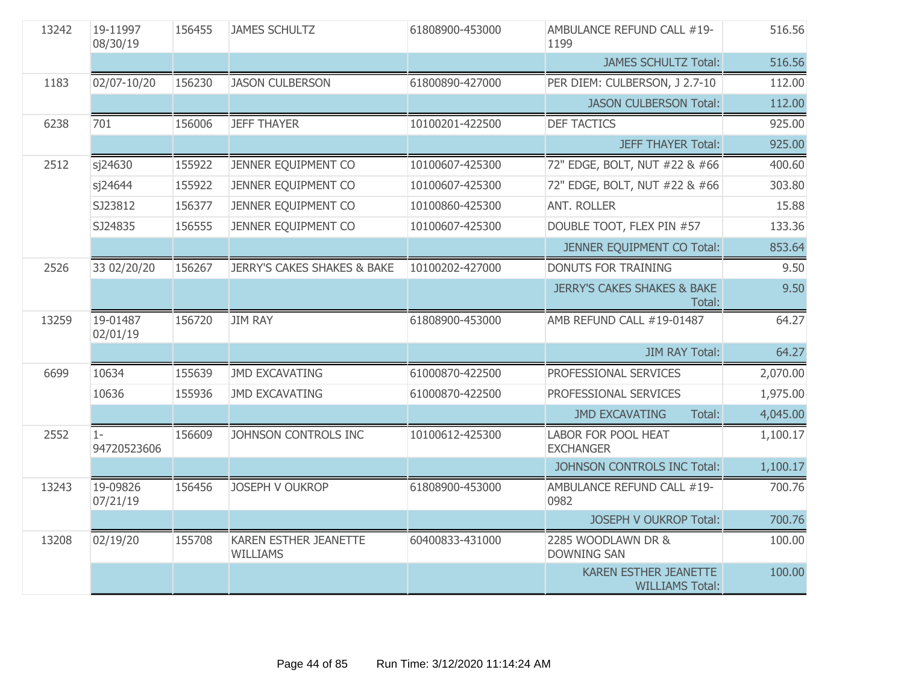| 13242 | 19-11997<br>08/30/19 | 156455 | <b>JAMES SCHULTZ</b>                            | 61808900-453000 | AMBULANCE REFUND CALL #19-<br>1199               | 516.56   |
|-------|----------------------|--------|-------------------------------------------------|-----------------|--------------------------------------------------|----------|
|       |                      |        |                                                 |                 | <b>JAMES SCHULTZ Total:</b>                      | 516.56   |
| 1183  | 02/07-10/20          | 156230 | <b>JASON CULBERSON</b>                          | 61800890-427000 | PER DIEM: CULBERSON, J 2.7-10                    | 112.00   |
|       |                      |        |                                                 |                 | <b>JASON CULBERSON Total:</b>                    | 112.00   |
| 6238  | 701                  | 156006 | <b>JEFF THAYER</b>                              | 10100201-422500 | <b>DEF TACTICS</b>                               | 925.00   |
|       |                      |        |                                                 |                 | <b>JEFF THAYER Total:</b>                        | 925.00   |
| 2512  | sj24630              | 155922 | JENNER EQUIPMENT CO                             | 10100607-425300 | 72" EDGE, BOLT, NUT #22 & #66                    | 400.60   |
|       | sj24644              | 155922 | JENNER EQUIPMENT CO                             | 10100607-425300 | 72" EDGE, BOLT, NUT #22 & #66                    | 303.80   |
|       | SJ23812              | 156377 | JENNER EQUIPMENT CO                             | 10100860-425300 | <b>ANT. ROLLER</b>                               | 15.88    |
|       | SJ24835              | 156555 | JENNER EQUIPMENT CO                             | 10100607-425300 | DOUBLE TOOT, FLEX PIN #57                        | 133.36   |
|       |                      |        |                                                 |                 | JENNER EQUIPMENT CO Total:                       | 853.64   |
| 2526  | 33 02/20/20          | 156267 | <b>JERRY'S CAKES SHAKES &amp; BAKE</b>          | 10100202-427000 | <b>DONUTS FOR TRAINING</b>                       | 9.50     |
|       |                      |        |                                                 |                 | <b>JERRY'S CAKES SHAKES &amp; BAKE</b><br>Total: | 9.50     |
| 13259 | 19-01487<br>02/01/19 | 156720 | <b>JIM RAY</b>                                  | 61808900-453000 | AMB REFUND CALL #19-01487                        | 64.27    |
|       |                      |        |                                                 |                 | <b>JIM RAY Total:</b>                            | 64.27    |
| 6699  | 10634                | 155639 | <b>JMD EXCAVATING</b>                           | 61000870-422500 | PROFESSIONAL SERVICES                            | 2,070.00 |
|       | 10636                | 155936 | <b>JMD EXCAVATING</b>                           | 61000870-422500 | PROFESSIONAL SERVICES                            | 1,975.00 |
|       |                      |        |                                                 |                 | <b>JMD EXCAVATING</b><br>Total:                  | 4,045.00 |
| 2552  | $1-$<br>94720523606  | 156609 | JOHNSON CONTROLS INC                            | 10100612-425300 | <b>LABOR FOR POOL HEAT</b><br><b>EXCHANGER</b>   | 1,100.17 |
|       |                      |        |                                                 |                 | JOHNSON CONTROLS INC Total:                      | 1,100.17 |
| 13243 | 19-09826<br>07/21/19 | 156456 | <b>JOSEPH V OUKROP</b>                          | 61808900-453000 | AMBULANCE REFUND CALL #19-<br>0982               | 700.76   |
|       |                      |        |                                                 |                 | <b>JOSEPH V OUKROP Total:</b>                    | 700.76   |
| 13208 | 02/19/20             | 155708 | <b>KAREN ESTHER JEANETTE</b><br><b>WILLIAMS</b> | 60400833-431000 | 2285 WOODLAWN DR &<br><b>DOWNING SAN</b>         | 100.00   |
|       |                      |        |                                                 |                 |                                                  |          |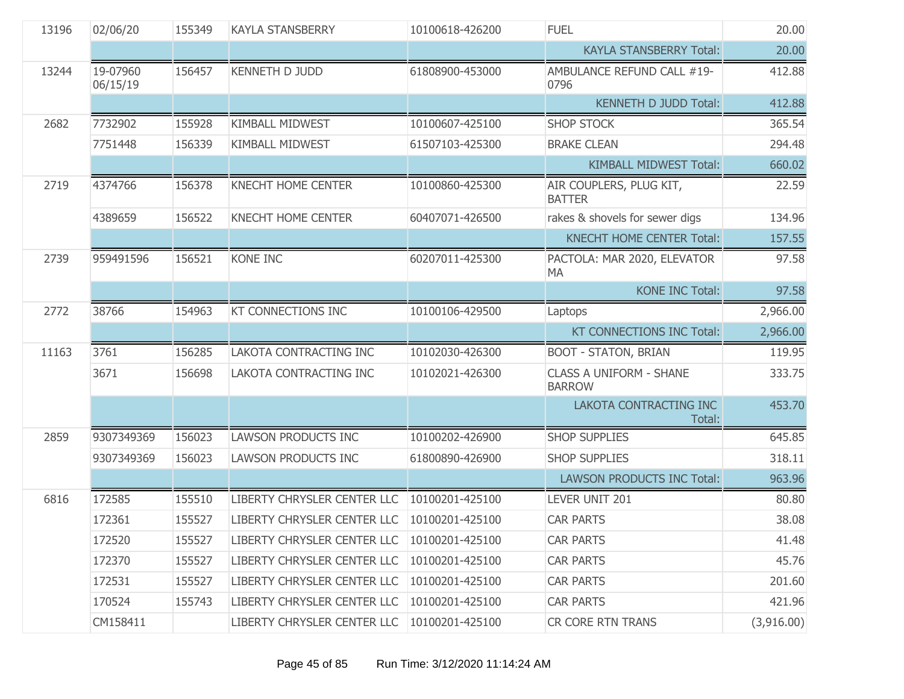| 13196 | 02/06/20             | 155349 | <b>KAYLA STANSBERRY</b>     | 10100618-426200     | <b>FUEL</b>                                     | 20.00      |
|-------|----------------------|--------|-----------------------------|---------------------|-------------------------------------------------|------------|
|       |                      |        |                             |                     | <b>KAYLA STANSBERRY Total:</b>                  | 20.00      |
| 13244 | 19-07960<br>06/15/19 | 156457 | <b>KENNETH D JUDD</b>       | 61808900-453000     | AMBULANCE REFUND CALL #19-<br>0796              | 412.88     |
|       |                      |        |                             |                     | <b>KENNETH D JUDD Total:</b>                    | 412.88     |
| 2682  | 7732902              | 155928 | <b>KIMBALL MIDWEST</b>      | 10100607-425100     | <b>SHOP STOCK</b>                               | 365.54     |
|       | 7751448              | 156339 | KIMBALL MIDWEST             | 61507103-425300     | <b>BRAKE CLEAN</b>                              | 294.48     |
|       |                      |        |                             |                     | <b>KIMBALL MIDWEST Total:</b>                   | 660.02     |
| 2719  | 4374766              | 156378 | <b>KNECHT HOME CENTER</b>   | 10100860-425300     | AIR COUPLERS, PLUG KIT,<br><b>BATTER</b>        | 22.59      |
|       | 4389659              | 156522 | <b>KNECHT HOME CENTER</b>   | 60407071-426500     | rakes & shovels for sewer digs                  | 134.96     |
|       |                      |        |                             |                     | <b>KNECHT HOME CENTER Total:</b>                | 157.55     |
| 2739  | 959491596            | 156521 | <b>KONE INC</b>             | 60207011-425300     | PACTOLA: MAR 2020, ELEVATOR<br>MA               | 97.58      |
|       |                      |        |                             |                     | <b>KONE INC Total:</b>                          | 97.58      |
| 2772  | 38766                | 154963 | KT CONNECTIONS INC          | 10100106-429500     | Laptops                                         | 2,966.00   |
|       |                      |        |                             |                     | KT CONNECTIONS INC Total:                       | 2,966.00   |
| 11163 | 3761                 | 156285 | LAKOTA CONTRACTING INC      | 10102030-426300     | <b>BOOT - STATON, BRIAN</b>                     | 119.95     |
|       | 3671                 | 156698 | LAKOTA CONTRACTING INC      | 10102021-426300     | <b>CLASS A UNIFORM - SHANE</b><br><b>BARROW</b> | 333.75     |
|       |                      |        |                             |                     | LAKOTA CONTRACTING INC<br>Total:                | 453.70     |
| 2859  | 9307349369           | 156023 | <b>LAWSON PRODUCTS INC</b>  | 10100202-426900     | <b>SHOP SUPPLIES</b>                            | 645.85     |
|       | 9307349369           | 156023 | LAWSON PRODUCTS INC         | 61800890-426900     | <b>SHOP SUPPLIES</b>                            | 318.11     |
|       |                      |        |                             |                     | <b>LAWSON PRODUCTS INC Total:</b>               | 963.96     |
| 6816  | 172585               | 155510 | LIBERTY CHRYSLER CENTER LLC | 10100201-425100     | LEVER UNIT 201                                  | 80.80      |
|       | 172361               | 155527 | LIBERTY CHRYSLER CENTER LLC | 10100201-425100     | <b>CAR PARTS</b>                                | 38.08      |
|       | 172520               | 155527 | LIBERTY CHRYSLER CENTER LLC | $10100201 - 425100$ | <b>CAR PARTS</b>                                | 41.48      |
|       | 172370               | 155527 | LIBERTY CHRYSLER CENTER LLC | 10100201-425100     | <b>CAR PARTS</b>                                | 45.76      |
|       | 172531               | 155527 | LIBERTY CHRYSLER CENTER LLC | 10100201-425100     | <b>CAR PARTS</b>                                | 201.60     |
|       | 170524               | 155743 | LIBERTY CHRYSLER CENTER LLC | 10100201-425100     | <b>CAR PARTS</b>                                | 421.96     |
|       | CM158411             |        | LIBERTY CHRYSLER CENTER LLC | 10100201-425100     | CR CORE RTN TRANS                               | (3,916.00) |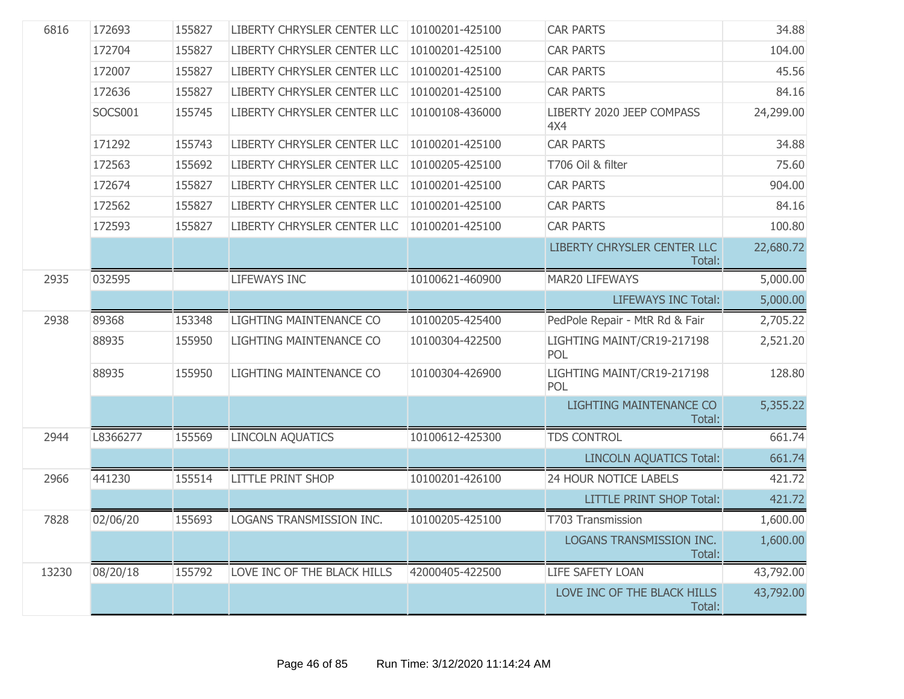| 6816  | 172693   | 155827 | LIBERTY CHRYSLER CENTER LLC | 10100201-425100 | <b>CAR PARTS</b>                         | 34.88     |
|-------|----------|--------|-----------------------------|-----------------|------------------------------------------|-----------|
|       | 172704   | 155827 | LIBERTY CHRYSLER CENTER LLC | 10100201-425100 | <b>CAR PARTS</b>                         | 104.00    |
|       | 172007   | 155827 | LIBERTY CHRYSLER CENTER LLC | 10100201-425100 | <b>CAR PARTS</b>                         | 45.56     |
|       | 172636   | 155827 | LIBERTY CHRYSLER CENTER LLC | 10100201-425100 | <b>CAR PARTS</b>                         | 84.16     |
|       | SOCS001  | 155745 | LIBERTY CHRYSLER CENTER LLC | 10100108-436000 | LIBERTY 2020 JEEP COMPASS<br>4X4         | 24,299.00 |
|       | 171292   | 155743 | LIBERTY CHRYSLER CENTER LLC | 10100201-425100 | <b>CAR PARTS</b>                         | 34.88     |
|       | 172563   | 155692 | LIBERTY CHRYSLER CENTER LLC | 10100205-425100 | T706 Oil & filter                        | 75.60     |
|       | 172674   | 155827 | LIBERTY CHRYSLER CENTER LLC | 10100201-425100 | <b>CAR PARTS</b>                         | 904.00    |
|       | 172562   | 155827 | LIBERTY CHRYSLER CENTER LLC | 10100201-425100 | <b>CAR PARTS</b>                         | 84.16     |
|       | 172593   | 155827 | LIBERTY CHRYSLER CENTER LLC | 10100201-425100 | <b>CAR PARTS</b>                         | 100.80    |
|       |          |        |                             |                 | LIBERTY CHRYSLER CENTER LLC<br>Total:    | 22,680.72 |
| 2935  | 032595   |        | <b>LIFEWAYS INC</b>         | 10100621-460900 | MAR20 LIFEWAYS                           | 5,000.00  |
|       |          |        |                             |                 | <b>LIFEWAYS INC Total:</b>               | 5,000.00  |
| 2938  | 89368    | 153348 | LIGHTING MAINTENANCE CO     | 10100205-425400 | PedPole Repair - MtR Rd & Fair           | 2,705.22  |
|       | 88935    | 155950 | LIGHTING MAINTENANCE CO     | 10100304-422500 | LIGHTING MAINT/CR19-217198<br>POL        | 2,521.20  |
|       | 88935    | 155950 | LIGHTING MAINTENANCE CO     | 10100304-426900 | LIGHTING MAINT/CR19-217198<br>POL        | 128.80    |
|       |          |        |                             |                 | <b>LIGHTING MAINTENANCE CO</b><br>Total: | 5,355.22  |
| 2944  | L8366277 | 155569 | <b>LINCOLN AQUATICS</b>     | 10100612-425300 | <b>TDS CONTROL</b>                       | 661.74    |
|       |          |        |                             |                 | <b>LINCOLN AQUATICS Total:</b>           | 661.74    |
| 2966  | 441230   | 155514 | <b>LITTLE PRINT SHOP</b>    | 10100201-426100 | 24 HOUR NOTICE LABELS                    | 421.72    |
|       |          |        |                             |                 | <b>LITTLE PRINT SHOP Total:</b>          | 421.72    |
| 7828  | 02/06/20 | 155693 | LOGANS TRANSMISSION INC.    | 10100205-425100 | T703 Transmission                        | 1,600.00  |
|       |          |        |                             |                 | LOGANS TRANSMISSION INC.<br>Total:       | 1,600.00  |
| 13230 | 08/20/18 | 155792 | LOVE INC OF THE BLACK HILLS | 42000405-422500 | LIFE SAFETY LOAN                         | 43,792.00 |
|       |          |        |                             |                 | LOVE INC OF THE BLACK HILLS<br>Total:    | 43,792.00 |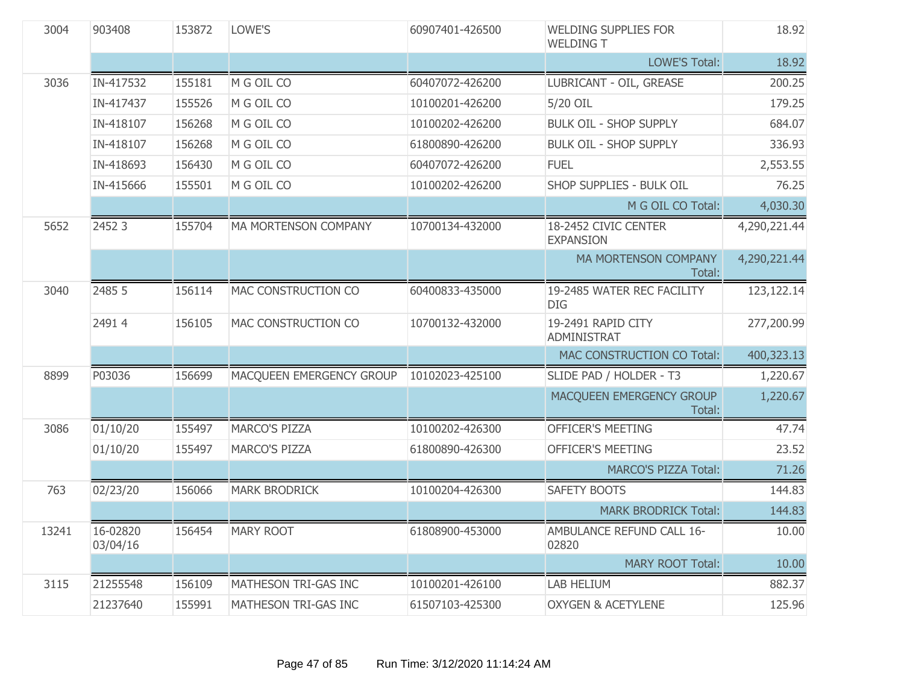| 3004  | 903408               | 153872 | LOWE'S                      | 60907401-426500 | <b>WELDING SUPPLIES FOR</b><br><b>WELDING T</b> | 18.92        |
|-------|----------------------|--------|-----------------------------|-----------------|-------------------------------------------------|--------------|
|       |                      |        |                             |                 | <b>LOWE'S Total:</b>                            | 18.92        |
| 3036  | IN-417532            | 155181 | M G OIL CO                  | 60407072-426200 | LUBRICANT - OIL, GREASE                         | 200.25       |
|       | IN-417437            | 155526 | M G OIL CO                  | 10100201-426200 | 5/20 OIL                                        | 179.25       |
|       | IN-418107            | 156268 | M G OIL CO                  | 10100202-426200 | <b>BULK OIL - SHOP SUPPLY</b>                   | 684.07       |
|       | IN-418107            | 156268 | M G OIL CO                  | 61800890-426200 | <b>BULK OIL - SHOP SUPPLY</b>                   | 336.93       |
|       | IN-418693            | 156430 | M G OIL CO                  | 60407072-426200 | <b>FUEL</b>                                     | 2,553.55     |
|       | IN-415666            | 155501 | M G OIL CO                  | 10100202-426200 | SHOP SUPPLIES - BULK OIL                        | 76.25        |
|       |                      |        |                             |                 | M G OIL CO Total:                               | 4,030.30     |
| 5652  | 2452 3               | 155704 | <b>MA MORTENSON COMPANY</b> | 10700134-432000 | 18-2452 CIVIC CENTER<br><b>EXPANSION</b>        | 4,290,221.44 |
|       |                      |        |                             |                 | MA MORTENSON COMPANY<br>Total:                  | 4,290,221.44 |
| 3040  | 2485 5               | 156114 | MAC CONSTRUCTION CO         | 60400833-435000 | 19-2485 WATER REC FACILITY<br>DIG.              | 123,122.14   |
|       | 24914                | 156105 | MAC CONSTRUCTION CO         | 10700132-432000 | 19-2491 RAPID CITY<br><b>ADMINISTRAT</b>        | 277,200.99   |
|       |                      |        |                             |                 | MAC CONSTRUCTION CO Total:                      | 400,323.13   |
| 8899  | P03036               | 156699 | MACQUEEN EMERGENCY GROUP    | 10102023-425100 | SLIDE PAD / HOLDER - T3                         | 1,220.67     |
|       |                      |        |                             |                 | MACQUEEN EMERGENCY GROUP<br>Total:              | 1,220.67     |
| 3086  | 01/10/20             | 155497 | <b>MARCO'S PIZZA</b>        | 10100202-426300 | <b>OFFICER'S MEETING</b>                        | 47.74        |
|       | 01/10/20             | 155497 | <b>MARCO'S PIZZA</b>        | 61800890-426300 | OFFICER'S MEETING                               | 23.52        |
|       |                      |        |                             |                 | <b>MARCO'S PIZZA Total:</b>                     | 71.26        |
| 763   | 02/23/20             | 156066 | <b>MARK BRODRICK</b>        | 10100204-426300 | SAFETY BOOTS                                    | 144.83       |
|       |                      |        |                             |                 | <b>MARK BRODRICK Total:</b>                     | 144.83       |
| 13241 | 16-02820<br>03/04/16 | 156454 | <b>MARY ROOT</b>            | 61808900-453000 | AMBULANCE REFUND CALL 16-<br>02820              | 10.00        |
|       |                      |        |                             |                 | <b>MARY ROOT Total:</b>                         | 10.00        |
| 3115  | 21255548             | 156109 | MATHESON TRI-GAS INC        | 10100201-426100 | LAB HELIUM                                      | 882.37       |
|       | 21237640             | 155991 | MATHESON TRI-GAS INC        | 61507103-425300 | <b>OXYGEN &amp; ACETYLENE</b>                   | 125.96       |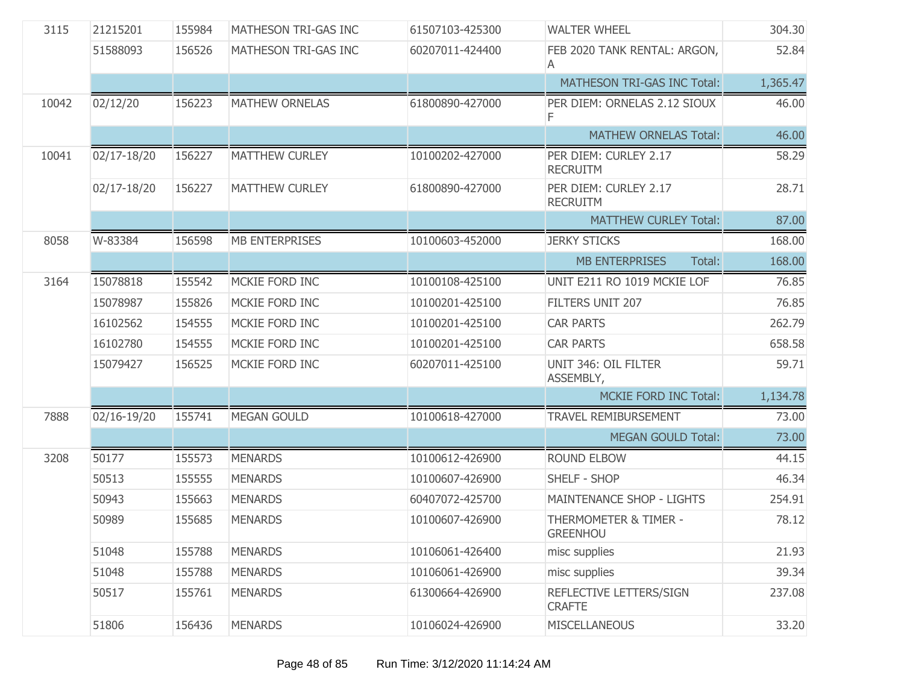| 3115  | 21215201    | 155984 | MATHESON TRI-GAS INC  | 61507103-425300 | <b>WALTER WHEEL</b>                      | 304.30   |
|-------|-------------|--------|-----------------------|-----------------|------------------------------------------|----------|
|       | 51588093    | 156526 | MATHESON TRI-GAS INC  | 60207011-424400 | FEB 2020 TANK RENTAL: ARGON,<br>A        | 52.84    |
|       |             |        |                       |                 | MATHESON TRI-GAS INC Total:              | 1,365.47 |
| 10042 | 02/12/20    | 156223 | <b>MATHEW ORNELAS</b> | 61800890-427000 | PER DIEM: ORNELAS 2.12 SIOUX<br>F.       | 46.00    |
|       |             |        |                       |                 | <b>MATHEW ORNELAS Total:</b>             | 46.00    |
| 10041 | 02/17-18/20 | 156227 | <b>MATTHEW CURLEY</b> | 10100202-427000 | PER DIEM: CURLEY 2.17<br><b>RECRUITM</b> | 58.29    |
|       | 02/17-18/20 | 156227 | <b>MATTHEW CURLEY</b> | 61800890-427000 | PER DIEM: CURLEY 2.17<br><b>RECRUITM</b> | 28.71    |
|       |             |        |                       |                 | <b>MATTHEW CURLEY Total:</b>             | 87.00    |
| 8058  | W-83384     | 156598 | <b>MB ENTERPRISES</b> | 10100603-452000 | <b>JERKY STICKS</b>                      | 168.00   |
|       |             |        |                       |                 | <b>MB ENTERPRISES</b><br>Total:          | 168.00   |
| 3164  | 15078818    | 155542 | MCKIE FORD INC        | 10100108-425100 | UNIT E211 RO 1019 MCKIE LOF              | 76.85    |
|       | 15078987    | 155826 | MCKIE FORD INC        | 10100201-425100 | FILTERS UNIT 207                         | 76.85    |
|       | 16102562    | 154555 | MCKIE FORD INC        | 10100201-425100 | <b>CAR PARTS</b>                         | 262.79   |
|       | 16102780    | 154555 | MCKIE FORD INC        | 10100201-425100 | <b>CAR PARTS</b>                         | 658.58   |
|       | 15079427    | 156525 | MCKIE FORD INC        | 60207011-425100 | UNIT 346: OIL FILTER<br>ASSEMBLY,        | 59.71    |
|       |             |        |                       |                 | <b>MCKIE FORD INC Total:</b>             | 1,134.78 |
| 7888  | 02/16-19/20 | 155741 | <b>MEGAN GOULD</b>    | 10100618-427000 | <b>TRAVEL REMIBURSEMENT</b>              | 73.00    |
|       |             |        |                       |                 | <b>MEGAN GOULD Total:</b>                | 73.00    |
| 3208  | 50177       | 155573 | <b>MENARDS</b>        | 10100612-426900 | <b>ROUND ELBOW</b>                       | 44.15    |
|       | 50513       | 155555 | <b>MENARDS</b>        | 10100607-426900 | SHELF - SHOP                             | 46.34    |
|       | 50943       | 155663 | <b>MENARDS</b>        | 60407072-425700 | <b>MAINTENANCE SHOP - LIGHTS</b>         | 254.91   |
|       | 50989       | 155685 | <b>MENARDS</b>        | 10100607-426900 | THERMOMETER & TIMER -<br><b>GREENHOU</b> | 78.12    |
|       | 51048       | 155788 | <b>MENARDS</b>        | 10106061-426400 | misc supplies                            | 21.93    |
|       | 51048       | 155788 | <b>MENARDS</b>        | 10106061-426900 | misc supplies                            | 39.34    |
|       | 50517       | 155761 | <b>MENARDS</b>        | 61300664-426900 | REFLECTIVE LETTERS/SIGN<br><b>CRAFTE</b> | 237.08   |
|       | 51806       | 156436 | <b>MENARDS</b>        | 10106024-426900 | <b>MISCELLANEOUS</b>                     | 33.20    |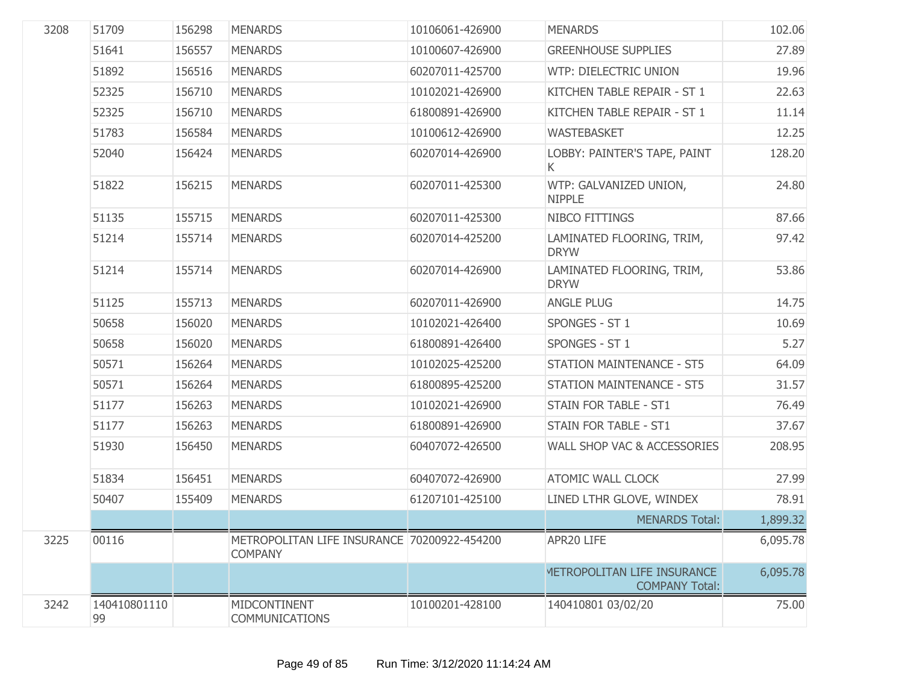| 3208 | 51709              | 156298 | <b>MENARDS</b>                                                | 10106061-426900 | <b>MENARDS</b>                                       | 102.06   |
|------|--------------------|--------|---------------------------------------------------------------|-----------------|------------------------------------------------------|----------|
|      | 51641              | 156557 | <b>MENARDS</b>                                                | 10100607-426900 | <b>GREENHOUSE SUPPLIES</b>                           | 27.89    |
|      | 51892              | 156516 | <b>MENARDS</b>                                                | 60207011-425700 | WTP: DIELECTRIC UNION                                | 19.96    |
|      | 52325              | 156710 | <b>MENARDS</b>                                                | 10102021-426900 | KITCHEN TABLE REPAIR - ST 1                          | 22.63    |
|      | 52325              | 156710 | <b>MENARDS</b>                                                | 61800891-426900 | KITCHEN TABLE REPAIR - ST 1                          | 11.14    |
|      | 51783              | 156584 | <b>MENARDS</b>                                                | 10100612-426900 | <b>WASTEBASKET</b>                                   | 12.25    |
|      | 52040              | 156424 | <b>MENARDS</b>                                                | 60207014-426900 | LOBBY: PAINTER'S TAPE, PAINT<br>K.                   | 128.20   |
|      | 51822              | 156215 | <b>MENARDS</b>                                                | 60207011-425300 | WTP: GALVANIZED UNION,<br><b>NIPPLE</b>              | 24.80    |
|      | 51135              | 155715 | <b>MENARDS</b>                                                | 60207011-425300 | NIBCO FITTINGS                                       | 87.66    |
|      | 51214              | 155714 | <b>MENARDS</b>                                                | 60207014-425200 | LAMINATED FLOORING, TRIM,<br><b>DRYW</b>             | 97.42    |
|      | 51214              | 155714 | <b>MENARDS</b>                                                | 60207014-426900 | LAMINATED FLOORING, TRIM,<br><b>DRYW</b>             | 53.86    |
|      | 51125              | 155713 | <b>MENARDS</b>                                                | 60207011-426900 | <b>ANGLE PLUG</b>                                    | 14.75    |
|      | 50658              | 156020 | <b>MENARDS</b>                                                | 10102021-426400 | SPONGES - ST 1                                       | 10.69    |
|      | 50658              | 156020 | <b>MENARDS</b>                                                | 61800891-426400 | SPONGES - ST 1                                       | 5.27     |
|      | 50571              | 156264 | <b>MENARDS</b>                                                | 10102025-425200 | <b>STATION MAINTENANCE - ST5</b>                     | 64.09    |
|      | 50571              | 156264 | <b>MENARDS</b>                                                | 61800895-425200 | <b>STATION MAINTENANCE - ST5</b>                     | 31.57    |
|      | 51177              | 156263 | <b>MENARDS</b>                                                | 10102021-426900 | STAIN FOR TABLE - ST1                                | 76.49    |
|      | 51177              | 156263 | <b>MENARDS</b>                                                | 61800891-426900 | STAIN FOR TABLE - ST1                                | 37.67    |
|      | 51930              | 156450 | <b>MENARDS</b>                                                | 60407072-426500 | WALL SHOP VAC & ACCESSORIES                          | 208.95   |
|      | 51834              | 156451 | <b>MENARDS</b>                                                | 60407072-426900 | <b>ATOMIC WALL CLOCK</b>                             | 27.99    |
|      | 50407              | 155409 | <b>MENARDS</b>                                                | 61207101-425100 | LINED LTHR GLOVE, WINDEX                             | 78.91    |
|      |                    |        |                                                               |                 | <b>MENARDS Total:</b>                                | 1,899.32 |
| 3225 | 00116              |        | METROPOLITAN LIFE INSURANCE 70200922-454200<br><b>COMPANY</b> |                 | APR20 LIFE                                           | 6,095.78 |
|      |                    |        |                                                               |                 | METROPOLITAN LIFE INSURANCE<br><b>COMPANY Total:</b> | 6,095.78 |
| 3242 | 140410801110<br>99 |        | MIDCONTINENT<br><b>COMMUNICATIONS</b>                         | 10100201-428100 | 140410801 03/02/20                                   | 75.00    |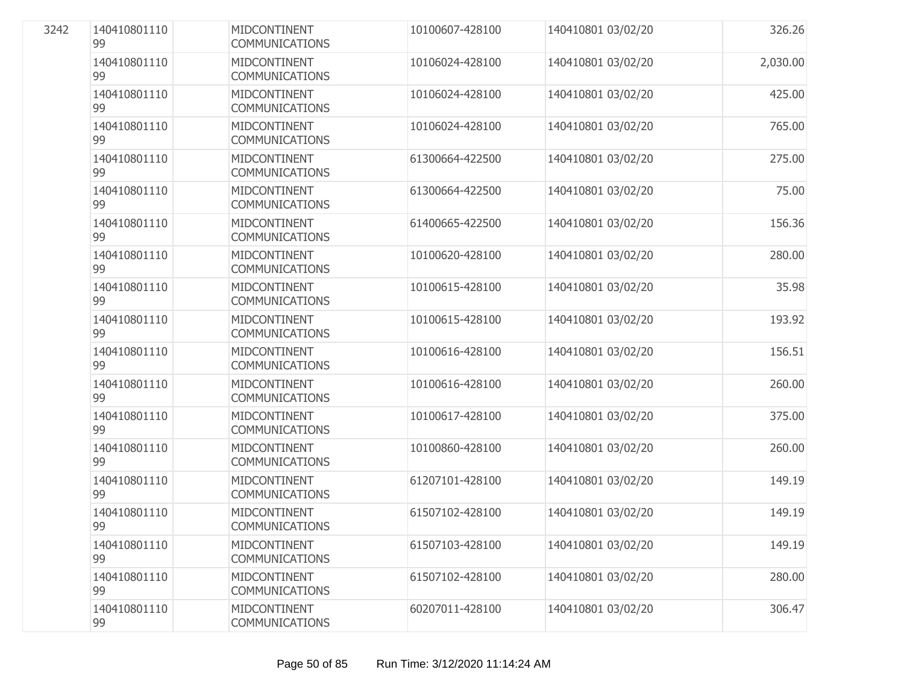| 140410801110<br>99 | MIDCONTINENT<br><b>COMMUNICATIONS</b>        | 10100607-428100 | 140410801 03/02/20 | 326.26   |
|--------------------|----------------------------------------------|-----------------|--------------------|----------|
| 140410801110<br>99 | MIDCONTINENT<br><b>COMMUNICATIONS</b>        | 10106024-428100 | 140410801 03/02/20 | 2,030.00 |
| 140410801110<br>99 | MIDCONTINENT<br><b>COMMUNICATIONS</b>        | 10106024-428100 | 140410801 03/02/20 | 425.00   |
| 140410801110<br>99 | MIDCONTINENT<br><b>COMMUNICATIONS</b>        | 10106024-428100 | 140410801 03/02/20 | 765.00   |
| 140410801110<br>99 | MIDCONTINENT<br><b>COMMUNICATIONS</b>        | 61300664-422500 | 140410801 03/02/20 | 275.00   |
| 140410801110<br>99 | <b>MIDCONTINENT</b><br><b>COMMUNICATIONS</b> | 61300664-422500 | 140410801 03/02/20 | 75.00    |
| 140410801110<br>99 | MIDCONTINENT<br><b>COMMUNICATIONS</b>        | 61400665-422500 | 140410801 03/02/20 | 156.36   |
| 140410801110<br>99 | MIDCONTINENT<br><b>COMMUNICATIONS</b>        | 10100620-428100 | 140410801 03/02/20 | 280.00   |
| 140410801110<br>99 | MIDCONTINENT<br><b>COMMUNICATIONS</b>        | 10100615-428100 | 140410801 03/02/20 | 35.98    |
| 140410801110<br>99 | MIDCONTINENT<br><b>COMMUNICATIONS</b>        | 10100615-428100 | 140410801 03/02/20 | 193.92   |
| 140410801110<br>99 | MIDCONTINENT<br><b>COMMUNICATIONS</b>        | 10100616-428100 | 140410801 03/02/20 | 156.51   |
| 140410801110<br>99 | MIDCONTINENT<br><b>COMMUNICATIONS</b>        | 10100616-428100 | 140410801 03/02/20 | 260.00   |
| 140410801110<br>99 | MIDCONTINENT<br><b>COMMUNICATIONS</b>        | 10100617-428100 | 140410801 03/02/20 | 375.00   |
| 140410801110<br>99 | MIDCONTINENT<br><b>COMMUNICATIONS</b>        | 10100860-428100 | 140410801 03/02/20 | 260.00   |
| 140410801110<br>99 | MIDCONTINENT<br><b>COMMUNICATIONS</b>        | 61207101-428100 | 140410801 03/02/20 | 149.19   |
| 140410801110<br>99 | MIDCONTINENT<br>COMMUNICATIONS               | 61507102-428100 | 140410801 03/02/20 | 149.19   |
| 140410801110<br>99 | MIDCONTINENT<br><b>COMMUNICATIONS</b>        | 61507103-428100 | 140410801 03/02/20 | 149.19   |
| 140410801110<br>99 | MIDCONTINENT<br><b>COMMUNICATIONS</b>        | 61507102-428100 | 140410801 03/02/20 | 280.00   |
| 140410801110<br>99 | MIDCONTINENT<br>COMMUNICATIONS               | 60207011-428100 | 140410801 03/02/20 | 306.47   |

3242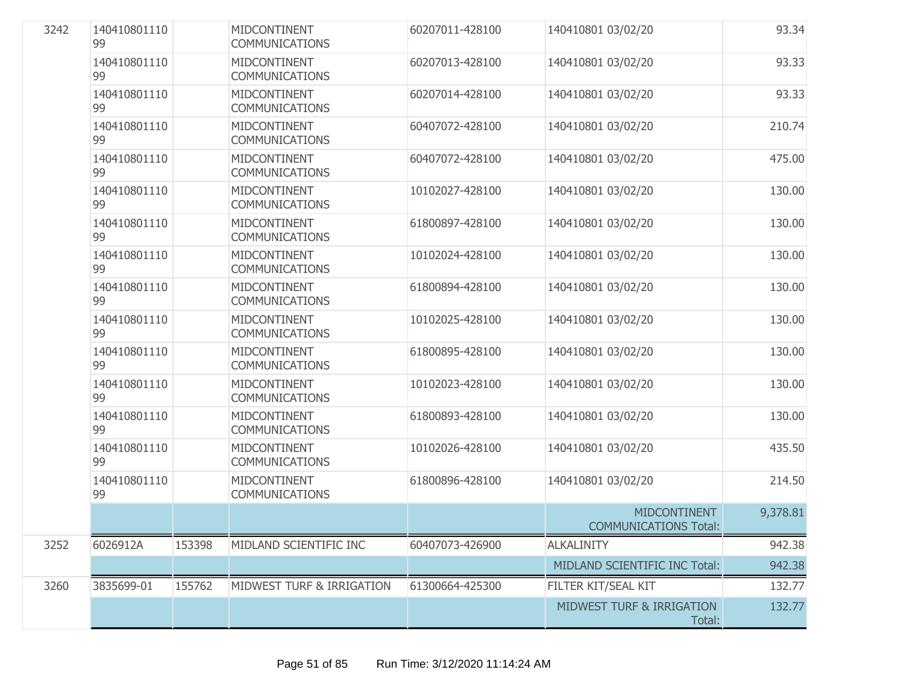| 3242 | 140410801110<br>99 |        | MIDCONTINENT<br><b>COMMUNICATIONS</b> | 60207011-428100 | 140410801 03/02/20                                  | 93.34    |
|------|--------------------|--------|---------------------------------------|-----------------|-----------------------------------------------------|----------|
|      | 140410801110<br>99 |        | MIDCONTINENT<br><b>COMMUNICATIONS</b> | 60207013-428100 | 140410801 03/02/20                                  | 93.33    |
|      | 140410801110<br>99 |        | MIDCONTINENT<br><b>COMMUNICATIONS</b> | 60207014-428100 | 140410801 03/02/20                                  | 93.33    |
|      | 140410801110<br>99 |        | MIDCONTINENT<br><b>COMMUNICATIONS</b> | 60407072-428100 | 140410801 03/02/20                                  | 210.74   |
|      | 140410801110<br>99 |        | MIDCONTINENT<br><b>COMMUNICATIONS</b> | 60407072-428100 | 140410801 03/02/20                                  | 475.00   |
|      | 140410801110<br>99 |        | MIDCONTINENT<br><b>COMMUNICATIONS</b> | 10102027-428100 | 140410801 03/02/20                                  | 130.00   |
|      | 140410801110<br>99 |        | MIDCONTINENT<br><b>COMMUNICATIONS</b> | 61800897-428100 | 140410801 03/02/20                                  | 130.00   |
|      | 140410801110<br>99 |        | MIDCONTINENT<br><b>COMMUNICATIONS</b> | 10102024-428100 | 140410801 03/02/20                                  | 130.00   |
|      | 140410801110<br>99 |        | MIDCONTINENT<br><b>COMMUNICATIONS</b> | 61800894-428100 | 140410801 03/02/20                                  | 130.00   |
|      | 140410801110<br>99 |        | MIDCONTINENT<br><b>COMMUNICATIONS</b> | 10102025-428100 | 140410801 03/02/20                                  | 130.00   |
|      | 140410801110<br>99 |        | MIDCONTINENT<br><b>COMMUNICATIONS</b> | 61800895-428100 | 140410801 03/02/20                                  | 130.00   |
|      | 140410801110<br>99 |        | MIDCONTINENT<br><b>COMMUNICATIONS</b> | 10102023-428100 | 140410801 03/02/20                                  | 130.00   |
|      | 140410801110<br>99 |        | MIDCONTINENT<br><b>COMMUNICATIONS</b> | 61800893-428100 | 140410801 03/02/20                                  | 130.00   |
|      | 140410801110<br>99 |        | MIDCONTINENT<br><b>COMMUNICATIONS</b> | 10102026-428100 | 140410801 03/02/20                                  | 435.50   |
|      | 140410801110<br>99 |        | MIDCONTINENT<br><b>COMMUNICATIONS</b> | 61800896-428100 | 140410801 03/02/20                                  | 214.50   |
|      |                    |        |                                       |                 | <b>MIDCONTINENT</b><br><b>COMMUNICATIONS Total:</b> | 9,378.81 |
| 3252 | 6026912A           | 153398 | MIDLAND SCIENTIFIC INC                | 60407073-426900 | <b>ALKALINITY</b>                                   | 942.38   |
|      |                    |        |                                       |                 | MIDLAND SCIENTIFIC INC Total:                       | 942.38   |
| 3260 | 3835699-01         | 155762 | MIDWEST TURF & IRRIGATION             | 61300664-425300 | FILTER KIT/SEAL KIT                                 | 132.77   |
|      |                    |        |                                       |                 | <b>MIDWEST TURF &amp; IRRIGATION</b><br>Total:      | 132.77   |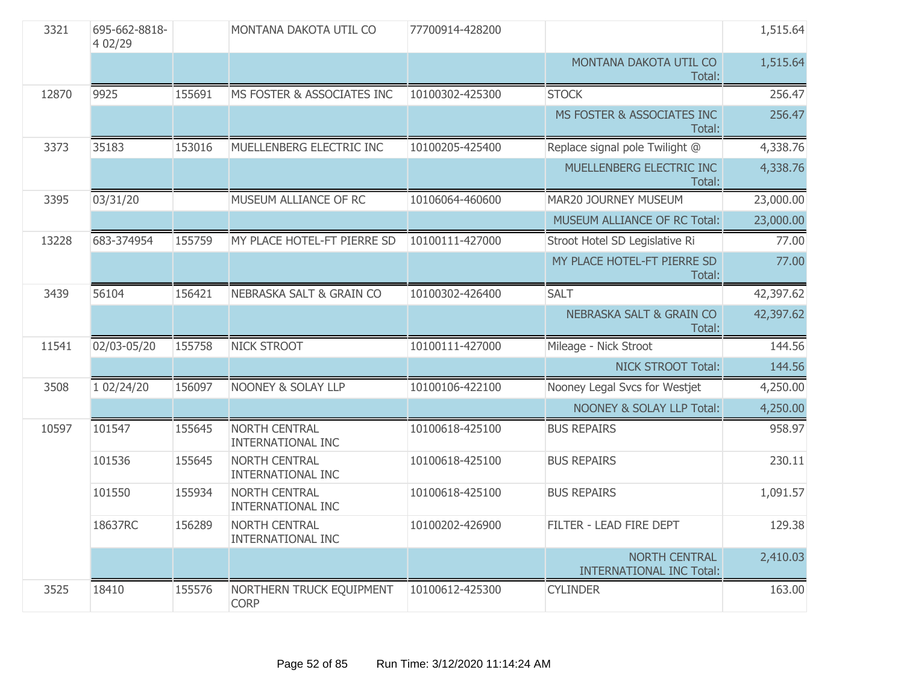| 3321  | 695-662-8818-<br>4 02/29 |        | MONTANA DAKOTA UTIL CO                           | 77700914-428200 |                                                         | 1,515.64  |
|-------|--------------------------|--------|--------------------------------------------------|-----------------|---------------------------------------------------------|-----------|
|       |                          |        |                                                  |                 | MONTANA DAKOTA UTIL CO<br>Total:                        | 1,515.64  |
| 12870 | 9925                     | 155691 | MS FOSTER & ASSOCIATES INC                       | 10100302-425300 | <b>STOCK</b>                                            | 256.47    |
|       |                          |        |                                                  |                 | MS FOSTER & ASSOCIATES INC<br>Total:                    | 256.47    |
| 3373  | 35183                    | 153016 | MUELLENBERG ELECTRIC INC                         | 10100205-425400 | Replace signal pole Twilight @                          | 4,338.76  |
|       |                          |        |                                                  |                 | MUELLENBERG ELECTRIC INC<br>Total:                      | 4,338.76  |
| 3395  | 03/31/20                 |        | MUSEUM ALLIANCE OF RC                            | 10106064-460600 | MAR20 JOURNEY MUSEUM                                    | 23,000.00 |
|       |                          |        |                                                  |                 | MUSEUM ALLIANCE OF RC Total:                            | 23,000.00 |
| 13228 | 683-374954               | 155759 | MY PLACE HOTEL-FT PIERRE SD                      | 10100111-427000 | Stroot Hotel SD Legislative Ri                          | 77.00     |
|       |                          |        |                                                  |                 | MY PLACE HOTEL-FT PIERRE SD<br>Total:                   | 77.00     |
| 3439  | 56104                    | 156421 | <b>NEBRASKA SALT &amp; GRAIN CO</b>              | 10100302-426400 | <b>SALT</b>                                             | 42,397.62 |
|       |                          |        |                                                  |                 | <b>NEBRASKA SALT &amp; GRAIN CO</b><br>Total:           | 42,397.62 |
| 11541 | 02/03-05/20              | 155758 | <b>NICK STROOT</b>                               | 10100111-427000 | Mileage - Nick Stroot                                   | 144.56    |
|       |                          |        |                                                  |                 | <b>NICK STROOT Total:</b>                               | 144.56    |
| 3508  | 1 02/24/20               | 156097 | <b>NOONEY &amp; SOLAY LLP</b>                    | 10100106-422100 | Nooney Legal Svcs for Westjet                           | 4,250.00  |
|       |                          |        |                                                  |                 | <b>NOONEY &amp; SOLAY LLP Total:</b>                    | 4,250.00  |
| 10597 | 101547                   | 155645 | NORTH CENTRAL<br><b>INTERNATIONAL INC</b>        | 10100618-425100 | <b>BUS REPAIRS</b>                                      | 958.97    |
|       | 101536                   | 155645 | <b>NORTH CENTRAL</b><br><b>INTERNATIONAL INC</b> | 10100618-425100 | <b>BUS REPAIRS</b>                                      | 230.11    |
|       | 101550                   | 155934 | <b>NORTH CENTRAL</b><br>INTERNATIONAL INC        | 10100618-425100 | <b>BUS REPAIRS</b>                                      | 1,091.57  |
|       | 18637RC                  | 156289 | <b>NORTH CENTRAL</b><br><b>INTERNATIONAL INC</b> | 10100202-426900 | FILTER - LEAD FIRE DEPT                                 | 129.38    |
|       |                          |        |                                                  |                 | <b>NORTH CENTRAL</b><br><b>INTERNATIONAL INC Total:</b> | 2,410.03  |
| 3525  | 18410                    | 155576 | NORTHERN TRUCK EQUIPMENT<br><b>CORP</b>          | 10100612-425300 | <b>CYLINDER</b>                                         | 163.00    |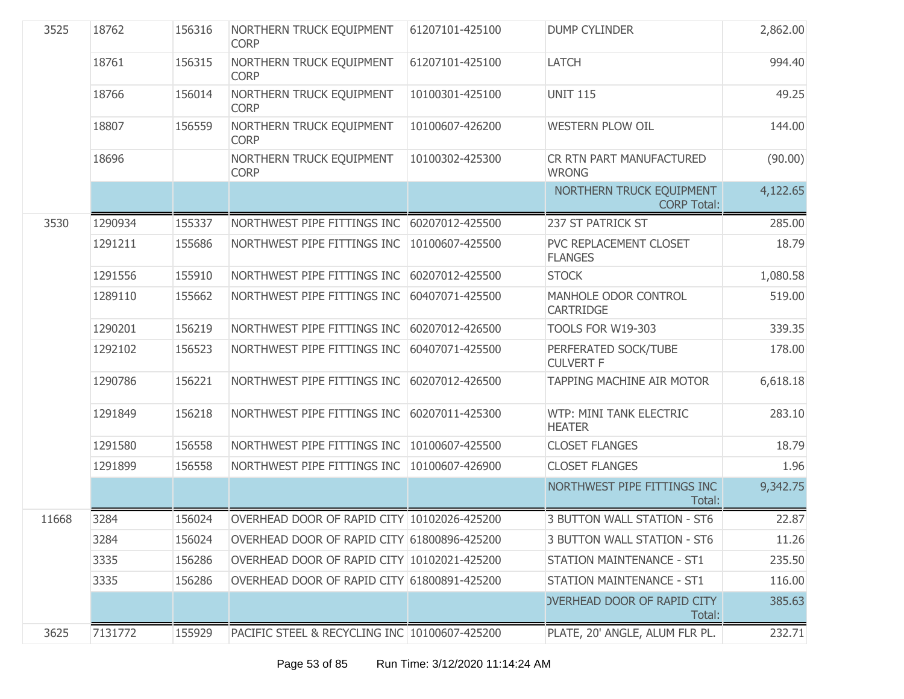| 3525  | 18762   | 156316 | NORTHERN TRUCK EQUIPMENT<br><b>CORP</b>       | 61207101-425100 | <b>DUMP CYLINDER</b>                           | 2,862.00 |
|-------|---------|--------|-----------------------------------------------|-----------------|------------------------------------------------|----------|
|       | 18761   | 156315 | NORTHERN TRUCK EQUIPMENT<br><b>CORP</b>       | 61207101-425100 | <b>LATCH</b>                                   | 994.40   |
|       | 18766   | 156014 | NORTHERN TRUCK EQUIPMENT<br><b>CORP</b>       | 10100301-425100 | <b>UNIT 115</b>                                | 49.25    |
|       | 18807   | 156559 | NORTHERN TRUCK EQUIPMENT<br><b>CORP</b>       | 10100607-426200 | <b>WESTERN PLOW OIL</b>                        | 144.00   |
|       | 18696   |        | NORTHERN TRUCK EQUIPMENT<br><b>CORP</b>       | 10100302-425300 | CR RTN PART MANUFACTURED<br><b>WRONG</b>       | (90.00)  |
|       |         |        |                                               |                 | NORTHERN TRUCK EQUIPMENT<br><b>CORP Total:</b> | 4,122.65 |
| 3530  | 1290934 | 155337 | NORTHWEST PIPE FITTINGS INC                   | 60207012-425500 | 237 ST PATRICK ST                              | 285.00   |
|       | 1291211 | 155686 | NORTHWEST PIPE FITTINGS INC                   | 10100607-425500 | PVC REPLACEMENT CLOSET<br><b>FLANGES</b>       | 18.79    |
|       | 1291556 | 155910 | NORTHWEST PIPE FITTINGS INC                   | 60207012-425500 | <b>STOCK</b>                                   | 1,080.58 |
|       | 1289110 | 155662 | NORTHWEST PIPE FITTINGS INC                   | 60407071-425500 | MANHOLE ODOR CONTROL<br>CARTRIDGE              | 519.00   |
|       | 1290201 | 156219 | NORTHWEST PIPE FITTINGS INC                   | 60207012-426500 | <b>TOOLS FOR W19-303</b>                       | 339.35   |
|       | 1292102 | 156523 | NORTHWEST PIPE FITTINGS INC                   | 60407071-425500 | PERFERATED SOCK/TUBE<br><b>CULVERT F</b>       | 178.00   |
|       | 1290786 | 156221 | NORTHWEST PIPE FITTINGS INC                   | 60207012-426500 | TAPPING MACHINE AIR MOTOR                      | 6,618.18 |
|       | 1291849 | 156218 | NORTHWEST PIPE FITTINGS INC                   | 60207011-425300 | WTP: MINI TANK ELECTRIC<br><b>HEATER</b>       | 283.10   |
|       | 1291580 | 156558 | NORTHWEST PIPE FITTINGS INC                   | 10100607-425500 | <b>CLOSET FLANGES</b>                          | 18.79    |
|       | 1291899 | 156558 | NORTHWEST PIPE FITTINGS INC                   | 10100607-426900 | <b>CLOSET FLANGES</b>                          | 1.96     |
|       |         |        |                                               |                 | NORTHWEST PIPE FITTINGS INC<br>Total:          | 9,342.75 |
| 11668 | 3284    | 156024 | OVERHEAD DOOR OF RAPID CITY 10102026-425200   |                 | 3 BUTTON WALL STATION - ST6                    | 22.87    |
|       | 3284    | 156024 | OVERHEAD DOOR OF RAPID CITY 61800896-425200   |                 | <b>3 BUTTON WALL STATION - ST6</b>             | 11.26    |
|       | 3335    | 156286 | OVERHEAD DOOR OF RAPID CITY 10102021-425200   |                 | STATION MAINTENANCE - ST1                      | 235.50   |
|       | 3335    | 156286 | OVERHEAD DOOR OF RAPID CITY 61800891-425200   |                 | <b>STATION MAINTENANCE - ST1</b>               | 116.00   |
|       |         |        |                                               |                 | <b>OVERHEAD DOOR OF RAPID CITY</b><br>Total:   | 385.63   |
| 3625  | 7131772 | 155929 | PACIFIC STEEL & RECYCLING INC 10100607-425200 |                 | PLATE, 20' ANGLE, ALUM FLR PL.                 | 232.71   |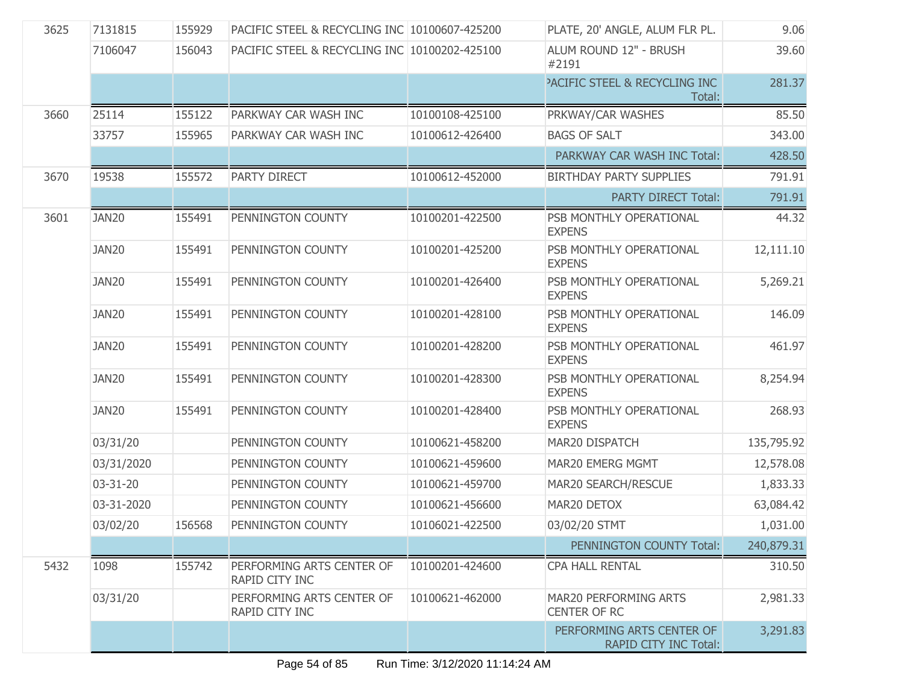| 3625 | 7131815    | 155929 | PACIFIC STEEL & RECYCLING INC 10100607-425200 |                 | PLATE, 20' ANGLE, ALUM FLR PL.                     | 9.06       |
|------|------------|--------|-----------------------------------------------|-----------------|----------------------------------------------------|------------|
|      | 7106047    | 156043 | PACIFIC STEEL & RECYCLING INC 10100202-425100 |                 | ALUM ROUND 12" - BRUSH<br>#2191                    | 39.60      |
|      |            |        |                                               |                 | PACIFIC STEEL & RECYCLING INC<br>Total:            | 281.37     |
| 3660 | 25114      | 155122 | PARKWAY CAR WASH INC                          | 10100108-425100 | PRKWAY/CAR WASHES                                  | 85.50      |
|      | 33757      | 155965 | PARKWAY CAR WASH INC                          | 10100612-426400 | <b>BAGS OF SALT</b>                                | 343.00     |
|      |            |        |                                               |                 | PARKWAY CAR WASH INC Total:                        | 428.50     |
| 3670 | 19538      | 155572 | PARTY DIRECT                                  | 10100612-452000 | <b>BIRTHDAY PARTY SUPPLIES</b>                     | 791.91     |
|      |            |        |                                               |                 | <b>PARTY DIRECT Total:</b>                         | 791.91     |
| 3601 | JAN20      | 155491 | PENNINGTON COUNTY                             | 10100201-422500 | PSB MONTHLY OPERATIONAL<br><b>EXPENS</b>           | 44.32      |
|      | JAN20      | 155491 | PENNINGTON COUNTY                             | 10100201-425200 | PSB MONTHLY OPERATIONAL<br><b>EXPENS</b>           | 12,111.10  |
|      | JAN20      | 155491 | PENNINGTON COUNTY                             | 10100201-426400 | PSB MONTHLY OPERATIONAL<br><b>EXPENS</b>           | 5,269.21   |
|      | JAN20      | 155491 | PENNINGTON COUNTY                             | 10100201-428100 | PSB MONTHLY OPERATIONAL<br><b>EXPENS</b>           | 146.09     |
|      | JAN20      | 155491 | PENNINGTON COUNTY                             | 10100201-428200 | PSB MONTHLY OPERATIONAL<br><b>EXPENS</b>           | 461.97     |
|      | JAN20      | 155491 | PENNINGTON COUNTY                             | 10100201-428300 | PSB MONTHLY OPERATIONAL<br><b>EXPENS</b>           | 8,254.94   |
|      | JAN20      | 155491 | PENNINGTON COUNTY                             | 10100201-428400 | PSB MONTHLY OPERATIONAL<br><b>EXPENS</b>           | 268.93     |
|      | 03/31/20   |        | PENNINGTON COUNTY                             | 10100621-458200 | MAR20 DISPATCH                                     | 135,795.92 |
|      | 03/31/2020 |        | PENNINGTON COUNTY                             | 10100621-459600 | MAR20 EMERG MGMT                                   | 12,578.08  |
|      | 03-31-20   |        | PENNINGTON COUNTY                             | 10100621-459700 | MAR20 SEARCH/RESCUE                                | 1,833.33   |
|      | 03-31-2020 |        | PENNINGTON COUNTY                             | 10100621-456600 | MAR20 DETOX                                        | 63,084.42  |
|      | 03/02/20   | 156568 | PENNINGTON COUNTY                             | 10106021-422500 | 03/02/20 STMT                                      | 1,031.00   |
|      |            |        |                                               |                 | PENNINGTON COUNTY Total:                           | 240,879.31 |
| 5432 | 1098       | 155742 | PERFORMING ARTS CENTER OF<br>RAPID CITY INC   | 10100201-424600 | CPA HALL RENTAL                                    | 310.50     |
|      | 03/31/20   |        | PERFORMING ARTS CENTER OF<br>RAPID CITY INC   | 10100621-462000 | MAR20 PERFORMING ARTS<br><b>CENTER OF RC</b>       | 2,981.33   |
|      |            |        |                                               |                 | PERFORMING ARTS CENTER OF<br>RAPID CITY INC Total: | 3,291.83   |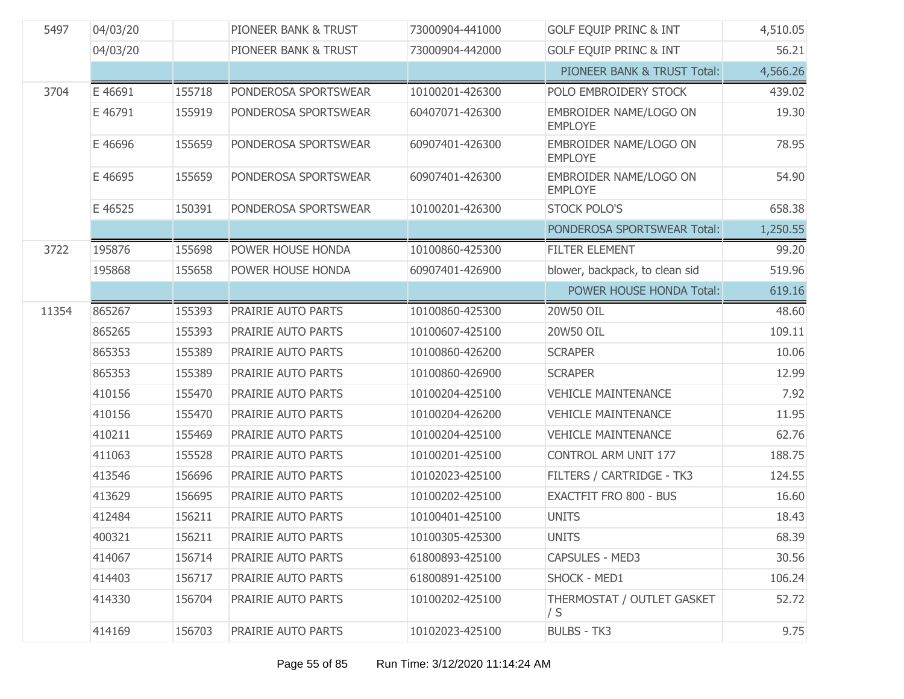| 5497  | 04/03/20 |        | PIONEER BANK & TRUST | 73000904-441000 | <b>GOLF EQUIP PRINC &amp; INT</b>        | 4,510.05 |
|-------|----------|--------|----------------------|-----------------|------------------------------------------|----------|
|       | 04/03/20 |        | PIONEER BANK & TRUST | 73000904-442000 | <b>GOLF EQUIP PRINC &amp; INT</b>        | 56.21    |
|       |          |        |                      |                 | PIONEER BANK & TRUST Total:              | 4,566.26 |
| 3704  | E 46691  | 155718 | PONDEROSA SPORTSWEAR | 10100201-426300 | POLO EMBROIDERY STOCK                    | 439.02   |
|       | E 46791  | 155919 | PONDEROSA SPORTSWEAR | 60407071-426300 | EMBROIDER NAME/LOGO ON<br><b>EMPLOYE</b> | 19.30    |
|       | E 46696  | 155659 | PONDEROSA SPORTSWEAR | 60907401-426300 | EMBROIDER NAME/LOGO ON<br><b>EMPLOYE</b> | 78.95    |
|       | E 46695  | 155659 | PONDEROSA SPORTSWEAR | 60907401-426300 | EMBROIDER NAME/LOGO ON<br><b>EMPLOYE</b> | 54.90    |
|       | E 46525  | 150391 | PONDEROSA SPORTSWEAR | 10100201-426300 | <b>STOCK POLO'S</b>                      | 658.38   |
|       |          |        |                      |                 | PONDEROSA SPORTSWEAR Total:              | 1,250.55 |
| 3722  | 195876   | 155698 | POWER HOUSE HONDA    | 10100860-425300 | <b>FILTER ELEMENT</b>                    | 99.20    |
|       | 195868   | 155658 | POWER HOUSE HONDA    | 60907401-426900 | blower, backpack, to clean sid           | 519.96   |
|       |          |        |                      |                 | POWER HOUSE HONDA Total:                 | 619.16   |
| 11354 | 865267   | 155393 | PRAIRIE AUTO PARTS   | 10100860-425300 | 20W50 OIL                                | 48.60    |
|       | 865265   | 155393 | PRAIRIE AUTO PARTS   | 10100607-425100 | 20W50 OIL                                | 109.11   |
|       | 865353   | 155389 | PRAIRIE AUTO PARTS   | 10100860-426200 | <b>SCRAPER</b>                           | 10.06    |
|       | 865353   | 155389 | PRAIRIE AUTO PARTS   | 10100860-426900 | <b>SCRAPER</b>                           | 12.99    |
|       | 410156   | 155470 | PRAIRIE AUTO PARTS   | 10100204-425100 | <b>VEHICLE MAINTENANCE</b>               | 7.92     |
|       | 410156   | 155470 | PRAIRIE AUTO PARTS   | 10100204-426200 | <b>VEHICLE MAINTENANCE</b>               | 11.95    |
|       | 410211   | 155469 | PRAIRIE AUTO PARTS   | 10100204-425100 | <b>VEHICLE MAINTENANCE</b>               | 62.76    |
|       | 411063   | 155528 | PRAIRIE AUTO PARTS   | 10100201-425100 | CONTROL ARM UNIT 177                     | 188.75   |
|       | 413546   | 156696 | PRAIRIE AUTO PARTS   | 10102023-425100 | FILTERS / CARTRIDGE - TK3                | 124.55   |
|       | 413629   | 156695 | PRAIRIE AUTO PARTS   | 10100202-425100 | EXACTFIT FRO 800 - BUS                   | 16.60    |
|       | 412484   | 156211 | PRAIRIE AUTO PARTS   | 10100401-425100 | <b>UNITS</b>                             | 18.43    |
|       | 400321   | 156211 | PRAIRIE AUTO PARTS   | 10100305-425300 | <b>UNITS</b>                             | 68.39    |
|       | 414067   | 156714 | PRAIRIE AUTO PARTS   | 61800893-425100 | CAPSULES - MED3                          | 30.56    |
|       | 414403   | 156717 | PRAIRIE AUTO PARTS   | 61800891-425100 | SHOCK - MED1                             | 106.24   |
|       | 414330   | 156704 | PRAIRIE AUTO PARTS   | 10100202-425100 | THERMOSTAT / OUTLET GASKET<br>/ S        | 52.72    |
|       | 414169   | 156703 | PRAIRIE AUTO PARTS   | 10102023-425100 | <b>BULBS - TK3</b>                       | 9.75     |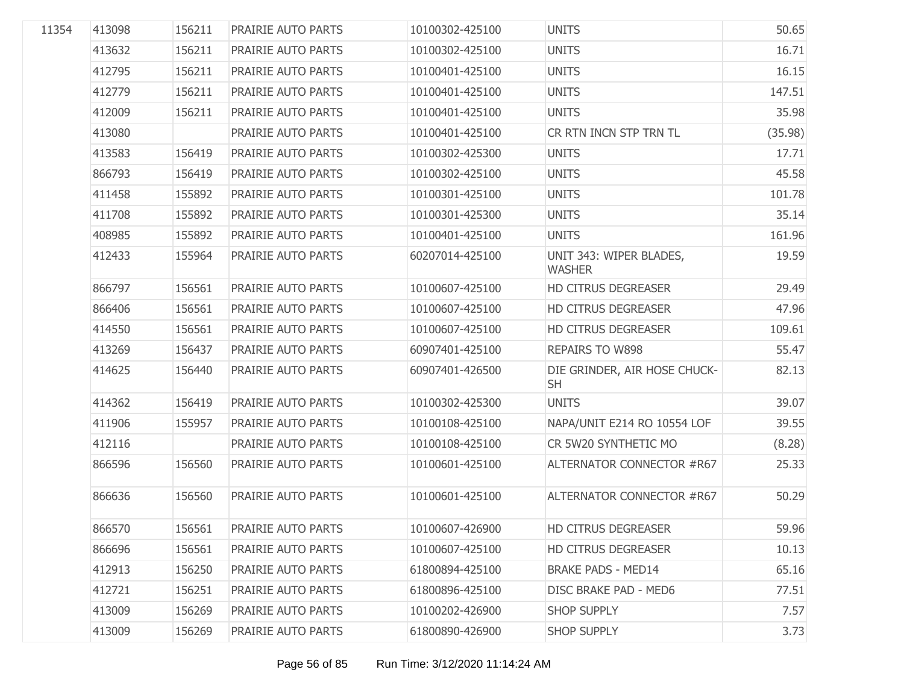| 11354 | 413098 | 156211 | PRAIRIE AUTO PARTS | 10100302-425100 | <b>UNITS</b>                              | 50.65   |
|-------|--------|--------|--------------------|-----------------|-------------------------------------------|---------|
|       | 413632 | 156211 | PRAIRIE AUTO PARTS | 10100302-425100 | <b>UNITS</b>                              | 16.71   |
|       | 412795 | 156211 | PRAIRIE AUTO PARTS | 10100401-425100 | <b>UNITS</b>                              | 16.15   |
|       | 412779 | 156211 | PRAIRIE AUTO PARTS | 10100401-425100 | <b>UNITS</b>                              | 147.51  |
|       | 412009 | 156211 | PRAIRIE AUTO PARTS | 10100401-425100 | <b>UNITS</b>                              | 35.98   |
|       | 413080 |        | PRAIRIE AUTO PARTS | 10100401-425100 | CR RTN INCN STP TRN TL                    | (35.98) |
|       | 413583 | 156419 | PRAIRIE AUTO PARTS | 10100302-425300 | <b>UNITS</b>                              | 17.71   |
|       | 866793 | 156419 | PRAIRIE AUTO PARTS | 10100302-425100 | <b>UNITS</b>                              | 45.58   |
|       | 411458 | 155892 | PRAIRIE AUTO PARTS | 10100301-425100 | <b>UNITS</b>                              | 101.78  |
|       | 411708 | 155892 | PRAIRIE AUTO PARTS | 10100301-425300 | <b>UNITS</b>                              | 35.14   |
|       | 408985 | 155892 | PRAIRIE AUTO PARTS | 10100401-425100 | <b>UNITS</b>                              | 161.96  |
|       | 412433 | 155964 | PRAIRIE AUTO PARTS | 60207014-425100 | UNIT 343: WIPER BLADES,<br><b>WASHER</b>  | 19.59   |
|       | 866797 | 156561 | PRAIRIE AUTO PARTS | 10100607-425100 | <b>HD CITRUS DEGREASER</b>                | 29.49   |
|       | 866406 | 156561 | PRAIRIE AUTO PARTS | 10100607-425100 | <b>HD CITRUS DEGREASER</b>                | 47.96   |
|       | 414550 | 156561 | PRAIRIE AUTO PARTS | 10100607-425100 | <b>HD CITRUS DEGREASER</b>                | 109.61  |
|       | 413269 | 156437 | PRAIRIE AUTO PARTS | 60907401-425100 | <b>REPAIRS TO W898</b>                    | 55.47   |
|       | 414625 | 156440 | PRAIRIE AUTO PARTS | 60907401-426500 | DIE GRINDER, AIR HOSE CHUCK-<br><b>SH</b> | 82.13   |
|       | 414362 | 156419 | PRAIRIE AUTO PARTS | 10100302-425300 | <b>UNITS</b>                              | 39.07   |
|       | 411906 | 155957 | PRAIRIE AUTO PARTS | 10100108-425100 | NAPA/UNIT E214 RO 10554 LOF               | 39.55   |
|       | 412116 |        | PRAIRIE AUTO PARTS | 10100108-425100 | CR 5W20 SYNTHETIC MO                      | (8.28)  |
|       | 866596 | 156560 | PRAIRIE AUTO PARTS | 10100601-425100 | ALTERNATOR CONNECTOR #R67                 | 25.33   |
|       | 866636 | 156560 | PRAIRIE AUTO PARTS | 10100601-425100 | ALTERNATOR CONNECTOR #R67                 | 50.29   |
|       | 866570 | 156561 | PRAIRIE AUTO PARTS | 10100607-426900 | <b>HD CITRUS DEGREASER</b>                | 59.96   |
|       | 866696 | 156561 | PRAIRIE AUTO PARTS | 10100607-425100 | <b>HD CITRUS DEGREASER</b>                | 10.13   |
|       | 412913 | 156250 | PRAIRIE AUTO PARTS | 61800894-425100 | <b>BRAKE PADS - MED14</b>                 | 65.16   |
|       | 412721 | 156251 | PRAIRIE AUTO PARTS | 61800896-425100 | DISC BRAKE PAD - MED6                     | 77.51   |
|       | 413009 | 156269 | PRAIRIE AUTO PARTS | 10100202-426900 | <b>SHOP SUPPLY</b>                        | 7.57    |
|       | 413009 | 156269 | PRAIRIE AUTO PARTS | 61800890-426900 | <b>SHOP SUPPLY</b>                        | 3.73    |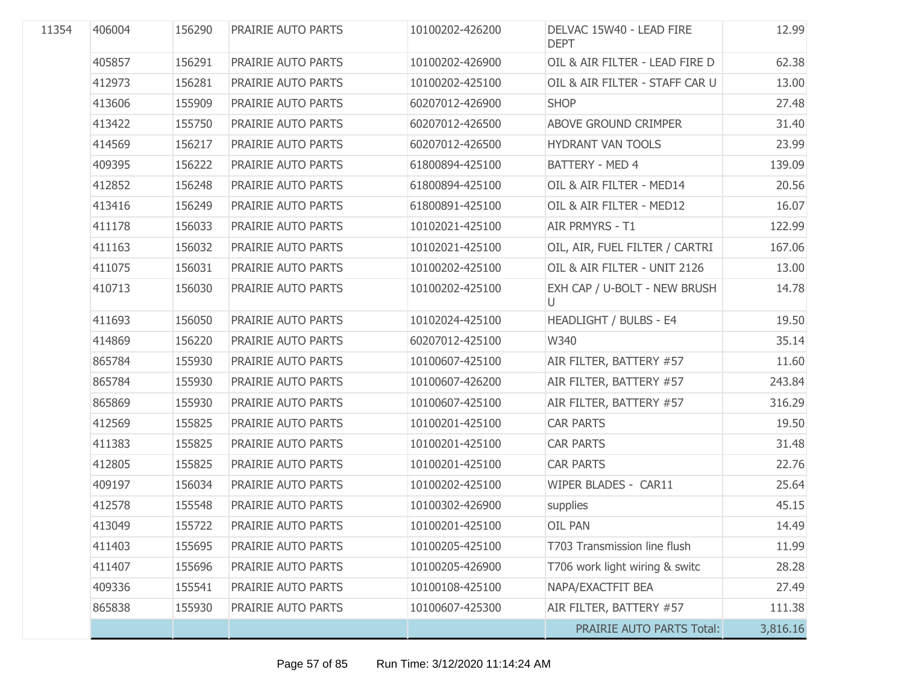| 11354 | 406004 | 156290 | PRAIRIE AUTO PARTS | 10100202-426200 | DELVAC 15W40 - LEAD FIRE<br><b>DEPT</b> | 12.99    |
|-------|--------|--------|--------------------|-----------------|-----------------------------------------|----------|
|       | 405857 | 156291 | PRAIRIE AUTO PARTS | 10100202-426900 | OIL & AIR FILTER - LEAD FIRE D          | 62.38    |
|       | 412973 | 156281 | PRAIRIE AUTO PARTS | 10100202-425100 | OIL & AIR FILTER - STAFF CAR U          | 13.00    |
|       | 413606 | 155909 | PRAIRIE AUTO PARTS | 60207012-426900 | <b>SHOP</b>                             | 27.48    |
|       | 413422 | 155750 | PRAIRIE AUTO PARTS | 60207012-426500 | ABOVE GROUND CRIMPER                    | 31.40    |
|       | 414569 | 156217 | PRAIRIE AUTO PARTS | 60207012-426500 | <b>HYDRANT VAN TOOLS</b>                | 23.99    |
|       | 409395 | 156222 | PRAIRIE AUTO PARTS | 61800894-425100 | BATTERY - MED 4                         | 139.09   |
|       | 412852 | 156248 | PRAIRIE AUTO PARTS | 61800894-425100 | OIL & AIR FILTER - MED14                | 20.56    |
|       | 413416 | 156249 | PRAIRIE AUTO PARTS | 61800891-425100 | OIL & AIR FILTER - MED12                | 16.07    |
|       | 411178 | 156033 | PRAIRIE AUTO PARTS | 10102021-425100 | AIR PRMYRS - T1                         | 122.99   |
|       | 411163 | 156032 | PRAIRIE AUTO PARTS | 10102021-425100 | OIL, AIR, FUEL FILTER / CARTRI          | 167.06   |
|       | 411075 | 156031 | PRAIRIE AUTO PARTS | 10100202-425100 | OIL & AIR FILTER - UNIT 2126            | 13.00    |
|       | 410713 | 156030 | PRAIRIE AUTO PARTS | 10100202-425100 | EXH CAP / U-BOLT - NEW BRUSH<br>U       | 14.78    |
|       | 411693 | 156050 | PRAIRIE AUTO PARTS | 10102024-425100 | HEADLIGHT / BULBS - E4                  | 19.50    |
|       | 414869 | 156220 | PRAIRIE AUTO PARTS | 60207012-425100 | W340                                    | 35.14    |
|       | 865784 | 155930 | PRAIRIE AUTO PARTS | 10100607-425100 | AIR FILTER, BATTERY #57                 | 11.60    |
|       | 865784 | 155930 | PRAIRIE AUTO PARTS | 10100607-426200 | AIR FILTER, BATTERY #57                 | 243.84   |
|       | 865869 | 155930 | PRAIRIE AUTO PARTS | 10100607-425100 | AIR FILTER, BATTERY #57                 | 316.29   |
|       | 412569 | 155825 | PRAIRIE AUTO PARTS | 10100201-425100 | <b>CAR PARTS</b>                        | 19.50    |
|       | 411383 | 155825 | PRAIRIE AUTO PARTS | 10100201-425100 | <b>CAR PARTS</b>                        | 31.48    |
|       | 412805 | 155825 | PRAIRIE AUTO PARTS | 10100201-425100 | <b>CAR PARTS</b>                        | 22.76    |
|       | 409197 | 156034 | PRAIRIE AUTO PARTS | 10100202-425100 | WIPER BLADES - CAR11                    | 25.64    |
|       | 412578 | 155548 | PRAIRIE AUTO PARTS | 10100302-426900 | supplies                                | 45.15    |
|       | 413049 | 155722 | PRAIRIE AUTO PARTS | 10100201-425100 | <b>OIL PAN</b>                          | 14.49    |
|       | 411403 | 155695 | PRAIRIE AUTO PARTS | 10100205-425100 | T703 Transmission line flush            | 11.99    |
|       | 411407 | 155696 | PRAIRIE AUTO PARTS | 10100205-426900 | T706 work light wiring & switc          | 28.28    |
|       | 409336 | 155541 | PRAIRIE AUTO PARTS | 10100108-425100 | NAPA/EXACTFIT BEA                       | 27.49    |
|       | 865838 | 155930 | PRAIRIE AUTO PARTS | 10100607-425300 | AIR FILTER, BATTERY #57                 | 111.38   |
|       |        |        |                    |                 | <b>PRAIRIE AUTO PARTS Total:</b>        | 3,816.16 |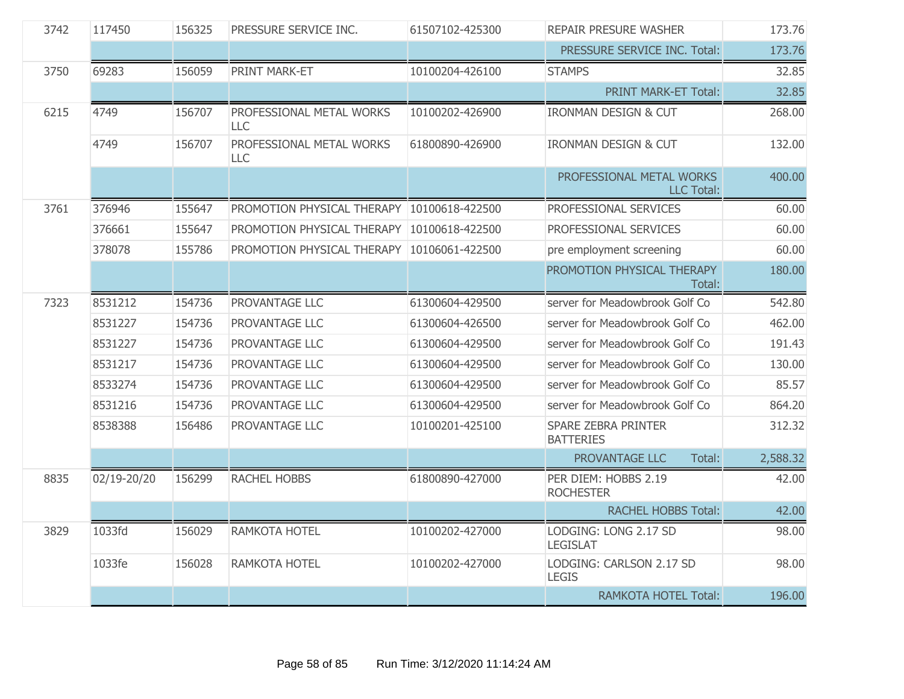| 3742 | 117450      | 156325 | PRESSURE SERVICE INC.                      | 61507102-425300 | <b>REPAIR PRESURE WASHER</b>                   | 173.76   |
|------|-------------|--------|--------------------------------------------|-----------------|------------------------------------------------|----------|
|      |             |        |                                            |                 | PRESSURE SERVICE INC. Total:                   | 173.76   |
| 3750 | 69283       | 156059 | PRINT MARK-ET                              | 10100204-426100 | <b>STAMPS</b>                                  | 32.85    |
|      |             |        |                                            |                 | <b>PRINT MARK-ET Total:</b>                    | 32.85    |
| 6215 | 4749        | 156707 | PROFESSIONAL METAL WORKS<br><b>LLC</b>     | 10100202-426900 | <b>IRONMAN DESIGN &amp; CUT</b>                | 268.00   |
|      | 4749        | 156707 | PROFESSIONAL METAL WORKS<br><b>LLC</b>     | 61800890-426900 | <b>IRONMAN DESIGN &amp; CUT</b>                | 132.00   |
|      |             |        |                                            |                 | PROFESSIONAL METAL WORKS<br><b>LLC Total:</b>  | 400.00   |
| 3761 | 376946      | 155647 | PROMOTION PHYSICAL THERAPY 10100618-422500 |                 | PROFESSIONAL SERVICES                          | 60.00    |
|      | 376661      | 155647 | PROMOTION PHYSICAL THERAPY                 | 10100618-422500 | PROFESSIONAL SERVICES                          | 60.00    |
|      | 378078      | 155786 | PROMOTION PHYSICAL THERAPY                 | 10106061-422500 | pre employment screening                       | 60.00    |
|      |             |        |                                            |                 | PROMOTION PHYSICAL THERAPY<br>Total:           | 180.00   |
| 7323 | 8531212     | 154736 | PROVANTAGE LLC                             | 61300604-429500 | server for Meadowbrook Golf Co                 | 542.80   |
|      | 8531227     | 154736 | PROVANTAGE LLC                             | 61300604-426500 | server for Meadowbrook Golf Co                 | 462.00   |
|      | 8531227     | 154736 | PROVANTAGE LLC                             | 61300604-429500 | server for Meadowbrook Golf Co                 | 191.43   |
|      | 8531217     | 154736 | PROVANTAGE LLC                             | 61300604-429500 | server for Meadowbrook Golf Co                 | 130.00   |
|      | 8533274     | 154736 | PROVANTAGE LLC                             | 61300604-429500 | server for Meadowbrook Golf Co                 | 85.57    |
|      | 8531216     | 154736 | PROVANTAGE LLC                             | 61300604-429500 | server for Meadowbrook Golf Co                 | 864.20   |
|      | 8538388     | 156486 | PROVANTAGE LLC                             | 10100201-425100 | <b>SPARE ZEBRA PRINTER</b><br><b>BATTERIES</b> | 312.32   |
|      |             |        |                                            |                 | PROVANTAGE LLC<br>Total:                       | 2,588.32 |
| 8835 | 02/19-20/20 | 156299 | <b>RACHEL HOBBS</b>                        | 61800890-427000 | PER DIEM: HOBBS 2.19<br><b>ROCHESTER</b>       | 42.00    |
|      |             |        |                                            |                 | <b>RACHEL HOBBS Total:</b>                     | 42.00    |
| 3829 | 1033fd      | 156029 | RAMKOTA HOTEL                              | 10100202-427000 | LODGING: LONG 2.17 SD<br><b>LEGISLAT</b>       | 98.00    |
|      | 1033fe      | 156028 | RAMKOTA HOTEL                              | 10100202-427000 | LODGING: CARLSON 2.17 SD<br><b>LEGIS</b>       | 98.00    |
|      |             |        |                                            |                 | <b>RAMKOTA HOTEL Total:</b>                    | 196.00   |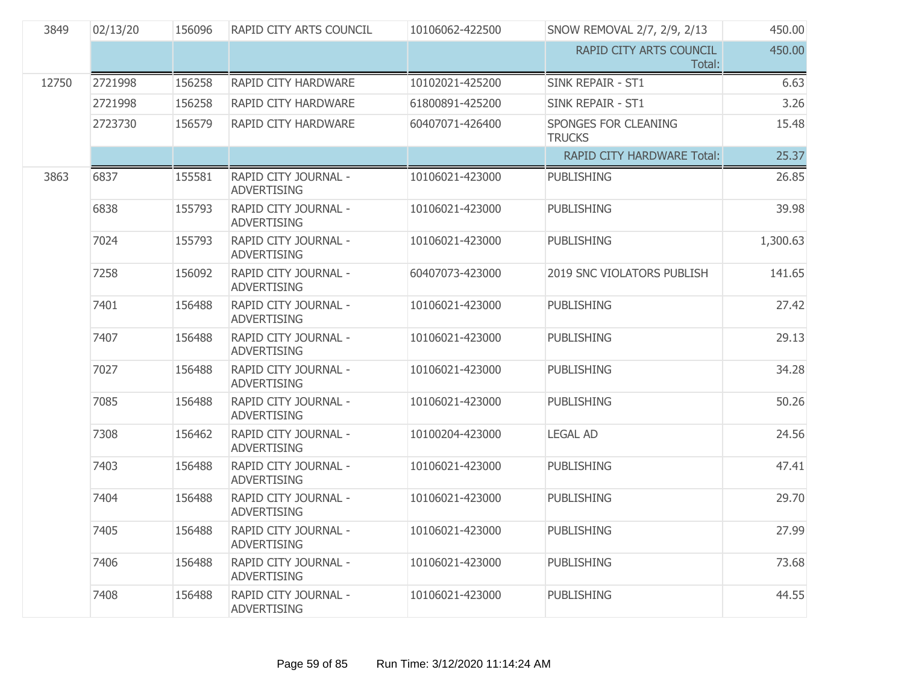| 3849  | 02/13/20 | 156096 | RAPID CITY ARTS COUNCIL                    | 10106062-422500 | SNOW REMOVAL 2/7, 2/9, 2/13           | 450.00   |
|-------|----------|--------|--------------------------------------------|-----------------|---------------------------------------|----------|
|       |          |        |                                            |                 | RAPID CITY ARTS COUNCIL<br>Total:     | 450.00   |
| 12750 | 2721998  | 156258 | RAPID CITY HARDWARE                        | 10102021-425200 | <b>SINK REPAIR - ST1</b>              | 6.63     |
|       | 2721998  | 156258 | RAPID CITY HARDWARE                        | 61800891-425200 | <b>SINK REPAIR - ST1</b>              | 3.26     |
|       | 2723730  | 156579 | RAPID CITY HARDWARE                        | 60407071-426400 | SPONGES FOR CLEANING<br><b>TRUCKS</b> | 15.48    |
|       |          |        |                                            |                 | <b>RAPID CITY HARDWARE Total:</b>     | 25.37    |
| 3863  | 6837     | 155581 | RAPID CITY JOURNAL -<br><b>ADVERTISING</b> | 10106021-423000 | <b>PUBLISHING</b>                     | 26.85    |
|       | 6838     | 155793 | RAPID CITY JOURNAL -<br><b>ADVERTISING</b> | 10106021-423000 | <b>PUBLISHING</b>                     | 39.98    |
|       | 7024     | 155793 | RAPID CITY JOURNAL -<br><b>ADVERTISING</b> | 10106021-423000 | <b>PUBLISHING</b>                     | 1,300.63 |
|       | 7258     | 156092 | RAPID CITY JOURNAL -<br><b>ADVERTISING</b> | 60407073-423000 | 2019 SNC VIOLATORS PUBLISH            | 141.65   |
|       | 7401     | 156488 | RAPID CITY JOURNAL -<br><b>ADVERTISING</b> | 10106021-423000 | <b>PUBLISHING</b>                     | 27.42    |
|       | 7407     | 156488 | RAPID CITY JOURNAL -<br><b>ADVERTISING</b> | 10106021-423000 | PUBLISHING                            | 29.13    |
|       | 7027     | 156488 | RAPID CITY JOURNAL -<br><b>ADVERTISING</b> | 10106021-423000 | <b>PUBLISHING</b>                     | 34.28    |
|       | 7085     | 156488 | RAPID CITY JOURNAL -<br><b>ADVERTISING</b> | 10106021-423000 | <b>PUBLISHING</b>                     | 50.26    |
|       | 7308     | 156462 | RAPID CITY JOURNAL -<br><b>ADVERTISING</b> | 10100204-423000 | <b>LEGAL AD</b>                       | 24.56    |
|       | 7403     | 156488 | RAPID CITY JOURNAL -<br><b>ADVERTISING</b> | 10106021-423000 | <b>PUBLISHING</b>                     | 47.41    |
|       | 7404     | 156488 | RAPID CITY JOURNAL -<br><b>ADVERTISING</b> | 10106021-423000 | <b>PUBLISHING</b>                     | 29.70    |
|       | 7405     | 156488 | RAPID CITY JOURNAL -<br><b>ADVERTISING</b> | 10106021-423000 | <b>PUBLISHING</b>                     | 27.99    |
|       | 7406     | 156488 | RAPID CITY JOURNAL -<br><b>ADVERTISING</b> | 10106021-423000 | <b>PUBLISHING</b>                     | 73.68    |
|       | 7408     | 156488 | RAPID CITY JOURNAL -<br><b>ADVERTISING</b> | 10106021-423000 | <b>PUBLISHING</b>                     | 44.55    |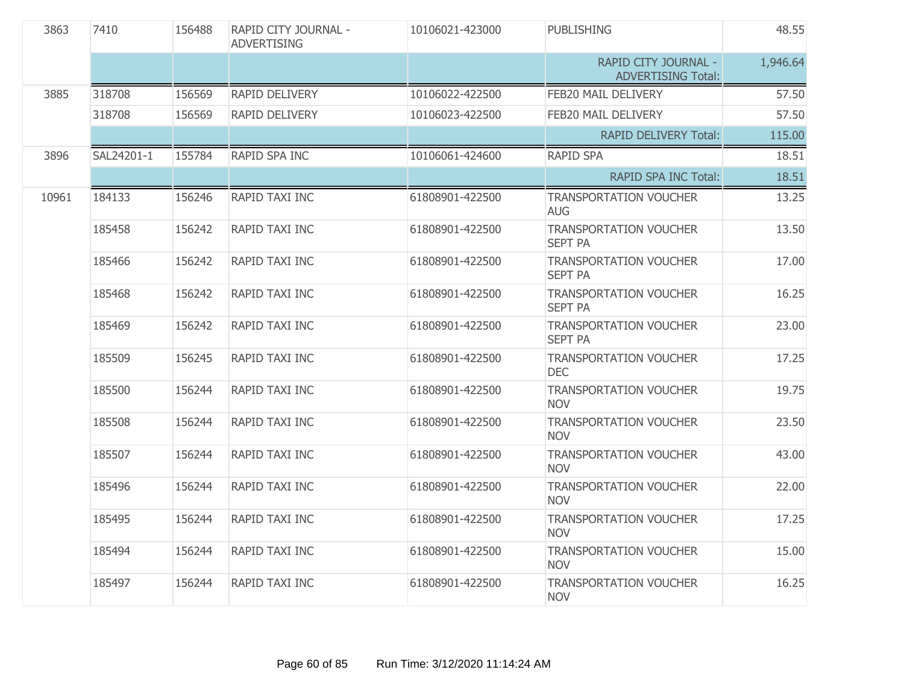| 3863  | 7410       | 156488 | RAPID CITY JOURNAL -<br><b>ADVERTISING</b> | 10106021-423000 | <b>PUBLISHING</b>                                 | 48.55    |
|-------|------------|--------|--------------------------------------------|-----------------|---------------------------------------------------|----------|
|       |            |        |                                            |                 | RAPID CITY JOURNAL -<br><b>ADVERTISING Total:</b> | 1,946.64 |
| 3885  | 318708     | 156569 | RAPID DELIVERY                             | 10106022-422500 | FEB20 MAIL DELIVERY                               | 57.50    |
|       | 318708     | 156569 | <b>RAPID DELIVERY</b>                      | 10106023-422500 | FEB20 MAIL DELIVERY                               | 57.50    |
|       |            |        |                                            |                 | <b>RAPID DELIVERY Total:</b>                      | 115.00   |
| 3896  | SAL24201-1 | 155784 | RAPID SPA INC                              | 10106061-424600 | <b>RAPID SPA</b>                                  | 18.51    |
|       |            |        |                                            |                 | <b>RAPID SPA INC Total:</b>                       | 18.51    |
| 10961 | 184133     | 156246 | <b>RAPID TAXI INC</b>                      | 61808901-422500 | <b>TRANSPORTATION VOUCHER</b><br><b>AUG</b>       | 13.25    |
|       | 185458     | 156242 | RAPID TAXI INC                             | 61808901-422500 | <b>TRANSPORTATION VOUCHER</b><br><b>SEPT PA</b>   | 13.50    |
|       | 185466     | 156242 | RAPID TAXI INC                             | 61808901-422500 | <b>TRANSPORTATION VOUCHER</b><br><b>SEPT PA</b>   | 17.00    |
|       | 185468     | 156242 | RAPID TAXI INC                             | 61808901-422500 | <b>TRANSPORTATION VOUCHER</b><br><b>SEPT PA</b>   | 16.25    |
|       | 185469     | 156242 | RAPID TAXI INC                             | 61808901-422500 | <b>TRANSPORTATION VOUCHER</b><br><b>SEPT PA</b>   | 23.00    |
|       | 185509     | 156245 | RAPID TAXI INC                             | 61808901-422500 | <b>TRANSPORTATION VOUCHER</b><br><b>DEC</b>       | 17.25    |
|       | 185500     | 156244 | RAPID TAXI INC                             | 61808901-422500 | <b>TRANSPORTATION VOUCHER</b><br><b>NOV</b>       | 19.75    |
|       | 185508     | 156244 | RAPID TAXI INC                             | 61808901-422500 | <b>TRANSPORTATION VOUCHER</b><br><b>NOV</b>       | 23.50    |
|       | 185507     | 156244 | RAPID TAXI INC                             | 61808901-422500 | <b>TRANSPORTATION VOUCHER</b><br><b>NOV</b>       | 43.00    |
|       | 185496     | 156244 | RAPID TAXI INC                             | 61808901-422500 | <b>TRANSPORTATION VOUCHER</b><br><b>NOV</b>       | 22.00    |
|       | 185495     | 156244 | RAPID TAXI INC                             | 61808901-422500 | <b>TRANSPORTATION VOUCHER</b><br><b>NOV</b>       | 17.25    |
|       | 185494     | 156244 | RAPID TAXI INC                             | 61808901-422500 | <b>TRANSPORTATION VOUCHER</b><br><b>NOV</b>       | 15.00    |
|       | 185497     | 156244 | <b>RAPID TAXI INC</b>                      | 61808901-422500 | TRANSPORTATION VOUCHER<br><b>NOV</b>              | 16.25    |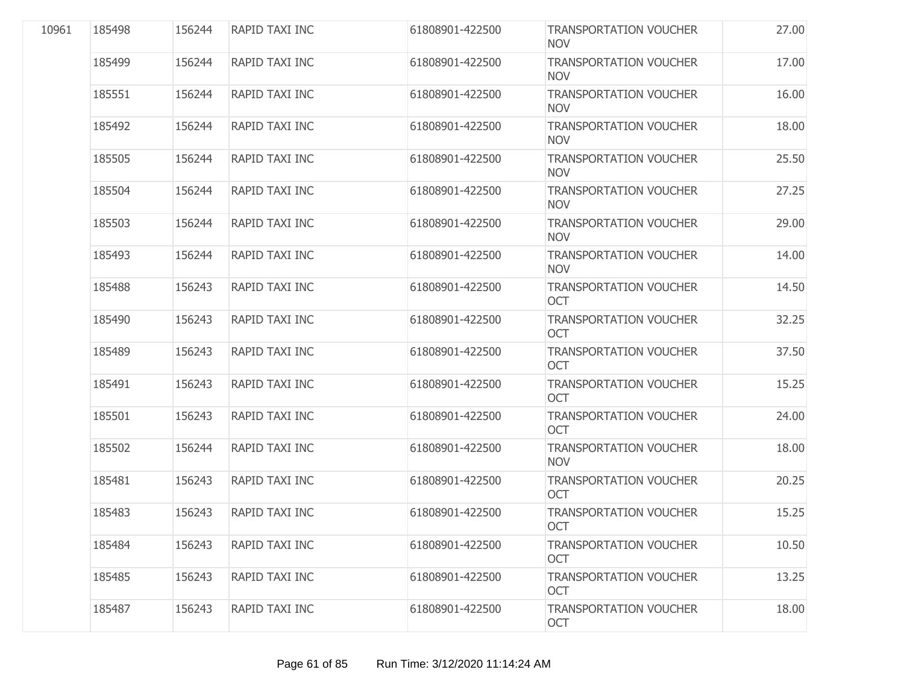| 10961 | 185498 | 156244 | RAPID TAXI INC | 61808901-422500 | <b>TRANSPORTATION VOUCHER</b><br><b>NOV</b> | 27.00 |
|-------|--------|--------|----------------|-----------------|---------------------------------------------|-------|
|       | 185499 | 156244 | RAPID TAXI INC | 61808901-422500 | <b>TRANSPORTATION VOUCHER</b><br><b>NOV</b> | 17.00 |
|       | 185551 | 156244 | RAPID TAXI INC | 61808901-422500 | <b>TRANSPORTATION VOUCHER</b><br><b>NOV</b> | 16.00 |
|       | 185492 | 156244 | RAPID TAXI INC | 61808901-422500 | <b>TRANSPORTATION VOUCHER</b><br><b>NOV</b> | 18.00 |
|       | 185505 | 156244 | RAPID TAXI INC | 61808901-422500 | <b>TRANSPORTATION VOUCHER</b><br><b>NOV</b> | 25.50 |
|       | 185504 | 156244 | RAPID TAXI INC | 61808901-422500 | <b>TRANSPORTATION VOUCHER</b><br><b>NOV</b> | 27.25 |
|       | 185503 | 156244 | RAPID TAXI INC | 61808901-422500 | <b>TRANSPORTATION VOUCHER</b><br><b>NOV</b> | 29.00 |
|       | 185493 | 156244 | RAPID TAXI INC | 61808901-422500 | <b>TRANSPORTATION VOUCHER</b><br><b>NOV</b> | 14.00 |
|       | 185488 | 156243 | RAPID TAXI INC | 61808901-422500 | <b>TRANSPORTATION VOUCHER</b><br><b>OCT</b> | 14.50 |
|       | 185490 | 156243 | RAPID TAXI INC | 61808901-422500 | <b>TRANSPORTATION VOUCHER</b><br><b>OCT</b> | 32.25 |
|       | 185489 | 156243 | RAPID TAXI INC | 61808901-422500 | <b>TRANSPORTATION VOUCHER</b><br><b>OCT</b> | 37.50 |
|       | 185491 | 156243 | RAPID TAXI INC | 61808901-422500 | <b>TRANSPORTATION VOUCHER</b><br><b>OCT</b> | 15.25 |
|       | 185501 | 156243 | RAPID TAXI INC | 61808901-422500 | <b>TRANSPORTATION VOUCHER</b><br>OCT        | 24.00 |
|       | 185502 | 156244 | RAPID TAXI INC | 61808901-422500 | <b>TRANSPORTATION VOUCHER</b><br><b>NOV</b> | 18.00 |
|       | 185481 | 156243 | RAPID TAXI INC | 61808901-422500 | <b>TRANSPORTATION VOUCHER</b><br><b>OCT</b> | 20.25 |
|       | 185483 | 156243 | RAPID TAXI INC | 61808901-422500 | <b>TRANSPORTATION VOUCHER</b><br><b>OCT</b> | 15.25 |
|       | 185484 | 156243 | RAPID TAXI INC | 61808901-422500 | <b>TRANSPORTATION VOUCHER</b><br><b>OCT</b> | 10.50 |
|       | 185485 | 156243 | RAPID TAXI INC | 61808901-422500 | <b>TRANSPORTATION VOUCHER</b><br><b>OCT</b> | 13.25 |
|       | 185487 | 156243 | RAPID TAXI INC | 61808901-422500 | <b>TRANSPORTATION VOUCHER</b><br>OCT        | 18.00 |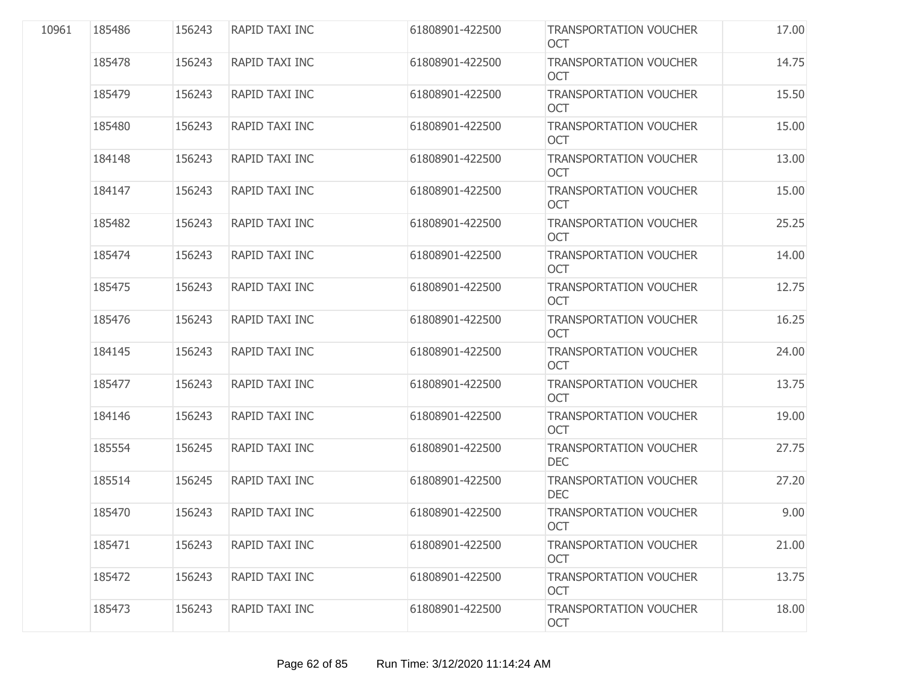| 10961 | 185486 | 156243 | <b>RAPID TAXI INC</b> | 61808901-422500 | <b>TRANSPORTATION VOUCHER</b><br><b>OCT</b> | 17.00 |
|-------|--------|--------|-----------------------|-----------------|---------------------------------------------|-------|
|       | 185478 | 156243 | RAPID TAXI INC        | 61808901-422500 | <b>TRANSPORTATION VOUCHER</b><br>OCT        | 14.75 |
|       | 185479 | 156243 | RAPID TAXI INC        | 61808901-422500 | <b>TRANSPORTATION VOUCHER</b><br><b>OCT</b> | 15.50 |
|       | 185480 | 156243 | RAPID TAXI INC        | 61808901-422500 | TRANSPORTATION VOUCHER<br><b>OCT</b>        | 15.00 |
|       | 184148 | 156243 | RAPID TAXI INC        | 61808901-422500 | <b>TRANSPORTATION VOUCHER</b><br><b>OCT</b> | 13.00 |
|       | 184147 | 156243 | RAPID TAXI INC        | 61808901-422500 | <b>TRANSPORTATION VOUCHER</b><br><b>OCT</b> | 15.00 |
|       | 185482 | 156243 | RAPID TAXI INC        | 61808901-422500 | <b>TRANSPORTATION VOUCHER</b><br><b>OCT</b> | 25.25 |
|       | 185474 | 156243 | RAPID TAXI INC        | 61808901-422500 | <b>TRANSPORTATION VOUCHER</b><br><b>OCT</b> | 14.00 |
|       | 185475 | 156243 | RAPID TAXI INC        | 61808901-422500 | <b>TRANSPORTATION VOUCHER</b><br><b>OCT</b> | 12.75 |
|       | 185476 | 156243 | RAPID TAXI INC        | 61808901-422500 | <b>TRANSPORTATION VOUCHER</b><br><b>OCT</b> | 16.25 |
|       | 184145 | 156243 | RAPID TAXI INC        | 61808901-422500 | <b>TRANSPORTATION VOUCHER</b><br><b>OCT</b> | 24.00 |
|       | 185477 | 156243 | RAPID TAXI INC        | 61808901-422500 | <b>TRANSPORTATION VOUCHER</b><br><b>OCT</b> | 13.75 |
|       | 184146 | 156243 | RAPID TAXI INC        | 61808901-422500 | <b>TRANSPORTATION VOUCHER</b><br><b>OCT</b> | 19.00 |
|       | 185554 | 156245 | RAPID TAXI INC        | 61808901-422500 | TRANSPORTATION VOUCHER<br><b>DEC</b>        | 27.75 |
|       | 185514 | 156245 | RAPID TAXI INC        | 61808901-422500 | <b>TRANSPORTATION VOUCHER</b><br><b>DEC</b> | 27.20 |
|       | 185470 | 156243 | RAPID TAXI INC        | 61808901-422500 | <b>TRANSPORTATION VOUCHER</b><br><b>OCT</b> | 9.00  |
|       | 185471 | 156243 | RAPID TAXI INC        | 61808901-422500 | <b>TRANSPORTATION VOUCHER</b><br><b>OCT</b> | 21.00 |
|       | 185472 | 156243 | RAPID TAXI INC        | 61808901-422500 | <b>TRANSPORTATION VOUCHER</b><br><b>OCT</b> | 13.75 |
|       | 185473 | 156243 | RAPID TAXI INC        | 61808901-422500 | <b>TRANSPORTATION VOUCHER</b><br>OCT        | 18.00 |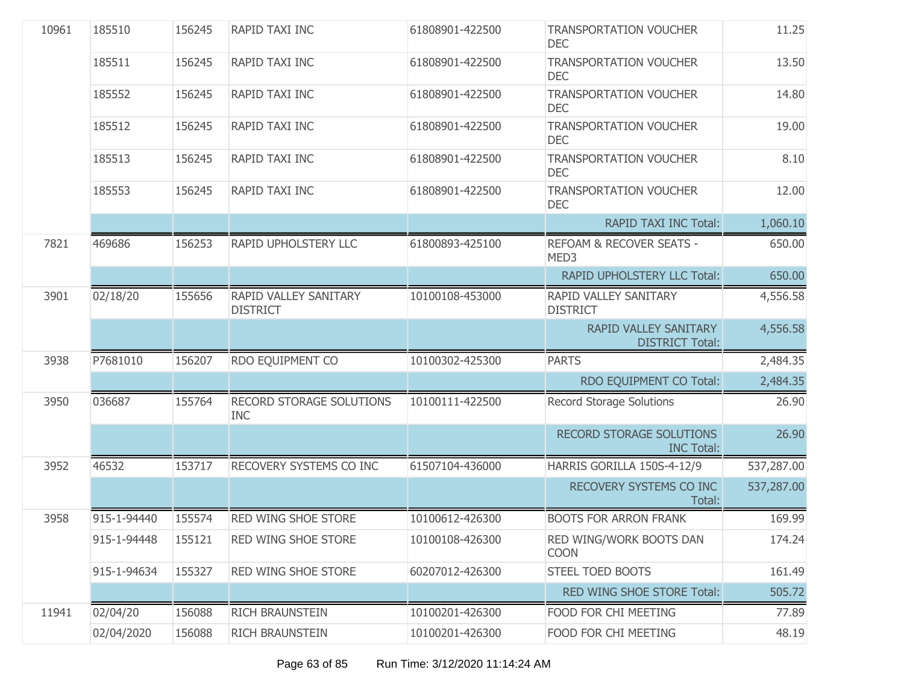| 10961 | 185510      | 156245 | RAPID TAXI INC                           | 61808901-422500 | <b>TRANSPORTATION VOUCHER</b><br><b>DEC</b>     | 11.25      |
|-------|-------------|--------|------------------------------------------|-----------------|-------------------------------------------------|------------|
|       | 185511      | 156245 | RAPID TAXI INC                           | 61808901-422500 | <b>TRANSPORTATION VOUCHER</b><br><b>DEC</b>     | 13.50      |
|       | 185552      | 156245 | RAPID TAXI INC                           | 61808901-422500 | <b>TRANSPORTATION VOUCHER</b><br><b>DEC</b>     | 14.80      |
|       | 185512      | 156245 | RAPID TAXI INC                           | 61808901-422500 | <b>TRANSPORTATION VOUCHER</b><br><b>DEC</b>     | 19.00      |
|       | 185513      | 156245 | RAPID TAXI INC                           | 61808901-422500 | <b>TRANSPORTATION VOUCHER</b><br><b>DEC</b>     | 8.10       |
|       | 185553      | 156245 | RAPID TAXI INC                           | 61808901-422500 | <b>TRANSPORTATION VOUCHER</b><br><b>DEC</b>     | 12.00      |
|       |             |        |                                          |                 | <b>RAPID TAXI INC Total:</b>                    | 1,060.10   |
| 7821  | 469686      | 156253 | RAPID UPHOLSTERY LLC                     | 61800893-425100 | REFOAM & RECOVER SEATS -<br>MED3                | 650.00     |
|       |             |        |                                          |                 | RAPID UPHOLSTERY LLC Total:                     | 650.00     |
| 3901  | 02/18/20    | 155656 | RAPID VALLEY SANITARY<br><b>DISTRICT</b> | 10100108-453000 | RAPID VALLEY SANITARY<br><b>DISTRICT</b>        | 4,556.58   |
|       |             |        |                                          |                 | RAPID VALLEY SANITARY<br><b>DISTRICT Total:</b> | 4,556.58   |
| 3938  | P7681010    | 156207 | RDO EQUIPMENT CO                         | 10100302-425300 | <b>PARTS</b>                                    | 2,484.35   |
|       |             |        |                                          |                 | RDO EQUIPMENT CO Total:                         | 2,484.35   |
| 3950  | 036687      | 155764 | RECORD STORAGE SOLUTIONS<br><b>INC</b>   | 10100111-422500 | <b>Record Storage Solutions</b>                 | 26.90      |
|       |             |        |                                          |                 | RECORD STORAGE SOLUTIONS<br><b>INC Total:</b>   | 26.90      |
| 3952  | 46532       | 153717 | RECOVERY SYSTEMS CO INC                  | 61507104-436000 | HARRIS GORILLA 150S-4-12/9                      | 537,287.00 |
|       |             |        |                                          |                 | RECOVERY SYSTEMS CO INC<br>Total:               | 537,287.00 |
| 3958  | 915-1-94440 | 155574 | <b>RED WING SHOE STORE</b>               | 10100612-426300 | <b>BOOTS FOR ARRON FRANK</b>                    | 169.99     |
|       | 915-1-94448 | 155121 | <b>RED WING SHOE STORE</b>               | 10100108-426300 | RED WING/WORK BOOTS DAN<br><b>COON</b>          | 174.24     |
|       | 915-1-94634 | 155327 | <b>RED WING SHOE STORE</b>               | 60207012-426300 | <b>STEEL TOED BOOTS</b>                         | 161.49     |
|       |             |        |                                          |                 | RED WING SHOE STORE Total:                      | 505.72     |
| 11941 | 02/04/20    | 156088 | <b>RICH BRAUNSTEIN</b>                   | 10100201-426300 | FOOD FOR CHI MEETING                            | 77.89      |
|       | 02/04/2020  | 156088 | <b>RICH BRAUNSTEIN</b>                   | 10100201-426300 | FOOD FOR CHI MEETING                            | 48.19      |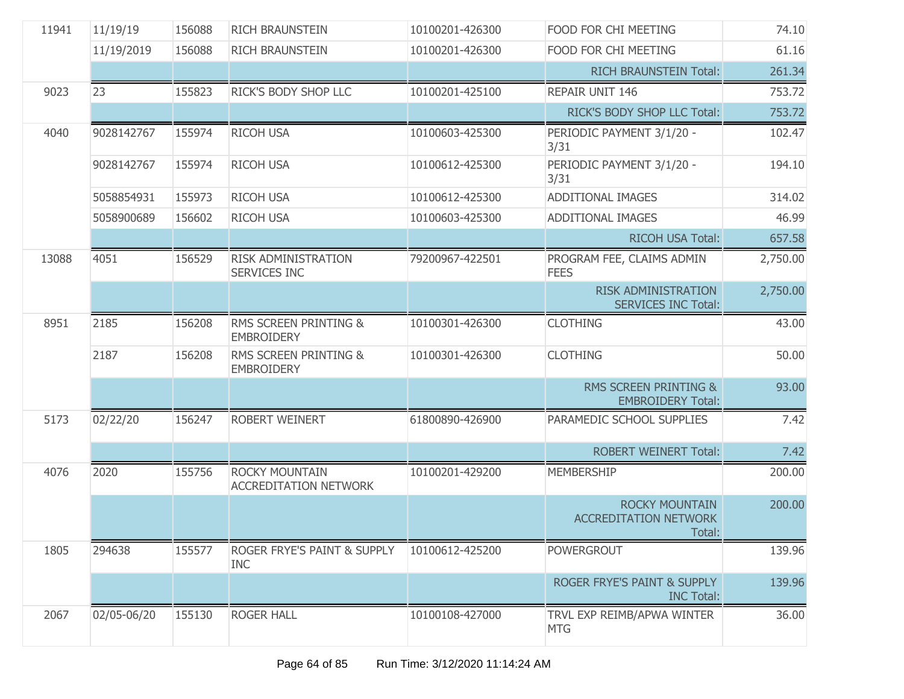| 11941 | 11/19/19    | 156088 | RICH BRAUNSTEIN                                   | 10100201-426300 | FOOD FOR CHI MEETING                                            | 74.10    |
|-------|-------------|--------|---------------------------------------------------|-----------------|-----------------------------------------------------------------|----------|
|       | 11/19/2019  | 156088 | <b>RICH BRAUNSTEIN</b>                            | 10100201-426300 | FOOD FOR CHI MEETING                                            | 61.16    |
|       |             |        |                                                   |                 | <b>RICH BRAUNSTEIN Total:</b>                                   | 261.34   |
| 9023  | 23          | 155823 | RICK'S BODY SHOP LLC                              | 10100201-425100 | <b>REPAIR UNIT 146</b>                                          | 753.72   |
|       |             |        |                                                   |                 | RICK'S BODY SHOP LLC Total:                                     | 753.72   |
| 4040  | 9028142767  | 155974 | <b>RICOH USA</b>                                  | 10100603-425300 | PERIODIC PAYMENT 3/1/20 -<br>3/31                               | 102.47   |
|       | 9028142767  | 155974 | <b>RICOH USA</b>                                  | 10100612-425300 | PERIODIC PAYMENT 3/1/20 -<br>3/31                               | 194.10   |
|       | 5058854931  | 155973 | <b>RICOH USA</b>                                  | 10100612-425300 | <b>ADDITIONAL IMAGES</b>                                        | 314.02   |
|       | 5058900689  | 156602 | <b>RICOH USA</b>                                  | 10100603-425300 | <b>ADDITIONAL IMAGES</b>                                        | 46.99    |
|       |             |        |                                                   |                 | <b>RICOH USA Total:</b>                                         | 657.58   |
| 13088 | 4051        | 156529 | <b>RISK ADMINISTRATION</b><br><b>SERVICES INC</b> | 79200967-422501 | PROGRAM FEE, CLAIMS ADMIN<br><b>FEES</b>                        | 2,750.00 |
|       |             |        |                                                   |                 | <b>RISK ADMINISTRATION</b><br><b>SERVICES INC Total:</b>        | 2,750.00 |
| 8951  | 2185        | 156208 | RMS SCREEN PRINTING &<br><b>EMBROIDERY</b>        | 10100301-426300 | <b>CLOTHING</b>                                                 | 43.00    |
|       | 2187        | 156208 | RMS SCREEN PRINTING &<br><b>EMBROIDERY</b>        | 10100301-426300 | <b>CLOTHING</b>                                                 | 50.00    |
|       |             |        |                                                   |                 | <b>RMS SCREEN PRINTING &amp;</b><br><b>EMBROIDERY Total:</b>    | 93.00    |
| 5173  | 02/22/20    | 156247 | ROBERT WEINERT                                    | 61800890-426900 | PARAMEDIC SCHOOL SUPPLIES                                       | 7.42     |
|       |             |        |                                                   |                 | <b>ROBERT WEINERT Total:</b>                                    | 7.42     |
| 4076  | 2020        | 155756 | ROCKY MOUNTAIN<br><b>ACCREDITATION NETWORK</b>    | 10100201-429200 | <b>MEMBERSHIP</b>                                               | 200.00   |
|       |             |        |                                                   |                 | <b>ROCKY MOUNTAIN</b><br><b>ACCREDITATION NETWORK</b><br>Total: | 200.00   |
| 1805  | 294638      | 155577 | ROGER FRYE'S PAINT & SUPPLY<br><b>INC</b>         | 10100612-425200 | <b>POWERGROUT</b>                                               | 139.96   |
|       |             |        |                                                   |                 | ROGER FRYE'S PAINT & SUPPLY<br><b>INC Total:</b>                | 139.96   |
| 2067  | 02/05-06/20 | 155130 | <b>ROGER HALL</b>                                 | 10100108-427000 | TRVL EXP REIMB/APWA WINTER<br><b>MTG</b>                        | 36.00    |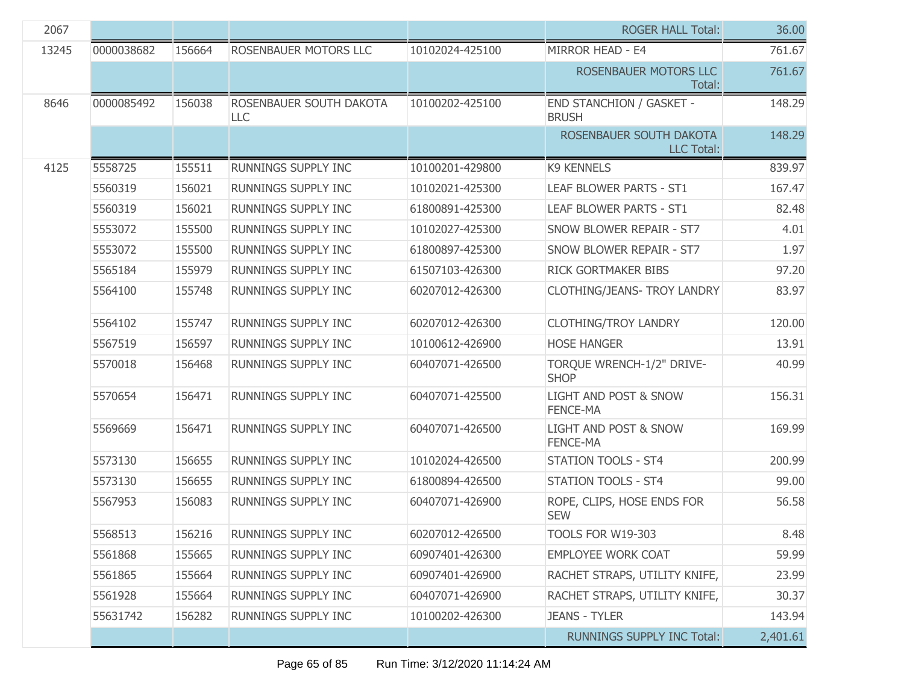| 2067  |            |        |                                |                 | <b>ROGER HALL Total:</b>                        | 36.00    |
|-------|------------|--------|--------------------------------|-----------------|-------------------------------------------------|----------|
| 13245 | 0000038682 | 156664 | ROSENBAUER MOTORS LLC          | 10102024-425100 | MIRROR HEAD - E4                                | 761.67   |
|       |            |        |                                |                 | ROSENBAUER MOTORS LLC<br>Total:                 | 761.67   |
| 8646  | 0000085492 | 156038 | ROSENBAUER SOUTH DAKOTA<br>LLC | 10100202-425100 | <b>END STANCHION / GASKET -</b><br><b>BRUSH</b> | 148.29   |
|       |            |        |                                |                 | ROSENBAUER SOUTH DAKOTA<br><b>LLC Total:</b>    | 148.29   |
| 4125  | 5558725    | 155511 | RUNNINGS SUPPLY INC            | 10100201-429800 | <b>K9 KENNELS</b>                               | 839.97   |
|       | 5560319    | 156021 | RUNNINGS SUPPLY INC            | 10102021-425300 | LEAF BLOWER PARTS - ST1                         | 167.47   |
|       | 5560319    | 156021 | RUNNINGS SUPPLY INC            | 61800891-425300 | LEAF BLOWER PARTS - ST1                         | 82.48    |
|       | 5553072    | 155500 | RUNNINGS SUPPLY INC            | 10102027-425300 | <b>SNOW BLOWER REPAIR - ST7</b>                 | 4.01     |
|       | 5553072    | 155500 | RUNNINGS SUPPLY INC            | 61800897-425300 | SNOW BLOWER REPAIR - ST7                        | 1.97     |
|       | 5565184    | 155979 | RUNNINGS SUPPLY INC            | 61507103-426300 | RICK GORTMAKER BIBS                             | 97.20    |
|       | 5564100    | 155748 | RUNNINGS SUPPLY INC            | 60207012-426300 | <b>CLOTHING/JEANS- TROY LANDRY</b>              | 83.97    |
|       | 5564102    | 155747 | RUNNINGS SUPPLY INC            | 60207012-426300 | <b>CLOTHING/TROY LANDRY</b>                     | 120.00   |
|       | 5567519    | 156597 | RUNNINGS SUPPLY INC            | 10100612-426900 | <b>HOSE HANGER</b>                              | 13.91    |
|       | 5570018    | 156468 | RUNNINGS SUPPLY INC            | 60407071-426500 | TORQUE WRENCH-1/2" DRIVE-<br><b>SHOP</b>        | 40.99    |
|       | 5570654    | 156471 | RUNNINGS SUPPLY INC            | 60407071-425500 | LIGHT AND POST & SNOW<br><b>FENCE-MA</b>        | 156.31   |
|       | 5569669    | 156471 | RUNNINGS SUPPLY INC            | 60407071-426500 | LIGHT AND POST & SNOW<br>FENCE-MA               | 169.99   |
|       | 5573130    | 156655 | RUNNINGS SUPPLY INC            | 10102024-426500 | <b>STATION TOOLS - ST4</b>                      | 200.99   |
|       | 5573130    | 156655 | <b>RUNNINGS SUPPLY INC</b>     | 61800894-426500 | <b>STATION TOOLS - ST4</b>                      | 99.00    |
|       | 5567953    | 156083 | RUNNINGS SUPPLY INC            | 60407071-426900 | ROPE, CLIPS, HOSE ENDS FOR<br><b>SEW</b>        | 56.58    |
|       | 5568513    | 156216 | RUNNINGS SUPPLY INC            | 60207012-426500 | TOOLS FOR W19-303                               | 8.48     |
|       | 5561868    | 155665 | RUNNINGS SUPPLY INC            | 60907401-426300 | <b>EMPLOYEE WORK COAT</b>                       | 59.99    |
|       | 5561865    | 155664 | RUNNINGS SUPPLY INC            | 60907401-426900 | RACHET STRAPS, UTILITY KNIFE,                   | 23.99    |
|       | 5561928    | 155664 | RUNNINGS SUPPLY INC            | 60407071-426900 | RACHET STRAPS, UTILITY KNIFE,                   | 30.37    |
|       | 55631742   | 156282 | RUNNINGS SUPPLY INC            | 10100202-426300 | <b>JEANS - TYLER</b>                            | 143.94   |
|       |            |        |                                |                 | RUNNINGS SUPPLY INC Total:                      | 2,401.61 |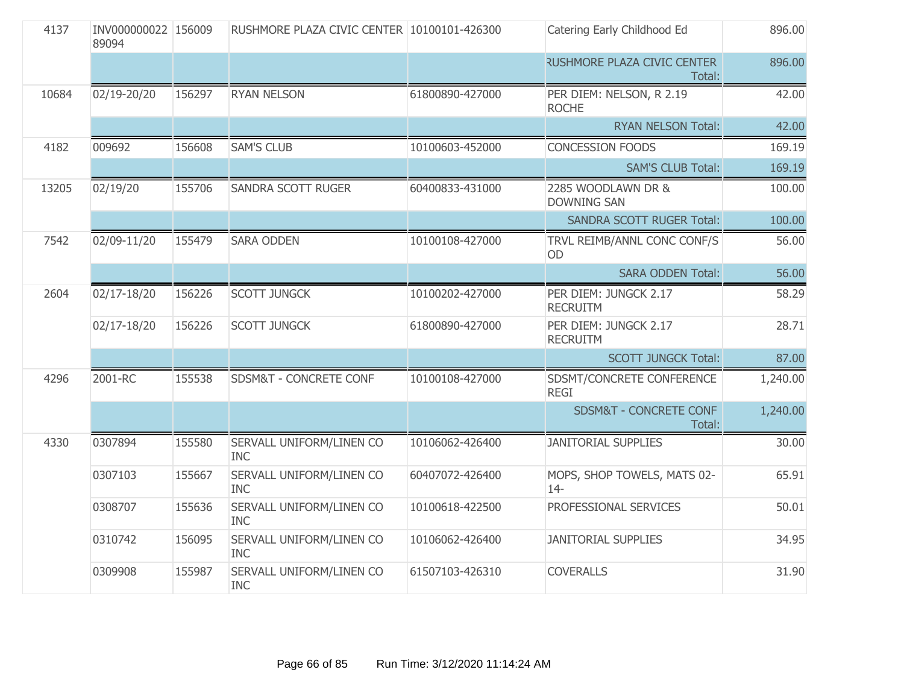| 4137  | INV000000022 156009<br>89094 |        | RUSHMORE PLAZA CIVIC CENTER 10100101-426300 |                 | Catering Early Childhood Ed                  | 896.00   |
|-------|------------------------------|--------|---------------------------------------------|-----------------|----------------------------------------------|----------|
|       |                              |        |                                             |                 | <b>RUSHMORE PLAZA CIVIC CENTER</b><br>Total: | 896.00   |
| 10684 | 02/19-20/20                  | 156297 | <b>RYAN NELSON</b>                          | 61800890-427000 | PER DIEM: NELSON, R 2.19<br><b>ROCHE</b>     | 42.00    |
|       |                              |        |                                             |                 | <b>RYAN NELSON Total:</b>                    | 42.00    |
| 4182  | 009692                       | 156608 | <b>SAM'S CLUB</b>                           | 10100603-452000 | <b>CONCESSION FOODS</b>                      | 169.19   |
|       |                              |        |                                             |                 | <b>SAM'S CLUB Total:</b>                     | 169.19   |
| 13205 | 02/19/20                     | 155706 | SANDRA SCOTT RUGER                          | 60400833-431000 | 2285 WOODLAWN DR &<br><b>DOWNING SAN</b>     | 100.00   |
|       |                              |        |                                             |                 | <b>SANDRA SCOTT RUGER Total:</b>             | 100.00   |
| 7542  | 02/09-11/20                  | 155479 | <b>SARA ODDEN</b>                           | 10100108-427000 | TRVL REIMB/ANNL CONC CONF/S<br><b>OD</b>     | 56.00    |
|       |                              |        |                                             |                 | <b>SARA ODDEN Total:</b>                     | 56.00    |
| 2604  | 02/17-18/20                  | 156226 | <b>SCOTT JUNGCK</b>                         | 10100202-427000 | PER DIEM: JUNGCK 2.17<br><b>RECRUITM</b>     | 58.29    |
|       | 02/17-18/20                  | 156226 | <b>SCOTT JUNGCK</b>                         | 61800890-427000 | PER DIEM: JUNGCK 2.17<br><b>RECRUITM</b>     | 28.71    |
|       |                              |        |                                             |                 | <b>SCOTT JUNGCK Total:</b>                   | 87.00    |
| 4296  | 2001-RC                      | 155538 | SDSM&T - CONCRETE CONF                      | 10100108-427000 | SDSMT/CONCRETE CONFERENCE<br><b>REGI</b>     | 1,240.00 |
|       |                              |        |                                             |                 | SDSM&T - CONCRETE CONF<br>Total:             | 1,240.00 |
| 4330  | 0307894                      | 155580 | SERVALL UNIFORM/LINEN CO<br><b>INC</b>      | 10106062-426400 | <b>JANITORIAL SUPPLIES</b>                   | 30.00    |
|       | 0307103                      | 155667 | SERVALL UNIFORM/LINEN CO<br><b>INC</b>      | 60407072-426400 | MOPS, SHOP TOWELS, MATS 02-<br>$14 -$        | 65.91    |
|       | 0308707                      | 155636 | SERVALL UNIFORM/LINEN CO<br><b>INC</b>      | 10100618-422500 | PROFESSIONAL SERVICES                        | 50.01    |
|       | 0310742                      | 156095 | SERVALL UNIFORM/LINEN CO<br><b>INC</b>      | 10106062-426400 | <b>JANITORIAL SUPPLIES</b>                   | 34.95    |
|       | 0309908                      | 155987 | SERVALL UNIFORM/LINEN CO<br><b>INC</b>      | 61507103-426310 | <b>COVERALLS</b>                             | 31.90    |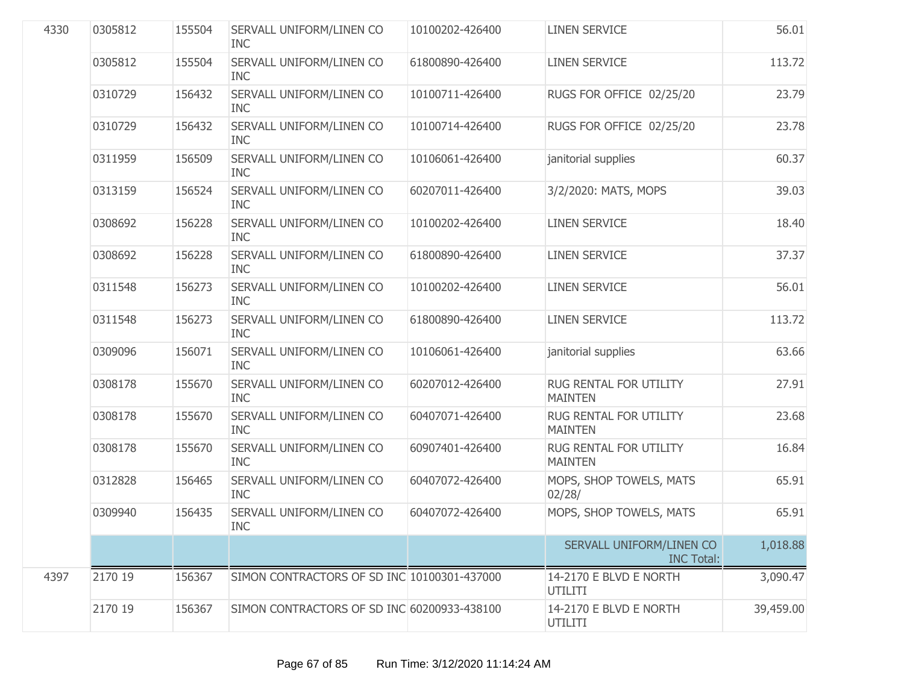| 4330 | 0305812 | 155504 | SERVALL UNIFORM/LINEN CO<br><b>INC</b>      | 10100202-426400 | <b>LINEN SERVICE</b>                          | 56.01     |
|------|---------|--------|---------------------------------------------|-----------------|-----------------------------------------------|-----------|
|      | 0305812 | 155504 | SERVALL UNIFORM/LINEN CO<br><b>INC</b>      | 61800890-426400 | <b>LINEN SERVICE</b>                          | 113.72    |
|      | 0310729 | 156432 | SERVALL UNIFORM/LINEN CO<br><b>INC</b>      | 10100711-426400 | RUGS FOR OFFICE 02/25/20                      | 23.79     |
|      | 0310729 | 156432 | SERVALL UNIFORM/LINEN CO<br><b>INC</b>      | 10100714-426400 | RUGS FOR OFFICE 02/25/20                      | 23.78     |
|      | 0311959 | 156509 | SERVALL UNIFORM/LINEN CO<br><b>INC</b>      | 10106061-426400 | janitorial supplies                           | 60.37     |
|      | 0313159 | 156524 | SERVALL UNIFORM/LINEN CO<br><b>INC</b>      | 60207011-426400 | 3/2/2020: MATS, MOPS                          | 39.03     |
|      | 0308692 | 156228 | SERVALL UNIFORM/LINEN CO<br><b>INC</b>      | 10100202-426400 | <b>LINEN SERVICE</b>                          | 18.40     |
|      | 0308692 | 156228 | SERVALL UNIFORM/LINEN CO<br><b>INC</b>      | 61800890-426400 | <b>LINEN SERVICE</b>                          | 37.37     |
|      | 0311548 | 156273 | SERVALL UNIFORM/LINEN CO<br><b>INC</b>      | 10100202-426400 | <b>LINEN SERVICE</b>                          | 56.01     |
|      | 0311548 | 156273 | SERVALL UNIFORM/LINEN CO<br><b>INC</b>      | 61800890-426400 | <b>LINEN SERVICE</b>                          | 113.72    |
|      | 0309096 | 156071 | SERVALL UNIFORM/LINEN CO<br><b>INC</b>      | 10106061-426400 | janitorial supplies                           | 63.66     |
|      | 0308178 | 155670 | SERVALL UNIFORM/LINEN CO<br><b>INC</b>      | 60207012-426400 | RUG RENTAL FOR UTILITY<br><b>MAINTEN</b>      | 27.91     |
|      | 0308178 | 155670 | SERVALL UNIFORM/LINEN CO<br><b>INC</b>      | 60407071-426400 | RUG RENTAL FOR UTILITY<br><b>MAINTEN</b>      | 23.68     |
|      | 0308178 | 155670 | SERVALL UNIFORM/LINEN CO<br><b>INC</b>      | 60907401-426400 | RUG RENTAL FOR UTILITY<br><b>MAINTEN</b>      | 16.84     |
|      | 0312828 | 156465 | SERVALL UNIFORM/LINEN CO<br><b>INC</b>      | 60407072-426400 | MOPS, SHOP TOWELS, MATS<br>02/28/             | 65.91     |
|      | 0309940 | 156435 | SERVALL UNIFORM/LINEN CO<br><b>INC</b>      | 60407072-426400 | MOPS, SHOP TOWELS, MATS                       | 65.91     |
|      |         |        |                                             |                 | SERVALL UNIFORM/LINEN CO<br><b>INC Total:</b> | 1,018.88  |
| 4397 | 2170 19 | 156367 | SIMON CONTRACTORS OF SD INC 10100301-437000 |                 | 14-2170 E BLVD E NORTH<br>UTILITI             | 3,090.47  |
|      | 2170 19 | 156367 | SIMON CONTRACTORS OF SD INC 60200933-438100 |                 | 14-2170 E BLVD E NORTH<br>UTILITI             | 39,459.00 |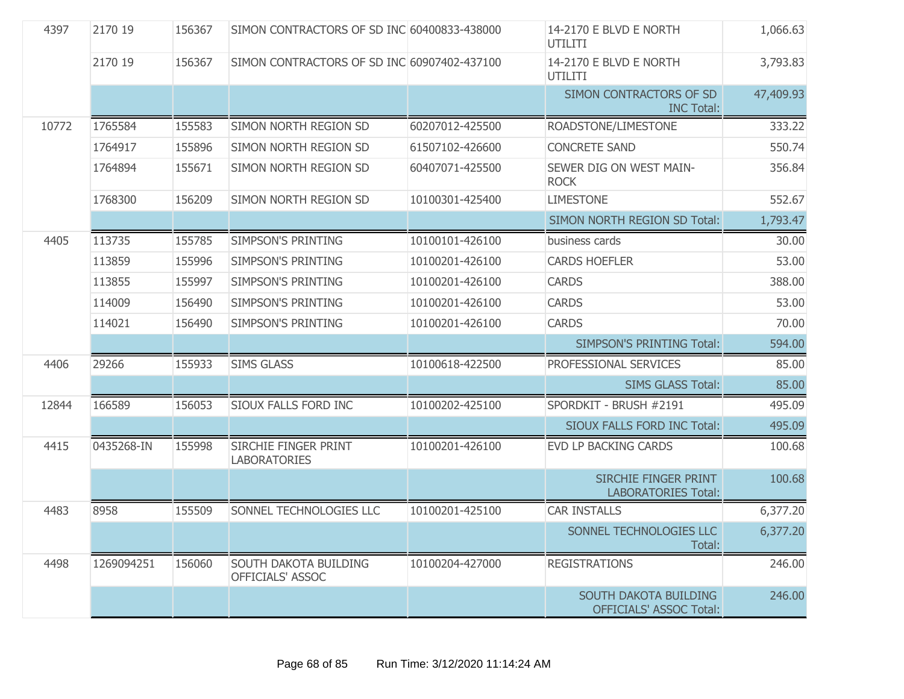| 4397  | 2170 19    | 156367 | SIMON CONTRACTORS OF SD INC 60400833-438000 |                 | 14-2170 E BLVD E NORTH<br>UTILITI                       | 1,066.63  |
|-------|------------|--------|---------------------------------------------|-----------------|---------------------------------------------------------|-----------|
|       | 2170 19    | 156367 | SIMON CONTRACTORS OF SD INC 60907402-437100 |                 | 14-2170 E BLVD E NORTH<br><b>UTILITI</b>                | 3,793.83  |
|       |            |        |                                             |                 | SIMON CONTRACTORS OF SD<br><b>INC Total:</b>            | 47,409.93 |
| 10772 | 1765584    | 155583 | SIMON NORTH REGION SD                       | 60207012-425500 | ROADSTONE/LIMESTONE                                     | 333.22    |
|       | 1764917    | 155896 | SIMON NORTH REGION SD                       | 61507102-426600 | <b>CONCRETE SAND</b>                                    | 550.74    |
|       | 1764894    | 155671 | SIMON NORTH REGION SD                       | 60407071-425500 | SEWER DIG ON WEST MAIN-<br><b>ROCK</b>                  | 356.84    |
|       | 1768300    | 156209 | SIMON NORTH REGION SD                       | 10100301-425400 | <b>LIMESTONE</b>                                        | 552.67    |
|       |            |        |                                             |                 | SIMON NORTH REGION SD Total:                            | 1,793.47  |
| 4405  | 113735     | 155785 | <b>SIMPSON'S PRINTING</b>                   | 10100101-426100 | business cards                                          | 30.00     |
|       | 113859     | 155996 | <b>SIMPSON'S PRINTING</b>                   | 10100201-426100 | <b>CARDS HOEFLER</b>                                    | 53.00     |
|       | 113855     | 155997 | <b>SIMPSON'S PRINTING</b>                   | 10100201-426100 | <b>CARDS</b>                                            | 388.00    |
|       | 114009     | 156490 | SIMPSON'S PRINTING                          | 10100201-426100 | <b>CARDS</b>                                            | 53.00     |
|       | 114021     | 156490 | SIMPSON'S PRINTING                          | 10100201-426100 | <b>CARDS</b>                                            | 70.00     |
|       |            |        |                                             |                 | <b>SIMPSON'S PRINTING Total:</b>                        | 594.00    |
| 4406  | 29266      | 155933 | <b>SIMS GLASS</b>                           | 10100618-422500 | PROFESSIONAL SERVICES                                   | 85.00     |
|       |            |        |                                             |                 | <b>SIMS GLASS Total:</b>                                | 85.00     |
| 12844 | 166589     | 156053 | SIOUX FALLS FORD INC                        | 10100202-425100 | SPORDKIT - BRUSH #2191                                  | 495.09    |
|       |            |        |                                             |                 | SIOUX FALLS FORD INC Total:                             | 495.09    |
| 4415  | 0435268-IN | 155998 | SIRCHIE FINGER PRINT<br><b>LABORATORIES</b> | 10100201-426100 | EVD LP BACKING CARDS                                    | 100.68    |
|       |            |        |                                             |                 | SIRCHIE FINGER PRINT<br><b>LABORATORIES Total:</b>      | 100.68    |
| 4483  | 8958       | 155509 | SONNEL TECHNOLOGIES LLC                     | 10100201-425100 | <b>CAR INSTALLS</b>                                     | 6,377.20  |
|       |            |        |                                             |                 | SONNEL TECHNOLOGIES LLC<br>Total:                       | 6,377.20  |
| 4498  | 1269094251 | 156060 | SOUTH DAKOTA BUILDING<br>OFFICIALS' ASSOC   | 10100204-427000 | <b>REGISTRATIONS</b>                                    | 246.00    |
|       |            |        |                                             |                 | SOUTH DAKOTA BUILDING<br><b>OFFICIALS' ASSOC Total:</b> | 246.00    |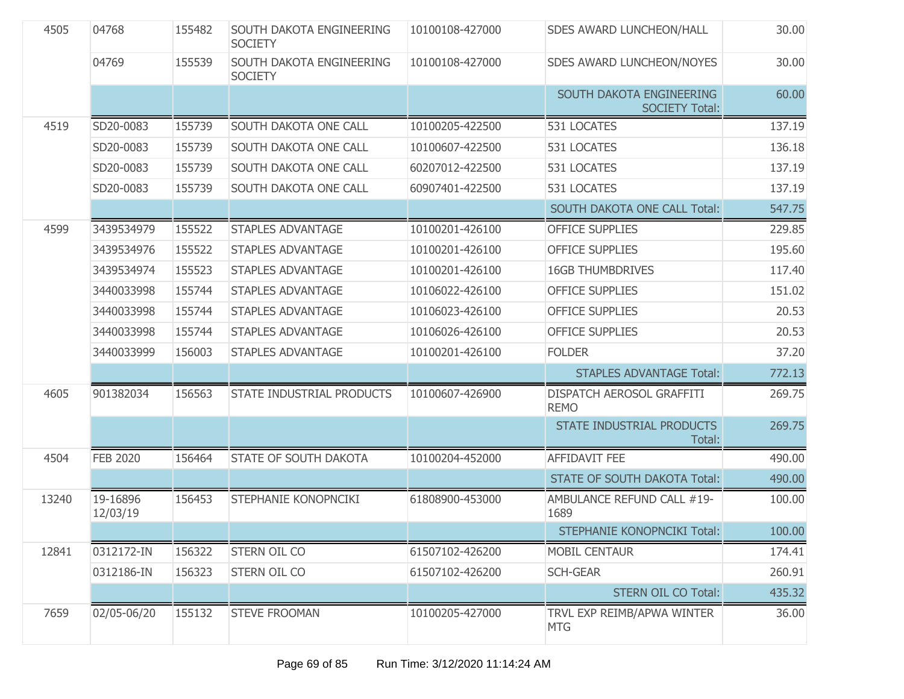| 4505  | 04768                | 155482 | SOUTH DAKOTA ENGINEERING<br><b>SOCIETY</b> | 10100108-427000 | <b>SDES AWARD LUNCHEON/HALL</b>                   | 30.00  |
|-------|----------------------|--------|--------------------------------------------|-----------------|---------------------------------------------------|--------|
|       | 04769                | 155539 | SOUTH DAKOTA ENGINEERING<br><b>SOCIETY</b> | 10100108-427000 | SDES AWARD LUNCHEON/NOYES                         | 30.00  |
|       |                      |        |                                            |                 | SOUTH DAKOTA ENGINEERING<br><b>SOCIETY Total:</b> | 60.00  |
| 4519  | SD20-0083            | 155739 | SOUTH DAKOTA ONE CALL                      | 10100205-422500 | 531 LOCATES                                       | 137.19 |
|       | SD20-0083            | 155739 | SOUTH DAKOTA ONE CALL                      | 10100607-422500 | 531 LOCATES                                       | 136.18 |
|       | SD20-0083            | 155739 | SOUTH DAKOTA ONE CALL                      | 60207012-422500 | 531 LOCATES                                       | 137.19 |
|       | SD20-0083            | 155739 | SOUTH DAKOTA ONE CALL                      | 60907401-422500 | 531 LOCATES                                       | 137.19 |
|       |                      |        |                                            |                 | SOUTH DAKOTA ONE CALL Total:                      | 547.75 |
| 4599  | 3439534979           | 155522 | <b>STAPLES ADVANTAGE</b>                   | 10100201-426100 | <b>OFFICE SUPPLIES</b>                            | 229.85 |
|       | 3439534976           | 155522 | <b>STAPLES ADVANTAGE</b>                   | 10100201-426100 | <b>OFFICE SUPPLIES</b>                            | 195.60 |
|       | 3439534974           | 155523 | <b>STAPLES ADVANTAGE</b>                   | 10100201-426100 | <b>16GB THUMBDRIVES</b>                           | 117.40 |
|       | 3440033998           | 155744 | <b>STAPLES ADVANTAGE</b>                   | 10106022-426100 | <b>OFFICE SUPPLIES</b>                            | 151.02 |
|       | 3440033998           | 155744 | <b>STAPLES ADVANTAGE</b>                   | 10106023-426100 | <b>OFFICE SUPPLIES</b>                            | 20.53  |
|       | 3440033998           | 155744 | <b>STAPLES ADVANTAGE</b>                   | 10106026-426100 | <b>OFFICE SUPPLIES</b>                            | 20.53  |
|       | 3440033999           | 156003 | <b>STAPLES ADVANTAGE</b>                   | 10100201-426100 | <b>FOLDER</b>                                     | 37.20  |
|       |                      |        |                                            |                 | <b>STAPLES ADVANTAGE Total:</b>                   | 772.13 |
| 4605  | 901382034            | 156563 | STATE INDUSTRIAL PRODUCTS                  | 10100607-426900 | DISPATCH AEROSOL GRAFFITI<br><b>REMO</b>          | 269.75 |
|       |                      |        |                                            |                 | STATE INDUSTRIAL PRODUCTS<br>Total:               | 269.75 |
| 4504  | <b>FEB 2020</b>      | 156464 | <b>STATE OF SOUTH DAKOTA</b>               | 10100204-452000 | <b>AFFIDAVIT FEE</b>                              | 490.00 |
|       |                      |        |                                            |                 | <b>STATE OF SOUTH DAKOTA Total:</b>               | 490.00 |
| 13240 | 19-16896<br>12/03/19 | 156453 | STEPHANIE KONOPNCIKI                       | 61808900-453000 | AMBULANCE REFUND CALL #19-<br>1689                | 100.00 |
|       |                      |        |                                            |                 | STEPHANIE KONOPNCIKI Total:                       | 100.00 |
| 12841 | 0312172-IN           | 156322 | <b>STERN OIL CO</b>                        | 61507102-426200 | <b>MOBIL CENTAUR</b>                              | 174.41 |
|       | 0312186-IN           | 156323 | <b>STERN OIL CO</b>                        | 61507102-426200 | <b>SCH-GEAR</b>                                   | 260.91 |
|       |                      |        |                                            |                 | <b>STERN OIL CO Total:</b>                        | 435.32 |
| 7659  | 02/05-06/20          | 155132 | <b>STEVE FROOMAN</b>                       | 10100205-427000 | TRVL EXP REIMB/APWA WINTER<br><b>MTG</b>          | 36.00  |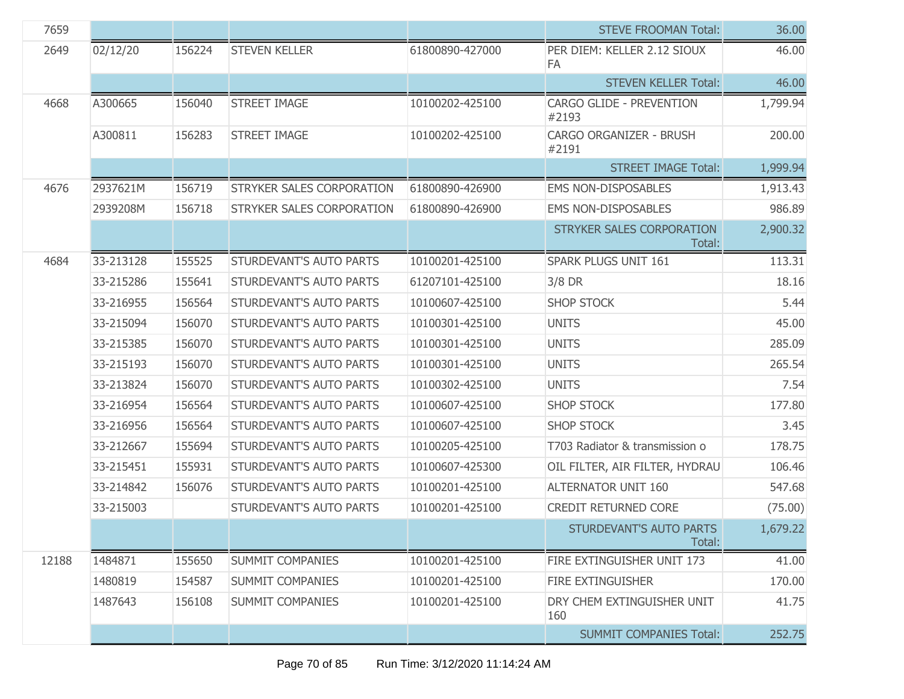| 7659  |           |        |                                  |                 | <b>STEVE FROOMAN Total:</b>                | 36.00    |
|-------|-----------|--------|----------------------------------|-----------------|--------------------------------------------|----------|
| 2649  | 02/12/20  | 156224 | <b>STEVEN KELLER</b>             | 61800890-427000 | PER DIEM: KELLER 2.12 SIOUX<br>FA          | 46.00    |
|       |           |        |                                  |                 | <b>STEVEN KELLER Total:</b>                | 46.00    |
| 4668  | A300665   | 156040 | <b>STREET IMAGE</b>              | 10100202-425100 | <b>CARGO GLIDE - PREVENTION</b><br>#2193   | 1,799.94 |
|       | A300811   | 156283 | <b>STREET IMAGE</b>              | 10100202-425100 | CARGO ORGANIZER - BRUSH<br>#2191           | 200.00   |
|       |           |        |                                  |                 | <b>STREET IMAGE Total:</b>                 | 1,999.94 |
| 4676  | 2937621M  | 156719 | <b>STRYKER SALES CORPORATION</b> | 61800890-426900 | EMS NON-DISPOSABLES                        | 1,913.43 |
|       | 2939208M  | 156718 | STRYKER SALES CORPORATION        | 61800890-426900 | <b>EMS NON-DISPOSABLES</b>                 | 986.89   |
|       |           |        |                                  |                 | <b>STRYKER SALES CORPORATION</b><br>Total: | 2,900.32 |
| 4684  | 33-213128 | 155525 | STURDEVANT'S AUTO PARTS          | 10100201-425100 | <b>SPARK PLUGS UNIT 161</b>                | 113.31   |
|       | 33-215286 | 155641 | STURDEVANT'S AUTO PARTS          | 61207101-425100 | $3/8$ DR                                   | 18.16    |
|       | 33-216955 | 156564 | STURDEVANT'S AUTO PARTS          | 10100607-425100 | <b>SHOP STOCK</b>                          | 5.44     |
|       | 33-215094 | 156070 | STURDEVANT'S AUTO PARTS          | 10100301-425100 | <b>UNITS</b>                               | 45.00    |
|       | 33-215385 | 156070 | STURDEVANT'S AUTO PARTS          | 10100301-425100 | <b>UNITS</b>                               | 285.09   |
|       | 33-215193 | 156070 | STURDEVANT'S AUTO PARTS          | 10100301-425100 | <b>UNITS</b>                               | 265.54   |
|       | 33-213824 | 156070 | STURDEVANT'S AUTO PARTS          | 10100302-425100 | <b>UNITS</b>                               | 7.54     |
|       | 33-216954 | 156564 | STURDEVANT'S AUTO PARTS          | 10100607-425100 | <b>SHOP STOCK</b>                          | 177.80   |
|       | 33-216956 | 156564 | STURDEVANT'S AUTO PARTS          | 10100607-425100 | <b>SHOP STOCK</b>                          | 3.45     |
|       | 33-212667 | 155694 | STURDEVANT'S AUTO PARTS          | 10100205-425100 | T703 Radiator & transmission o             | 178.75   |
|       | 33-215451 | 155931 | STURDEVANT'S AUTO PARTS          | 10100607-425300 | OIL FILTER, AIR FILTER, HYDRAU             | 106.46   |
|       | 33-214842 | 156076 | <b>STURDEVANT'S AUTO PARTS</b>   | 10100201-425100 | <b>ALTERNATOR UNIT 160</b>                 | 547.68   |
|       | 33-215003 |        | STURDEVANT'S AUTO PARTS          | 10100201-425100 | CREDIT RETURNED CORE                       | (75.00)  |
|       |           |        |                                  |                 | STURDEVANT'S AUTO PARTS<br>Total:          | 1,679.22 |
| 12188 | 1484871   | 155650 | <b>SUMMIT COMPANIES</b>          | 10100201-425100 | FIRE EXTINGUISHER UNIT 173                 | 41.00    |
|       | 1480819   | 154587 | <b>SUMMIT COMPANIES</b>          | 10100201-425100 | FIRE EXTINGUISHER                          | 170.00   |
|       | 1487643   | 156108 | <b>SUMMIT COMPANIES</b>          | 10100201-425100 | DRY CHEM EXTINGUISHER UNIT<br>160          | 41.75    |
|       |           |        |                                  |                 | <b>SUMMIT COMPANIES Total:</b>             | 252.75   |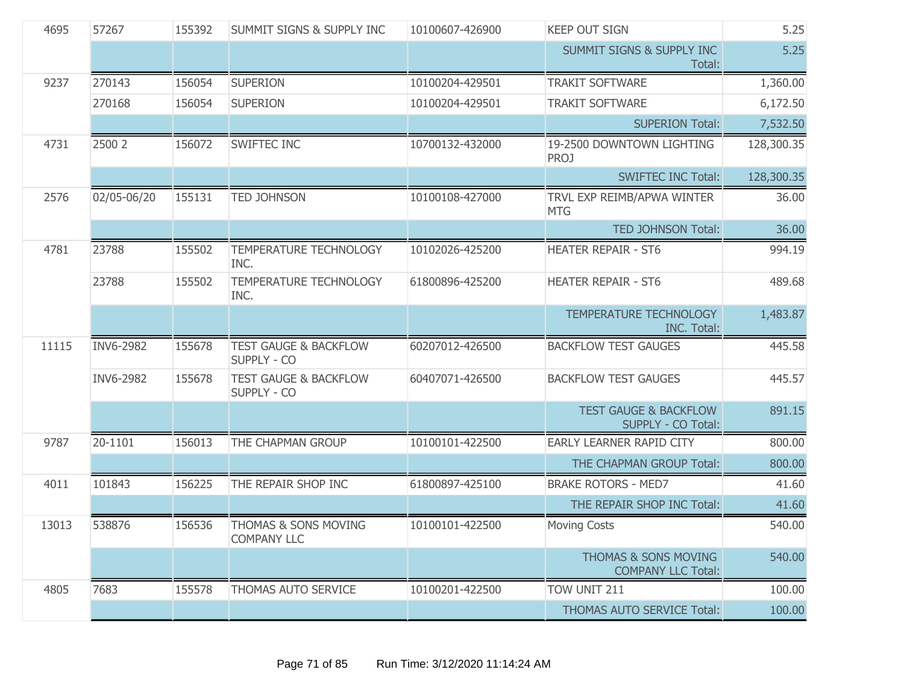| 4695  | 57267       | 155392 | SUMMIT SIGNS & SUPPLY INC                       | 10100607-426900 | <b>KEEP OUT SIGN</b>                                         | 5.25       |
|-------|-------------|--------|-------------------------------------------------|-----------------|--------------------------------------------------------------|------------|
|       |             |        |                                                 |                 | <b>SUMMIT SIGNS &amp; SUPPLY INC</b><br>Total:               | 5.25       |
| 9237  | 270143      | 156054 | <b>SUPERION</b>                                 | 10100204-429501 | <b>TRAKIT SOFTWARE</b>                                       | 1,360.00   |
|       | 270168      | 156054 | <b>SUPERION</b>                                 | 10100204-429501 | <b>TRAKIT SOFTWARE</b>                                       | 6,172.50   |
|       |             |        |                                                 |                 | <b>SUPERION Total:</b>                                       | 7,532.50   |
| 4731  | 2500 2      | 156072 | <b>SWIFTEC INC</b>                              | 10700132-432000 | 19-2500 DOWNTOWN LIGHTING<br><b>PROJ</b>                     | 128,300.35 |
|       |             |        |                                                 |                 | <b>SWIFTEC INC Total:</b>                                    | 128,300.35 |
| 2576  | 02/05-06/20 | 155131 | <b>TED JOHNSON</b>                              | 10100108-427000 | TRVL EXP REIMB/APWA WINTER<br><b>MTG</b>                     | 36.00      |
|       |             |        |                                                 |                 | <b>TED JOHNSON Total:</b>                                    | 36.00      |
| 4781  | 23788       | 155502 | TEMPERATURE TECHNOLOGY<br>INC.                  | 10102026-425200 | <b>HEATER REPAIR - ST6</b>                                   | 994.19     |
|       | 23788       | 155502 | TEMPERATURE TECHNOLOGY<br>INC.                  | 61800896-425200 | <b>HEATER REPAIR - ST6</b>                                   | 489.68     |
|       |             |        |                                                 |                 | TEMPERATURE TECHNOLOGY<br><b>INC. Total:</b>                 | 1,483.87   |
| 11115 | INV6-2982   | 155678 | <b>TEST GAUGE &amp; BACKFLOW</b><br>SUPPLY - CO | 60207012-426500 | <b>BACKFLOW TEST GAUGES</b>                                  | 445.58     |
|       | INV6-2982   | 155678 | <b>TEST GAUGE &amp; BACKFLOW</b><br>SUPPLY - CO | 60407071-426500 | <b>BACKFLOW TEST GAUGES</b>                                  | 445.57     |
|       |             |        |                                                 |                 | <b>TEST GAUGE &amp; BACKFLOW</b><br>SUPPLY - CO Total:       | 891.15     |
| 9787  | 20-1101     | 156013 | THE CHAPMAN GROUP                               | 10100101-422500 | <b>EARLY LEARNER RAPID CITY</b>                              | 800.00     |
|       |             |        |                                                 |                 | THE CHAPMAN GROUP Total:                                     | 800.00     |
| 4011  | 101843      | 156225 | THE REPAIR SHOP INC                             | 61800897-425100 | <b>BRAKE ROTORS - MED7</b>                                   | 41.60      |
|       |             |        |                                                 |                 | THE REPAIR SHOP INC Total:                                   | 41.60      |
| 13013 | 538876      | 156536 | THOMAS & SONS MOVING<br><b>COMPANY LLC</b>      | 10100101-422500 | <b>Moving Costs</b>                                          | 540.00     |
|       |             |        |                                                 |                 | <b>THOMAS &amp; SONS MOVING</b><br><b>COMPANY LLC Total:</b> | 540.00     |
| 4805  | 7683        | 155578 | THOMAS AUTO SERVICE                             | 10100201-422500 | TOW UNIT 211                                                 | 100.00     |
|       |             |        |                                                 |                 | THOMAS AUTO SERVICE Total:                                   | 100.00     |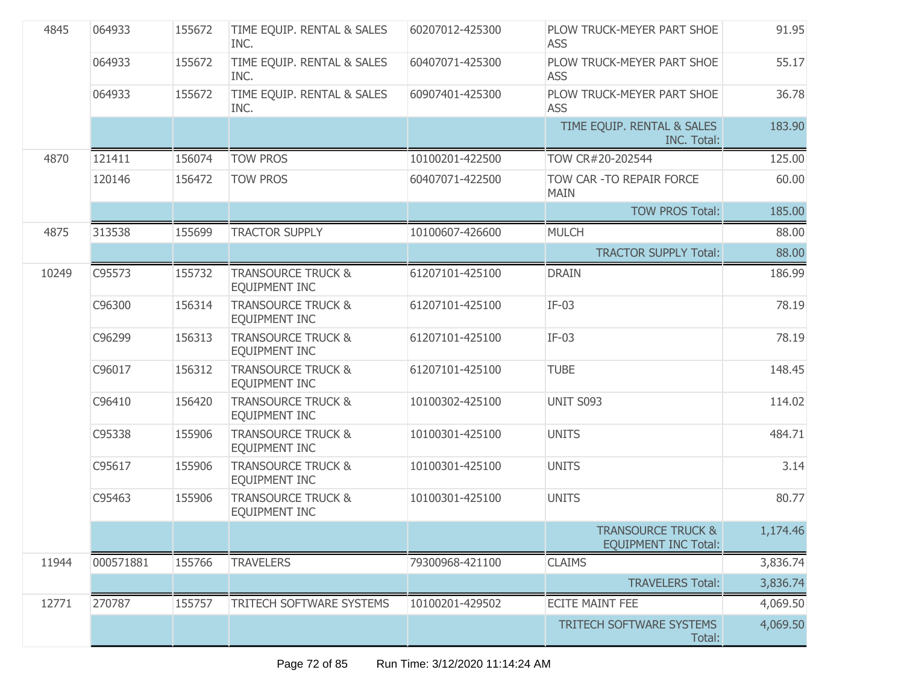| 4845  | 064933    | 155672 | TIME EQUIP. RENTAL & SALES<br>INC.                    | 60207012-425300 | PLOW TRUCK-MEYER PART SHOE<br><b>ASS</b>                     | 91.95    |
|-------|-----------|--------|-------------------------------------------------------|-----------------|--------------------------------------------------------------|----------|
|       | 064933    | 155672 | TIME EQUIP. RENTAL & SALES<br>INC.                    | 60407071-425300 | PLOW TRUCK-MEYER PART SHOE<br><b>ASS</b>                     | 55.17    |
|       | 064933    | 155672 | TIME EQUIP. RENTAL & SALES<br>INC.                    | 60907401-425300 | PLOW TRUCK-MEYER PART SHOE<br><b>ASS</b>                     | 36.78    |
|       |           |        |                                                       |                 | TIME EQUIP. RENTAL & SALES<br>INC. Total:                    | 183.90   |
| 4870  | 121411    | 156074 | <b>TOW PROS</b>                                       | 10100201-422500 | TOW CR#20-202544                                             | 125.00   |
|       | 120146    | 156472 | <b>TOW PROS</b>                                       | 60407071-422500 | TOW CAR - TO REPAIR FORCE<br><b>MAIN</b>                     | 60.00    |
|       |           |        |                                                       |                 | <b>TOW PROS Total:</b>                                       | 185.00   |
| 4875  | 313538    | 155699 | <b>TRACTOR SUPPLY</b>                                 | 10100607-426600 | <b>MULCH</b>                                                 | 88.00    |
|       |           |        |                                                       |                 | <b>TRACTOR SUPPLY Total:</b>                                 | 88.00    |
| 10249 | C95573    | 155732 | <b>TRANSOURCE TRUCK &amp;</b><br><b>EQUIPMENT INC</b> | 61207101-425100 | <b>DRAIN</b>                                                 | 186.99   |
|       | C96300    | 156314 | <b>TRANSOURCE TRUCK &amp;</b><br><b>EQUIPMENT INC</b> | 61207101-425100 | $IF-03$                                                      | 78.19    |
|       | C96299    | 156313 | <b>TRANSOURCE TRUCK &amp;</b><br>EQUIPMENT INC        | 61207101-425100 | $IF-03$                                                      | 78.19    |
|       | C96017    | 156312 | <b>TRANSOURCE TRUCK &amp;</b><br><b>EQUIPMENT INC</b> | 61207101-425100 | <b>TUBE</b>                                                  | 148.45   |
|       | C96410    | 156420 | <b>TRANSOURCE TRUCK &amp;</b><br><b>EQUIPMENT INC</b> | 10100302-425100 | <b>UNIT S093</b>                                             | 114.02   |
|       | C95338    | 155906 | <b>TRANSOURCE TRUCK &amp;</b><br>EQUIPMENT INC        | 10100301-425100 | <b>UNITS</b>                                                 | 484.71   |
|       | C95617    | 155906 | <b>TRANSOURCE TRUCK &amp;</b><br><b>EQUIPMENT INC</b> | 10100301-425100 | <b>UNITS</b>                                                 | 3.14     |
|       | C95463    | 155906 | <b>TRANSOURCE TRUCK &amp;</b><br><b>EQUIPMENT INC</b> | 10100301-425100 | <b>UNITS</b>                                                 | 80.77    |
|       |           |        |                                                       |                 | <b>TRANSOURCE TRUCK &amp;</b><br><b>EQUIPMENT INC Total:</b> | 1,174.46 |
| 11944 | 000571881 | 155766 | <b>TRAVELERS</b>                                      | 79300968-421100 | <b>CLAIMS</b>                                                | 3,836.74 |
|       |           |        |                                                       |                 | <b>TRAVELERS Total:</b>                                      | 3,836.74 |
| 12771 | 270787    | 155757 | TRITECH SOFTWARE SYSTEMS                              | 10100201-429502 | <b>ECITE MAINT FEE</b>                                       | 4,069.50 |
|       |           |        |                                                       |                 | TRITECH SOFTWARE SYSTEMS<br>Total:                           | 4,069.50 |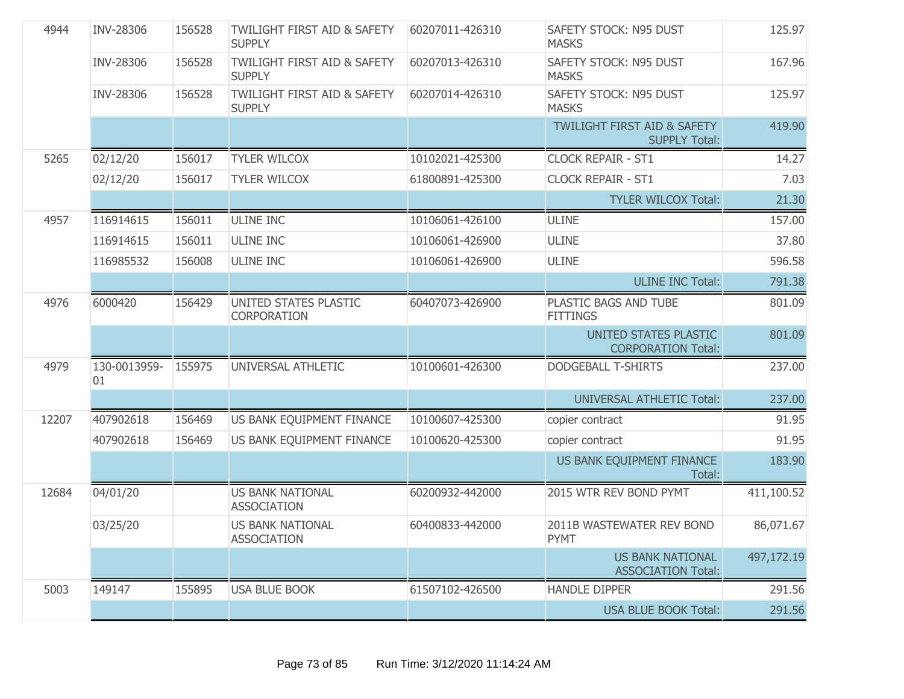| 4944  | <b>INV-28306</b>   | 156528 | <b>TWILIGHT FIRST AID &amp; SAFETY</b><br><b>SUPPLY</b> | 60207011-426310 | <b>SAFETY STOCK: N95 DUST</b><br><b>MASKS</b>                  | 125.97     |
|-------|--------------------|--------|---------------------------------------------------------|-----------------|----------------------------------------------------------------|------------|
|       | <b>INV-28306</b>   | 156528 | <b>TWILIGHT FIRST AID &amp; SAFETY</b><br><b>SUPPLY</b> | 60207013-426310 | SAFETY STOCK: N95 DUST<br><b>MASKS</b>                         | 167.96     |
|       | INV-28306          | 156528 | <b>TWILIGHT FIRST AID &amp; SAFETY</b><br><b>SUPPLY</b> | 60207014-426310 | SAFETY STOCK: N95 DUST<br><b>MASKS</b>                         | 125.97     |
|       |                    |        |                                                         |                 | <b>TWILIGHT FIRST AID &amp; SAFETY</b><br><b>SUPPLY Total:</b> | 419.90     |
| 5265  | 02/12/20           | 156017 | <b>TYLER WILCOX</b>                                     | 10102021-425300 | <b>CLOCK REPAIR - ST1</b>                                      | 14.27      |
|       | 02/12/20           | 156017 | <b>TYLER WILCOX</b>                                     | 61800891-425300 | <b>CLOCK REPAIR - ST1</b>                                      | 7.03       |
|       |                    |        |                                                         |                 | <b>TYLER WILCOX Total:</b>                                     | 21.30      |
| 4957  | 116914615          | 156011 | <b>ULINE INC</b>                                        | 10106061-426100 | <b>ULINE</b>                                                   | 157.00     |
|       | 116914615          | 156011 | <b>ULINE INC</b>                                        | 10106061-426900 | <b>ULINE</b>                                                   | 37.80      |
|       | 116985532          | 156008 | <b>ULINE INC</b>                                        | 10106061-426900 | <b>ULINE</b>                                                   | 596.58     |
|       |                    |        |                                                         |                 | <b>ULINE INC Total:</b>                                        | 791.38     |
| 4976  | 6000420            | 156429 | UNITED STATES PLASTIC<br>CORPORATION                    | 60407073-426900 | PLASTIC BAGS AND TUBE<br><b>FITTINGS</b>                       | 801.09     |
|       |                    |        |                                                         |                 | UNITED STATES PLASTIC<br><b>CORPORATION Total:</b>             | 801.09     |
| 4979  | 130-0013959-<br>01 | 155975 | UNIVERSAL ATHLETIC                                      | 10100601-426300 | <b>DODGEBALL T-SHIRTS</b>                                      | 237.00     |
|       |                    |        |                                                         |                 | <b>UNIVERSAL ATHLETIC Total:</b>                               | 237.00     |
| 12207 | 407902618          | 156469 | US BANK EQUIPMENT FINANCE                               | 10100607-425300 | copier contract                                                | 91.95      |
|       | 407902618          | 156469 | US BANK EQUIPMENT FINANCE                               | 10100620-425300 | copier contract                                                | 91.95      |
|       |                    |        |                                                         |                 | US BANK EQUIPMENT FINANCE<br>Total:                            | 183.90     |
| 12684 | 04/01/20           |        | <b>US BANK NATIONAL</b><br><b>ASSOCIATION</b>           | 60200932-442000 | 2015 WTR REV BOND PYMT                                         | 411,100.52 |
|       | 03/25/20           |        | <b>US BANK NATIONAL</b><br><b>ASSOCIATION</b>           | 60400833-442000 | 2011B WASTEWATER REV BOND<br><b>PYMT</b>                       | 86,071.67  |
|       |                    |        |                                                         |                 | <b>US BANK NATIONAL</b><br><b>ASSOCIATION Total:</b>           | 497,172.19 |
| 5003  | 149147             | 155895 | <b>USA BLUE BOOK</b>                                    | 61507102-426500 | <b>HANDLE DIPPER</b>                                           | 291.56     |
|       |                    |        |                                                         |                 | <b>USA BLUE BOOK Total:</b>                                    | 291.56     |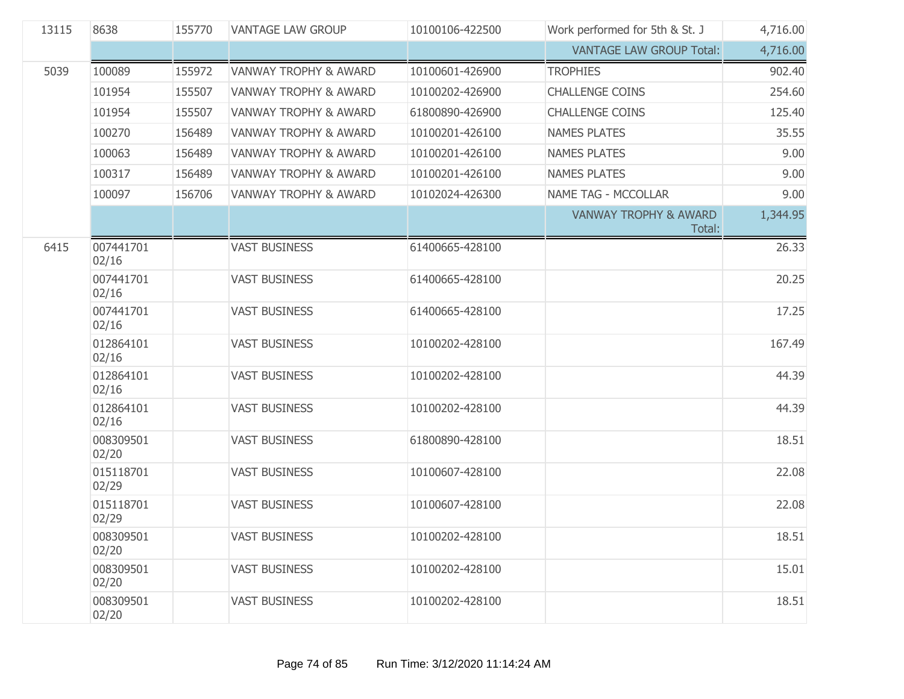| 13115 | 8638               | 155770 | <b>VANTAGE LAW GROUP</b>         | 10100106-422500 | Work performed for 5th & St. J             | 4,716.00 |
|-------|--------------------|--------|----------------------------------|-----------------|--------------------------------------------|----------|
|       |                    |        |                                  |                 | <b>VANTAGE LAW GROUP Total:</b>            | 4,716.00 |
| 5039  | 100089             | 155972 | <b>VANWAY TROPHY &amp; AWARD</b> | 10100601-426900 | <b>TROPHIES</b>                            | 902.40   |
|       | 101954             | 155507 | <b>VANWAY TROPHY &amp; AWARD</b> | 10100202-426900 | <b>CHALLENGE COINS</b>                     | 254.60   |
|       | 101954             | 155507 | <b>VANWAY TROPHY &amp; AWARD</b> | 61800890-426900 | <b>CHALLENGE COINS</b>                     | 125.40   |
|       | 100270             | 156489 | <b>VANWAY TROPHY &amp; AWARD</b> | 10100201-426100 | <b>NAMES PLATES</b>                        | 35.55    |
|       | 100063             | 156489 | VANWAY TROPHY & AWARD            | 10100201-426100 | <b>NAMES PLATES</b>                        | 9.00     |
|       | 100317             | 156489 | <b>VANWAY TROPHY &amp; AWARD</b> | 10100201-426100 | <b>NAMES PLATES</b>                        | 9.00     |
|       | 100097             | 156706 | <b>VANWAY TROPHY &amp; AWARD</b> | 10102024-426300 | <b>NAME TAG - MCCOLLAR</b>                 | 9.00     |
|       |                    |        |                                  |                 | <b>VANWAY TROPHY &amp; AWARD</b><br>Total: | 1,344.95 |
| 6415  | 007441701<br>02/16 |        | <b>VAST BUSINESS</b>             | 61400665-428100 |                                            | 26.33    |
|       | 007441701<br>02/16 |        | <b>VAST BUSINESS</b>             | 61400665-428100 |                                            | 20.25    |
|       | 007441701<br>02/16 |        | <b>VAST BUSINESS</b>             | 61400665-428100 |                                            | 17.25    |
|       | 012864101<br>02/16 |        | <b>VAST BUSINESS</b>             | 10100202-428100 |                                            | 167.49   |
|       | 012864101<br>02/16 |        | <b>VAST BUSINESS</b>             | 10100202-428100 |                                            | 44.39    |
|       | 012864101<br>02/16 |        | <b>VAST BUSINESS</b>             | 10100202-428100 |                                            | 44.39    |
|       | 008309501<br>02/20 |        | <b>VAST BUSINESS</b>             | 61800890-428100 |                                            | 18.51    |
|       | 015118701<br>02/29 |        | <b>VAST BUSINESS</b>             | 10100607-428100 |                                            | 22.08    |
|       | 015118701<br>02/29 |        | <b>VAST BUSINESS</b>             | 10100607-428100 |                                            | 22.08    |
|       | 008309501<br>02/20 |        | <b>VAST BUSINESS</b>             | 10100202-428100 |                                            | 18.51    |
|       | 008309501<br>02/20 |        | <b>VAST BUSINESS</b>             | 10100202-428100 |                                            | 15.01    |
|       | 008309501<br>02/20 |        | <b>VAST BUSINESS</b>             | 10100202-428100 |                                            | 18.51    |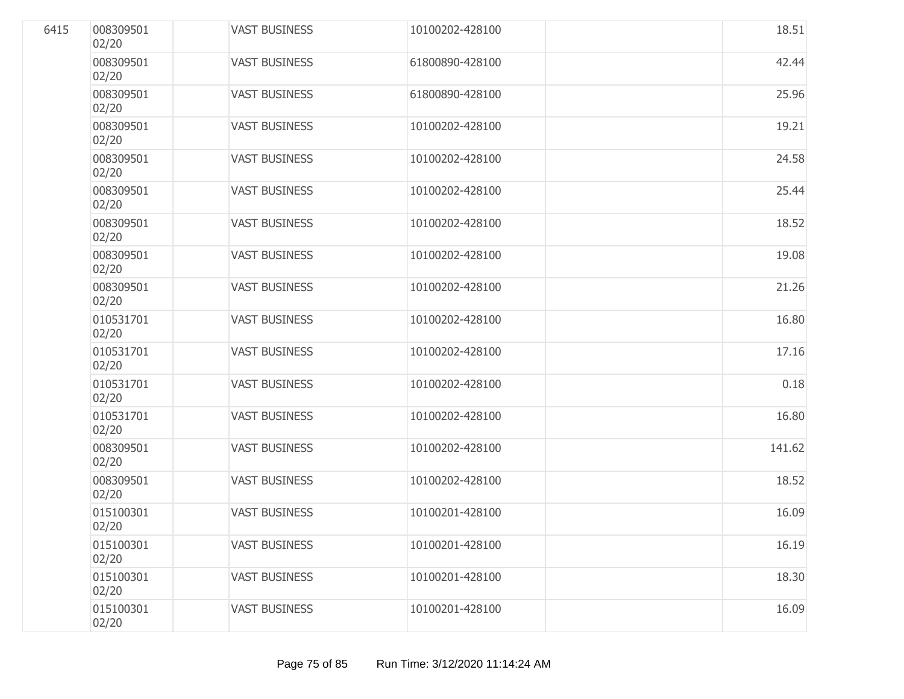| 6415 | 008309501<br>02/20 | <b>VAST BUSINESS</b> | 10100202-428100 | 18.51  |
|------|--------------------|----------------------|-----------------|--------|
|      | 008309501<br>02/20 | <b>VAST BUSINESS</b> | 61800890-428100 | 42.44  |
|      | 008309501<br>02/20 | <b>VAST BUSINESS</b> | 61800890-428100 | 25.96  |
|      | 008309501<br>02/20 | <b>VAST BUSINESS</b> | 10100202-428100 | 19.21  |
|      | 008309501<br>02/20 | <b>VAST BUSINESS</b> | 10100202-428100 | 24.58  |
|      | 008309501<br>02/20 | <b>VAST BUSINESS</b> | 10100202-428100 | 25.44  |
|      | 008309501<br>02/20 | <b>VAST BUSINESS</b> | 10100202-428100 | 18.52  |
|      | 008309501<br>02/20 | <b>VAST BUSINESS</b> | 10100202-428100 | 19.08  |
|      | 008309501<br>02/20 | <b>VAST BUSINESS</b> | 10100202-428100 | 21.26  |
|      | 010531701<br>02/20 | <b>VAST BUSINESS</b> | 10100202-428100 | 16.80  |
|      | 010531701<br>02/20 | <b>VAST BUSINESS</b> | 10100202-428100 | 17.16  |
|      | 010531701<br>02/20 | <b>VAST BUSINESS</b> | 10100202-428100 | 0.18   |
|      | 010531701<br>02/20 | <b>VAST BUSINESS</b> | 10100202-428100 | 16.80  |
|      | 008309501<br>02/20 | <b>VAST BUSINESS</b> | 10100202-428100 | 141.62 |
|      | 008309501<br>02/20 | <b>VAST BUSINESS</b> | 10100202-428100 | 18.52  |
|      | 015100301<br>02/20 | <b>VAST BUSINESS</b> | 10100201-428100 | 16.09  |
|      | 015100301<br>02/20 | <b>VAST BUSINESS</b> | 10100201-428100 | 16.19  |
|      | 015100301<br>02/20 | <b>VAST BUSINESS</b> | 10100201-428100 | 18.30  |
|      | 015100301<br>02/20 | <b>VAST BUSINESS</b> | 10100201-428100 | 16.09  |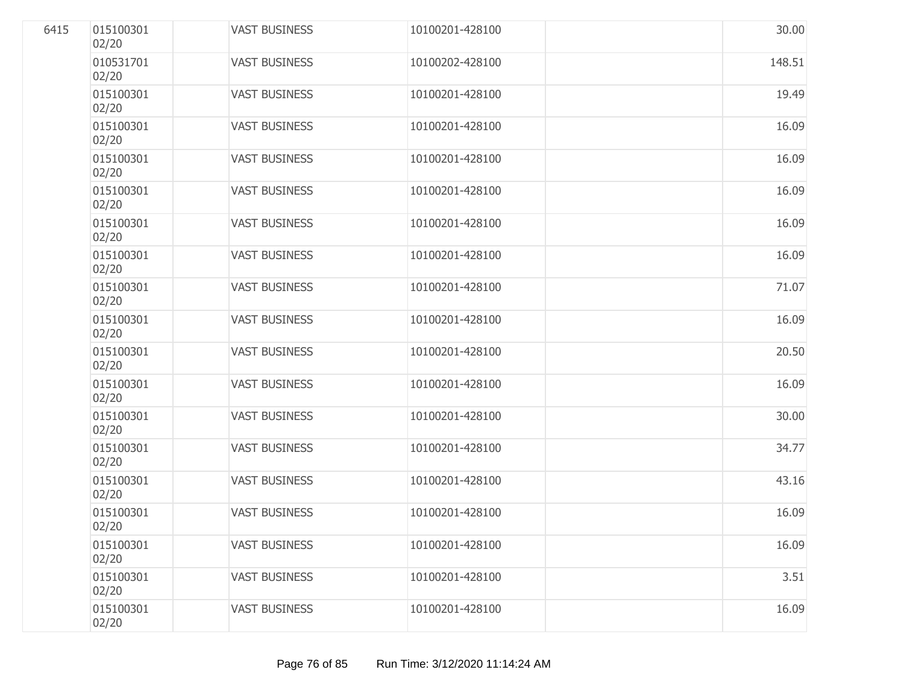| 6415 | 015100301<br>02/20 | <b>VAST BUSINESS</b> | 10100201-428100 | 30.00  |
|------|--------------------|----------------------|-----------------|--------|
|      | 010531701<br>02/20 | <b>VAST BUSINESS</b> | 10100202-428100 | 148.51 |
|      | 015100301<br>02/20 | <b>VAST BUSINESS</b> | 10100201-428100 | 19.49  |
|      | 015100301<br>02/20 | <b>VAST BUSINESS</b> | 10100201-428100 | 16.09  |
|      | 015100301<br>02/20 | <b>VAST BUSINESS</b> | 10100201-428100 | 16.09  |
|      | 015100301<br>02/20 | <b>VAST BUSINESS</b> | 10100201-428100 | 16.09  |
|      | 015100301<br>02/20 | <b>VAST BUSINESS</b> | 10100201-428100 | 16.09  |
|      | 015100301<br>02/20 | <b>VAST BUSINESS</b> | 10100201-428100 | 16.09  |
|      | 015100301<br>02/20 | <b>VAST BUSINESS</b> | 10100201-428100 | 71.07  |
|      | 015100301<br>02/20 | <b>VAST BUSINESS</b> | 10100201-428100 | 16.09  |
|      | 015100301<br>02/20 | <b>VAST BUSINESS</b> | 10100201-428100 | 20.50  |
|      | 015100301<br>02/20 | <b>VAST BUSINESS</b> | 10100201-428100 | 16.09  |
|      | 015100301<br>02/20 | <b>VAST BUSINESS</b> | 10100201-428100 | 30.00  |
|      | 015100301<br>02/20 | <b>VAST BUSINESS</b> | 10100201-428100 | 34.77  |
|      | 015100301<br>02/20 | <b>VAST BUSINESS</b> | 10100201-428100 | 43.16  |
|      | 015100301<br>02/20 | <b>VAST BUSINESS</b> | 10100201-428100 | 16.09  |
|      | 015100301<br>02/20 | <b>VAST BUSINESS</b> | 10100201-428100 | 16.09  |
|      | 015100301<br>02/20 | <b>VAST BUSINESS</b> | 10100201-428100 | 3.51   |
|      | 015100301<br>02/20 | <b>VAST BUSINESS</b> | 10100201-428100 | 16.09  |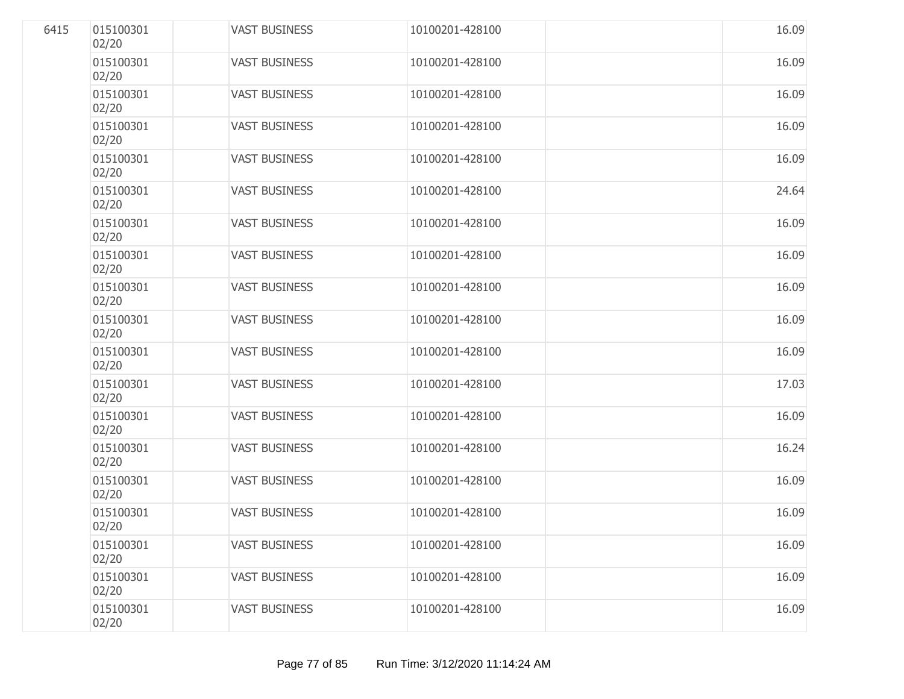| 6415 | 015100301<br>02/20 | <b>VAST BUSINESS</b> | 10100201-428100 | 16.09 |
|------|--------------------|----------------------|-----------------|-------|
|      | 015100301<br>02/20 | <b>VAST BUSINESS</b> | 10100201-428100 | 16.09 |
|      | 015100301<br>02/20 | <b>VAST BUSINESS</b> | 10100201-428100 | 16.09 |
|      | 015100301<br>02/20 | <b>VAST BUSINESS</b> | 10100201-428100 | 16.09 |
|      | 015100301<br>02/20 | <b>VAST BUSINESS</b> | 10100201-428100 | 16.09 |
|      | 015100301<br>02/20 | <b>VAST BUSINESS</b> | 10100201-428100 | 24.64 |
|      | 015100301<br>02/20 | <b>VAST BUSINESS</b> | 10100201-428100 | 16.09 |
|      | 015100301<br>02/20 | <b>VAST BUSINESS</b> | 10100201-428100 | 16.09 |
|      | 015100301<br>02/20 | <b>VAST BUSINESS</b> | 10100201-428100 | 16.09 |
|      | 015100301<br>02/20 | <b>VAST BUSINESS</b> | 10100201-428100 | 16.09 |
|      | 015100301<br>02/20 | <b>VAST BUSINESS</b> | 10100201-428100 | 16.09 |
|      | 015100301<br>02/20 | <b>VAST BUSINESS</b> | 10100201-428100 | 17.03 |
|      | 015100301<br>02/20 | <b>VAST BUSINESS</b> | 10100201-428100 | 16.09 |
|      | 015100301<br>02/20 | <b>VAST BUSINESS</b> | 10100201-428100 | 16.24 |
|      | 015100301<br>02/20 | <b>VAST BUSINESS</b> | 10100201-428100 | 16.09 |
|      | 015100301<br>02/20 | <b>VAST BUSINESS</b> | 10100201-428100 | 16.09 |
|      | 015100301<br>02/20 | <b>VAST BUSINESS</b> | 10100201-428100 | 16.09 |
|      | 015100301<br>02/20 | <b>VAST BUSINESS</b> | 10100201-428100 | 16.09 |
|      | 015100301<br>02/20 | <b>VAST BUSINESS</b> | 10100201-428100 | 16.09 |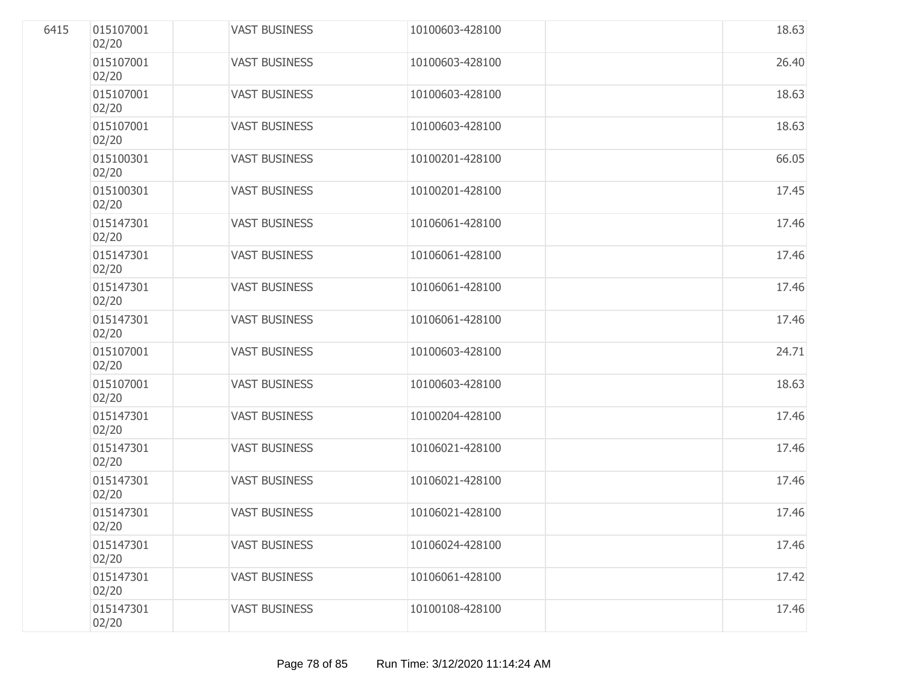| 6415 | 015107001<br>02/20 | <b>VAST BUSINESS</b> | 10100603-428100 | 18.63 |
|------|--------------------|----------------------|-----------------|-------|
|      | 015107001<br>02/20 | <b>VAST BUSINESS</b> | 10100603-428100 | 26.40 |
|      | 015107001<br>02/20 | <b>VAST BUSINESS</b> | 10100603-428100 | 18.63 |
|      | 015107001<br>02/20 | <b>VAST BUSINESS</b> | 10100603-428100 | 18.63 |
|      | 015100301<br>02/20 | <b>VAST BUSINESS</b> | 10100201-428100 | 66.05 |
|      | 015100301<br>02/20 | <b>VAST BUSINESS</b> | 10100201-428100 | 17.45 |
|      | 015147301<br>02/20 | <b>VAST BUSINESS</b> | 10106061-428100 | 17.46 |
|      | 015147301<br>02/20 | <b>VAST BUSINESS</b> | 10106061-428100 | 17.46 |
|      | 015147301<br>02/20 | <b>VAST BUSINESS</b> | 10106061-428100 | 17.46 |
|      | 015147301<br>02/20 | <b>VAST BUSINESS</b> | 10106061-428100 | 17.46 |
|      | 015107001<br>02/20 | <b>VAST BUSINESS</b> | 10100603-428100 | 24.71 |
|      | 015107001<br>02/20 | <b>VAST BUSINESS</b> | 10100603-428100 | 18.63 |
|      | 015147301<br>02/20 | <b>VAST BUSINESS</b> | 10100204-428100 | 17.46 |
|      | 015147301<br>02/20 | <b>VAST BUSINESS</b> | 10106021-428100 | 17.46 |
|      | 015147301<br>02/20 | <b>VAST BUSINESS</b> | 10106021-428100 | 17.46 |
|      | 015147301<br>02/20 | <b>VAST BUSINESS</b> | 10106021-428100 | 17.46 |
|      | 015147301<br>02/20 | <b>VAST BUSINESS</b> | 10106024-428100 | 17.46 |
|      | 015147301<br>02/20 | <b>VAST BUSINESS</b> | 10106061-428100 | 17.42 |
|      | 015147301<br>02/20 | <b>VAST BUSINESS</b> | 10100108-428100 | 17.46 |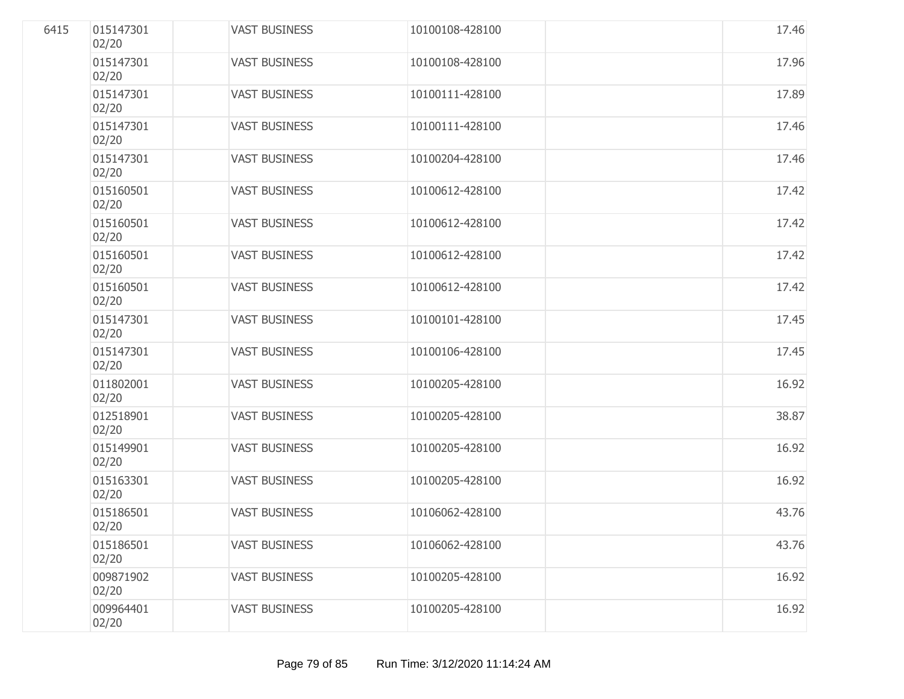| 6415 | 015147301<br>02/20 | <b>VAST BUSINESS</b> | 10100108-428100 | 17.46 |
|------|--------------------|----------------------|-----------------|-------|
|      | 015147301<br>02/20 | <b>VAST BUSINESS</b> | 10100108-428100 | 17.96 |
|      | 015147301<br>02/20 | <b>VAST BUSINESS</b> | 10100111-428100 | 17.89 |
|      | 015147301<br>02/20 | <b>VAST BUSINESS</b> | 10100111-428100 | 17.46 |
|      | 015147301<br>02/20 | <b>VAST BUSINESS</b> | 10100204-428100 | 17.46 |
|      | 015160501<br>02/20 | <b>VAST BUSINESS</b> | 10100612-428100 | 17.42 |
|      | 015160501<br>02/20 | <b>VAST BUSINESS</b> | 10100612-428100 | 17.42 |
|      | 015160501<br>02/20 | <b>VAST BUSINESS</b> | 10100612-428100 | 17.42 |
|      | 015160501<br>02/20 | <b>VAST BUSINESS</b> | 10100612-428100 | 17.42 |
|      | 015147301<br>02/20 | <b>VAST BUSINESS</b> | 10100101-428100 | 17.45 |
|      | 015147301<br>02/20 | <b>VAST BUSINESS</b> | 10100106-428100 | 17.45 |
|      | 011802001<br>02/20 | <b>VAST BUSINESS</b> | 10100205-428100 | 16.92 |
|      | 012518901<br>02/20 | <b>VAST BUSINESS</b> | 10100205-428100 | 38.87 |
|      | 015149901<br>02/20 | <b>VAST BUSINESS</b> | 10100205-428100 | 16.92 |
|      | 015163301<br>02/20 | <b>VAST BUSINESS</b> | 10100205-428100 | 16.92 |
|      | 015186501<br>02/20 | <b>VAST BUSINESS</b> | 10106062-428100 | 43.76 |
|      | 015186501<br>02/20 | <b>VAST BUSINESS</b> | 10106062-428100 | 43.76 |
|      | 009871902<br>02/20 | <b>VAST BUSINESS</b> | 10100205-428100 | 16.92 |
|      | 009964401<br>02/20 | <b>VAST BUSINESS</b> | 10100205-428100 | 16.92 |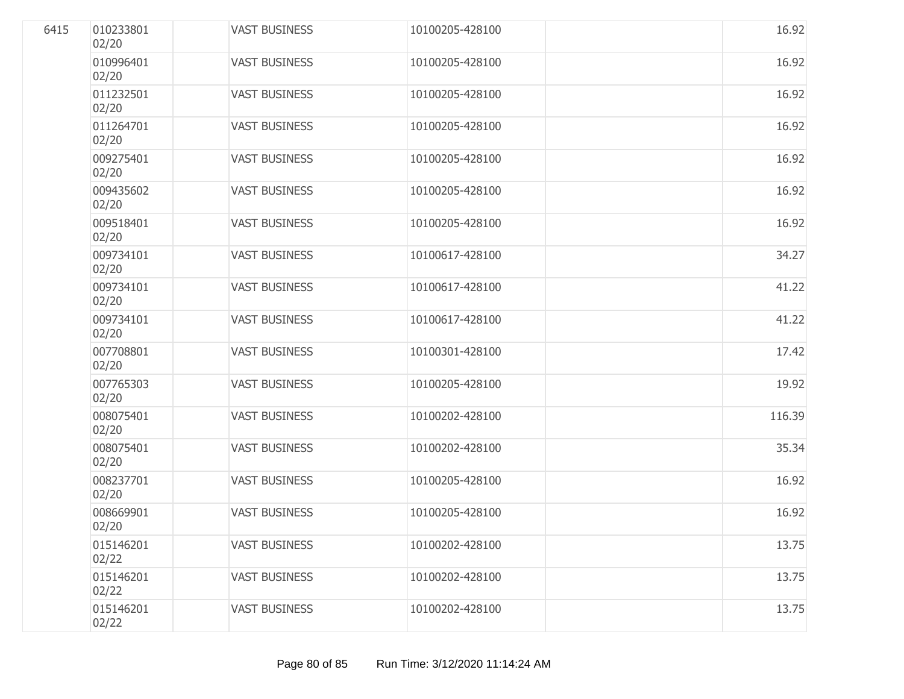| 6415 | 010233801<br>02/20 | <b>VAST BUSINESS</b> | 10100205-428100 | 16.92  |
|------|--------------------|----------------------|-----------------|--------|
|      | 010996401<br>02/20 | <b>VAST BUSINESS</b> | 10100205-428100 | 16.92  |
|      | 011232501<br>02/20 | <b>VAST BUSINESS</b> | 10100205-428100 | 16.92  |
|      | 011264701<br>02/20 | <b>VAST BUSINESS</b> | 10100205-428100 | 16.92  |
|      | 009275401<br>02/20 | <b>VAST BUSINESS</b> | 10100205-428100 | 16.92  |
|      | 009435602<br>02/20 | <b>VAST BUSINESS</b> | 10100205-428100 | 16.92  |
|      | 009518401<br>02/20 | <b>VAST BUSINESS</b> | 10100205-428100 | 16.92  |
|      | 009734101<br>02/20 | <b>VAST BUSINESS</b> | 10100617-428100 | 34.27  |
|      | 009734101<br>02/20 | <b>VAST BUSINESS</b> | 10100617-428100 | 41.22  |
|      | 009734101<br>02/20 | <b>VAST BUSINESS</b> | 10100617-428100 | 41.22  |
|      | 007708801<br>02/20 | <b>VAST BUSINESS</b> | 10100301-428100 | 17.42  |
|      | 007765303<br>02/20 | <b>VAST BUSINESS</b> | 10100205-428100 | 19.92  |
|      | 008075401<br>02/20 | <b>VAST BUSINESS</b> | 10100202-428100 | 116.39 |
|      | 008075401<br>02/20 | <b>VAST BUSINESS</b> | 10100202-428100 | 35.34  |
|      | 008237701<br>02/20 | <b>VAST BUSINESS</b> | 10100205-428100 | 16.92  |
|      | 008669901<br>02/20 | <b>VAST BUSINESS</b> | 10100205-428100 | 16.92  |
|      | 015146201<br>02/22 | <b>VAST BUSINESS</b> | 10100202-428100 | 13.75  |
|      | 015146201<br>02/22 | <b>VAST BUSINESS</b> | 10100202-428100 | 13.75  |
|      | 015146201<br>02/22 | <b>VAST BUSINESS</b> | 10100202-428100 | 13.75  |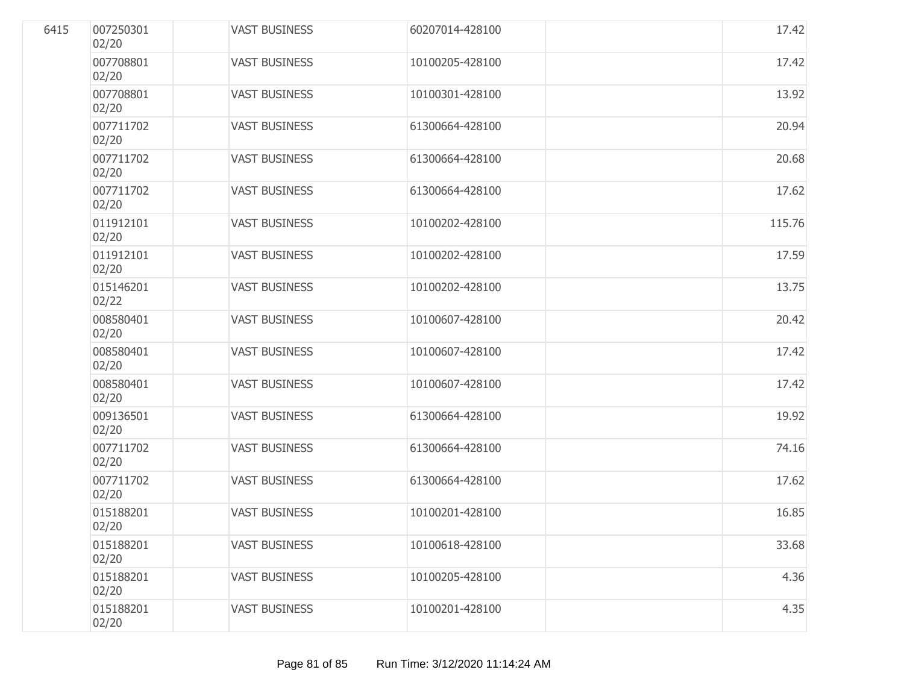| 6415 | 007250301<br>02/20 | <b>VAST BUSINESS</b> | 60207014-428100 | 17.42  |
|------|--------------------|----------------------|-----------------|--------|
|      | 007708801<br>02/20 | <b>VAST BUSINESS</b> | 10100205-428100 | 17.42  |
|      | 007708801<br>02/20 | <b>VAST BUSINESS</b> | 10100301-428100 | 13.92  |
|      | 007711702<br>02/20 | <b>VAST BUSINESS</b> | 61300664-428100 | 20.94  |
|      | 007711702<br>02/20 | <b>VAST BUSINESS</b> | 61300664-428100 | 20.68  |
|      | 007711702<br>02/20 | <b>VAST BUSINESS</b> | 61300664-428100 | 17.62  |
|      | 011912101<br>02/20 | <b>VAST BUSINESS</b> | 10100202-428100 | 115.76 |
|      | 011912101<br>02/20 | <b>VAST BUSINESS</b> | 10100202-428100 | 17.59  |
|      | 015146201<br>02/22 | <b>VAST BUSINESS</b> | 10100202-428100 | 13.75  |
|      | 008580401<br>02/20 | <b>VAST BUSINESS</b> | 10100607-428100 | 20.42  |
|      | 008580401<br>02/20 | <b>VAST BUSINESS</b> | 10100607-428100 | 17.42  |
|      | 008580401<br>02/20 | <b>VAST BUSINESS</b> | 10100607-428100 | 17.42  |
|      | 009136501<br>02/20 | <b>VAST BUSINESS</b> | 61300664-428100 | 19.92  |
|      | 007711702<br>02/20 | <b>VAST BUSINESS</b> | 61300664-428100 | 74.16  |
|      | 007711702<br>02/20 | <b>VAST BUSINESS</b> | 61300664-428100 | 17.62  |
|      | 015188201<br>02/20 | <b>VAST BUSINESS</b> | 10100201-428100 | 16.85  |
|      | 015188201<br>02/20 | <b>VAST BUSINESS</b> | 10100618-428100 | 33.68  |
|      | 015188201<br>02/20 | <b>VAST BUSINESS</b> | 10100205-428100 | 4.36   |
|      | 015188201<br>02/20 | <b>VAST BUSINESS</b> | 10100201-428100 | 4.35   |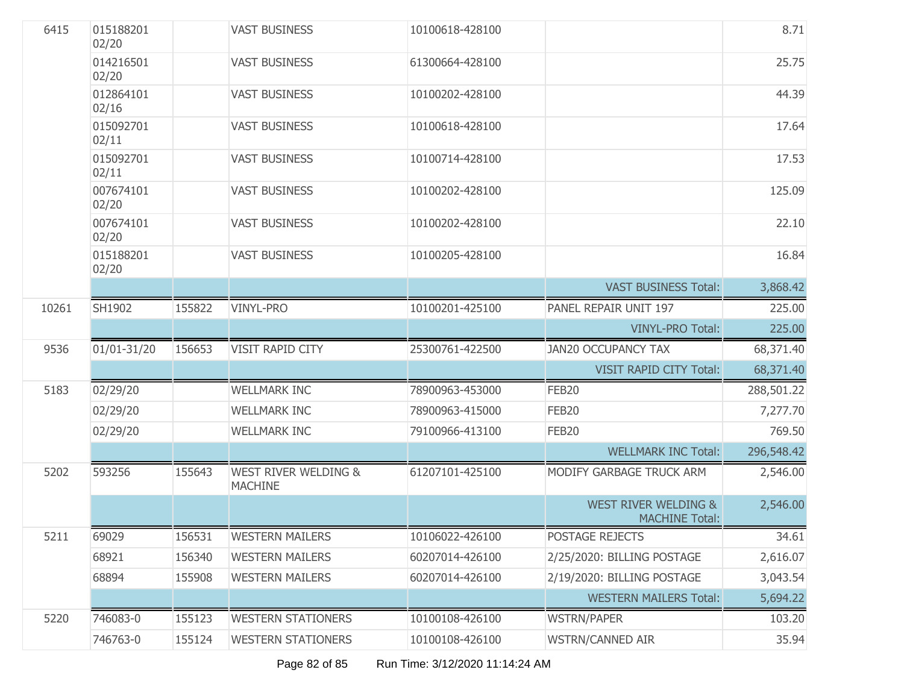| 6415  | 015188201<br>02/20 |        | <b>VAST BUSINESS</b>                              | 10100618-428100 |                                                          | 8.71       |
|-------|--------------------|--------|---------------------------------------------------|-----------------|----------------------------------------------------------|------------|
|       | 014216501<br>02/20 |        | <b>VAST BUSINESS</b>                              | 61300664-428100 |                                                          | 25.75      |
|       | 012864101<br>02/16 |        | <b>VAST BUSINESS</b>                              | 10100202-428100 |                                                          | 44.39      |
|       | 015092701<br>02/11 |        | <b>VAST BUSINESS</b>                              | 10100618-428100 |                                                          | 17.64      |
|       | 015092701<br>02/11 |        | <b>VAST BUSINESS</b>                              | 10100714-428100 |                                                          | 17.53      |
|       | 007674101<br>02/20 |        | <b>VAST BUSINESS</b>                              | 10100202-428100 |                                                          | 125.09     |
|       | 007674101<br>02/20 |        | <b>VAST BUSINESS</b>                              | 10100202-428100 |                                                          | 22.10      |
|       | 015188201<br>02/20 |        | <b>VAST BUSINESS</b>                              | 10100205-428100 |                                                          | 16.84      |
|       |                    |        |                                                   |                 | <b>VAST BUSINESS Total:</b>                              | 3,868.42   |
| 10261 | SH1902             | 155822 | <b>VINYL-PRO</b>                                  | 10100201-425100 | PANEL REPAIR UNIT 197                                    | 225.00     |
|       |                    |        |                                                   |                 | <b>VINYL-PRO Total:</b>                                  | 225.00     |
| 9536  | 01/01-31/20        | 156653 | <b>VISIT RAPID CITY</b>                           | 25300761-422500 | <b>JAN20 OCCUPANCY TAX</b>                               | 68,371.40  |
|       |                    |        |                                                   |                 | <b>VISIT RAPID CITY Total:</b>                           | 68,371.40  |
| 5183  | 02/29/20           |        | <b>WELLMARK INC</b>                               | 78900963-453000 | FEB20                                                    | 288,501.22 |
|       | 02/29/20           |        | <b>WELLMARK INC</b>                               | 78900963-415000 | FEB20                                                    | 7,277.70   |
|       | 02/29/20           |        | <b>WELLMARK INC</b>                               | 79100966-413100 | FEB <sub>20</sub>                                        | 769.50     |
|       |                    |        |                                                   |                 | <b>WELLMARK INC Total:</b>                               | 296,548.42 |
| 5202  | 593256             | 155643 | <b>WEST RIVER WELDING &amp;</b><br><b>MACHINE</b> | 61207101-425100 | MODIFY GARBAGE TRUCK ARM                                 | 2,546.00   |
|       |                    |        |                                                   |                 | <b>WEST RIVER WELDING &amp;</b><br><b>MACHINE Total:</b> | 2,546.00   |
| 5211  | 69029              | 156531 | <b>WESTERN MAILERS</b>                            | 10106022-426100 | POSTAGE REJECTS                                          | 34.61      |
|       | 68921              | 156340 | <b>WESTERN MAILERS</b>                            | 60207014-426100 | 2/25/2020: BILLING POSTAGE                               | 2,616.07   |
|       | 68894              | 155908 | <b>WESTERN MAILERS</b>                            | 60207014-426100 | 2/19/2020: BILLING POSTAGE                               | 3,043.54   |
|       |                    |        |                                                   |                 | <b>WESTERN MAILERS Total:</b>                            | 5,694.22   |
| 5220  | 746083-0           | 155123 | <b>WESTERN STATIONERS</b>                         | 10100108-426100 | <b>WSTRN/PAPER</b>                                       | 103.20     |
|       | 746763-0           | 155124 | <b>WESTERN STATIONERS</b>                         | 10100108-426100 | <b>WSTRN/CANNED AIR</b>                                  | 35.94      |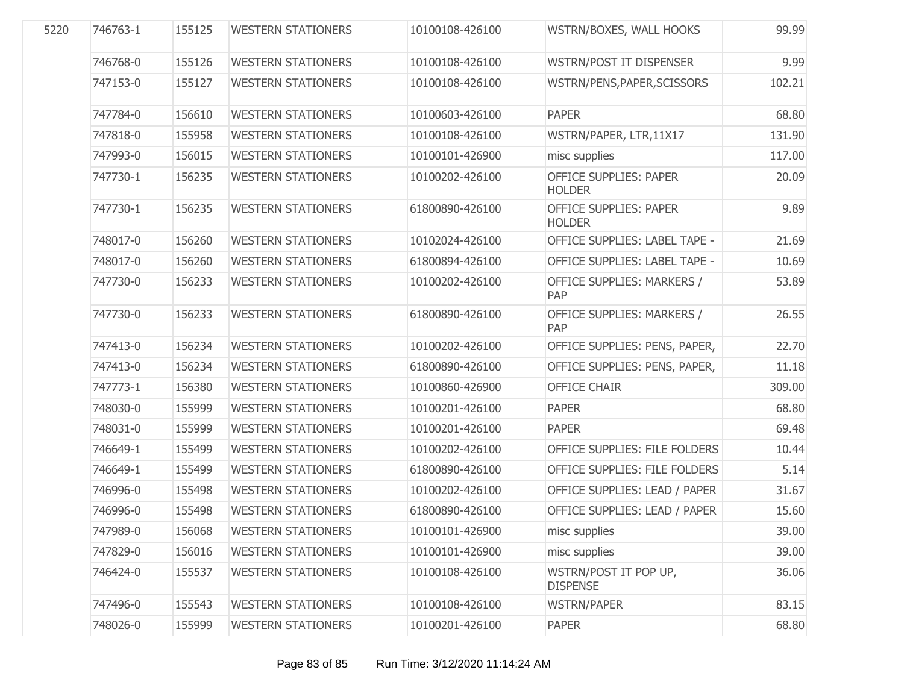| 5220 | 746763-1 | 155125 | <b>WESTERN STATIONERS</b> | 10100108-426100 | WSTRN/BOXES, WALL HOOKS                        | 99.99  |
|------|----------|--------|---------------------------|-----------------|------------------------------------------------|--------|
|      | 746768-0 | 155126 | <b>WESTERN STATIONERS</b> | 10100108-426100 | WSTRN/POST IT DISPENSER                        | 9.99   |
|      | 747153-0 | 155127 | <b>WESTERN STATIONERS</b> | 10100108-426100 | WSTRN/PENS, PAPER, SCISSORS                    | 102.21 |
|      | 747784-0 | 156610 | <b>WESTERN STATIONERS</b> | 10100603-426100 | <b>PAPER</b>                                   | 68.80  |
|      | 747818-0 | 155958 | <b>WESTERN STATIONERS</b> | 10100108-426100 | WSTRN/PAPER, LTR, 11X17                        | 131.90 |
|      | 747993-0 | 156015 | <b>WESTERN STATIONERS</b> | 10100101-426900 | misc supplies                                  | 117.00 |
|      | 747730-1 | 156235 | <b>WESTERN STATIONERS</b> | 10100202-426100 | <b>OFFICE SUPPLIES: PAPER</b><br><b>HOLDER</b> | 20.09  |
|      | 747730-1 | 156235 | <b>WESTERN STATIONERS</b> | 61800890-426100 | OFFICE SUPPLIES: PAPER<br><b>HOLDER</b>        | 9.89   |
|      | 748017-0 | 156260 | <b>WESTERN STATIONERS</b> | 10102024-426100 | OFFICE SUPPLIES: LABEL TAPE -                  | 21.69  |
|      | 748017-0 | 156260 | <b>WESTERN STATIONERS</b> | 61800894-426100 | OFFICE SUPPLIES: LABEL TAPE -                  | 10.69  |
|      | 747730-0 | 156233 | <b>WESTERN STATIONERS</b> | 10100202-426100 | OFFICE SUPPLIES: MARKERS /<br>PAP              | 53.89  |
|      | 747730-0 | 156233 | <b>WESTERN STATIONERS</b> | 61800890-426100 | OFFICE SUPPLIES: MARKERS /<br>PAP              | 26.55  |
|      | 747413-0 | 156234 | <b>WESTERN STATIONERS</b> | 10100202-426100 | OFFICE SUPPLIES: PENS, PAPER,                  | 22.70  |
|      | 747413-0 | 156234 | <b>WESTERN STATIONERS</b> | 61800890-426100 | OFFICE SUPPLIES: PENS, PAPER,                  | 11.18  |
|      | 747773-1 | 156380 | <b>WESTERN STATIONERS</b> | 10100860-426900 | <b>OFFICE CHAIR</b>                            | 309.00 |
|      | 748030-0 | 155999 | <b>WESTERN STATIONERS</b> | 10100201-426100 | <b>PAPER</b>                                   | 68.80  |
|      | 748031-0 | 155999 | <b>WESTERN STATIONERS</b> | 10100201-426100 | <b>PAPER</b>                                   | 69.48  |
|      | 746649-1 | 155499 | <b>WESTERN STATIONERS</b> | 10100202-426100 | OFFICE SUPPLIES: FILE FOLDERS                  | 10.44  |
|      | 746649-1 | 155499 | <b>WESTERN STATIONERS</b> | 61800890-426100 | OFFICE SUPPLIES: FILE FOLDERS                  | 5.14   |
|      | 746996-0 | 155498 | <b>WESTERN STATIONERS</b> | 10100202-426100 | OFFICE SUPPLIES: LEAD / PAPER                  | 31.67  |
|      | 746996-0 | 155498 | <b>WESTERN STATIONERS</b> | 61800890-426100 | OFFICE SUPPLIES: LEAD / PAPER                  | 15.60  |
|      | 747989-0 | 156068 | <b>WESTERN STATIONERS</b> | 10100101-426900 | misc supplies                                  | 39.00  |
|      | 747829-0 | 156016 | <b>WESTERN STATIONERS</b> | 10100101-426900 | misc supplies                                  | 39.00  |
|      | 746424-0 | 155537 | <b>WESTERN STATIONERS</b> | 10100108-426100 | WSTRN/POST IT POP UP,<br><b>DISPENSE</b>       | 36.06  |
|      | 747496-0 | 155543 | <b>WESTERN STATIONERS</b> | 10100108-426100 | <b>WSTRN/PAPER</b>                             | 83.15  |
|      | 748026-0 | 155999 | <b>WESTERN STATIONERS</b> | 10100201-426100 | <b>PAPER</b>                                   | 68.80  |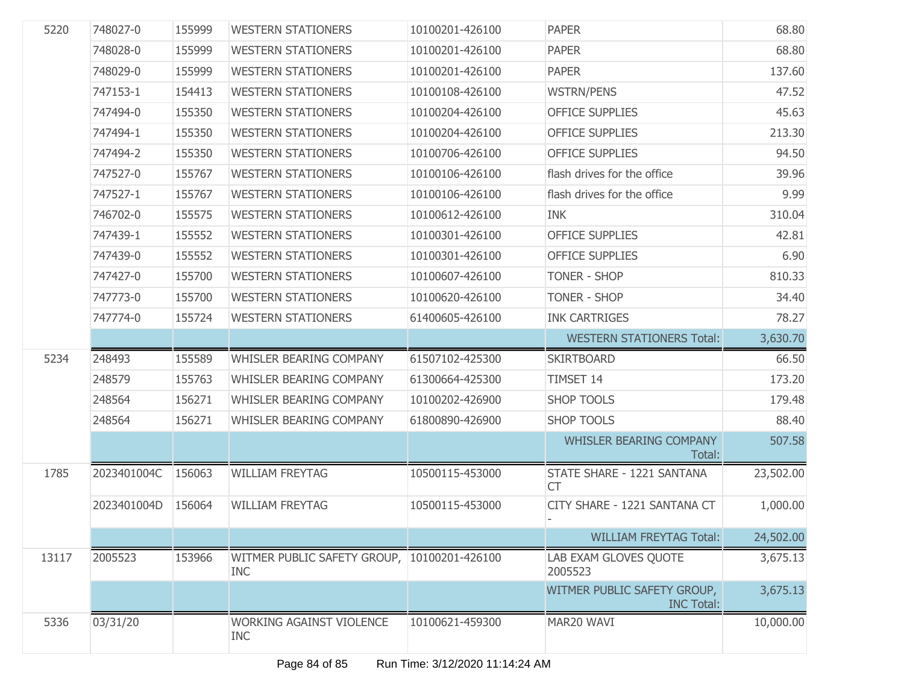| 5220  | 748027-0    | 155999 | <b>WESTERN STATIONERS</b>                                 | 10100201-426100 | <b>PAPER</b>                                     | 68.80     |
|-------|-------------|--------|-----------------------------------------------------------|-----------------|--------------------------------------------------|-----------|
|       | 748028-0    | 155999 | <b>WESTERN STATIONERS</b>                                 | 10100201-426100 | <b>PAPER</b>                                     | 68.80     |
|       | 748029-0    | 155999 | <b>WESTERN STATIONERS</b>                                 | 10100201-426100 | <b>PAPER</b>                                     | 137.60    |
|       | 747153-1    | 154413 | <b>WESTERN STATIONERS</b>                                 | 10100108-426100 | <b>WSTRN/PENS</b>                                | 47.52     |
|       | 747494-0    | 155350 | <b>WESTERN STATIONERS</b>                                 | 10100204-426100 | <b>OFFICE SUPPLIES</b>                           | 45.63     |
|       | 747494-1    | 155350 | <b>WESTERN STATIONERS</b>                                 | 10100204-426100 | <b>OFFICE SUPPLIES</b>                           | 213.30    |
|       | 747494-2    | 155350 | <b>WESTERN STATIONERS</b>                                 | 10100706-426100 | <b>OFFICE SUPPLIES</b>                           | 94.50     |
|       | 747527-0    | 155767 | <b>WESTERN STATIONERS</b>                                 | 10100106-426100 | flash drives for the office                      | 39.96     |
|       | 747527-1    | 155767 | <b>WESTERN STATIONERS</b>                                 | 10100106-426100 | flash drives for the office                      | 9.99      |
|       | 746702-0    | 155575 | <b>WESTERN STATIONERS</b>                                 | 10100612-426100 | <b>INK</b>                                       | 310.04    |
|       | 747439-1    | 155552 | <b>WESTERN STATIONERS</b>                                 | 10100301-426100 | <b>OFFICE SUPPLIES</b>                           | 42.81     |
|       | 747439-0    | 155552 | <b>WESTERN STATIONERS</b>                                 | 10100301-426100 | <b>OFFICE SUPPLIES</b>                           | 6.90      |
|       | 747427-0    | 155700 | <b>WESTERN STATIONERS</b>                                 | 10100607-426100 | <b>TONER - SHOP</b>                              | 810.33    |
|       | 747773-0    | 155700 | <b>WESTERN STATIONERS</b>                                 | 10100620-426100 | <b>TONER - SHOP</b>                              | 34.40     |
|       | 747774-0    | 155724 | <b>WESTERN STATIONERS</b>                                 | 61400605-426100 | <b>INK CARTRIGES</b>                             | 78.27     |
|       |             |        |                                                           |                 | <b>WESTERN STATIONERS Total:</b>                 | 3,630.70  |
| 5234  | 248493      | 155589 | WHISLER BEARING COMPANY                                   | 61507102-425300 | <b>SKIRTBOARD</b>                                | 66.50     |
|       | 248579      | 155763 | <b>WHISLER BEARING COMPANY</b>                            | 61300664-425300 | TIMSET 14                                        | 173.20    |
|       | 248564      | 156271 | WHISLER BEARING COMPANY                                   | 10100202-426900 | <b>SHOP TOOLS</b>                                | 179.48    |
|       | 248564      | 156271 | WHISLER BEARING COMPANY                                   | 61800890-426900 | <b>SHOP TOOLS</b>                                | 88.40     |
|       |             |        |                                                           |                 | WHISLER BEARING COMPANY<br>Total:                | 507.58    |
| 1785  | 2023401004C | 156063 | <b>WILLIAM FREYTAG</b>                                    | 10500115-453000 | STATE SHARE - 1221 SANTANA<br><b>CT</b>          | 23,502.00 |
|       | 2023401004D | 156064 | <b>WILLIAM FREYTAG</b>                                    | 10500115-453000 | CITY SHARE - 1221 SANTANA CT                     | 1,000.00  |
|       |             |        |                                                           |                 | <b>WILLIAM FREYTAG Total:</b>                    | 24,502.00 |
| 13117 | 2005523     | 153966 | WITMER PUBLIC SAFETY GROUP, 10100201-426100<br><b>INC</b> |                 | LAB EXAM GLOVES QUOTE<br>2005523                 | 3,675.13  |
|       |             |        |                                                           |                 | WITMER PUBLIC SAFETY GROUP,<br><b>INC Total:</b> | 3,675.13  |
| 5336  | 03/31/20    |        | <b>WORKING AGAINST VIOLENCE</b><br><b>INC</b>             | 10100621-459300 | MAR20 WAVI                                       | 10,000.00 |